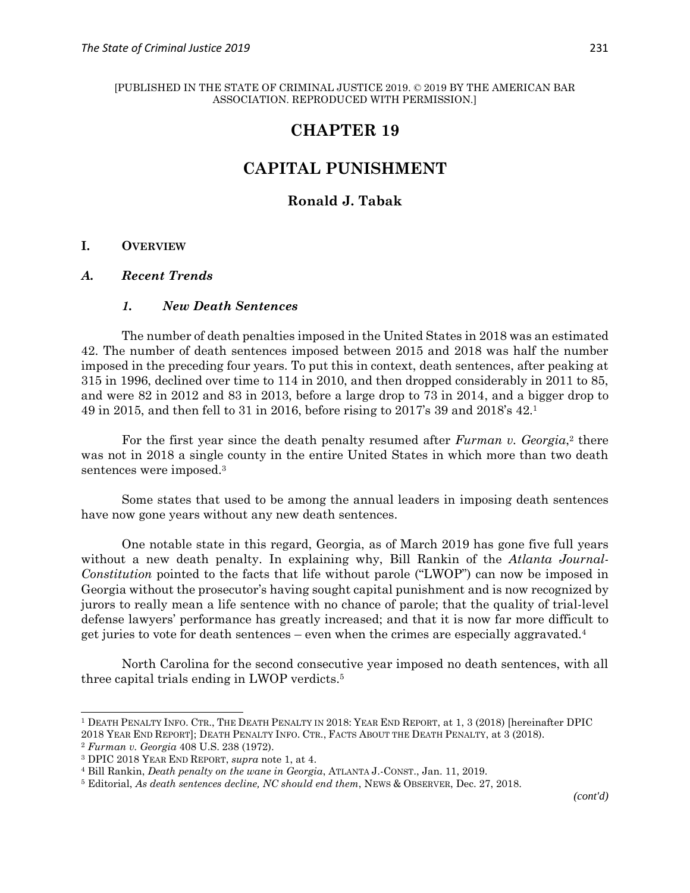# **CHAPTER 19**

# **CAPITAL PUNISHMENT**

# **Ronald J. Tabak**

### **I. OVERVIEW**

#### *A. Recent Trends*

### *1. New Death Sentences*

The number of death penalties imposed in the United States in 2018 was an estimated 42. The number of death sentences imposed between 2015 and 2018 was half the number imposed in the preceding four years. To put this in context, death sentences, after peaking at 315 in 1996, declined over time to 114 in 2010, and then dropped considerably in 2011 to 85, and were 82 in 2012 and 83 in 2013, before a large drop to 73 in 2014, and a bigger drop to 49 in 2015, and then fell to 31 in 2016, before rising to 2017's 39 and 2018's 42.<sup>1</sup>

For the first year since the death penalty resumed after *Furman v. Georgia*,<sup>2</sup> there was not in 2018 a single county in the entire United States in which more than two death sentences were imposed.<sup>3</sup>

Some states that used to be among the annual leaders in imposing death sentences have now gone years without any new death sentences.

One notable state in this regard, Georgia, as of March 2019 has gone five full years without a new death penalty. In explaining why, Bill Rankin of the *Atlanta Journal-Constitution* pointed to the facts that life without parole ("LWOP") can now be imposed in Georgia without the prosecutor's having sought capital punishment and is now recognized by jurors to really mean a life sentence with no chance of parole; that the quality of trial-level defense lawyers' performance has greatly increased; and that it is now far more difficult to get juries to vote for death sentences – even when the crimes are especially aggravated.<sup>4</sup>

North Carolina for the second consecutive year imposed no death sentences, with all three capital trials ending in LWOP verdicts.<sup>5</sup>

<sup>1</sup> DEATH PENALTY INFO. CTR., THE DEATH PENALTY IN 2018: YEAR END REPORT, at 1, 3 (2018) [hereinafter DPIC 2018 YEAR END REPORT]; DEATH PENALTY INFO. CTR., FACTS ABOUT THE DEATH PENALTY, at 3 (2018).

<sup>2</sup> *Furman v. Georgia* 408 U.S. 238 (1972).

<sup>3</sup> DPIC 2018 YEAR END REPORT, *supra* note 1, at 4.

<sup>4</sup> Bill Rankin, *Death penalty on the wane in Georgia*, ATLANTA J.-CONST., Jan. 11, 2019.

<sup>5</sup> Editorial, *As death sentences decline, NC should end them*, NEWS & OBSERVER, Dec. 27, 2018.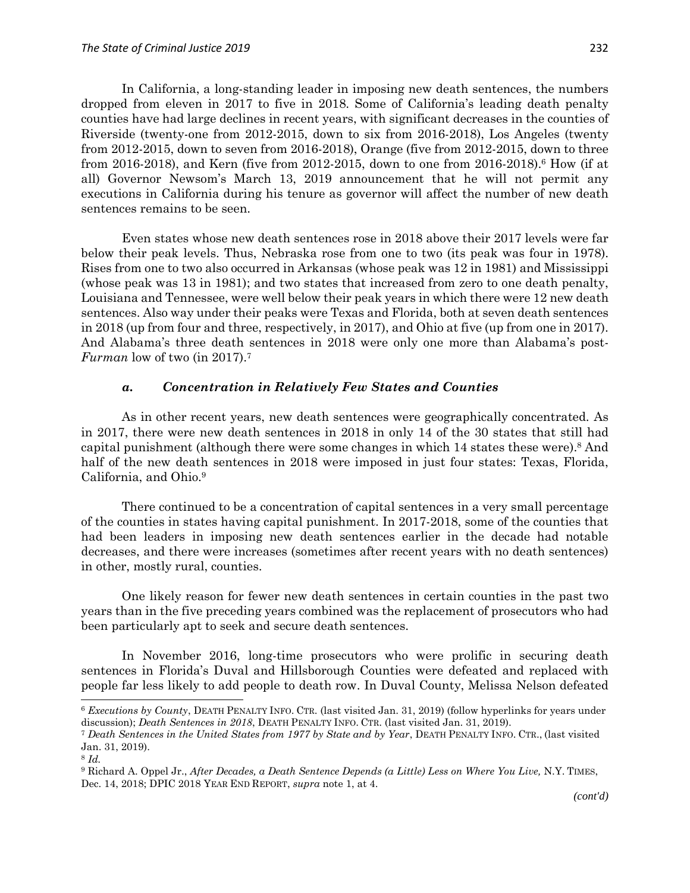In California, a long-standing leader in imposing new death sentences, the numbers dropped from eleven in 2017 to five in 2018. Some of California's leading death penalty counties have had large declines in recent years, with significant decreases in the counties of Riverside (twenty-one from 2012-2015, down to six from 2016-2018), Los Angeles (twenty from 2012-2015, down to seven from 2016-2018), Orange (five from 2012-2015, down to three from 2016-2018), and Kern (five from 2012-2015, down to one from 2016-2018). <sup>6</sup> How (if at all) Governor Newsom's March 13, 2019 announcement that he will not permit any executions in California during his tenure as governor will affect the number of new death sentences remains to be seen.

Even states whose new death sentences rose in 2018 above their 2017 levels were far below their peak levels. Thus, Nebraska rose from one to two (its peak was four in 1978). Rises from one to two also occurred in Arkansas (whose peak was 12 in 1981) and Mississippi (whose peak was 13 in 1981); and two states that increased from zero to one death penalty, Louisiana and Tennessee, were well below their peak years in which there were 12 new death sentences. Also way under their peaks were Texas and Florida, both at seven death sentences in 2018 (up from four and three, respectively, in 2017), and Ohio at five (up from one in 2017). And Alabama's three death sentences in 2018 were only one more than Alabama's post-*Furman* low of two (in 2017).<sup>7</sup>

#### *a. Concentration in Relatively Few States and Counties*

As in other recent years, new death sentences were geographically concentrated. As in 2017, there were new death sentences in 2018 in only 14 of the 30 states that still had capital punishment (although there were some changes in which 14 states these were).<sup>8</sup> And half of the new death sentences in 2018 were imposed in just four states: Texas, Florida, California, and Ohio.<sup>9</sup>

There continued to be a concentration of capital sentences in a very small percentage of the counties in states having capital punishment. In 2017-2018, some of the counties that had been leaders in imposing new death sentences earlier in the decade had notable decreases, and there were increases (sometimes after recent years with no death sentences) in other, mostly rural, counties.

One likely reason for fewer new death sentences in certain counties in the past two years than in the five preceding years combined was the replacement of prosecutors who had been particularly apt to seek and secure death sentences.

In November 2016, long-time prosecutors who were prolific in securing death sentences in Florida's Duval and Hillsborough Counties were defeated and replaced with people far less likely to add people to death row. In Duval County, Melissa Nelson defeated

<sup>6</sup> *Executions by County*, DEATH PENALTY INFO. CTR. (last visited Jan. 31, 2019) (follow hyperlinks for years under discussion); *Death Sentences in 2018*, DEATH PENALTY INFO. CTR. (last visited Jan. 31, 2019).

<sup>7</sup> *Death Sentences in the United States from 1977 by State and by Year*, DEATH PENALTY INFO. CTR., (last visited Jan. 31, 2019).

<sup>8</sup> *Id.*

<sup>9</sup> Richard A. Oppel Jr., *After Decades, a Death Sentence Depends (a Little) Less on Where You Live,* N.Y. TIMES, Dec. 14, 2018; DPIC 2018 YEAR END REPORT, *supra* note 1, at 4.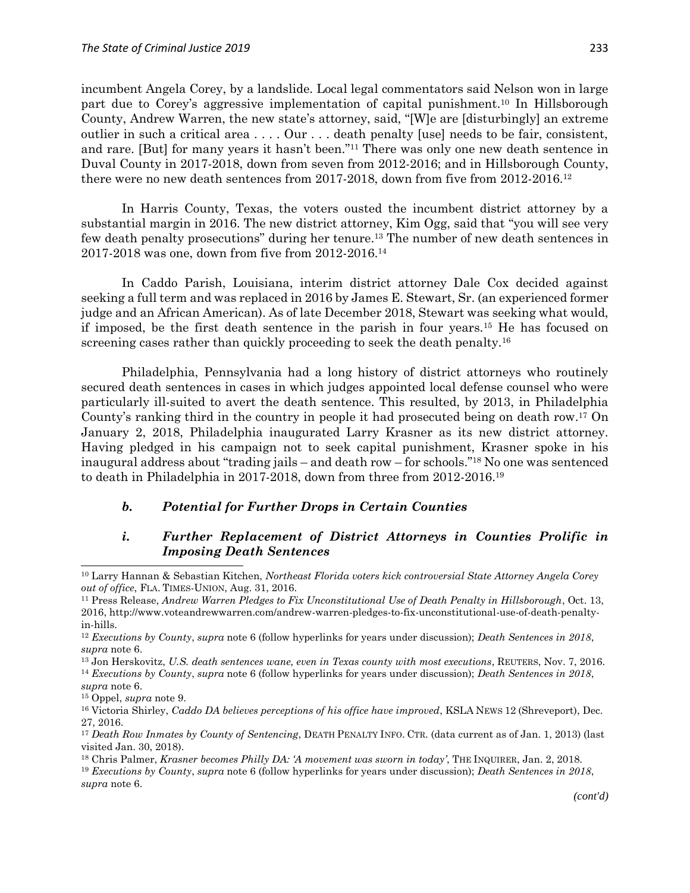incumbent Angela Corey, by a landslide. Local legal commentators said Nelson won in large part due to Corey's aggressive implementation of capital punishment.<sup>10</sup> In Hillsborough County, Andrew Warren, the new state's attorney, said, "[W]e are [disturbingly] an extreme outlier in such a critical area . . . . Our . . . death penalty [use] needs to be fair, consistent, and rare. [But] for many years it hasn't been." <sup>11</sup> There was only one new death sentence in Duval County in 2017-2018, down from seven from 2012-2016; and in Hillsborough County, there were no new death sentences from 2017-2018, down from five from 2012-2016.<sup>12</sup>

In Harris County, Texas, the voters ousted the incumbent district attorney by a substantial margin in 2016. The new district attorney, Kim Ogg, said that "you will see very few death penalty prosecutions" during her tenure.<sup>13</sup> The number of new death sentences in 2017-2018 was one, down from five from 2012-2016.<sup>14</sup>

In Caddo Parish, Louisiana, interim district attorney Dale Cox decided against seeking a full term and was replaced in 2016 by James E. Stewart, Sr. (an experienced former judge and an African American). As of late December 2018, Stewart was seeking what would, if imposed, be the first death sentence in the parish in four years.<sup>15</sup> He has focused on screening cases rather than quickly proceeding to seek the death penalty.<sup>16</sup>

Philadelphia, Pennsylvania had a long history of district attorneys who routinely secured death sentences in cases in which judges appointed local defense counsel who were particularly ill-suited to avert the death sentence. This resulted, by 2013, in Philadelphia County's ranking third in the country in people it had prosecuted being on death row.<sup>17</sup> On January 2, 2018, Philadelphia inaugurated Larry Krasner as its new district attorney. Having pledged in his campaign not to seek capital punishment, Krasner spoke in his inaugural address about "trading jails – and death row – for schools." <sup>18</sup> No one was sentenced to death in Philadelphia in 2017-2018, down from three from 2012-2016.<sup>19</sup>

# *b. Potential for Further Drops in Certain Counties*

# *i. Further Replacement of District Attorneys in Counties Prolific in Imposing Death Sentences*

<sup>10</sup> Larry Hannan & Sebastian Kitchen, *Northeast Florida voters kick controversial State Attorney Angela Corey out of office*, FLA. TIMES-UNION, Aug. 31, 2016.

<sup>11</sup> Press Release, *Andrew Warren Pledges to Fix Unconstitutional Use of Death Penalty in Hillsborough*, Oct. 13, 2016, http://www.voteandrewwarren.com/andrew-warren-pledges-to-fix-unconstitutional-use-of-death-penaltyin-hills.

<sup>12</sup> *Executions by County*, *supra* note 6 (follow hyperlinks for years under discussion); *Death Sentences in 2018*, *supra* note 6.

<sup>13</sup> Jon Herskovitz, *U.S. death sentences wane, even in Texas county with most executions*, REUTERS, Nov. 7, 2016.

<sup>14</sup> *Executions by County*, *supra* note 6 (follow hyperlinks for years under discussion); *Death Sentences in 2018*, *supra* note 6.

<sup>15</sup> Oppel, *supra* note 9.

<sup>16</sup> Victoria Shirley, *Caddo DA believes perceptions of his office have improved*, KSLA NEWS 12 (Shreveport), Dec. 27, 2016.

<sup>17</sup> *Death Row Inmates by County of Sentencing*, DEATH PENALTY INFO. CTR. (data current as of Jan. 1, 2013) (last visited Jan. 30, 2018).

<sup>18</sup> Chris Palmer, *Krasner becomes Philly DA: 'A movement was sworn in today'*, THE INQUIRER, Jan. 2, 2018.

<sup>19</sup> *Executions by County*, *supra* note 6 (follow hyperlinks for years under discussion); *Death Sentences in 2018*, *supra* note 6.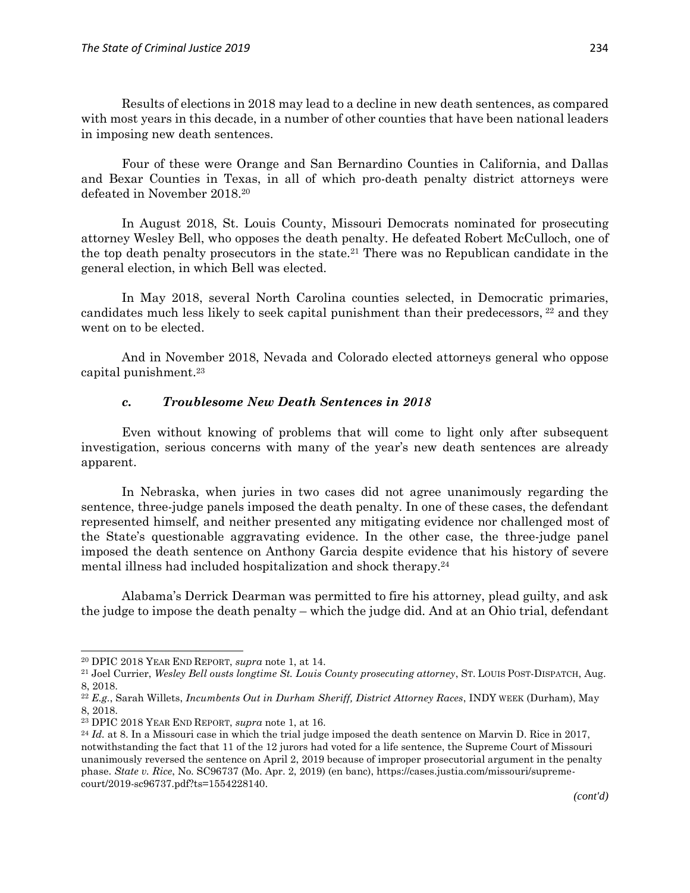Results of elections in 2018 may lead to a decline in new death sentences, as compared with most years in this decade, in a number of other counties that have been national leaders in imposing new death sentences.

Four of these were Orange and San Bernardino Counties in California, and Dallas and Bexar Counties in Texas, in all of which pro-death penalty district attorneys were defeated in November 2018.<sup>20</sup>

In August 2018, St. Louis County, Missouri Democrats nominated for prosecuting attorney Wesley Bell, who opposes the death penalty. He defeated Robert McCulloch, one of the top death penalty prosecutors in the state.<sup>21</sup> There was no Republican candidate in the general election, in which Bell was elected.

In May 2018, several North Carolina counties selected, in Democratic primaries, candidates much less likely to seek capital punishment than their predecessors, <sup>22</sup> and they went on to be elected.

And in November 2018, Nevada and Colorado elected attorneys general who oppose capital punishment.<sup>23</sup>

### *c. Troublesome New Death Sentences in 2018*

Even without knowing of problems that will come to light only after subsequent investigation, serious concerns with many of the year's new death sentences are already apparent.

In Nebraska, when juries in two cases did not agree unanimously regarding the sentence, three-judge panels imposed the death penalty. In one of these cases, the defendant represented himself, and neither presented any mitigating evidence nor challenged most of the State's questionable aggravating evidence. In the other case, the three-judge panel imposed the death sentence on Anthony Garcia despite evidence that his history of severe mental illness had included hospitalization and shock therapy.<sup>24</sup>

Alabama's Derrick Dearman was permitted to fire his attorney, plead guilty, and ask the judge to impose the death penalty – which the judge did. And at an Ohio trial, defendant

<sup>20</sup> DPIC 2018 YEAR END REPORT, *supra* note 1, at 14.

<sup>21</sup> Joel Currier, *Wesley Bell ousts longtime St. Louis County prosecuting attorney*, ST. LOUIS POST-DISPATCH, Aug. 8, 2018.

<sup>22</sup> *E.g.*, Sarah Willets, *Incumbents Out in Durham Sheriff, District Attorney Races*, INDY WEEK (Durham), May 8, 2018.

<sup>23</sup> DPIC 2018 YEAR END REPORT, *supra* note 1, at 16.

<sup>&</sup>lt;sup>24</sup> *Id.* at 8. In a Missouri case in which the trial judge imposed the death sentence on Marvin D. Rice in 2017, notwithstanding the fact that 11 of the 12 jurors had voted for a life sentence, the Supreme Court of Missouri unanimously reversed the sentence on April 2, 2019 because of improper prosecutorial argument in the penalty phase. *State v. Rice*, No. SC96737 (Mo. Apr. 2, 2019) (en banc), https://cases.justia.com/missouri/supremecourt/2019-sc96737.pdf?ts=1554228140.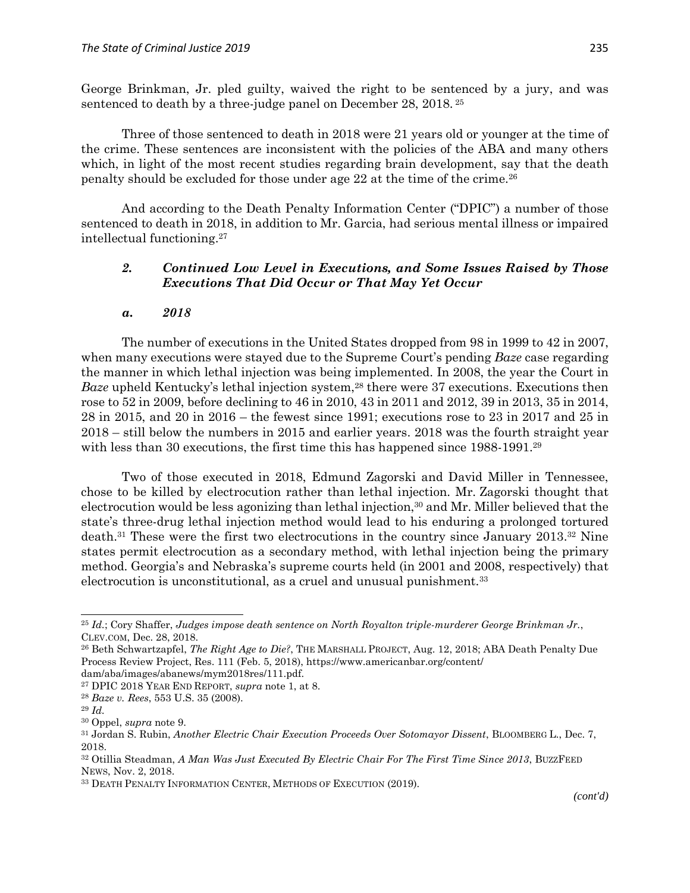George Brinkman, Jr. pled guilty, waived the right to be sentenced by a jury, and was sentenced to death by a three-judge panel on December 28, 2018. 25

Three of those sentenced to death in 2018 were 21 years old or younger at the time of the crime. These sentences are inconsistent with the policies of the ABA and many others which, in light of the most recent studies regarding brain development, say that the death penalty should be excluded for those under age 22 at the time of the crime.<sup>26</sup>

And according to the Death Penalty Information Center ("DPIC") a number of those sentenced to death in 2018, in addition to Mr. Garcia, had serious mental illness or impaired intellectual functioning.<sup>27</sup>

### *2. Continued Low Level in Executions, and Some Issues Raised by Those Executions That Did Occur or That May Yet Occur*

#### *a. 2018*

The number of executions in the United States dropped from 98 in 1999 to 42 in 2007, when many executions were stayed due to the Supreme Court's pending *Baze* case regarding the manner in which lethal injection was being implemented. In 2008, the year the Court in *Baze* upheld Kentucky's lethal injection system,<sup>28</sup> there were 37 executions. Executions then rose to 52 in 2009, before declining to 46 in 2010, 43 in 2011 and 2012, 39 in 2013, 35 in 2014, 28 in 2015, and 20 in 2016 – the fewest since 1991; executions rose to 23 in 2017 and 25 in 2018 – still below the numbers in 2015 and earlier years. 2018 was the fourth straight year with less than 30 executions, the first time this has happened since 1988-1991.<sup>29</sup>

Two of those executed in 2018, Edmund Zagorski and David Miller in Tennessee, chose to be killed by electrocution rather than lethal injection. Mr. Zagorski thought that electrocution would be less agonizing than lethal injection,<sup>30</sup> and Mr. Miller believed that the state's three-drug lethal injection method would lead to his enduring a prolonged tortured death.<sup>31</sup> These were the first two electrocutions in the country since January 2013. <sup>32</sup> Nine states permit electrocution as a secondary method, with lethal injection being the primary method. Georgia's and Nebraska's supreme courts held (in 2001 and 2008, respectively) that electrocution is unconstitutional, as a cruel and unusual punishment.<sup>33</sup>

<sup>25</sup> *Id.*; Cory Shaffer, *Judges impose death sentence on North Royalton triple-murderer George Brinkman Jr.*, CLEV.COM, Dec. 28, 2018.

<sup>26</sup> Beth Schwartzapfel, *The Right Age to Die?*, THE MARSHALL PROJECT, Aug. 12, 2018; ABA Death Penalty Due Process Review Project, Res. 111 (Feb. 5, 2018), https://www.americanbar.org/content/

dam/aba/images/abanews/mym2018res/111.pdf.

<sup>27</sup> DPIC 2018 YEAR END REPORT, *supra* note 1, at 8.

<sup>28</sup> *Baze v. Rees*, 553 U.S. 35 (2008).

<sup>29</sup> *Id.*

<sup>30</sup> Oppel, *supra* note 9.

<sup>31</sup> Jordan S. Rubin, *Another Electric Chair Execution Proceeds Over Sotomayor Dissent*, BLOOMBERG L., Dec. 7, 2018.

<sup>32</sup> Otillia Steadman, *A Man Was Just Executed By Electric Chair For The First Time Since 2013*, BUZZFEED NEWS, Nov. 2, 2018.

<sup>33</sup> DEATH PENALTY INFORMATION CENTER, METHODS OF EXECUTION (2019).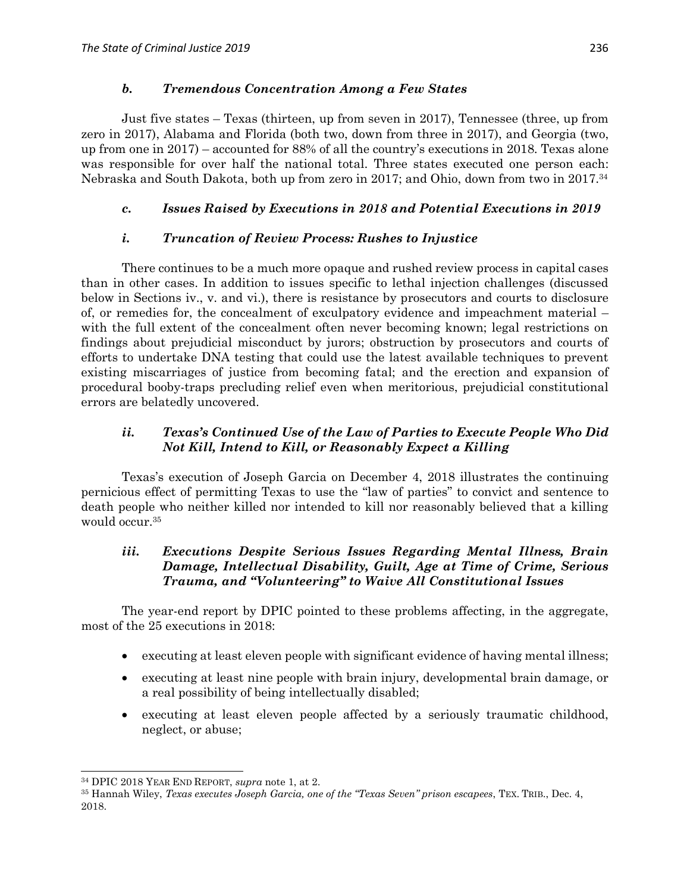#### *b. Tremendous Concentration Among a Few States*

Just five states – Texas (thirteen, up from seven in 2017), Tennessee (three, up from zero in 2017), Alabama and Florida (both two, down from three in 2017), and Georgia (two, up from one in 2017) – accounted for 88% of all the country's executions in 2018. Texas alone was responsible for over half the national total. Three states executed one person each: Nebraska and South Dakota, both up from zero in 2017; and Ohio, down from two in 2017. 34

# *c. Issues Raised by Executions in 2018 and Potential Executions in 2019*

# *i. Truncation of Review Process: Rushes to Injustice*

There continues to be a much more opaque and rushed review process in capital cases than in other cases. In addition to issues specific to lethal injection challenges (discussed below in Sections iv., v. and vi.), there is resistance by prosecutors and courts to disclosure of, or remedies for, the concealment of exculpatory evidence and impeachment material – with the full extent of the concealment often never becoming known; legal restrictions on findings about prejudicial misconduct by jurors; obstruction by prosecutors and courts of efforts to undertake DNA testing that could use the latest available techniques to prevent existing miscarriages of justice from becoming fatal; and the erection and expansion of procedural booby-traps precluding relief even when meritorious, prejudicial constitutional errors are belatedly uncovered.

# *ii. Texas's Continued Use of the Law of Parties to Execute People Who Did Not Kill, Intend to Kill, or Reasonably Expect a Killing*

Texas's execution of Joseph Garcia on December 4, 2018 illustrates the continuing pernicious effect of permitting Texas to use the "law of parties" to convict and sentence to death people who neither killed nor intended to kill nor reasonably believed that a killing would occur.<sup>35</sup>

# *iii. Executions Despite Serious Issues Regarding Mental Illness, Brain Damage, Intellectual Disability, Guilt, Age at Time of Crime, Serious Trauma, and "Volunteering" to Waive All Constitutional Issues*

The year-end report by DPIC pointed to these problems affecting, in the aggregate, most of the 25 executions in 2018:

- executing at least eleven people with significant evidence of having mental illness;
- executing at least nine people with brain injury, developmental brain damage, or a real possibility of being intellectually disabled;
- executing at least eleven people affected by a seriously traumatic childhood, neglect, or abuse;

<sup>34</sup> DPIC 2018 YEAR END REPORT, *supra* note 1, at 2.

<sup>35</sup> Hannah Wiley, *Texas executes Joseph Garcia, one of the "Texas Seven" prison escapees*, TEX. TRIB., Dec. 4, 2018.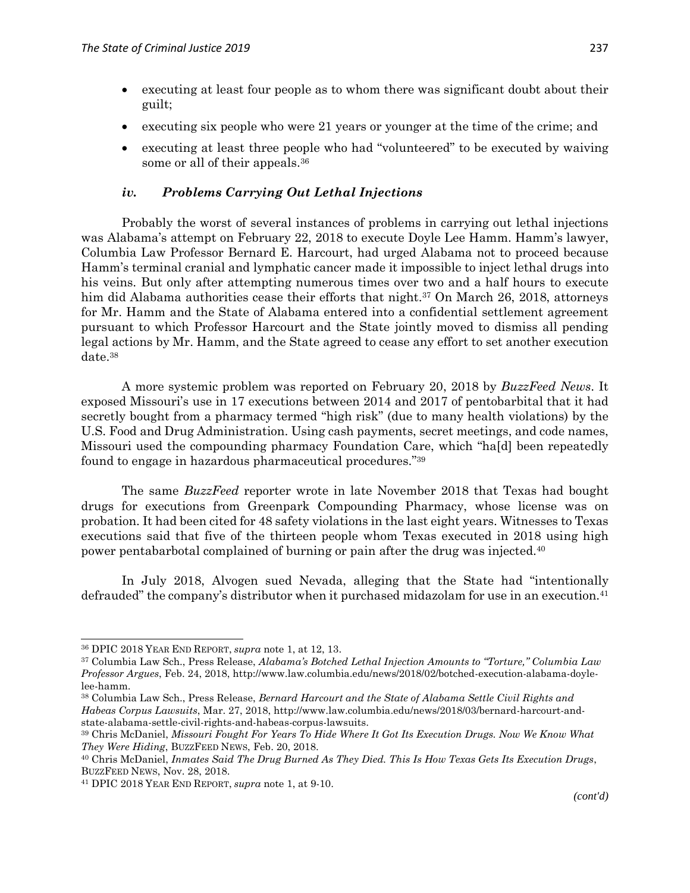- executing at least four people as to whom there was significant doubt about their guilt;
- executing six people who were 21 years or younger at the time of the crime; and
- executing at least three people who had "volunteered" to be executed by waiving some or all of their appeals.<sup>36</sup>

#### *iv. Problems Carrying Out Lethal Injections*

Probably the worst of several instances of problems in carrying out lethal injections was Alabama's attempt on February 22, 2018 to execute Doyle Lee Hamm. Hamm's lawyer, Columbia Law Professor Bernard E. Harcourt, had urged Alabama not to proceed because Hamm's terminal cranial and lymphatic cancer made it impossible to inject lethal drugs into his veins. But only after attempting numerous times over two and a half hours to execute him did Alabama authorities cease their efforts that night.<sup>37</sup> On March 26, 2018, attorneys for Mr. Hamm and the State of Alabama entered into a confidential settlement agreement pursuant to which Professor Harcourt and the State jointly moved to dismiss all pending legal actions by Mr. Hamm, and the State agreed to cease any effort to set another execution date.<sup>38</sup>

A more systemic problem was reported on February 20, 2018 by *BuzzFeed News*. It exposed Missouri's use in 17 executions between 2014 and 2017 of pentobarbital that it had secretly bought from a pharmacy termed "high risk" (due to many health violations) by the U.S. Food and Drug Administration. Using cash payments, secret meetings, and code names, Missouri used the compounding pharmacy Foundation Care, which "ha[d] been repeatedly found to engage in hazardous pharmaceutical procedures." 39

The same *BuzzFeed* reporter wrote in late November 2018 that Texas had bought drugs for executions from Greenpark Compounding Pharmacy, whose license was on probation. It had been cited for 48 safety violations in the last eight years. Witnesses to Texas executions said that five of the thirteen people whom Texas executed in 2018 using high power pentabarbotal complained of burning or pain after the drug was injected.<sup>40</sup>

In July 2018, Alvogen sued Nevada, alleging that the State had "intentionally defrauded" the company's distributor when it purchased midazolam for use in an execution.<sup>41</sup>

<sup>36</sup> DPIC 2018 YEAR END REPORT, *supra* note 1, at 12, 13.

<sup>37</sup> Columbia Law Sch., Press Release, *Alabama's Botched Lethal Injection Amounts to "Torture," Columbia Law Professor Argues*, Feb. 24, 2018, http://www.law.columbia.edu/news/2018/02/botched-execution-alabama-doylelee-hamm.

<sup>38</sup> Columbia Law Sch., Press Release, *Bernard Harcourt and the State of Alabama Settle Civil Rights and Habeas Corpus Lawsuits*, Mar. 27, 2018, http://www.law.columbia.edu/news/2018/03/bernard-harcourt-andstate-alabama-settle-civil-rights-and-habeas-corpus-lawsuits.

<sup>39</sup> Chris McDaniel, *Missouri Fought For Years To Hide Where It Got Its Execution Drugs. Now We Know What They Were Hiding*, BUZZFEED NEWS, Feb. 20, 2018.

<sup>40</sup> Chris McDaniel, *Inmates Said The Drug Burned As They Died. This Is How Texas Gets Its Execution Drugs*, BUZZFEED NEWS, Nov. 28, 2018.

<sup>41</sup> DPIC 2018 YEAR END REPORT, *supra* note 1, at 9-10.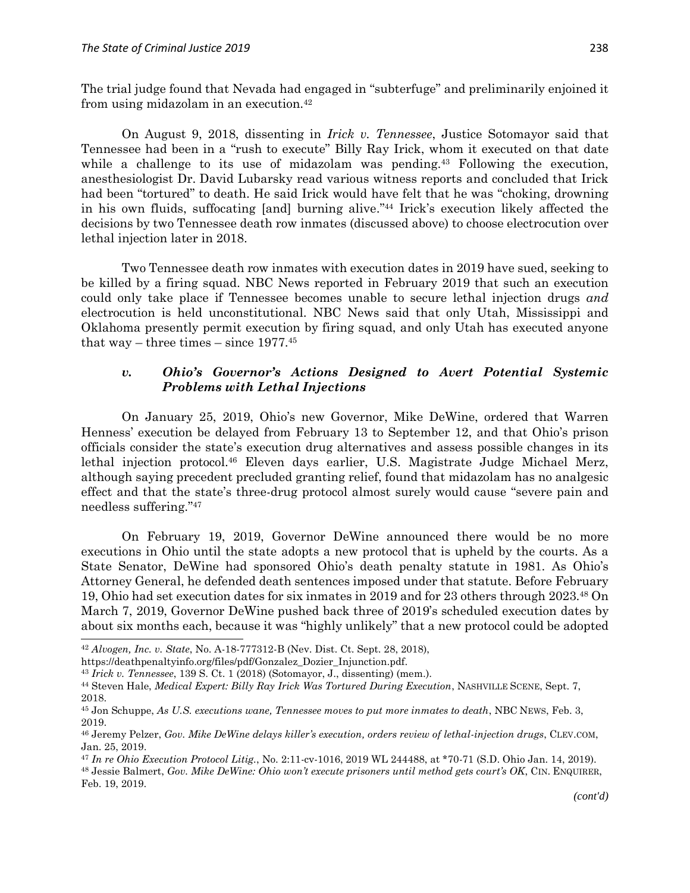The trial judge found that Nevada had engaged in "subterfuge" and preliminarily enjoined it from using midazolam in an execution.<sup>42</sup>

On August 9, 2018, dissenting in *Irick v. Tennessee*, Justice Sotomayor said that Tennessee had been in a "rush to execute" Billy Ray Irick, whom it executed on that date while a challenge to its use of midazolam was pending.<sup>43</sup> Following the execution, anesthesiologist Dr. David Lubarsky read various witness reports and concluded that Irick had been "tortured" to death. He said Irick would have felt that he was "choking, drowning in his own fluids, suffocating [and] burning alive." <sup>44</sup> Irick's execution likely affected the decisions by two Tennessee death row inmates (discussed above) to choose electrocution over lethal injection later in 2018.

Two Tennessee death row inmates with execution dates in 2019 have sued, seeking to be killed by a firing squad. NBC News reported in February 2019 that such an execution could only take place if Tennessee becomes unable to secure lethal injection drugs *and* electrocution is held unconstitutional. NBC News said that only Utah, Mississippi and Oklahoma presently permit execution by firing squad, and only Utah has executed anyone that way – three times – since  $1977^{45}$ 

### *v. Ohio's Governor's Actions Designed to Avert Potential Systemic Problems with Lethal Injections*

On January 25, 2019, Ohio's new Governor, Mike DeWine, ordered that Warren Henness' execution be delayed from February 13 to September 12, and that Ohio's prison officials consider the state's execution drug alternatives and assess possible changes in its lethal injection protocol.<sup>46</sup> Eleven days earlier, U.S. Magistrate Judge Michael Merz, although saying precedent precluded granting relief, found that midazolam has no analgesic effect and that the state's three-drug protocol almost surely would cause "severe pain and needless suffering." 47

On February 19, 2019, Governor DeWine announced there would be no more executions in Ohio until the state adopts a new protocol that is upheld by the courts. As a State Senator, DeWine had sponsored Ohio's death penalty statute in 1981. As Ohio's Attorney General, he defended death sentences imposed under that statute. Before February 19, Ohio had set execution dates for six inmates in 2019 and for 23 others through 2023.<sup>48</sup> On March 7, 2019, Governor DeWine pushed back three of 2019's scheduled execution dates by about six months each, because it was "highly unlikely" that a new protocol could be adopted

<sup>42</sup> *Alvogen, Inc. v. State*, No. A-18-777312-B (Nev. Dist. Ct. Sept. 28, 2018),

https://deathpenaltyinfo.org/files/pdf/Gonzalez\_Dozier\_Injunction.pdf.

<sup>43</sup> *Irick v. Tennessee*, 139 S. Ct. 1 (2018) (Sotomayor, J., dissenting) (mem.).

<sup>44</sup> Steven Hale, *Medical Expert: Billy Ray Irick Was Tortured During Execution*, NASHVILLE SCENE, Sept. 7, 2018.

<sup>45</sup> Jon Schuppe, *As U.S. executions wane, Tennessee moves to put more inmates to death*, NBC NEWS, Feb. 3, 2019.

<sup>46</sup> Jeremy Pelzer, *Gov. Mike DeWine delays killer's execution, orders review of lethal-injection drugs*, CLEV.COM, Jan. 25, 2019.

<sup>47</sup> *In re Ohio Execution Protocol Litig.*, No. 2:11-cv-1016, 2019 WL 244488, at \*70-71 (S.D. Ohio Jan. 14, 2019).

<sup>48</sup> Jessie Balmert, *Gov. Mike DeWine: Ohio won't execute prisoners until method gets court's OK*, CIN. ENQUIRER, Feb. 19, 2019.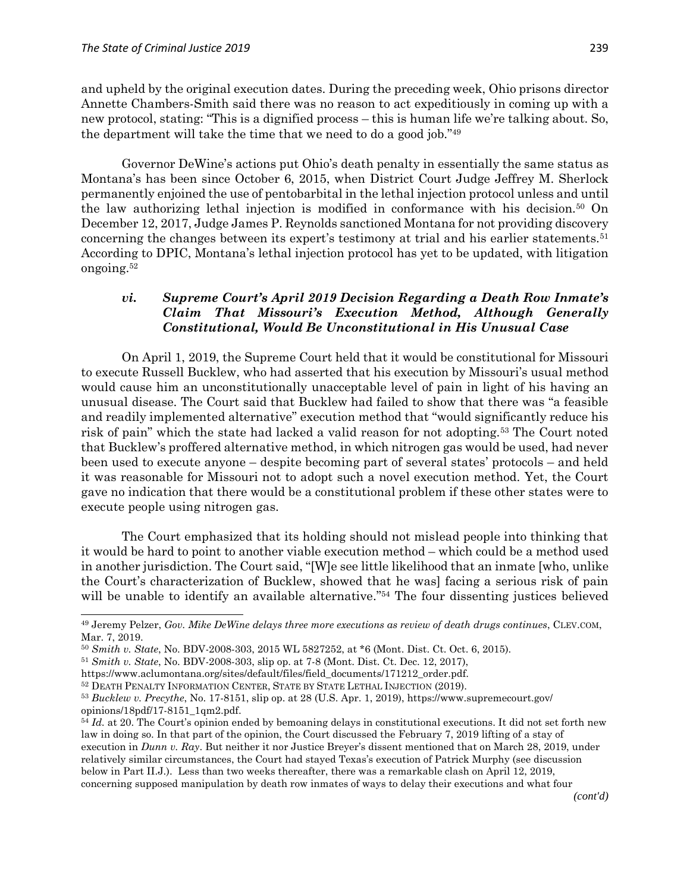$\overline{a}$ 

and upheld by the original execution dates. During the preceding week, Ohio prisons director Annette Chambers-Smith said there was no reason to act expeditiously in coming up with a new protocol, stating: "This is a dignified process – this is human life we're talking about. So, the department will take the time that we need to do a good job." 49

Governor DeWine's actions put Ohio's death penalty in essentially the same status as Montana's has been since October 6, 2015, when District Court Judge Jeffrey M. Sherlock permanently enjoined the use of pentobarbital in the lethal injection protocol unless and until the law authorizing lethal injection is modified in conformance with his decision.<sup>50</sup> On December 12, 2017, Judge James P. Reynolds sanctioned Montana for not providing discovery concerning the changes between its expert's testimony at trial and his earlier statements.<sup>51</sup> According to DPIC, Montana's lethal injection protocol has yet to be updated, with litigation ongoing.<sup>52</sup>

### *vi. Supreme Court's April 2019 Decision Regarding a Death Row Inmate's Claim That Missouri's Execution Method, Although Generally Constitutional, Would Be Unconstitutional in His Unusual Case*

On April 1, 2019, the Supreme Court held that it would be constitutional for Missouri to execute Russell Bucklew, who had asserted that his execution by Missouri's usual method would cause him an unconstitutionally unacceptable level of pain in light of his having an unusual disease. The Court said that Bucklew had failed to show that there was "a feasible and readily implemented alternative" execution method that "would significantly reduce his risk of pain" which the state had lacked a valid reason for not adopting.<sup>53</sup> The Court noted that Bucklew's proffered alternative method, in which nitrogen gas would be used, had never been used to execute anyone – despite becoming part of several states' protocols – and held it was reasonable for Missouri not to adopt such a novel execution method. Yet, the Court gave no indication that there would be a constitutional problem if these other states were to execute people using nitrogen gas.

The Court emphasized that its holding should not mislead people into thinking that it would be hard to point to another viable execution method – which could be a method used in another jurisdiction. The Court said, "[W]e see little likelihood that an inmate [who, unlike the Court's characterization of Bucklew, showed that he was] facing a serious risk of pain will be unable to identify an available alternative."<sup>54</sup> The four dissenting justices believed

*(cont'd)*

<sup>49</sup> Jeremy Pelzer, *Gov. Mike DeWine delays three more executions as review of death drugs continues*, CLEV.COM, Mar. 7, 2019.

<sup>50</sup> *Smith v. State*, No. BDV-2008-303, 2015 WL 5827252, at \*6 (Mont. Dist. Ct. Oct. 6, 2015).

<sup>51</sup> *Smith v. State*, No. BDV-2008-303, slip op. at 7-8 (Mont. Dist. Ct. Dec. 12, 2017),

https://www.aclumontana.org/sites/default/files/field\_documents/171212\_order.pdf.

<sup>&</sup>lt;sup>52</sup> DEATH PENALTY INFORMATION CENTER, STATE BY STATE LETHAL INJECTION (2019).

<sup>53</sup> *Bucklew v. Precythe*, No. 17-8151, slip op. at 28 (U.S. Apr. 1, 2019), https://www.supremecourt.gov/ opinions/18pdf/17-8151\_1qm2.pdf.

<sup>&</sup>lt;sup>54</sup> *Id.* at 20. The Court's opinion ended by bemoaning delays in constitutional executions. It did not set forth new law in doing so. In that part of the opinion, the Court discussed the February 7, 2019 lifting of a stay of execution in *Dunn v. Ray*. But neither it nor Justice Breyer's dissent mentioned that on March 28, 2019, under relatively similar circumstances, the Court had stayed Texas's execution of Patrick Murphy (see discussion below in Part II.J.). Less than two weeks thereafter, there was a remarkable clash on April 12, 2019, concerning supposed manipulation by death row inmates of ways to delay their executions and what four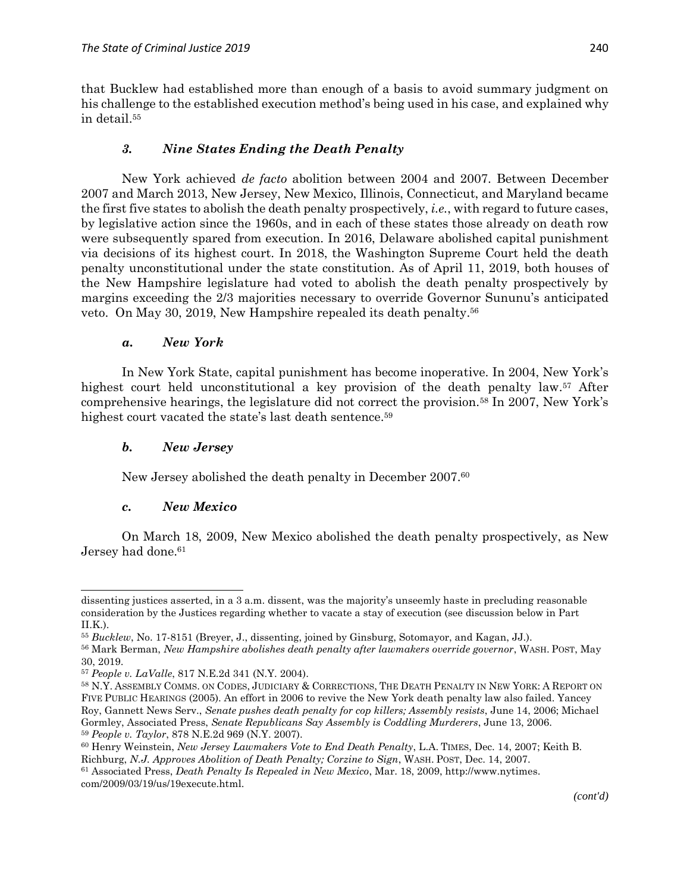that Bucklew had established more than enough of a basis to avoid summary judgment on his challenge to the established execution method's being used in his case, and explained why in detail. 55

# *3. Nine States Ending the Death Penalty*

New York achieved *de facto* abolition between 2004 and 2007. Between December 2007 and March 2013, New Jersey, New Mexico, Illinois, Connecticut, and Maryland became the first five states to abolish the death penalty prospectively, *i.e.*, with regard to future cases, by legislative action since the 1960s, and in each of these states those already on death row were subsequently spared from execution. In 2016, Delaware abolished capital punishment via decisions of its highest court. In 2018, the Washington Supreme Court held the death penalty unconstitutional under the state constitution. As of April 11, 2019, both houses of the New Hampshire legislature had voted to abolish the death penalty prospectively by margins exceeding the 2/3 majorities necessary to override Governor Sununu's anticipated veto. On May 30, 2019, New Hampshire repealed its death penalty. 56

# *a. New York*

In New York State, capital punishment has become inoperative. In 2004, New York's highest court held unconstitutional a key provision of the death penalty law.<sup>57</sup> After comprehensive hearings, the legislature did not correct the provision.<sup>58</sup> In 2007, New York's highest court vacated the state's last death sentence.<sup>59</sup>

# *b. New Jersey*

New Jersey abolished the death penalty in December 2007.<sup>60</sup>

# *c. New Mexico*

 $\overline{a}$ 

On March 18, 2009, New Mexico abolished the death penalty prospectively, as New Jersey had done. 61

dissenting justices asserted, in a 3 a.m. dissent, was the majority's unseemly haste in precluding reasonable consideration by the Justices regarding whether to vacate a stay of execution (see discussion below in Part II.K.).

<sup>55</sup> *Bucklew*, No. 17-8151 (Breyer, J., dissenting, joined by Ginsburg, Sotomayor, and Kagan, JJ.).

<sup>56</sup> Mark Berman, *New Hampshire abolishes death penalty after lawmakers override governor*, WASH. POST, May 30, 2019.

<sup>57</sup> *People v. LaValle*, 817 N.E.2d 341 (N.Y. 2004).

<sup>58</sup> N.Y. ASSEMBLY COMMS. ON CODES, JUDICIARY & CORRECTIONS, THE DEATH PENALTY IN NEW YORK: A REPORT ON FIVE PUBLIC HEARINGS (2005). An effort in 2006 to revive the New York death penalty law also failed. Yancey Roy, Gannett News Serv., *Senate pushes death penalty for cop killers; Assembly resists*, June 14, 2006; Michael Gormley, Associated Press, *Senate Republicans Say Assembly is Coddling Murderers*, June 13, 2006. <sup>59</sup> *People v. Taylor*, 878 N.E.2d 969 (N.Y. 2007).

<sup>60</sup> Henry Weinstein, *New Jersey Lawmakers Vote to End Death Penalty*, L.A. TIMES, Dec. 14, 2007; Keith B. Richburg, *N.J. Approves Abolition of Death Penalty; Corzine to Sign*, WASH. POST, Dec. 14, 2007.

<sup>61</sup> Associated Press, *Death Penalty Is Repealed in New Mexico*, Mar. 18, 2009, http://www.nytimes. com/2009/03/19/us/19execute.html.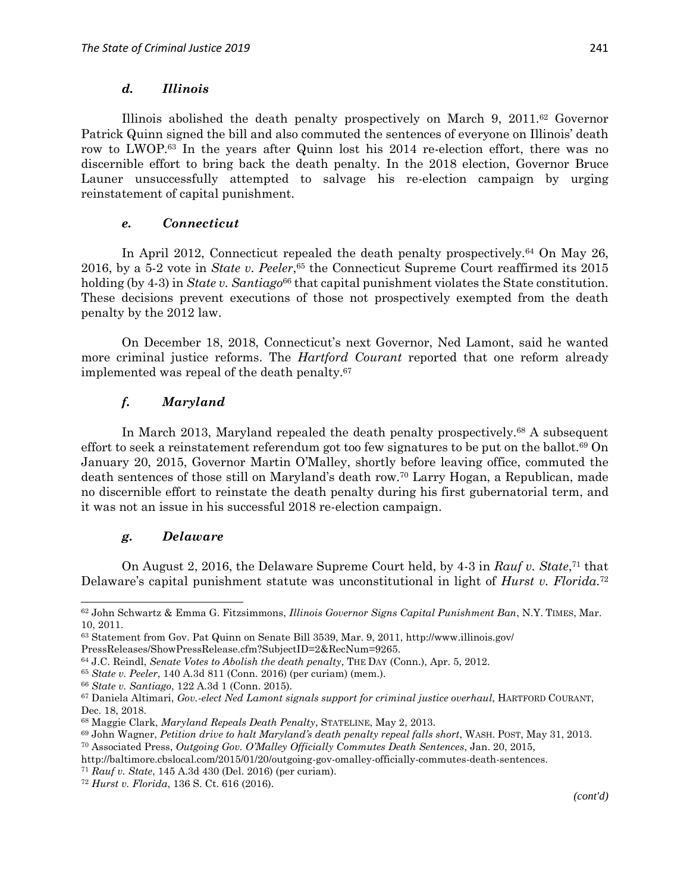#### *d. Illinois*

Illinois abolished the death penalty prospectively on March 9, 2011.<sup>62</sup> Governor Patrick Quinn signed the bill and also commuted the sentences of everyone on Illinois' death row to LWOP. <sup>63</sup> In the years after Quinn lost his 2014 re-election effort, there was no discernible effort to bring back the death penalty. In the 2018 election, Governor Bruce Launer unsuccessfully attempted to salvage his re-election campaign by urging reinstatement of capital punishment.

### *e. Connecticut*

In April 2012, Connecticut repealed the death penalty prospectively.<sup>64</sup> On May 26, 2016, by a 5-2 vote in *State v. Peeler*, <sup>65</sup> the Connecticut Supreme Court reaffirmed its 2015 holding (by 4-3) in *State v. Santiago*<sup>66</sup> that capital punishment violates the State constitution. These decisions prevent executions of those not prospectively exempted from the death penalty by the 2012 law.

On December 18, 2018, Connecticut's next Governor, Ned Lamont, said he wanted more criminal justice reforms. The *Hartford Courant* reported that one reform already implemented was repeal of the death penalty.<sup>67</sup>

# *f. Maryland*

In March 2013, Maryland repealed the death penalty prospectively.<sup>68</sup> A subsequent effort to seek a reinstatement referendum got too few signatures to be put on the ballot.<sup>69</sup> On January 20, 2015, Governor Martin O'Malley, shortly before leaving office, commuted the death sentences of those still on Maryland's death row.<sup>70</sup> Larry Hogan, a Republican, made no discernible effort to reinstate the death penalty during his first gubernatorial term, and it was not an issue in his successful 2018 re-election campaign.

# *g. Delaware*

 $\overline{\phantom{a}}$ 

On August 2, 2016, the Delaware Supreme Court held, by 4-3 in *Rauf v. State*, <sup>71</sup> that Delaware's capital punishment statute was unconstitutional in light of *Hurst v. Florida*. 72

<sup>62</sup> John Schwartz & Emma G. Fitzsimmons, *Illinois Governor Signs Capital Punishment Ban*, N.Y. TIMES, Mar. 10, 2011.

<sup>63</sup> Statement from Gov. Pat Quinn on Senate Bill 3539, Mar. 9, 2011, http://www.illinois.gov/

PressReleases/ShowPressRelease.cfm?SubjectID=2&RecNum=9265.

<sup>64</sup> J.C. Reindl, *Senate Votes to Abolish the death penalty*, THE DAY (Conn.), Apr. 5, 2012.

<sup>65</sup> *State v. Peeler*, 140 A.3d 811 (Conn. 2016) (per curiam) (mem.).

<sup>66</sup> *State v. Santiago*, 122 A.3d 1 (Conn. 2015).

<sup>67</sup> Daniela Altimari, *Gov.-elect Ned Lamont signals support for criminal justice overhaul*, HARTFORD COURANT, Dec. 18, 2018.

<sup>68</sup> Maggie Clark, *Maryland Repeals Death Penalty*, STATELINE, May 2, 2013.

<sup>69</sup> John Wagner, *Petition drive to halt Maryland's death penalty repeal falls short*, WASH. POST, May 31, 2013.

<sup>70</sup> Associated Press, *Outgoing Gov. O'Malley Officially Commutes Death Sentences*, Jan. 20, 2015,

http://baltimore.cbslocal.com/2015/01/20/outgoing-gov-omalley-officially-commutes-death-sentences.

<sup>71</sup> *Rauf v. State*, 145 A.3d 430 (Del. 2016) (per curiam).

<sup>72</sup> *Hurst v. Florida*, 136 S. Ct. 616 (2016).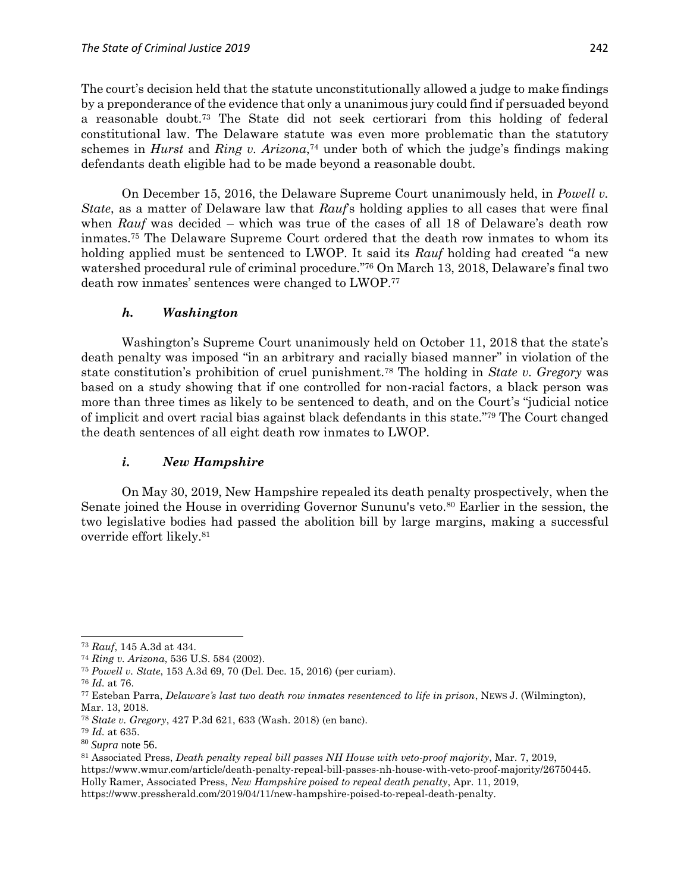The court's decision held that the statute unconstitutionally allowed a judge to make findings by a preponderance of the evidence that only a unanimous jury could find if persuaded beyond a reasonable doubt.<sup>73</sup> The State did not seek certiorari from this holding of federal constitutional law. The Delaware statute was even more problematic than the statutory schemes in *Hurst* and *Ring v. Arizona*, <sup>74</sup> under both of which the judge's findings making defendants death eligible had to be made beyond a reasonable doubt.

On December 15, 2016, the Delaware Supreme Court unanimously held, in *Powell v. State*, as a matter of Delaware law that *Rauf*'s holding applies to all cases that were final when *Rauf* was decided – which was true of the cases of all 18 of Delaware's death row inmates. <sup>75</sup> The Delaware Supreme Court ordered that the death row inmates to whom its holding applied must be sentenced to LWOP. It said its *Rauf* holding had created "a new watershed procedural rule of criminal procedure." <sup>76</sup> On March 13, 2018, Delaware's final two death row inmates' sentences were changed to LWOP. 77

### *h. Washington*

Washington's Supreme Court unanimously held on October 11, 2018 that the state's death penalty was imposed "in an arbitrary and racially biased manner" in violation of the state constitution's prohibition of cruel punishment.<sup>78</sup> The holding in *State v. Gregory* was based on a study showing that if one controlled for non-racial factors, a black person was more than three times as likely to be sentenced to death, and on the Court's "judicial notice of implicit and overt racial bias against black defendants in this state." <sup>79</sup> The Court changed the death sentences of all eight death row inmates to LWOP.

#### *i. New Hampshire*

On May 30, 2019, New Hampshire repealed its death penalty prospectively, when the Senate joined the House in overriding Governor Sununu's veto.<sup>80</sup> Earlier in the session, the two legislative bodies had passed the abolition bill by large margins, making a successful override effort likely.<sup>81</sup>

<sup>76</sup> *Id.* at 76.

 $\overline{a}$ <sup>73</sup> *Rauf*, 145 A.3d at 434.

<sup>74</sup> *Ring v. Arizona*, 536 U.S. 584 (2002).

<sup>75</sup> *Powell v. State*, 153 A.3d 69, 70 (Del. Dec. 15, 2016) (per curiam).

<sup>77</sup> Esteban Parra, *Delaware's last two death row inmates resentenced to life in prison*, NEWS J. (Wilmington), Mar. 13, 2018.

<sup>78</sup> *State v. Gregory*, 427 P.3d 621, 633 (Wash. 2018) (en banc).

<sup>79</sup> *Id.* at 635.

<sup>80</sup> *Supra* note 56.

<sup>81</sup> Associated Press, *Death penalty repeal bill passes NH House with veto-proof majority*, Mar. 7, 2019, https://www.wmur.com/article/death-penalty-repeal-bill-passes-nh-house-with-veto-proof-majority/26750445. Holly Ramer, Associated Press, *New Hampshire poised to repeal death penalty*, Apr. 11, 2019, https://www.pressherald.com/2019/04/11/new-hampshire-poised-to-repeal-death-penalty.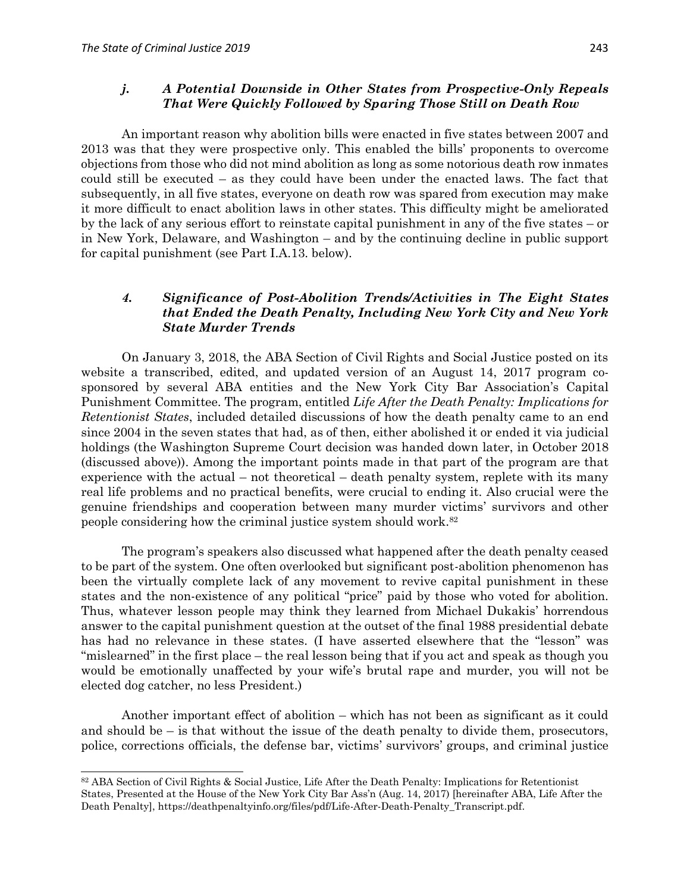$\overline{\phantom{a}}$ 

#### *j. A Potential Downside in Other States from Prospective-Only Repeals That Were Quickly Followed by Sparing Those Still on Death Row*

An important reason why abolition bills were enacted in five states between 2007 and 2013 was that they were prospective only. This enabled the bills' proponents to overcome objections from those who did not mind abolition as long as some notorious death row inmates could still be executed – as they could have been under the enacted laws. The fact that subsequently, in all five states, everyone on death row was spared from execution may make it more difficult to enact abolition laws in other states. This difficulty might be ameliorated by the lack of any serious effort to reinstate capital punishment in any of the five states – or in New York, Delaware, and Washington – and by the continuing decline in public support for capital punishment (see Part I.A.13. below).

# *4. Significance of Post-Abolition Trends/Activities in The Eight States that Ended the Death Penalty, Including New York City and New York State Murder Trends*

On January 3, 2018, the ABA Section of Civil Rights and Social Justice posted on its website a transcribed, edited, and updated version of an August 14, 2017 program cosponsored by several ABA entities and the New York City Bar Association's Capital Punishment Committee. The program, entitled *Life After the Death Penalty: Implications for Retentionist States*, included detailed discussions of how the death penalty came to an end since 2004 in the seven states that had, as of then, either abolished it or ended it via judicial holdings (the Washington Supreme Court decision was handed down later, in October 2018 (discussed above)). Among the important points made in that part of the program are that experience with the actual – not theoretical – death penalty system, replete with its many real life problems and no practical benefits, were crucial to ending it. Also crucial were the genuine friendships and cooperation between many murder victims' survivors and other people considering how the criminal justice system should work.<sup>82</sup>

The program's speakers also discussed what happened after the death penalty ceased to be part of the system. One often overlooked but significant post-abolition phenomenon has been the virtually complete lack of any movement to revive capital punishment in these states and the non-existence of any political "price" paid by those who voted for abolition. Thus, whatever lesson people may think they learned from Michael Dukakis' horrendous answer to the capital punishment question at the outset of the final 1988 presidential debate has had no relevance in these states. (I have asserted elsewhere that the "lesson" was "mislearned" in the first place – the real lesson being that if you act and speak as though you would be emotionally unaffected by your wife's brutal rape and murder, you will not be elected dog catcher, no less President.)

Another important effect of abolition – which has not been as significant as it could and should be – is that without the issue of the death penalty to divide them, prosecutors, police, corrections officials, the defense bar, victims' survivors' groups, and criminal justice

<sup>82</sup> ABA Section of Civil Rights & Social Justice, Life After the Death Penalty: Implications for Retentionist States, Presented at the House of the New York City Bar Ass'n (Aug. 14, 2017) [hereinafter ABA, Life After the Death Penalty], https://deathpenaltyinfo.org/files/pdf/Life-After-Death-Penalty\_Transcript.pdf.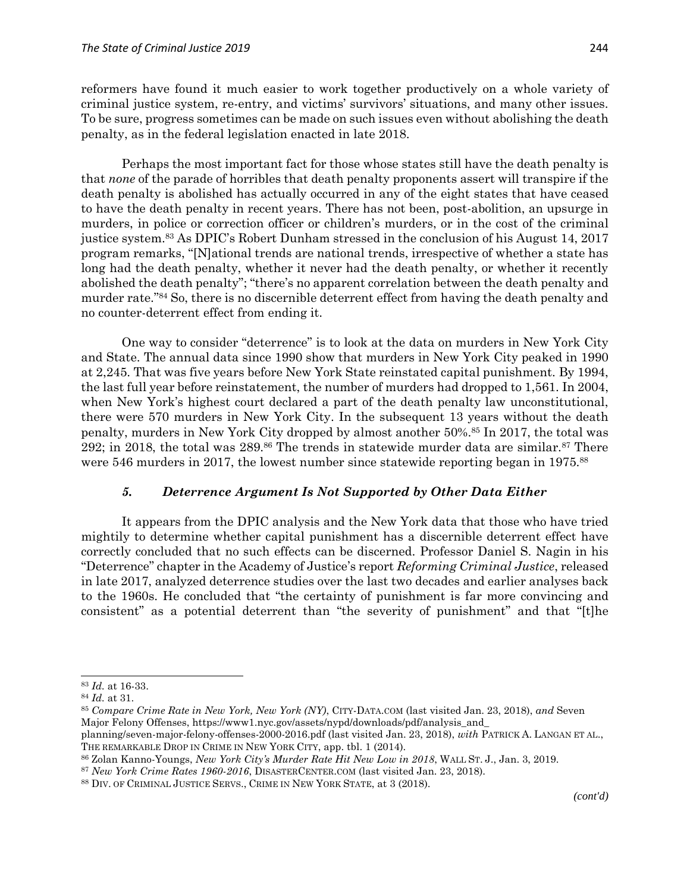reformers have found it much easier to work together productively on a whole variety of criminal justice system, re-entry, and victims' survivors' situations, and many other issues. To be sure, progress sometimes can be made on such issues even without abolishing the death penalty, as in the federal legislation enacted in late 2018.

Perhaps the most important fact for those whose states still have the death penalty is that *none* of the parade of horribles that death penalty proponents assert will transpire if the death penalty is abolished has actually occurred in any of the eight states that have ceased to have the death penalty in recent years. There has not been, post-abolition, an upsurge in murders, in police or correction officer or children's murders, or in the cost of the criminal justice system.<sup>83</sup> As DPIC's Robert Dunham stressed in the conclusion of his August 14, 2017 program remarks, "[N]ational trends are national trends, irrespective of whether a state has long had the death penalty, whether it never had the death penalty, or whether it recently abolished the death penalty"; "there's no apparent correlation between the death penalty and murder rate." <sup>84</sup> So, there is no discernible deterrent effect from having the death penalty and no counter-deterrent effect from ending it.

One way to consider "deterrence" is to look at the data on murders in New York City and State. The annual data since 1990 show that murders in New York City peaked in 1990 at 2,245. That was five years before New York State reinstated capital punishment. By 1994, the last full year before reinstatement, the number of murders had dropped to 1,561. In 2004, when New York's highest court declared a part of the death penalty law unconstitutional, there were 570 murders in New York City. In the subsequent 13 years without the death penalty, murders in New York City dropped by almost another 50%.<sup>85</sup> In 2017, the total was 292; in 2018, the total was 289.<sup>86</sup> The trends in statewide murder data are similar.<sup>87</sup> There were 546 murders in 2017, the lowest number since statewide reporting began in 1975.<sup>88</sup>

#### *5. Deterrence Argument Is Not Supported by Other Data Either*

It appears from the DPIC analysis and the New York data that those who have tried mightily to determine whether capital punishment has a discernible deterrent effect have correctly concluded that no such effects can be discerned. Professor Daniel S. Nagin in his "Deterrence" chapter in the Academy of Justice's report *Reforming Criminal Justice*, released in late 2017, analyzed deterrence studies over the last two decades and earlier analyses back to the 1960s. He concluded that "the certainty of punishment is far more convincing and consistent" as a potential deterrent than "the severity of punishment" and that "[t]he

<sup>83</sup> *Id.* at 16-33.

<sup>84</sup> *Id.* at 31.

<sup>85</sup> *Compare Crime Rate in New York, New York (NY)*, CITY-DATA.COM (last visited Jan. 23, 2018), *and* Seven Major Felony Offenses, https://www1.nyc.gov/assets/nypd/downloads/pdf/analysis\_and\_

planning/seven-major-felony-offenses-2000-2016.pdf (last visited Jan. 23, 2018), *with* PATRICK A. LANGAN ET AL., THE REMARKABLE DROP IN CRIME IN NEW YORK CITY, app. tbl. 1 (2014).

<sup>86</sup> Zolan Kanno-Youngs, *New York City's Murder Rate Hit New Low in 2018*, WALL ST. J., Jan. 3, 2019.

<sup>87</sup> *New York Crime Rates 1960-2016*, DISASTERCENTER.COM (last visited Jan. 23, 2018).

<sup>88</sup> DIV. OF CRIMINAL JUSTICE SERVS., CRIME IN NEW YORK STATE, at 3 (2018).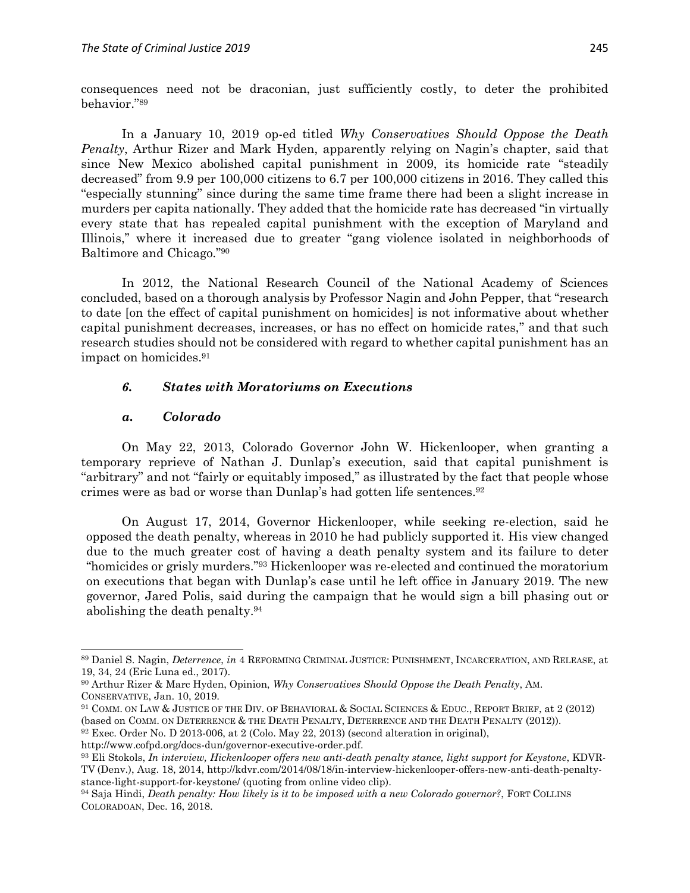consequences need not be draconian, just sufficiently costly, to deter the prohibited behavior." 89

In a January 10, 2019 op-ed titled *Why Conservatives Should Oppose the Death Penalty*, Arthur Rizer and Mark Hyden, apparently relying on Nagin's chapter, said that since New Mexico abolished capital punishment in 2009, its homicide rate "steadily decreased" from 9.9 per 100,000 citizens to 6.7 per 100,000 citizens in 2016. They called this "especially stunning" since during the same time frame there had been a slight increase in murders per capita nationally. They added that the homicide rate has decreased "in virtually every state that has repealed capital punishment with the exception of Maryland and Illinois," where it increased due to greater "gang violence isolated in neighborhoods of Baltimore and Chicago." 90

In 2012, the National Research Council of the National Academy of Sciences concluded, based on a thorough analysis by Professor Nagin and John Pepper, that "research to date [on the effect of capital punishment on homicides] is not informative about whether capital punishment decreases, increases, or has no effect on homicide rates," and that such research studies should not be considered with regard to whether capital punishment has an impact on homicides. 91

#### *6. States with Moratoriums on Executions*

#### *a. Colorado*

 $\overline{a}$ 

On May 22, 2013, Colorado Governor John W. Hickenlooper, when granting a temporary reprieve of Nathan J. Dunlap's execution, said that capital punishment is "arbitrary" and not "fairly or equitably imposed," as illustrated by the fact that people whose crimes were as bad or worse than Dunlap's had gotten life sentences.<sup>92</sup>

On August 17, 2014, Governor Hickenlooper, while seeking re-election, said he opposed the death penalty, whereas in 2010 he had publicly supported it. His view changed due to the much greater cost of having a death penalty system and its failure to deter "homicides or grisly murders." <sup>93</sup> Hickenlooper was re-elected and continued the moratorium on executions that began with Dunlap's case until he left office in January 2019. The new governor, Jared Polis, said during the campaign that he would sign a bill phasing out or abolishing the death penalty.<sup>94</sup>

<sup>89</sup> Daniel S. Nagin, *Deterrence*, *in* 4 REFORMING CRIMINAL JUSTICE: PUNISHMENT, INCARCERATION, AND RELEASE, at 19, 34, 24 (Eric Luna ed., 2017).

<sup>90</sup> Arthur Rizer & Marc Hyden, Opinion, *Why Conservatives Should Oppose the Death Penalty*, AM. CONSERVATIVE, Jan. 10, 2019.

<sup>91</sup> COMM. ON LAW & JUSTICE OF THE DIV. OF BEHAVIORAL & SOCIAL SCIENCES & EDUC., REPORT BRIEF, at 2 (2012) (based on COMM. ON DETERRENCE & THE DEATH PENALTY, DETERRENCE AND THE DEATH PENALTY (2012)).

<sup>92</sup> Exec. Order No. D 2013-006, at 2 (Colo. May 22, 2013) (second alteration in original),

http://www.cofpd.org/docs-dun/governor-executive-order.pdf.

<sup>93</sup> Eli Stokols, *In interview, Hickenlooper offers new anti-death penalty stance, light support for Keystone*, KDVR-TV (Denv.), Aug. 18, 2014, http://kdvr.com/2014/08/18/in-interview-hickenlooper-offers-new-anti-death-penaltystance-light-support-for-keystone/ (quoting from online video clip).

<sup>94</sup> Saja Hindi, *Death penalty: How likely is it to be imposed with a new Colorado governor?*, FORT COLLINS COLORADOAN, Dec. 16, 2018.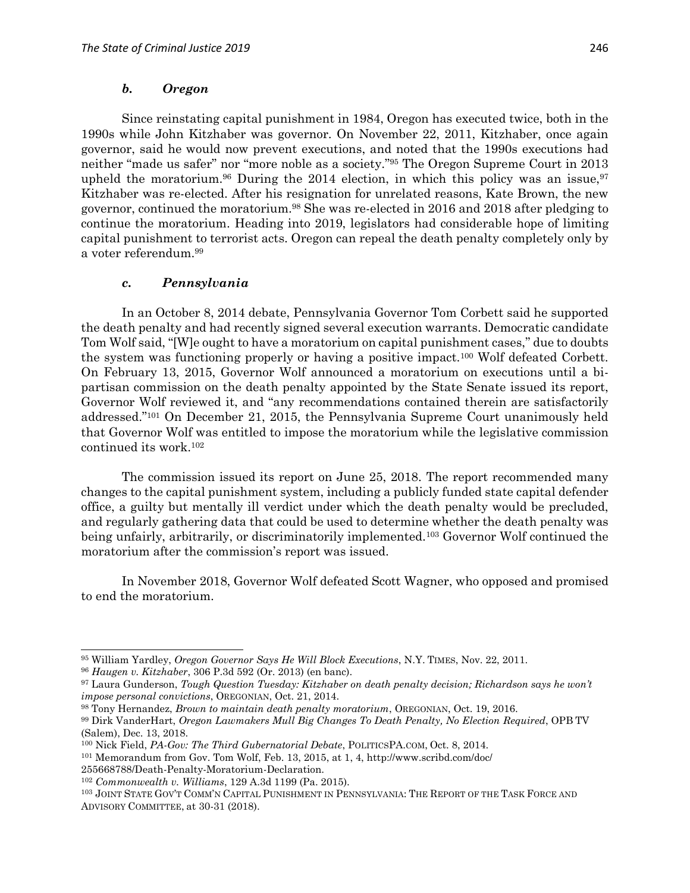Since reinstating capital punishment in 1984, Oregon has executed twice, both in the 1990s while John Kitzhaber was governor. On November 22, 2011, Kitzhaber, once again governor, said he would now prevent executions, and noted that the 1990s executions had neither "made us safer" nor "more noble as a society." <sup>95</sup> The Oregon Supreme Court in 2013 upheld the moratorium.<sup>96</sup> During the 2014 election, in which this policy was an issue,<sup>97</sup> Kitzhaber was re-elected. After his resignation for unrelated reasons, Kate Brown, the new governor, continued the moratorium.<sup>98</sup> She was re-elected in 2016 and 2018 after pledging to continue the moratorium. Heading into 2019, legislators had considerable hope of limiting capital punishment to terrorist acts. Oregon can repeal the death penalty completely only by a voter referendum.<sup>99</sup>

#### *c. Pennsylvania*

In an October 8, 2014 debate, Pennsylvania Governor Tom Corbett said he supported the death penalty and had recently signed several execution warrants. Democratic candidate Tom Wolf said, "[W]e ought to have a moratorium on capital punishment cases," due to doubts the system was functioning properly or having a positive impact.<sup>100</sup> Wolf defeated Corbett. On February 13, 2015, Governor Wolf announced a moratorium on executions until a bipartisan commission on the death penalty appointed by the State Senate issued its report, Governor Wolf reviewed it, and "any recommendations contained therein are satisfactorily addressed." <sup>101</sup> On December 21, 2015, the Pennsylvania Supreme Court unanimously held that Governor Wolf was entitled to impose the moratorium while the legislative commission continued its work.<sup>102</sup>

The commission issued its report on June 25, 2018. The report recommended many changes to the capital punishment system, including a publicly funded state capital defender office, a guilty but mentally ill verdict under which the death penalty would be precluded, and regularly gathering data that could be used to determine whether the death penalty was being unfairly, arbitrarily, or discriminatorily implemented.<sup>103</sup> Governor Wolf continued the moratorium after the commission's report was issued.

In November 2018, Governor Wolf defeated Scott Wagner, who opposed and promised to end the moratorium.

 $\overline{a}$ 

255668788/Death-Penalty-Moratorium-Declaration.

<sup>95</sup> William Yardley, *Oregon Governor Says He Will Block Executions*, N.Y. TIMES, Nov. 22, 2011.

<sup>96</sup> *Haugen v. Kitzhaber*, 306 P.3d 592 (Or. 2013) (en banc).

<sup>97</sup> Laura Gunderson, *Tough Question Tuesday: Kitzhaber on death penalty decision; Richardson says he won't impose personal convictions*, OREGONIAN, Oct. 21, 2014.

<sup>98</sup> Tony Hernandez, *Brown to maintain death penalty moratorium*, OREGONIAN, Oct. 19, 2016.

<sup>99</sup> Dirk VanderHart, *Oregon Lawmakers Mull Big Changes To Death Penalty, No Election Required*, OPB TV (Salem), Dec. 13, 2018.

<sup>100</sup> Nick Field, *PA-Gov: The Third Gubernatorial Debate*, POLITICSPA.COM, Oct. 8, 2014.

<sup>101</sup> Memorandum from Gov. Tom Wolf, Feb. 13, 2015, at 1, 4, http://www.scribd.com/doc/

<sup>102</sup> *Commonwealth v. Williams*, 129 A.3d 1199 (Pa. 2015).

<sup>103</sup> JOINT STATE GOV'T COMM'N CAPITAL PUNISHMENT IN PENNSYLVANIA: THE REPORT OF THE TASK FORCE AND ADVISORY COMMITTEE, at 30-31 (2018).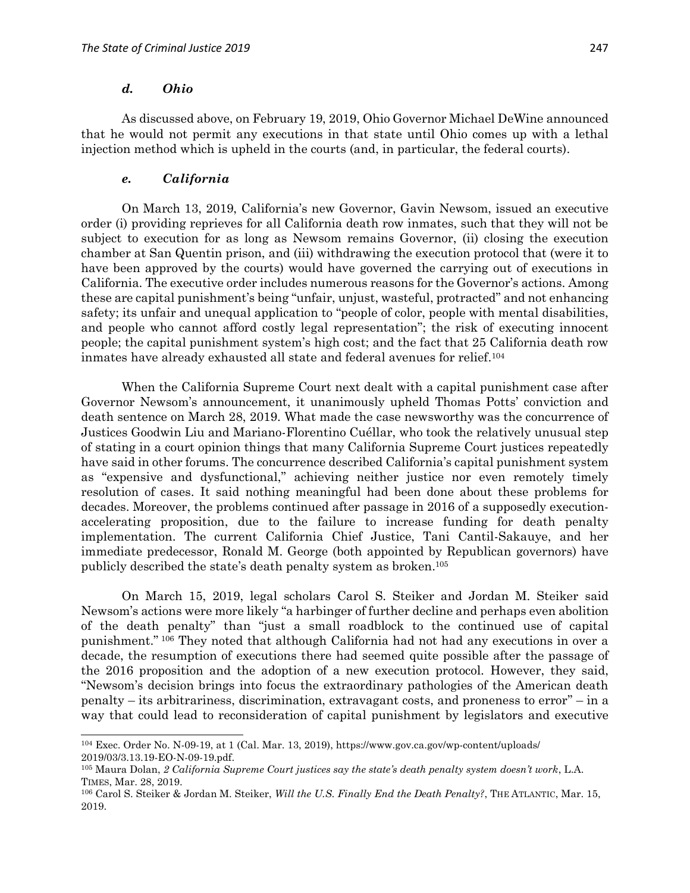#### *d. Ohio*

 $\overline{a}$ 

As discussed above, on February 19, 2019, Ohio Governor Michael DeWine announced that he would not permit any executions in that state until Ohio comes up with a lethal injection method which is upheld in the courts (and, in particular, the federal courts).

#### *e. California*

On March 13, 2019, California's new Governor, Gavin Newsom, issued an executive order (i) providing reprieves for all California death row inmates, such that they will not be subject to execution for as long as Newsom remains Governor, (ii) closing the execution chamber at San Quentin prison, and (iii) withdrawing the execution protocol that (were it to have been approved by the courts) would have governed the carrying out of executions in California. The executive order includes numerous reasons for the Governor's actions. Among these are capital punishment's being "unfair, unjust, wasteful, protracted" and not enhancing safety; its unfair and unequal application to "people of color, people with mental disabilities, and people who cannot afford costly legal representation"; the risk of executing innocent people; the capital punishment system's high cost; and the fact that 25 California death row inmates have already exhausted all state and federal avenues for relief.<sup>104</sup>

When the California Supreme Court next dealt with a capital punishment case after Governor Newsom's announcement, it unanimously upheld Thomas Potts' conviction and death sentence on March 28, 2019. What made the case newsworthy was the concurrence of Justices Goodwin Liu and Mariano-Florentino Cuéllar, who took the relatively unusual step of stating in a court opinion things that many California Supreme Court justices repeatedly have said in other forums. The concurrence described California's capital punishment system as "expensive and dysfunctional," achieving neither justice nor even remotely timely resolution of cases. It said nothing meaningful had been done about these problems for decades. Moreover, the problems continued after passage in 2016 of a supposedly executionaccelerating proposition, due to the failure to increase funding for death penalty implementation. The current California Chief Justice, Tani Cantil-Sakauye, and her immediate predecessor, Ronald M. George (both appointed by Republican governors) have publicly described the state's death penalty system as broken.<sup>105</sup>

On March 15, 2019, legal scholars Carol S. Steiker and Jordan M. Steiker said Newsom's actions were more likely "a harbinger of further decline and perhaps even abolition of the death penalty" than "just a small roadblock to the continued use of capital punishment." <sup>106</sup> They noted that although California had not had any executions in over a decade, the resumption of executions there had seemed quite possible after the passage of the 2016 proposition and the adoption of a new execution protocol. However, they said, "Newsom's decision brings into focus the extraordinary pathologies of the American death penalty – its arbitrariness, discrimination, extravagant costs, and proneness to error" – in a way that could lead to reconsideration of capital punishment by legislators and executive

<sup>104</sup> Exec. Order No. N-09-19, at 1 (Cal. Mar. 13, 2019), https://www.gov.ca.gov/wp-content/uploads/ 2019/03/3.13.19-EO-N-09-19.pdf.

<sup>105</sup> Maura Dolan, *2 California Supreme Court justices say the state's death penalty system doesn't work*, L.A. TIMES, Mar. 28, 2019.

<sup>106</sup> Carol S. Steiker & Jordan M. Steiker, *Will the U.S. Finally End the Death Penalty?*, THE ATLANTIC, Mar. 15, 2019.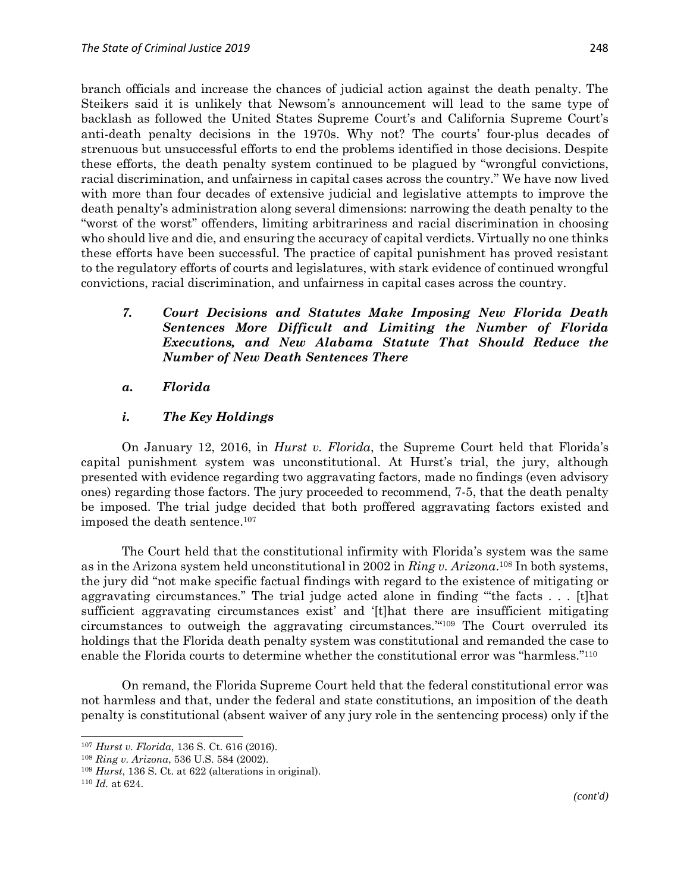branch officials and increase the chances of judicial action against the death penalty. The Steikers said it is unlikely that Newsom's announcement will lead to the same type of backlash as followed the United States Supreme Court's and California Supreme Court's anti-death penalty decisions in the 1970s. Why not? The courts' four-plus decades of strenuous but unsuccessful efforts to end the problems identified in those decisions. Despite these efforts, the death penalty system continued to be plagued by "wrongful convictions, racial discrimination, and unfairness in capital cases across the country." We have now lived with more than four decades of extensive judicial and legislative attempts to improve the death penalty's administration along several dimensions: narrowing the death penalty to the "worst of the worst" offenders, limiting arbitrariness and racial discrimination in choosing who should live and die, and ensuring the accuracy of capital verdicts. Virtually no one thinks these efforts have been successful. The practice of capital punishment has proved resistant to the regulatory efforts of courts and legislatures, with stark evidence of continued wrongful convictions, racial discrimination, and unfairness in capital cases across the country.

### *7. Court Decisions and Statutes Make Imposing New Florida Death Sentences More Difficult and Limiting the Number of Florida Executions, and New Alabama Statute That Should Reduce the Number of New Death Sentences There*

#### *a. Florida*

### *i. The Key Holdings*

On January 12, 2016, in *Hurst v. Florida*, the Supreme Court held that Florida's capital punishment system was unconstitutional. At Hurst's trial, the jury, although presented with evidence regarding two aggravating factors, made no findings (even advisory ones) regarding those factors. The jury proceeded to recommend, 7-5, that the death penalty be imposed. The trial judge decided that both proffered aggravating factors existed and imposed the death sentence. 107

The Court held that the constitutional infirmity with Florida's system was the same as in the Arizona system held unconstitutional in 2002 in *Ring v. Arizona*. <sup>108</sup> In both systems, the jury did "not make specific factual findings with regard to the existence of mitigating or aggravating circumstances." The trial judge acted alone in finding "'the facts . . . [t]hat sufficient aggravating circumstances exist' and '[t]hat there are insufficient mitigating circumstances to outweigh the aggravating circumstances.'" <sup>109</sup> The Court overruled its holdings that the Florida death penalty system was constitutional and remanded the case to enable the Florida courts to determine whether the constitutional error was "harmless."<sup>110</sup>

On remand, the Florida Supreme Court held that the federal constitutional error was not harmless and that, under the federal and state constitutions, an imposition of the death penalty is constitutional (absent waiver of any jury role in the sentencing process) only if the

<sup>107</sup> *Hurst v. Florida*, 136 S. Ct. 616 (2016).

<sup>108</sup> *Ring v. Arizona*, 536 U.S. 584 (2002).

<sup>109</sup> *Hurst*, 136 S. Ct. at 622 (alterations in original).

<sup>110</sup> *Id.* at 624.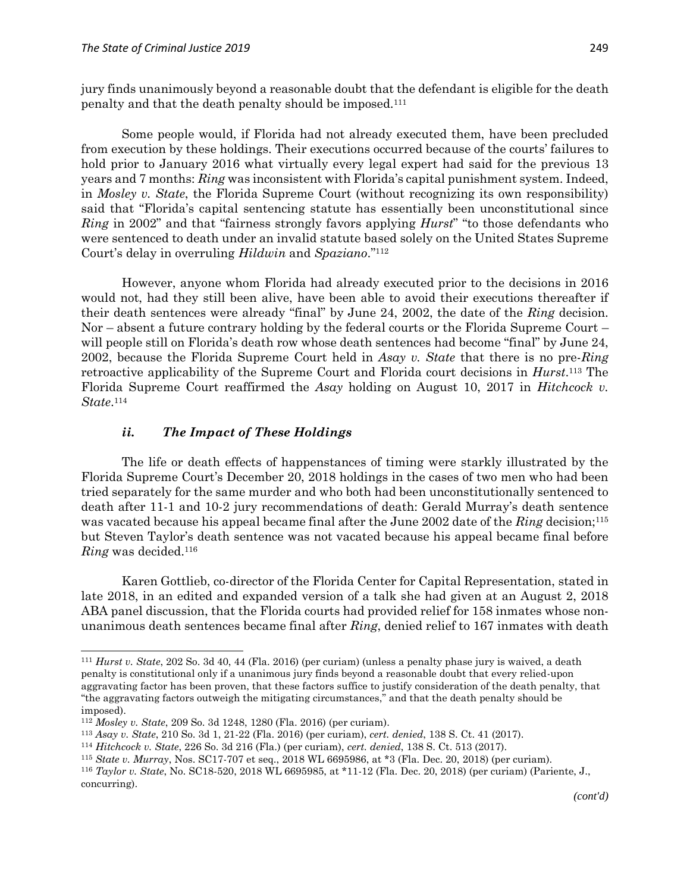jury finds unanimously beyond a reasonable doubt that the defendant is eligible for the death penalty and that the death penalty should be imposed.<sup>111</sup>

Some people would, if Florida had not already executed them, have been precluded from execution by these holdings. Their executions occurred because of the courts' failures to hold prior to January 2016 what virtually every legal expert had said for the previous 13 years and 7 months: *Ring* was inconsistent with Florida's capital punishment system. Indeed, in *Mosley v. State*, the Florida Supreme Court (without recognizing its own responsibility) said that "Florida's capital sentencing statute has essentially been unconstitutional since *Ring* in 2002" and that "fairness strongly favors applying *Hurst*" "to those defendants who were sentenced to death under an invalid statute based solely on the United States Supreme Court's delay in overruling *Hildwin* and *Spaziano*." 112

However, anyone whom Florida had already executed prior to the decisions in 2016 would not, had they still been alive, have been able to avoid their executions thereafter if their death sentences were already "final" by June 24, 2002, the date of the *Ring* decision. Nor – absent a future contrary holding by the federal courts or the Florida Supreme Court – will people still on Florida's death row whose death sentences had become "final" by June 24, 2002, because the Florida Supreme Court held in *Asay v. State* that there is no pre-*Ring* retroactive applicability of the Supreme Court and Florida court decisions in *Hurst*. <sup>113</sup> The Florida Supreme Court reaffirmed the *Asay* holding on August 10, 2017 in *Hitchcock v. State*. 114

#### *ii. The Impact of These Holdings*

The life or death effects of happenstances of timing were starkly illustrated by the Florida Supreme Court's December 20, 2018 holdings in the cases of two men who had been tried separately for the same murder and who both had been unconstitutionally sentenced to death after 11-1 and 10-2 jury recommendations of death: Gerald Murray's death sentence was vacated because his appeal became final after the June 2002 date of the *Ring* decision; 115 but Steven Taylor's death sentence was not vacated because his appeal became final before *Ring* was decided.<sup>116</sup>

Karen Gottlieb, co-director of the Florida Center for Capital Representation, stated in late 2018, in an edited and expanded version of a talk she had given at an August 2, 2018 ABA panel discussion, that the Florida courts had provided relief for 158 inmates whose nonunanimous death sentences became final after *Ring*, denied relief to 167 inmates with death

<sup>111</sup> *Hurst v. State*, 202 So. 3d 40, 44 (Fla. 2016) (per curiam) (unless a penalty phase jury is waived, a death penalty is constitutional only if a unanimous jury finds beyond a reasonable doubt that every relied-upon aggravating factor has been proven, that these factors suffice to justify consideration of the death penalty, that "the aggravating factors outweigh the mitigating circumstances," and that the death penalty should be imposed).

<sup>112</sup> *Mosley v. State*, 209 So. 3d 1248, 1280 (Fla. 2016) (per curiam).

<sup>113</sup> *Asay v. State*, 210 So. 3d 1, 21-22 (Fla. 2016) (per curiam), *cert. denied*, 138 S. Ct. 41 (2017).

<sup>114</sup> *Hitchcock v. State*, 226 So. 3d 216 (Fla.) (per curiam), *cert. denied*, 138 S. Ct. 513 (2017).

<sup>115</sup> *State v. Murray*, Nos. SC17-707 et seq., 2018 WL 6695986, at \*3 (Fla. Dec. 20, 2018) (per curiam).

<sup>116</sup> *Taylor v. State*, No. SC18-520, 2018 WL 6695985, at \*11-12 (Fla. Dec. 20, 2018) (per curiam) (Pariente, J., concurring).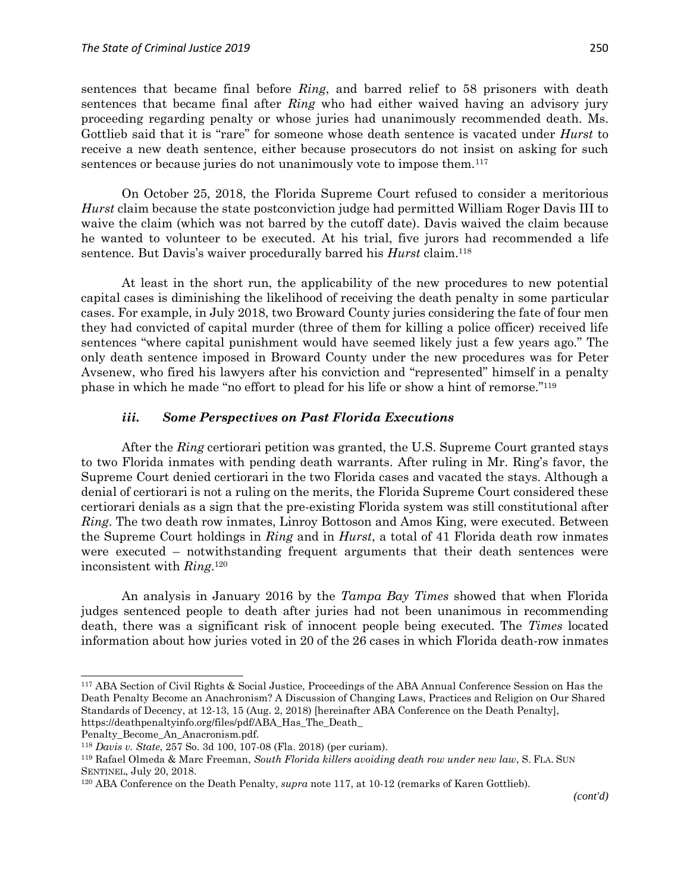sentences that became final before *Ring*, and barred relief to 58 prisoners with death sentences that became final after *Ring* who had either waived having an advisory jury proceeding regarding penalty or whose juries had unanimously recommended death. Ms. Gottlieb said that it is "rare" for someone whose death sentence is vacated under *Hurst* to receive a new death sentence, either because prosecutors do not insist on asking for such sentences or because juries do not unanimously vote to impose them.<sup>117</sup>

On October 25, 2018, the Florida Supreme Court refused to consider a meritorious *Hurst* claim because the state postconviction judge had permitted William Roger Davis III to waive the claim (which was not barred by the cutoff date). Davis waived the claim because he wanted to volunteer to be executed. At his trial, five jurors had recommended a life sentence. But Davis's waiver procedurally barred his *Hurst* claim.<sup>118</sup>

At least in the short run, the applicability of the new procedures to new potential capital cases is diminishing the likelihood of receiving the death penalty in some particular cases. For example, in July 2018, two Broward County juries considering the fate of four men they had convicted of capital murder (three of them for killing a police officer) received life sentences "where capital punishment would have seemed likely just a few years ago." The only death sentence imposed in Broward County under the new procedures was for Peter Avsenew, who fired his lawyers after his conviction and "represented" himself in a penalty phase in which he made "no effort to plead for his life or show a hint of remorse." 119

#### *iii. Some Perspectives on Past Florida Executions*

After the *Ring* certiorari petition was granted, the U.S. Supreme Court granted stays to two Florida inmates with pending death warrants. After ruling in Mr. Ring's favor, the Supreme Court denied certiorari in the two Florida cases and vacated the stays. Although a denial of certiorari is not a ruling on the merits, the Florida Supreme Court considered these certiorari denials as a sign that the pre-existing Florida system was still constitutional after *Ring*. The two death row inmates, Linroy Bottoson and Amos King, were executed. Between the Supreme Court holdings in *Ring* and in *Hurst*, a total of 41 Florida death row inmates were executed – notwithstanding frequent arguments that their death sentences were inconsistent with *Ring*. 120

An analysis in January 2016 by the *Tampa Bay Times* showed that when Florida judges sentenced people to death after juries had not been unanimous in recommending death, there was a significant risk of innocent people being executed. The *Times* located information about how juries voted in 20 of the 26 cases in which Florida death-row inmates

<sup>117</sup> ABA Section of Civil Rights & Social Justice, Proceedings of the ABA Annual Conference Session on Has the Death Penalty Become an Anachronism? A Discussion of Changing Laws, Practices and Religion on Our Shared Standards of Decency, at 12-13, 15 (Aug. 2, 2018) [hereinafter ABA Conference on the Death Penalty], https://deathpenaltyinfo.org/files/pdf/ABA\_Has\_The\_Death\_

Penalty\_Become\_An\_Anacronism.pdf.

<sup>118</sup> *Davis v. State*, 257 So. 3d 100, 107-08 (Fla. 2018) (per curiam).

<sup>119</sup> Rafael Olmeda & Marc Freeman, *South Florida killers avoiding death row under new law*, S. FLA. SUN SENTINEL, July 20, 2018.

<sup>120</sup> ABA Conference on the Death Penalty, *supra* note 117, at 10-12 (remarks of Karen Gottlieb).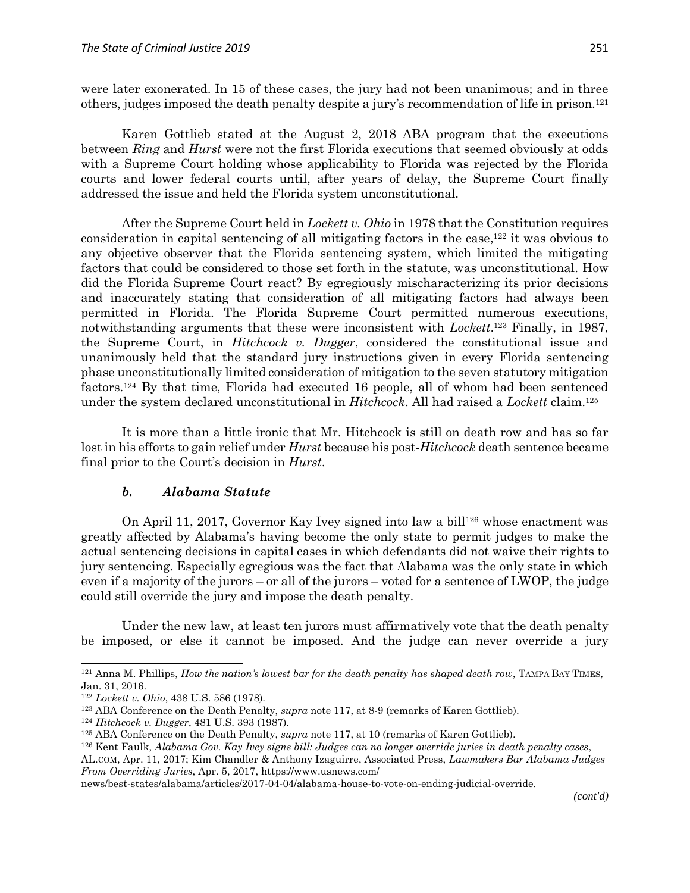Karen Gottlieb stated at the August 2, 2018 ABA program that the executions between *Ring* and *Hurst* were not the first Florida executions that seemed obviously at odds with a Supreme Court holding whose applicability to Florida was rejected by the Florida courts and lower federal courts until, after years of delay, the Supreme Court finally addressed the issue and held the Florida system unconstitutional.

After the Supreme Court held in *Lockett v. Ohio* in 1978 that the Constitution requires consideration in capital sentencing of all mitigating factors in the case, <sup>122</sup> it was obvious to any objective observer that the Florida sentencing system, which limited the mitigating factors that could be considered to those set forth in the statute, was unconstitutional. How did the Florida Supreme Court react? By egregiously mischaracterizing its prior decisions and inaccurately stating that consideration of all mitigating factors had always been permitted in Florida. The Florida Supreme Court permitted numerous executions, notwithstanding arguments that these were inconsistent with *Lockett*.<sup>123</sup> Finally, in 1987, the Supreme Court, in *Hitchcock v. Dugger*, considered the constitutional issue and unanimously held that the standard jury instructions given in every Florida sentencing phase unconstitutionally limited consideration of mitigation to the seven statutory mitigation factors.<sup>124</sup> By that time, Florida had executed 16 people, all of whom had been sentenced under the system declared unconstitutional in *Hitchcock*. All had raised a *Lockett* claim.<sup>125</sup>

It is more than a little ironic that Mr. Hitchcock is still on death row and has so far lost in his efforts to gain relief under *Hurst* because his post-*Hitchcock* death sentence became final prior to the Court's decision in *Hurst*.

#### *b. Alabama Statute*

On April 11, 2017, Governor Kay Ivey signed into law a bill<sup>126</sup> whose enactment was greatly affected by Alabama's having become the only state to permit judges to make the actual sentencing decisions in capital cases in which defendants did not waive their rights to jury sentencing. Especially egregious was the fact that Alabama was the only state in which even if a majority of the jurors – or all of the jurors – voted for a sentence of LWOP, the judge could still override the jury and impose the death penalty.

Under the new law, at least ten jurors must affirmatively vote that the death penalty be imposed, or else it cannot be imposed. And the judge can never override a jury

<sup>121</sup> Anna M. Phillips, *How the nation's lowest bar for the death penalty has shaped death row*, TAMPA BAY TIMES, Jan. 31, 2016.

<sup>122</sup> *Lockett v. Ohio*, 438 U.S. 586 (1978).

<sup>123</sup> ABA Conference on the Death Penalty, *supra* note 117, at 8-9 (remarks of Karen Gottlieb).

<sup>124</sup> *Hitchcock v. Dugger*, 481 U.S. 393 (1987).

<sup>125</sup> ABA Conference on the Death Penalty, *supra* note 117, at 10 (remarks of Karen Gottlieb).

<sup>126</sup> Kent Faulk, *Alabama Gov. Kay Ivey signs bill: Judges can no longer override juries in death penalty cases*,

AL.COM, Apr. 11, 2017; Kim Chandler & Anthony Izaguirre, Associated Press, *Lawmakers Bar Alabama Judges From Overriding Juries*, Apr. 5, 2017, https://www.usnews.com/

news/best-states/alabama/articles/2017-04-04/alabama-house-to-vote-on-ending-judicial-override.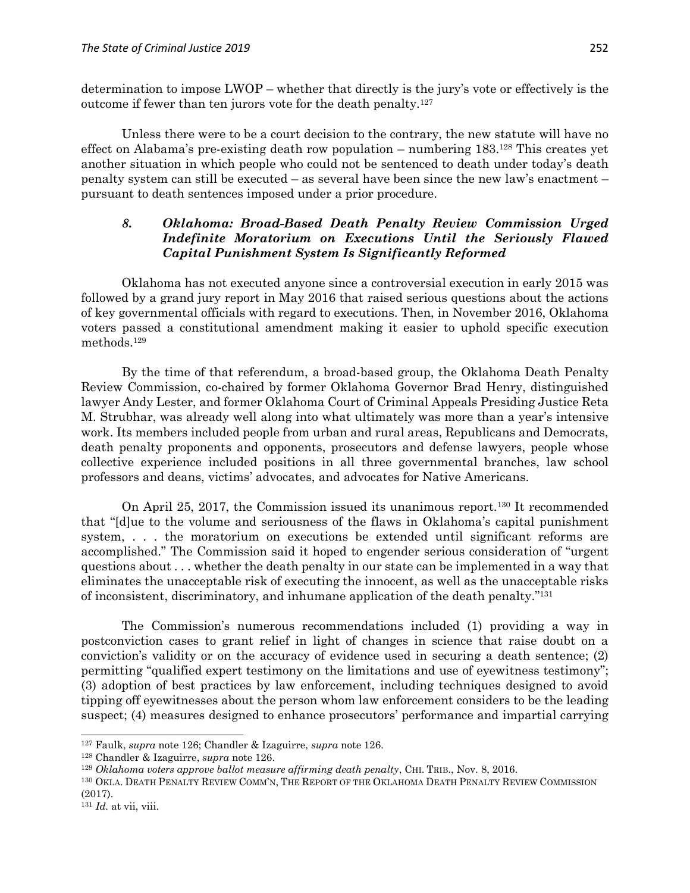determination to impose LWOP – whether that directly is the jury's vote or effectively is the outcome if fewer than ten jurors vote for the death penalty.<sup>127</sup>

Unless there were to be a court decision to the contrary, the new statute will have no effect on Alabama's pre-existing death row population – numbering 183.<sup>128</sup> This creates yet another situation in which people who could not be sentenced to death under today's death penalty system can still be executed – as several have been since the new law's enactment – pursuant to death sentences imposed under a prior procedure.

### *8. Oklahoma: Broad-Based Death Penalty Review Commission Urged Indefinite Moratorium on Executions Until the Seriously Flawed Capital Punishment System Is Significantly Reformed*

Oklahoma has not executed anyone since a controversial execution in early 2015 was followed by a grand jury report in May 2016 that raised serious questions about the actions of key governmental officials with regard to executions. Then, in November 2016, Oklahoma voters passed a constitutional amendment making it easier to uphold specific execution methods.<sup>129</sup>

By the time of that referendum, a broad-based group, the Oklahoma Death Penalty Review Commission, co-chaired by former Oklahoma Governor Brad Henry, distinguished lawyer Andy Lester, and former Oklahoma Court of Criminal Appeals Presiding Justice Reta M. Strubhar, was already well along into what ultimately was more than a year's intensive work. Its members included people from urban and rural areas, Republicans and Democrats, death penalty proponents and opponents, prosecutors and defense lawyers, people whose collective experience included positions in all three governmental branches, law school professors and deans, victims' advocates, and advocates for Native Americans.

On April 25, 2017, the Commission issued its unanimous report.<sup>130</sup> It recommended that "[d]ue to the volume and seriousness of the flaws in Oklahoma's capital punishment system, . . . the moratorium on executions be extended until significant reforms are accomplished." The Commission said it hoped to engender serious consideration of "urgent questions about . . . whether the death penalty in our state can be implemented in a way that eliminates the unacceptable risk of executing the innocent, as well as the unacceptable risks of inconsistent, discriminatory, and inhumane application of the death penalty." 131

The Commission's numerous recommendations included (1) providing a way in postconviction cases to grant relief in light of changes in science that raise doubt on a conviction's validity or on the accuracy of evidence used in securing a death sentence; (2) permitting "qualified expert testimony on the limitations and use of eyewitness testimony"; (3) adoption of best practices by law enforcement, including techniques designed to avoid tipping off eyewitnesses about the person whom law enforcement considers to be the leading suspect; (4) measures designed to enhance prosecutors' performance and impartial carrying

<sup>127</sup> Faulk, *supra* note 126; Chandler & Izaguirre, *supra* note 126.

<sup>128</sup> Chandler & Izaguirre, *supra* note 126.

<sup>129</sup> *Oklahoma voters approve ballot measure affirming death penalty*, CHI. TRIB., Nov. 8, 2016.

<sup>130</sup> OKLA. DEATH PENALTY REVIEW COMM'N, THE REPORT OF THE OKLAHOMA DEATH PENALTY REVIEW COMMISSION (2017).

<sup>131</sup> *Id.* at vii, viii.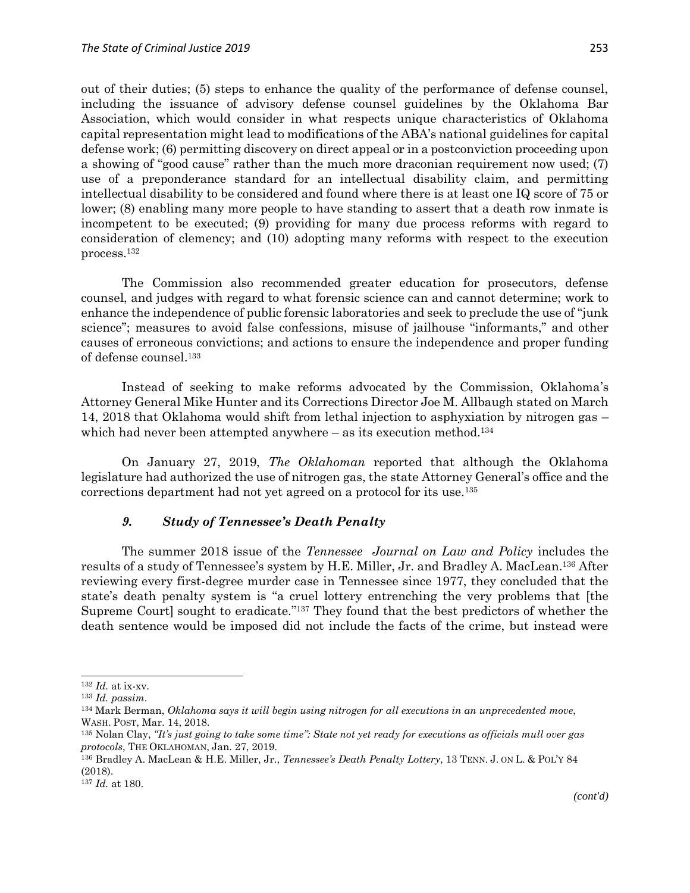out of their duties; (5) steps to enhance the quality of the performance of defense counsel, including the issuance of advisory defense counsel guidelines by the Oklahoma Bar Association, which would consider in what respects unique characteristics of Oklahoma capital representation might lead to modifications of the ABA's national guidelines for capital defense work; (6) permitting discovery on direct appeal or in a postconviction proceeding upon a showing of "good cause" rather than the much more draconian requirement now used; (7) use of a preponderance standard for an intellectual disability claim, and permitting intellectual disability to be considered and found where there is at least one IQ score of 75 or lower; (8) enabling many more people to have standing to assert that a death row inmate is incompetent to be executed; (9) providing for many due process reforms with regard to consideration of clemency; and (10) adopting many reforms with respect to the execution process.<sup>132</sup>

The Commission also recommended greater education for prosecutors, defense counsel, and judges with regard to what forensic science can and cannot determine; work to enhance the independence of public forensic laboratories and seek to preclude the use of "junk science"; measures to avoid false confessions, misuse of jailhouse "informants," and other causes of erroneous convictions; and actions to ensure the independence and proper funding of defense counsel. 133

Instead of seeking to make reforms advocated by the Commission, Oklahoma's Attorney General Mike Hunter and its Corrections Director Joe M. Allbaugh stated on March 14, 2018 that Oklahoma would shift from lethal injection to asphyxiation by nitrogen gas – which had never been attempted anywhere  $-$  as its execution method.<sup>134</sup>

On January 27, 2019, *The Oklahoman* reported that although the Oklahoma legislature had authorized the use of nitrogen gas, the state Attorney General's office and the corrections department had not yet agreed on a protocol for its use.<sup>135</sup>

#### *9. Study of Tennessee's Death Penalty*

The summer 2018 issue of the *Tennessee Journal on Law and Policy* includes the results of a study of Tennessee's system by H.E. Miller, Jr. and Bradley A. MacLean.<sup>136</sup> After reviewing every first-degree murder case in Tennessee since 1977, they concluded that the state's death penalty system is "a cruel lottery entrenching the very problems that [the Supreme Court] sought to eradicate."<sup>137</sup> They found that the best predictors of whether the death sentence would be imposed did not include the facts of the crime, but instead were

<sup>132</sup> *Id.* at ix-xv.

<sup>133</sup> *Id. passim*.

<sup>134</sup> Mark Berman, *Oklahoma says it will begin using nitrogen for all executions in an unprecedented move*, WASH. POST, Mar. 14, 2018.

<sup>135</sup> Nolan Clay, *"It's just going to take some time": State not yet ready for executions as officials mull over gas protocols*, THE OKLAHOMAN, Jan. 27, 2019.

<sup>136</sup> Bradley A. MacLean & H.E. Miller, Jr., *Tennessee's Death Penalty Lottery*, 13 TENN. J. ON L. & POL'Y 84 (2018).

<sup>137</sup> *Id.* at 180.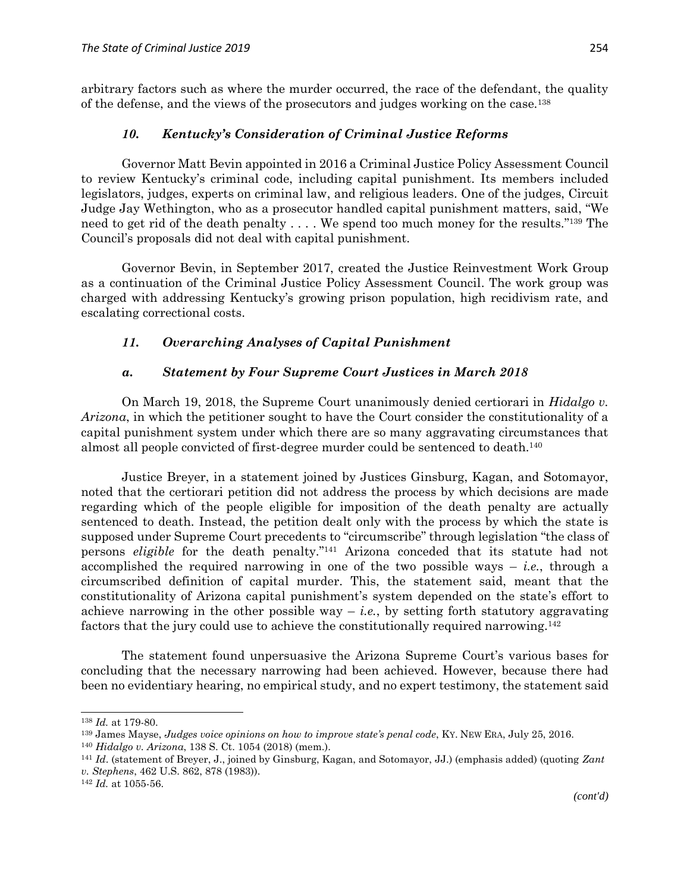arbitrary factors such as where the murder occurred, the race of the defendant, the quality of the defense, and the views of the prosecutors and judges working on the case.<sup>138</sup>

### *10. Kentucky's Consideration of Criminal Justice Reforms*

Governor Matt Bevin appointed in 2016 a Criminal Justice Policy Assessment Council to review Kentucky's criminal code, including capital punishment. Its members included legislators, judges, experts on criminal law, and religious leaders. One of the judges, Circuit Judge Jay Wethington, who as a prosecutor handled capital punishment matters, said, "We need to get rid of the death penalty . . . . We spend too much money for the results."<sup>139</sup> The Council's proposals did not deal with capital punishment.

Governor Bevin, in September 2017, created the Justice Reinvestment Work Group as a continuation of the Criminal Justice Policy Assessment Council. The work group was charged with addressing Kentucky's growing prison population, high recidivism rate, and escalating correctional costs.

### *11. Overarching Analyses of Capital Punishment*

#### *a. Statement by Four Supreme Court Justices in March 2018*

On March 19, 2018, the Supreme Court unanimously denied certiorari in *Hidalgo v. Arizona*, in which the petitioner sought to have the Court consider the constitutionality of a capital punishment system under which there are so many aggravating circumstances that almost all people convicted of first-degree murder could be sentenced to death.<sup>140</sup>

Justice Breyer, in a statement joined by Justices Ginsburg, Kagan, and Sotomayor, noted that the certiorari petition did not address the process by which decisions are made regarding which of the people eligible for imposition of the death penalty are actually sentenced to death. Instead, the petition dealt only with the process by which the state is supposed under Supreme Court precedents to "circumscribe" through legislation "the class of persons *eligible* for the death penalty." <sup>141</sup> Arizona conceded that its statute had not accomplished the required narrowing in one of the two possible ways  $-$  *i.e.*, through a circumscribed definition of capital murder. This, the statement said, meant that the constitutionality of Arizona capital punishment's system depended on the state's effort to achieve narrowing in the other possible way  $-i.e.,$  by setting forth statutory aggravating factors that the jury could use to achieve the constitutionally required narrowing.<sup>142</sup>

The statement found unpersuasive the Arizona Supreme Court's various bases for concluding that the necessary narrowing had been achieved. However, because there had been no evidentiary hearing, no empirical study, and no expert testimony, the statement said

<sup>138</sup> *Id.* at 179-80.

<sup>139</sup> James Mayse, *Judges voice opinions on how to improve state's penal code*, KY. NEW ERA, July 25, 2016.

<sup>140</sup> *Hidalgo v. Arizona*, 138 S. Ct. 1054 (2018) (mem.).

<sup>141</sup> *Id*. (statement of Breyer, J., joined by Ginsburg, Kagan, and Sotomayor, JJ.) (emphasis added) (quoting *Zant v. Stephens*, 462 U.S. 862, 878 (1983)).

<sup>142</sup> *Id.* at 1055-56.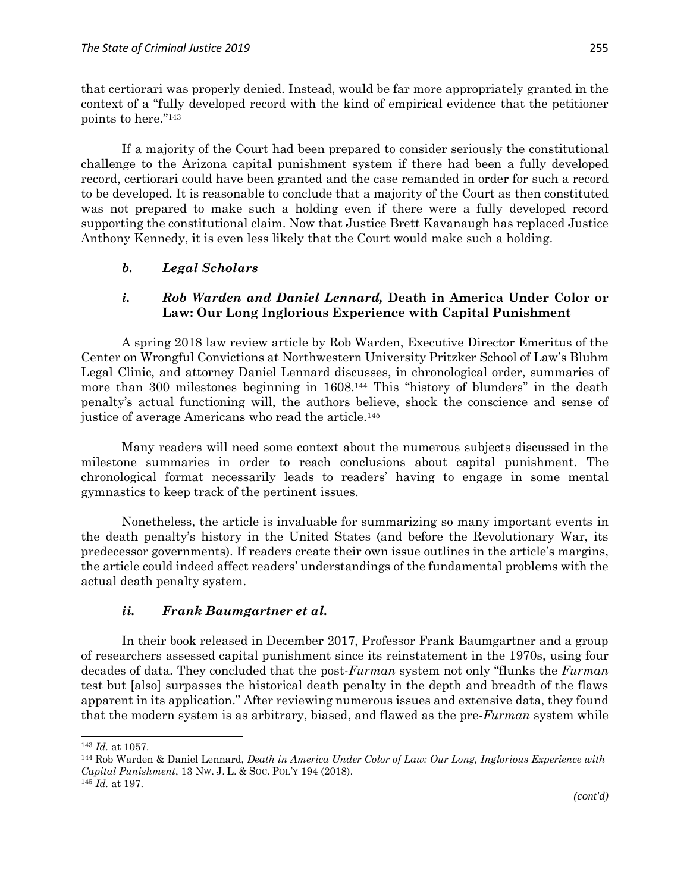that certiorari was properly denied. Instead, would be far more appropriately granted in the context of a "fully developed record with the kind of empirical evidence that the petitioner points to here." 143

If a majority of the Court had been prepared to consider seriously the constitutional challenge to the Arizona capital punishment system if there had been a fully developed record, certiorari could have been granted and the case remanded in order for such a record to be developed. It is reasonable to conclude that a majority of the Court as then constituted was not prepared to make such a holding even if there were a fully developed record supporting the constitutional claim. Now that Justice Brett Kavanaugh has replaced Justice Anthony Kennedy, it is even less likely that the Court would make such a holding.

# *b. Legal Scholars*

# *i. Rob Warden and Daniel Lennard,* **Death in America Under Color or Law: Our Long Inglorious Experience with Capital Punishment**

A spring 2018 law review article by Rob Warden, Executive Director Emeritus of the Center on Wrongful Convictions at Northwestern University Pritzker School of Law's Bluhm Legal Clinic, and attorney Daniel Lennard discusses, in chronological order, summaries of more than 300 milestones beginning in 1608.<sup>144</sup> This "history of blunders" in the death penalty's actual functioning will, the authors believe, shock the conscience and sense of justice of average Americans who read the article.<sup>145</sup>

Many readers will need some context about the numerous subjects discussed in the milestone summaries in order to reach conclusions about capital punishment. The chronological format necessarily leads to readers' having to engage in some mental gymnastics to keep track of the pertinent issues.

Nonetheless, the article is invaluable for summarizing so many important events in the death penalty's history in the United States (and before the Revolutionary War, its predecessor governments). If readers create their own issue outlines in the article's margins, the article could indeed affect readers' understandings of the fundamental problems with the actual death penalty system.

# *ii. Frank Baumgartner et al.*

In their book released in December 2017, Professor Frank Baumgartner and a group of researchers assessed capital punishment since its reinstatement in the 1970s, using four decades of data. They concluded that the post-*Furman* system not only "flunks the *Furman*  test but [also] surpasses the historical death penalty in the depth and breadth of the flaws apparent in its application." After reviewing numerous issues and extensive data, they found that the modern system is as arbitrary, biased, and flawed as the pre-*Furman* system while

 $\overline{a}$ <sup>143</sup> *Id.* at 1057.

<sup>144</sup> Rob Warden & Daniel Lennard, *Death in America Under Color of Law: Our Long, Inglorious Experience with Capital Punishment*, 13 NW. J. L. & SOC. POL'Y 194 (2018).

<sup>145</sup> *Id.* at 197.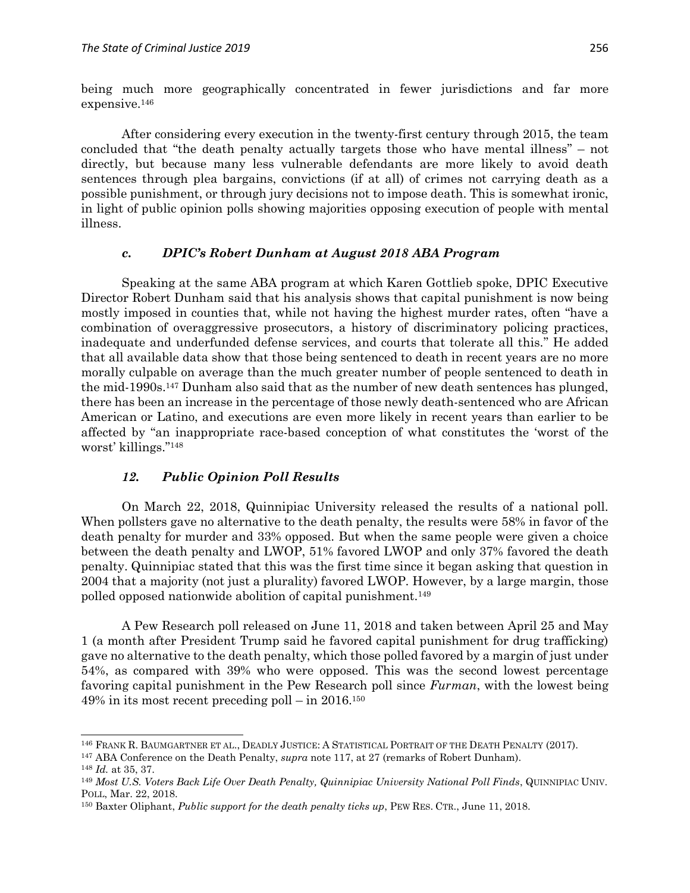being much more geographically concentrated in fewer jurisdictions and far more expensive.<sup>146</sup>

After considering every execution in the twenty-first century through 2015, the team concluded that "the death penalty actually targets those who have mental illness" – not directly, but because many less vulnerable defendants are more likely to avoid death sentences through plea bargains, convictions (if at all) of crimes not carrying death as a possible punishment, or through jury decisions not to impose death. This is somewhat ironic, in light of public opinion polls showing majorities opposing execution of people with mental illness.

#### *c. DPIC's Robert Dunham at August 2018 ABA Program*

Speaking at the same ABA program at which Karen Gottlieb spoke, DPIC Executive Director Robert Dunham said that his analysis shows that capital punishment is now being mostly imposed in counties that, while not having the highest murder rates, often "have a combination of overaggressive prosecutors, a history of discriminatory policing practices, inadequate and underfunded defense services, and courts that tolerate all this." He added that all available data show that those being sentenced to death in recent years are no more morally culpable on average than the much greater number of people sentenced to death in the mid-1990s.<sup>147</sup> Dunham also said that as the number of new death sentences has plunged, there has been an increase in the percentage of those newly death-sentenced who are African American or Latino, and executions are even more likely in recent years than earlier to be affected by "an inappropriate race-based conception of what constitutes the 'worst of the worst' killings." 148

#### *12. Public Opinion Poll Results*

On March 22, 2018, Quinnipiac University released the results of a national poll. When pollsters gave no alternative to the death penalty, the results were 58% in favor of the death penalty for murder and 33% opposed. But when the same people were given a choice between the death penalty and LWOP, 51% favored LWOP and only 37% favored the death penalty. Quinnipiac stated that this was the first time since it began asking that question in 2004 that a majority (not just a plurality) favored LWOP. However, by a large margin, those polled opposed nationwide abolition of capital punishment.<sup>149</sup>

A Pew Research poll released on June 11, 2018 and taken between April 25 and May 1 (a month after President Trump said he favored capital punishment for drug trafficking) gave no alternative to the death penalty, which those polled favored by a margin of just under 54%, as compared with 39% who were opposed. This was the second lowest percentage favoring capital punishment in the Pew Research poll since *Furman*, with the lowest being  $49\%$  in its most recent preceding poll – in  $2016.<sup>150</sup>$ 

<sup>146</sup> FRANK R. BAUMGARTNER ET AL., DEADLY JUSTICE: A STATISTICAL PORTRAIT OF THE DEATH PENALTY (2017).

<sup>147</sup> ABA Conference on the Death Penalty, *supra* note 117, at 27 (remarks of Robert Dunham).

<sup>148</sup> *Id.* at 35, 37.

<sup>149</sup> *Most U.S. Voters Back Life Over Death Penalty, Quinnipiac University National Poll Finds*, QUINNIPIAC UNIV. POLL, Mar. 22, 2018.

<sup>150</sup> Baxter Oliphant, *Public support for the death penalty ticks up*, PEW RES. CTR., June 11, 2018.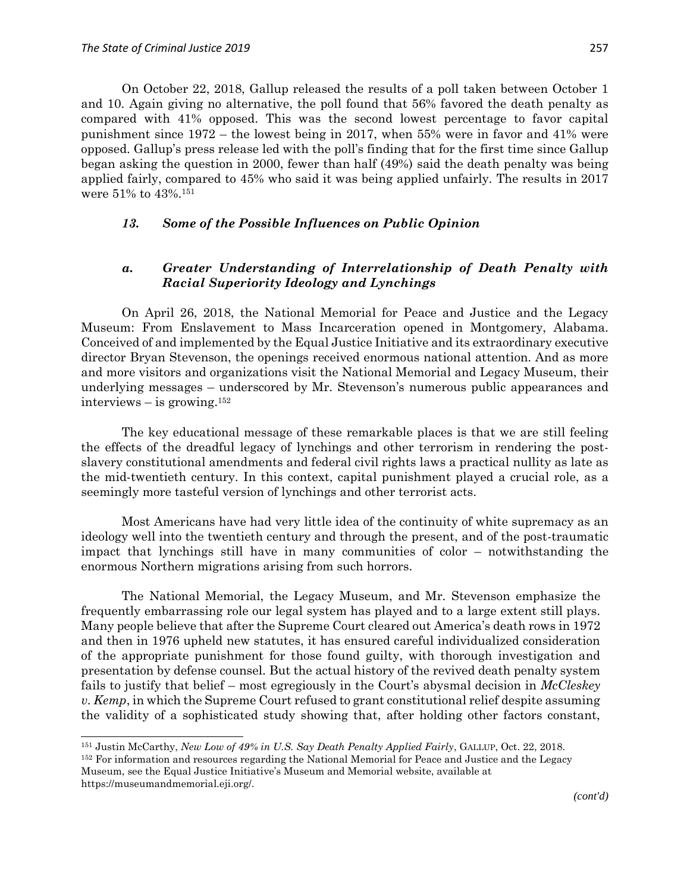$\overline{a}$ 

On October 22, 2018, Gallup released the results of a poll taken between October 1 and 10. Again giving no alternative, the poll found that 56% favored the death penalty as compared with 41% opposed. This was the second lowest percentage to favor capital punishment since 1972 – the lowest being in 2017, when 55% were in favor and 41% were opposed. Gallup's press release led with the poll's finding that for the first time since Gallup began asking the question in 2000, fewer than half (49%) said the death penalty was being applied fairly, compared to 45% who said it was being applied unfairly. The results in 2017 were 51% to 43%.<sup>151</sup>

#### *13. Some of the Possible Influences on Public Opinion*

### *a. Greater Understanding of Interrelationship of Death Penalty with Racial Superiority Ideology and Lynchings*

On April 26, 2018, the National Memorial for Peace and Justice and the Legacy Museum: From Enslavement to Mass Incarceration opened in Montgomery, Alabama. Conceived of and implemented by the Equal Justice Initiative and its extraordinary executive director Bryan Stevenson, the openings received enormous national attention. And as more and more visitors and organizations visit the National Memorial and Legacy Museum, their underlying messages – underscored by Mr. Stevenson's numerous public appearances and interviews – is growing.<sup>152</sup>

The key educational message of these remarkable places is that we are still feeling the effects of the dreadful legacy of lynchings and other terrorism in rendering the postslavery constitutional amendments and federal civil rights laws a practical nullity as late as the mid-twentieth century. In this context, capital punishment played a crucial role, as a seemingly more tasteful version of lynchings and other terrorist acts.

Most Americans have had very little idea of the continuity of white supremacy as an ideology well into the twentieth century and through the present, and of the post-traumatic impact that lynchings still have in many communities of color – notwithstanding the enormous Northern migrations arising from such horrors.

The National Memorial, the Legacy Museum, and Mr. Stevenson emphasize the frequently embarrassing role our legal system has played and to a large extent still plays. Many people believe that after the Supreme Court cleared out America's death rows in 1972 and then in 1976 upheld new statutes, it has ensured careful individualized consideration of the appropriate punishment for those found guilty, with thorough investigation and presentation by defense counsel. But the actual history of the revived death penalty system fails to justify that belief – most egregiously in the Court's abysmal decision in *McCleskey v. Kemp*, in which the Supreme Court refused to grant constitutional relief despite assuming the validity of a sophisticated study showing that, after holding other factors constant,

*(cont'd)*

<sup>151</sup> Justin McCarthy, *New Low of 49% in U.S. Say Death Penalty Applied Fairly*, GALLUP, Oct. 22, 2018.

<sup>&</sup>lt;sup>152</sup> For information and resources regarding the National Memorial for Peace and Justice and the Legacy Museum, see the Equal Justice Initiative's Museum and Memorial website, available at https://museumandmemorial.eji.org/.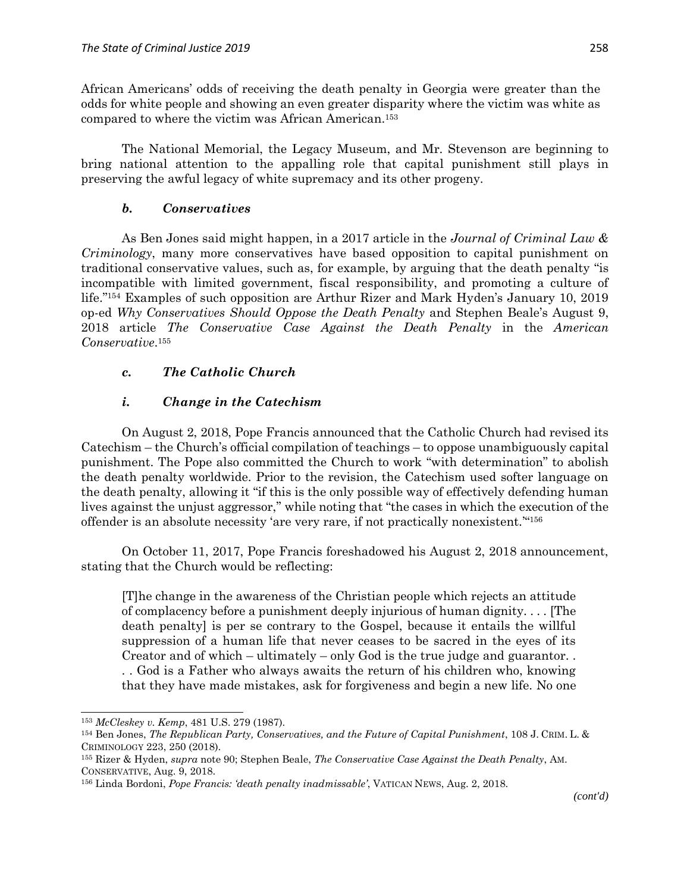African Americans' odds of receiving the death penalty in Georgia were greater than the odds for white people and showing an even greater disparity where the victim was white as compared to where the victim was African American.<sup>153</sup>

The National Memorial, the Legacy Museum, and Mr. Stevenson are beginning to bring national attention to the appalling role that capital punishment still plays in preserving the awful legacy of white supremacy and its other progeny.

#### *b. Conservatives*

As Ben Jones said might happen, in a 2017 article in the *Journal of Criminal Law & Criminology*, many more conservatives have based opposition to capital punishment on traditional conservative values, such as, for example, by arguing that the death penalty "is incompatible with limited government, fiscal responsibility, and promoting a culture of life." <sup>154</sup> Examples of such opposition are Arthur Rizer and Mark Hyden's January 10, 2019 op-ed *Why Conservatives Should Oppose the Death Penalty* and Stephen Beale's August 9, 2018 article *The Conservative Case Against the Death Penalty* in the *American Conservative*. 155

# *c. The Catholic Church*

# *i. Change in the Catechism*

On August 2, 2018, Pope Francis announced that the Catholic Church had revised its Catechism – the Church's official compilation of teachings – to oppose unambiguously capital punishment. The Pope also committed the Church to work "with determination" to abolish the death penalty worldwide. Prior to the revision, the Catechism used softer language on the death penalty, allowing it "if this is the only possible way of effectively defending human lives against the unjust aggressor," while noting that "the cases in which the execution of the offender is an absolute necessity 'are very rare, if not practically nonexistent.'" 156

On October 11, 2017, Pope Francis foreshadowed his August 2, 2018 announcement, stating that the Church would be reflecting:

[T]he change in the awareness of the Christian people which rejects an attitude of complacency before a punishment deeply injurious of human dignity. . . . [The death penalty] is per se contrary to the Gospel, because it entails the willful suppression of a human life that never ceases to be sacred in the eyes of its Creator and of which – ultimately – only God is the true judge and guarantor. . . . God is a Father who always awaits the return of his children who, knowing that they have made mistakes, ask for forgiveness and begin a new life. No one

<sup>153</sup> *McCleskey v. Kemp*, 481 U.S. 279 (1987).

<sup>154</sup> Ben Jones, *The Republican Party, Conservatives, and the Future of Capital Punishment*, 108 J. CRIM. L. & CRIMINOLOGY 223, 250 (2018).

<sup>155</sup> Rizer & Hyden, *supra* note 90; Stephen Beale, *The Conservative Case Against the Death Penalty*, AM. CONSERVATIVE, Aug. 9, 2018.

<sup>156</sup> Linda Bordoni, *Pope Francis: 'death penalty inadmissable'*, VATICAN NEWS, Aug. 2, 2018.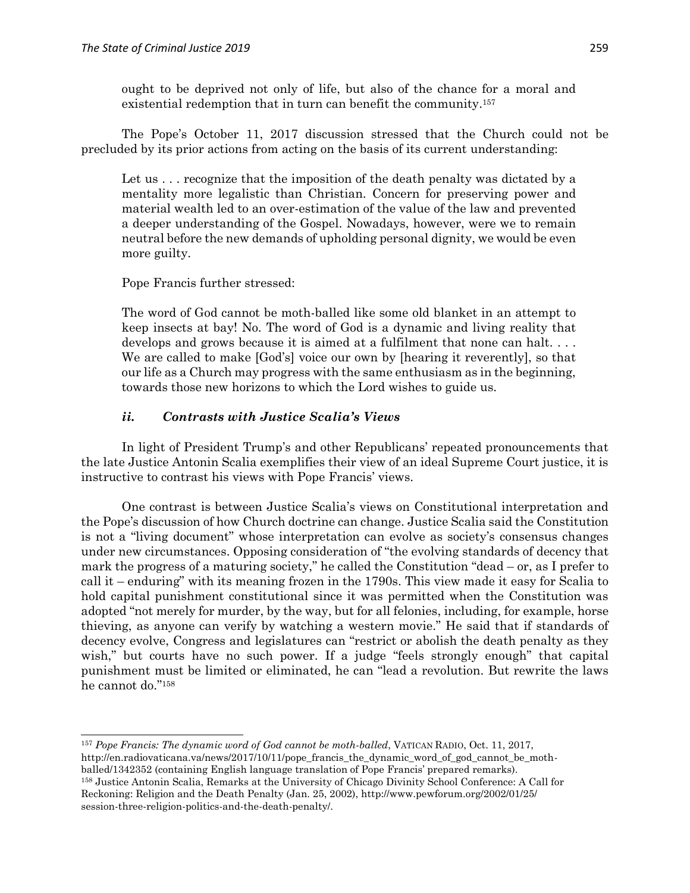ought to be deprived not only of life, but also of the chance for a moral and existential redemption that in turn can benefit the community. 157

The Pope's October 11, 2017 discussion stressed that the Church could not be precluded by its prior actions from acting on the basis of its current understanding:

Let us . . . recognize that the imposition of the death penalty was dictated by a mentality more legalistic than Christian. Concern for preserving power and material wealth led to an over-estimation of the value of the law and prevented a deeper understanding of the Gospel. Nowadays, however, were we to remain neutral before the new demands of upholding personal dignity, we would be even more guilty.

Pope Francis further stressed:

The word of God cannot be moth-balled like some old blanket in an attempt to keep insects at bay! No. The word of God is a dynamic and living reality that develops and grows because it is aimed at a fulfilment that none can halt. . . . We are called to make [God's] voice our own by [hearing it reverently], so that our life as a Church may progress with the same enthusiasm as in the beginning, towards those new horizons to which the Lord wishes to guide us.

#### *ii. Contrasts with Justice Scalia's Views*

In light of President Trump's and other Republicans' repeated pronouncements that the late Justice Antonin Scalia exemplifies their view of an ideal Supreme Court justice, it is instructive to contrast his views with Pope Francis' views.

One contrast is between Justice Scalia's views on Constitutional interpretation and the Pope's discussion of how Church doctrine can change. Justice Scalia said the Constitution is not a "living document" whose interpretation can evolve as society's consensus changes under new circumstances. Opposing consideration of "the evolving standards of decency that mark the progress of a maturing society," he called the Constitution "dead – or, as I prefer to call it – enduring" with its meaning frozen in the 1790s. This view made it easy for Scalia to hold capital punishment constitutional since it was permitted when the Constitution was adopted "not merely for murder, by the way, but for all felonies, including, for example, horse thieving, as anyone can verify by watching a western movie." He said that if standards of decency evolve, Congress and legislatures can "restrict or abolish the death penalty as they wish," but courts have no such power. If a judge "feels strongly enough" that capital punishment must be limited or eliminated, he can "lead a revolution. But rewrite the laws he cannot do." 158

 $\overline{a}$ <sup>157</sup> *Pope Francis: The dynamic word of God cannot be moth-balled*, VATICAN RADIO, Oct. 11, 2017, http://en.radiovaticana.va/news/2017/10/11/pope\_francis\_the\_dynamic\_word\_of\_god\_cannot\_be\_mothballed/1342352 (containing English language translation of Pope Francis' prepared remarks). <sup>158</sup> Justice Antonin Scalia, Remarks at the University of Chicago Divinity School Conference: A Call for Reckoning: Religion and the Death Penalty (Jan. 25, 2002), http://www.pewforum.org/2002/01/25/ session-three-religion-politics-and-the-death-penalty/.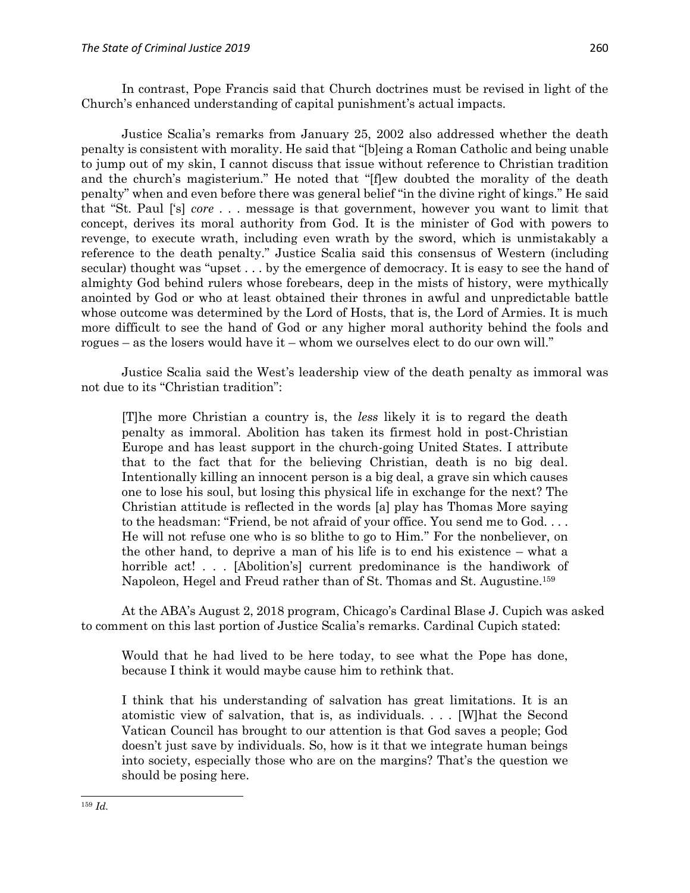In contrast, Pope Francis said that Church doctrines must be revised in light of the Church's enhanced understanding of capital punishment's actual impacts.

Justice Scalia's remarks from January 25, 2002 also addressed whether the death penalty is consistent with morality. He said that "[b]eing a Roman Catholic and being unable to jump out of my skin, I cannot discuss that issue without reference to Christian tradition and the church's magisterium." He noted that "[f]ew doubted the morality of the death penalty" when and even before there was general belief "in the divine right of kings." He said that "St. Paul ['s] *core* . . . message is that government, however you want to limit that concept, derives its moral authority from God. It is the minister of God with powers to revenge, to execute wrath, including even wrath by the sword, which is unmistakably a reference to the death penalty." Justice Scalia said this consensus of Western (including secular) thought was "upset . . . by the emergence of democracy. It is easy to see the hand of almighty God behind rulers whose forebears, deep in the mists of history, were mythically anointed by God or who at least obtained their thrones in awful and unpredictable battle whose outcome was determined by the Lord of Hosts, that is, the Lord of Armies. It is much more difficult to see the hand of God or any higher moral authority behind the fools and rogues – as the losers would have it – whom we ourselves elect to do our own will."

Justice Scalia said the West's leadership view of the death penalty as immoral was not due to its "Christian tradition":

[T]he more Christian a country is, the *less* likely it is to regard the death penalty as immoral. Abolition has taken its firmest hold in post-Christian Europe and has least support in the church-going United States. I attribute that to the fact that for the believing Christian, death is no big deal. Intentionally killing an innocent person is a big deal, a grave sin which causes one to lose his soul, but losing this physical life in exchange for the next? The Christian attitude is reflected in the words [a] play has Thomas More saying to the headsman: "Friend, be not afraid of your office. You send me to God. . . . He will not refuse one who is so blithe to go to Him." For the nonbeliever, on the other hand, to deprive a man of his life is to end his existence – what a horrible act!... [Abolition's] current predominance is the handiwork of Napoleon, Hegel and Freud rather than of St. Thomas and St. Augustine. 159

At the ABA's August 2, 2018 program, Chicago's Cardinal Blase J. Cupich was asked to comment on this last portion of Justice Scalia's remarks. Cardinal Cupich stated:

Would that he had lived to be here today, to see what the Pope has done, because I think it would maybe cause him to rethink that.

I think that his understanding of salvation has great limitations. It is an atomistic view of salvation, that is, as individuals. . . . [W]hat the Second Vatican Council has brought to our attention is that God saves a people; God doesn't just save by individuals. So, how is it that we integrate human beings into society, especially those who are on the margins? That's the question we should be posing here.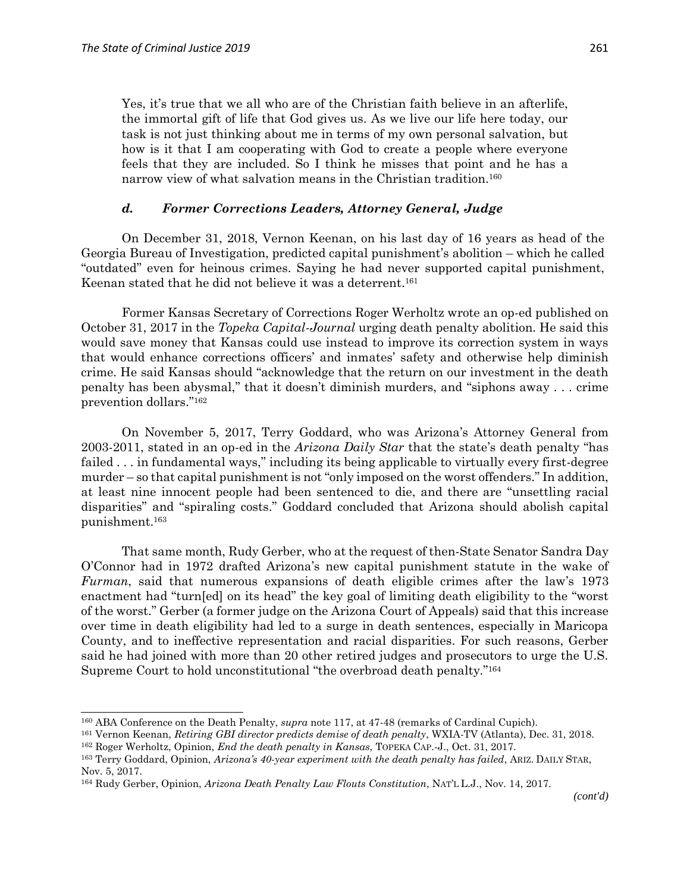$\overline{a}$ 

Yes, it's true that we all who are of the Christian faith believe in an afterlife, the immortal gift of life that God gives us. As we live our life here today, our task is not just thinking about me in terms of my own personal salvation, but how is it that I am cooperating with God to create a people where everyone feels that they are included. So I think he misses that point and he has a narrow view of what salvation means in the Christian tradition.<sup>160</sup>

#### *d. Former Corrections Leaders, Attorney General, Judge*

On December 31, 2018, Vernon Keenan, on his last day of 16 years as head of the Georgia Bureau of Investigation, predicted capital punishment's abolition – which he called "outdated" even for heinous crimes. Saying he had never supported capital punishment, Keenan stated that he did not believe it was a deterrent. 161

Former Kansas Secretary of Corrections Roger Werholtz wrote an op-ed published on October 31, 2017 in the *Topeka Capital-Journal* urging death penalty abolition. He said this would save money that Kansas could use instead to improve its correction system in ways that would enhance corrections officers' and inmates' safety and otherwise help diminish crime. He said Kansas should "acknowledge that the return on our investment in the death penalty has been abysmal," that it doesn't diminish murders, and "siphons away . . . crime prevention dollars." 162

On November 5, 2017, Terry Goddard, who was Arizona's Attorney General from 2003-2011, stated in an op-ed in the *Arizona Daily Star* that the state's death penalty "has failed . . . in fundamental ways," including its being applicable to virtually every first-degree murder – so that capital punishment is not "only imposed on the worst offenders." In addition, at least nine innocent people had been sentenced to die, and there are "unsettling racial disparities" and "spiraling costs." Goddard concluded that Arizona should abolish capital punishment.<sup>163</sup>

That same month, Rudy Gerber, who at the request of then-State Senator Sandra Day O'Connor had in 1972 drafted Arizona's new capital punishment statute in the wake of *Furman*, said that numerous expansions of death eligible crimes after the law's 1973 enactment had "turn[ed] on its head" the key goal of limiting death eligibility to the "worst of the worst." Gerber (a former judge on the Arizona Court of Appeals) said that this increase over time in death eligibility had led to a surge in death sentences, especially in Maricopa County, and to ineffective representation and racial disparities. For such reasons, Gerber said he had joined with more than 20 other retired judges and prosecutors to urge the U.S. Supreme Court to hold unconstitutional "the overbroad death penalty." 164

<sup>160</sup> ABA Conference on the Death Penalty, *supra* note 117, at 47-48 (remarks of Cardinal Cupich).

<sup>161</sup> Vernon Keenan, *Retiring GBI director predicts demise of death penalty*, WXIA-TV (Atlanta), Dec. 31, 2018.

<sup>162</sup> Roger Werholtz, Opinion, *End the death penalty in Kansas*, TOPEKA CAP.-J., Oct. 31, 2017.

<sup>163</sup> Terry Goddard, Opinion, *Arizona's 40-year experiment with the death penalty has failed*, ARIZ. DAILY STAR, Nov. 5, 2017.

<sup>164</sup> Rudy Gerber, Opinion, *Arizona Death Penalty Law Flouts Constitution*, NAT'L L.J., Nov. 14, 2017.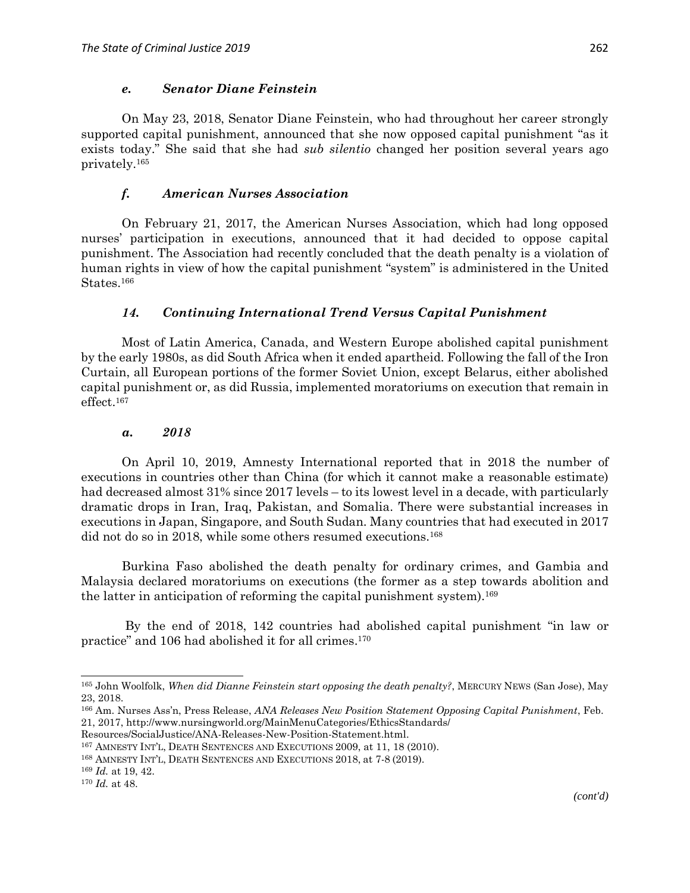#### *e. Senator Diane Feinstein*

On May 23, 2018, Senator Diane Feinstein, who had throughout her career strongly supported capital punishment, announced that she now opposed capital punishment "as it exists today." She said that she had *sub silentio* changed her position several years ago privately.<sup>165</sup>

#### *f. American Nurses Association*

On February 21, 2017, the American Nurses Association, which had long opposed nurses' participation in executions, announced that it had decided to oppose capital punishment. The Association had recently concluded that the death penalty is a violation of human rights in view of how the capital punishment "system" is administered in the United States.<sup>166</sup>

### *14. Continuing International Trend Versus Capital Punishment*

Most of Latin America, Canada, and Western Europe abolished capital punishment by the early 1980s, as did South Africa when it ended apartheid. Following the fall of the Iron Curtain, all European portions of the former Soviet Union, except Belarus, either abolished capital punishment or, as did Russia, implemented moratoriums on execution that remain in effect.<sup>167</sup>

#### *a. 2018*

On April 10, 2019, Amnesty International reported that in 2018 the number of executions in countries other than China (for which it cannot make a reasonable estimate) had decreased almost 31% since 2017 levels – to its lowest level in a decade, with particularly dramatic drops in Iran, Iraq, Pakistan, and Somalia. There were substantial increases in executions in Japan, Singapore, and South Sudan. Many countries that had executed in 2017 did not do so in 2018, while some others resumed executions.<sup>168</sup>

Burkina Faso abolished the death penalty for ordinary crimes, and Gambia and Malaysia declared moratoriums on executions (the former as a step towards abolition and the latter in anticipation of reforming the capital punishment system).<sup>169</sup>

By the end of 2018, 142 countries had abolished capital punishment "in law or practice" and 106 had abolished it for all crimes. 170

<sup>165</sup> John Woolfolk, *When did Dianne Feinstein start opposing the death penalty?*, MERCURY NEWS (San Jose), May 23, 2018.

<sup>166</sup> Am. Nurses Ass'n, Press Release, *ANA Releases New Position Statement Opposing Capital Punishment*, Feb. 21, 2017, http://www.nursingworld.org/MainMenuCategories/EthicsStandards/

Resources/SocialJustice/ANA-Releases-New-Position-Statement.html.

<sup>167</sup> AMNESTY INT'L, DEATH SENTENCES AND EXECUTIONS 2009, at 11, 18 (2010).

<sup>168</sup> AMNESTY INT'L, DEATH SENTENCES AND EXECUTIONS 2018, at 7-8 (2019).

<sup>169</sup> *Id.* at 19, 42.

<sup>170</sup> *Id.* at 48.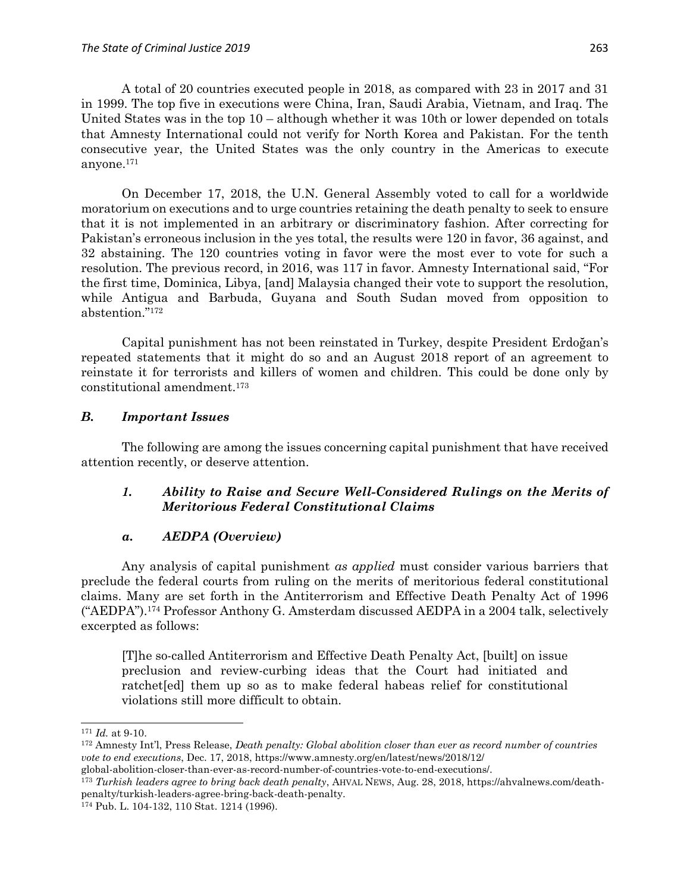A total of 20 countries executed people in 2018, as compared with 23 in 2017 and 31 in 1999. The top five in executions were China, Iran, Saudi Arabia, Vietnam, and Iraq. The United States was in the top 10 – although whether it was 10th or lower depended on totals that Amnesty International could not verify for North Korea and Pakistan. For the tenth consecutive year, the United States was the only country in the Americas to execute anyone.<sup>171</sup>

On December 17, 2018, the U.N. General Assembly voted to call for a worldwide moratorium on executions and to urge countries retaining the death penalty to seek to ensure that it is not implemented in an arbitrary or discriminatory fashion. After correcting for Pakistan's erroneous inclusion in the yes total, the results were 120 in favor, 36 against, and 32 abstaining. The 120 countries voting in favor were the most ever to vote for such a resolution. The previous record, in 2016, was 117 in favor. Amnesty International said, "For the first time, Dominica, Libya, [and] Malaysia changed their vote to support the resolution, while Antigua and Barbuda, Guyana and South Sudan moved from opposition to abstention." 172

Capital punishment has not been reinstated in Turkey, despite President Erdoğan's repeated statements that it might do so and an August 2018 report of an agreement to reinstate it for terrorists and killers of women and children. This could be done only by constitutional amendment.<sup>173</sup>

### *B. Important Issues*

The following are among the issues concerning capital punishment that have received attention recently, or deserve attention.

# *1. Ability to Raise and Secure Well-Considered Rulings on the Merits of Meritorious Federal Constitutional Claims*

# *a. AEDPA (Overview)*

Any analysis of capital punishment *as applied* must consider various barriers that preclude the federal courts from ruling on the merits of meritorious federal constitutional claims. Many are set forth in the Antiterrorism and Effective Death Penalty Act of 1996 ("AEDPA").<sup>174</sup> Professor Anthony G. Amsterdam discussed AEDPA in a 2004 talk, selectively excerpted as follows:

[T]he so-called Antiterrorism and Effective Death Penalty Act, [built] on issue preclusion and review-curbing ideas that the Court had initiated and ratchet[ed] them up so as to make federal habeas relief for constitutional violations still more difficult to obtain.

<sup>171</sup> *Id.* at 9-10.

<sup>172</sup> Amnesty Int'l, Press Release, *Death penalty: Global abolition closer than ever as record number of countries vote to end executions*, Dec. 17, 2018, https://www.amnesty.org/en/latest/news/2018/12/

global-abolition-closer-than-ever-as-record-number-of-countries-vote-to-end-executions/.

<sup>173</sup> *Turkish leaders agree to bring back death penalty*, AHVAL NEWS, Aug. 28, 2018, https://ahvalnews.com/deathpenalty/turkish-leaders-agree-bring-back-death-penalty.

<sup>174</sup> Pub. L. 104-132, 110 Stat. 1214 (1996).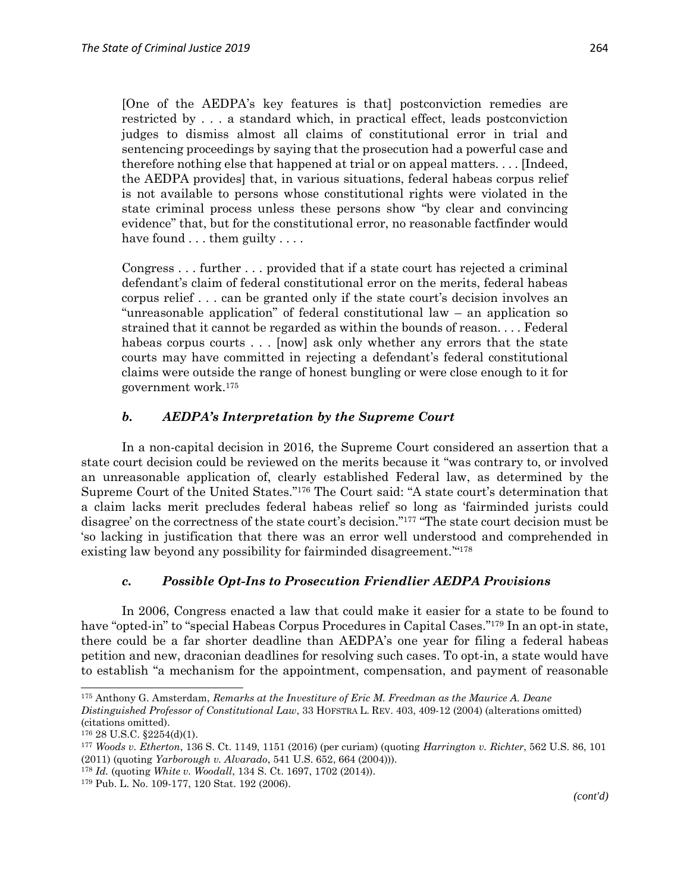[One of the AEDPA's key features is that] postconviction remedies are restricted by . . . a standard which, in practical effect, leads postconviction judges to dismiss almost all claims of constitutional error in trial and sentencing proceedings by saying that the prosecution had a powerful case and therefore nothing else that happened at trial or on appeal matters. . . . [Indeed, the AEDPA provides] that, in various situations, federal habeas corpus relief is not available to persons whose constitutional rights were violated in the state criminal process unless these persons show "by clear and convincing evidence" that, but for the constitutional error, no reasonable factfinder would have found . . . them guilty . . . .

Congress . . . further . . . provided that if a state court has rejected a criminal defendant's claim of federal constitutional error on the merits, federal habeas corpus relief . . . can be granted only if the state court's decision involves an "unreasonable application" of federal constitutional law – an application so strained that it cannot be regarded as within the bounds of reason. . . . Federal habeas corpus courts . . . [now] ask only whether any errors that the state courts may have committed in rejecting a defendant's federal constitutional claims were outside the range of honest bungling or were close enough to it for government work.<sup>175</sup>

### *b. AEDPA's Interpretation by the Supreme Court*

In a non-capital decision in 2016, the Supreme Court considered an assertion that a state court decision could be reviewed on the merits because it "was contrary to, or involved an unreasonable application of, clearly established Federal law, as determined by the Supreme Court of the United States." <sup>176</sup> The Court said: "A state court's determination that a claim lacks merit precludes federal habeas relief so long as 'fairminded jurists could disagree' on the correctness of the state court's decision." <sup>177</sup> "The state court decision must be 'so lacking in justification that there was an error well understood and comprehended in existing law beyond any possibility for fairminded disagreement."<sup>478</sup>

#### *c. Possible Opt-Ins to Prosecution Friendlier AEDPA Provisions*

In 2006, Congress enacted a law that could make it easier for a state to be found to have "opted-in" to "special Habeas Corpus Procedures in Capital Cases."<sup>179</sup> In an opt-in state, there could be a far shorter deadline than AEDPA's one year for filing a federal habeas petition and new, draconian deadlines for resolving such cases. To opt-in, a state would have to establish "a mechanism for the appointment, compensation, and payment of reasonable

<sup>175</sup> Anthony G. Amsterdam, *Remarks at the Investiture of Eric M. Freedman as the Maurice A. Deane Distinguished Professor of Constitutional Law*, 33 HOFSTRA L. REV. 403, 409-12 (2004) (alterations omitted) (citations omitted).

 $176$  28 U.S.C. §2254(d)(1).

<sup>177</sup> *Woods v. Etherton*, 136 S. Ct. 1149, 1151 (2016) (per curiam) (quoting *Harrington v. Richter*, 562 U.S. 86, 101 (2011) (quoting *Yarborough v. Alvarado*, 541 U.S. 652, 664 (2004))).

<sup>178</sup> *Id.* (quoting *White v. Woodall*, 134 S. Ct. 1697, 1702 (2014)).

<sup>179</sup> Pub. L. No. 109-177, 120 Stat. 192 (2006).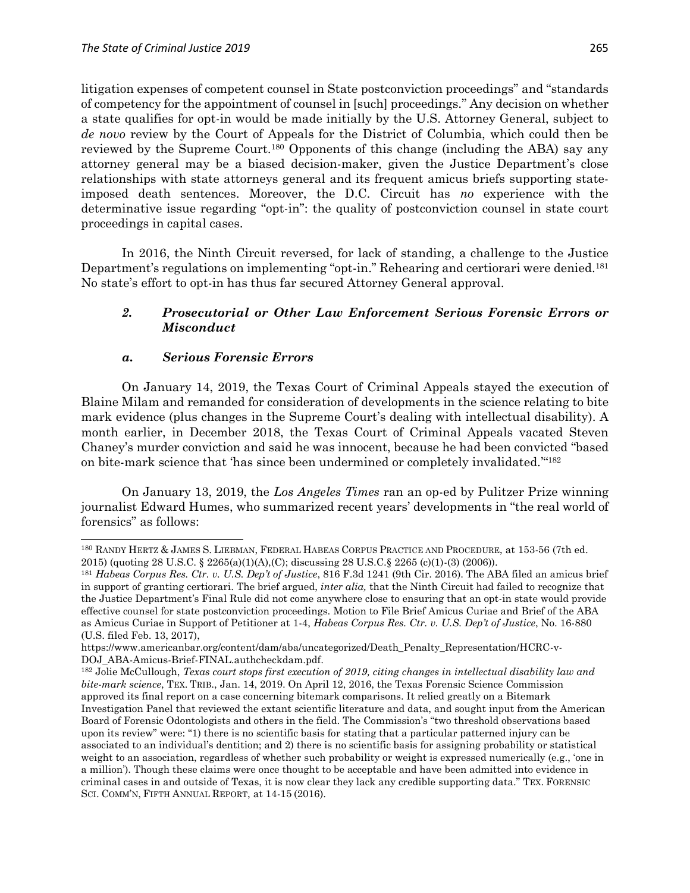litigation expenses of competent counsel in State postconviction proceedings" and "standards of competency for the appointment of counsel in [such] proceedings." Any decision on whether a state qualifies for opt-in would be made initially by the U.S. Attorney General, subject to *de novo* review by the Court of Appeals for the District of Columbia, which could then be reviewed by the Supreme Court.<sup>180</sup> Opponents of this change (including the ABA) say any attorney general may be a biased decision-maker, given the Justice Department's close relationships with state attorneys general and its frequent amicus briefs supporting stateimposed death sentences. Moreover, the D.C. Circuit has *no* experience with the determinative issue regarding "opt-in": the quality of postconviction counsel in state court proceedings in capital cases.

In 2016, the Ninth Circuit reversed, for lack of standing, a challenge to the Justice Department's regulations on implementing "opt-in." Rehearing and certiorari were denied.<sup>181</sup> No state's effort to opt-in has thus far secured Attorney General approval.

# *2. Prosecutorial or Other Law Enforcement Serious Forensic Errors or Misconduct*

### *a. Serious Forensic Errors*

 $\overline{a}$ 

On January 14, 2019, the Texas Court of Criminal Appeals stayed the execution of Blaine Milam and remanded for consideration of developments in the science relating to bite mark evidence (plus changes in the Supreme Court's dealing with intellectual disability). A month earlier, in December 2018, the Texas Court of Criminal Appeals vacated Steven Chaney's murder conviction and said he was innocent, because he had been convicted "based on bite-mark science that 'has since been undermined or completely invalidated.'" 182

On January 13, 2019, the *Los Angeles Times* ran an op-ed by Pulitzer Prize winning journalist Edward Humes, who summarized recent years' developments in "the real world of forensics" as follows:

<sup>180</sup> RANDY HERTZ & JAMES S. LIEBMAN, FEDERAL HABEAS CORPUS PRACTICE AND PROCEDURE, at 153-56 (7th ed. 2015) (quoting 28 U.S.C. § 2265(a)(1)(A),(C); discussing 28 U.S.C.§ 2265 (c)(1)-(3) (2006)).

<sup>181</sup> *Habeas Corpus Res. Ctr. v. U.S. Dep't of Justice*, 816 F.3d 1241 (9th Cir. 2016). The ABA filed an amicus brief in support of granting certiorari. The brief argued, *inter alia,* that the Ninth Circuit had failed to recognize that the Justice Department's Final Rule did not come anywhere close to ensuring that an opt-in state would provide effective counsel for state postconviction proceedings. Motion to File Brief Amicus Curiae and Brief of the ABA as Amicus Curiae in Support of Petitioner at 1-4, *Habeas Corpus Res. Ctr. v. U.S. Dep't of Justice*, No. 16-880 (U.S. filed Feb. 13, 2017),

https://www.americanbar.org/content/dam/aba/uncategorized/Death\_Penalty\_Representation/HCRC-v-DOJ\_ABA-Amicus-Brief-FINAL.authcheckdam.pdf.

<sup>182</sup> Jolie McCullough, *Texas court stops first execution of 2019, citing changes in intellectual disability law and bite-mark science*, TEX. TRIB., Jan. 14, 2019. On April 12, 2016, the Texas Forensic Science Commission approved its final report on a case concerning bitemark comparisons. It relied greatly on a Bitemark Investigation Panel that reviewed the extant scientific literature and data, and sought input from the American Board of Forensic Odontologists and others in the field. The Commission's "two threshold observations based upon its review" were: "1) there is no scientific basis for stating that a particular patterned injury can be associated to an individual's dentition; and 2) there is no scientific basis for assigning probability or statistical weight to an association, regardless of whether such probability or weight is expressed numerically (e.g., 'one in a million'). Though these claims were once thought to be acceptable and have been admitted into evidence in criminal cases in and outside of Texas, it is now clear they lack any credible supporting data." TEX. FORENSIC SCI. COMM'N, FIFTH ANNUAL REPORT, at 14-15 (2016).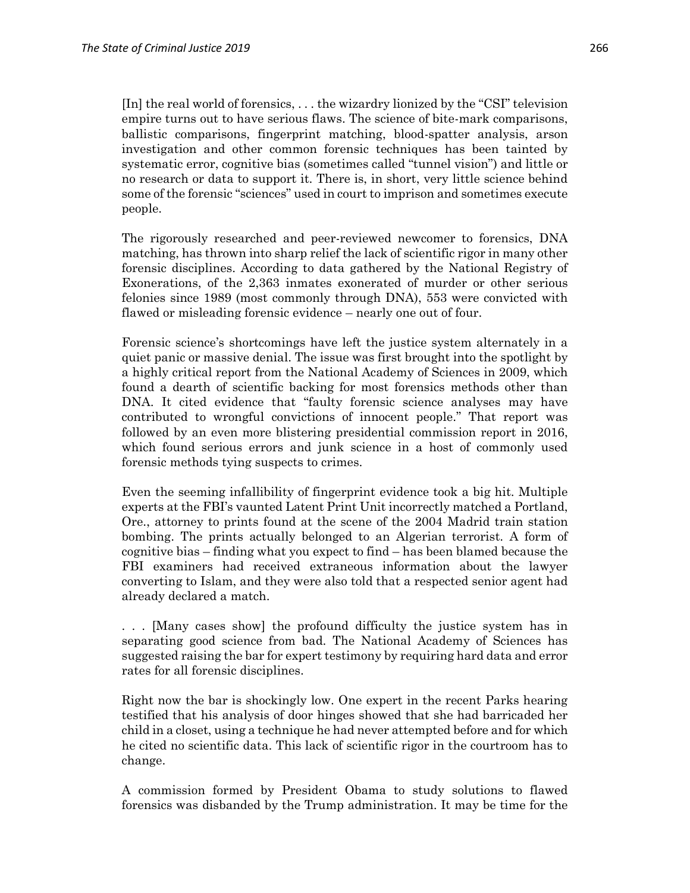[In] the real world of forensics, . . . the wizardry lionized by the "CSI" television empire turns out to have serious flaws. The science of bite-mark comparisons, ballistic comparisons, fingerprint matching, blood-spatter analysis, arson investigation and other common forensic techniques has been tainted by systematic error, cognitive bias (sometimes called "tunnel vision") and little or no research or data to support it. There is, in short, very little science behind some of the forensic "sciences" used in court to imprison and sometimes execute people.

The rigorously researched and peer-reviewed newcomer to forensics, DNA matching, has thrown into sharp relief the lack of scientific rigor in many other forensic disciplines. According to data gathered by the National Registry of Exonerations, of the 2,363 inmates exonerated of murder or other serious felonies since 1989 (most commonly through DNA), 553 were convicted with flawed or misleading forensic evidence – nearly one out of four.

Forensic science's shortcomings have left the justice system alternately in a quiet panic or massive denial. The issue was first brought into the spotlight by a highly critical report from the National Academy of Sciences in 2009, which found a dearth of scientific backing for most forensics methods other than DNA. It cited evidence that "faulty forensic science analyses may have contributed to wrongful convictions of innocent people." That report was followed by an even more blistering presidential commission report in 2016, which found serious errors and junk science in a host of commonly used forensic methods tying suspects to crimes.

Even the seeming infallibility of fingerprint evidence took a big hit. Multiple experts at the FBI's vaunted Latent Print Unit incorrectly matched a Portland, Ore., attorney to prints found at the scene of the 2004 Madrid train station bombing. The prints actually belonged to an Algerian terrorist. A form of cognitive bias – finding what you expect to find – has been blamed because the FBI examiners had received extraneous information about the lawyer converting to Islam, and they were also told that a respected senior agent had already declared a match.

. . . [Many cases show] the profound difficulty the justice system has in separating good science from bad. The National Academy of Sciences has suggested raising the bar for expert testimony by requiring hard data and error rates for all forensic disciplines.

Right now the bar is shockingly low. One expert in the recent Parks hearing testified that his analysis of door hinges showed that she had barricaded her child in a closet, using a technique he had never attempted before and for which he cited no scientific data. This lack of scientific rigor in the courtroom has to change.

A commission formed by President Obama to study solutions to flawed forensics was disbanded by the Trump administration. It may be time for the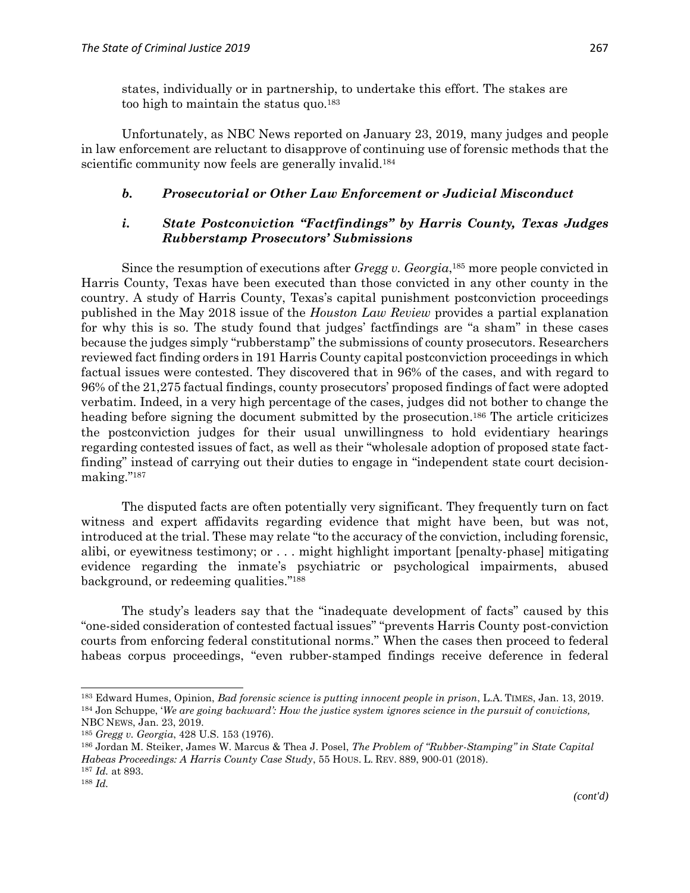states, individually or in partnership, to undertake this effort. The stakes are too high to maintain the status quo.<sup>183</sup>

Unfortunately, as NBC News reported on January 23, 2019, many judges and people in law enforcement are reluctant to disapprove of continuing use of forensic methods that the scientific community now feels are generally invalid.<sup>184</sup>

### *b. Prosecutorial or Other Law Enforcement or Judicial Misconduct*

## *i. State Postconviction "Factfindings" by Harris County, Texas Judges Rubberstamp Prosecutors' Submissions*

Since the resumption of executions after *Gregg v. Georgia*, <sup>185</sup> more people convicted in Harris County, Texas have been executed than those convicted in any other county in the country. A study of Harris County, Texas's capital punishment postconviction proceedings published in the May 2018 issue of the *Houston Law Review* provides a partial explanation for why this is so. The study found that judges' factfindings are "a sham" in these cases because the judges simply "rubberstamp" the submissions of county prosecutors. Researchers reviewed fact finding orders in 191 Harris County capital postconviction proceedings in which factual issues were contested. They discovered that in 96% of the cases, and with regard to 96% of the 21,275 factual findings, county prosecutors' proposed findings of fact were adopted verbatim. Indeed, in a very high percentage of the cases, judges did not bother to change the heading before signing the document submitted by the prosecution.<sup>186</sup> The article criticizes the postconviction judges for their usual unwillingness to hold evidentiary hearings regarding contested issues of fact, as well as their "wholesale adoption of proposed state factfinding" instead of carrying out their duties to engage in "independent state court decisionmaking." 187

The disputed facts are often potentially very significant. They frequently turn on fact witness and expert affidavits regarding evidence that might have been, but was not, introduced at the trial. These may relate "to the accuracy of the conviction, including forensic, alibi, or eyewitness testimony; or . . . might highlight important [penalty-phase] mitigating evidence regarding the inmate's psychiatric or psychological impairments, abused background, or redeeming qualities." 188

The study's leaders say that the "inadequate development of facts" caused by this "one-sided consideration of contested factual issues" "prevents Harris County post-conviction courts from enforcing federal constitutional norms." When the cases then proceed to federal habeas corpus proceedings, "even rubber-stamped findings receive deference in federal

 $\overline{\phantom{a}}$ 

<sup>183</sup> Edward Humes, Opinion, *Bad forensic science is putting innocent people in prison*, L.A. TIMES, Jan. 13, 2019. <sup>184</sup> Jon Schuppe, '*We are going backward': How the justice system ignores science in the pursuit of convictions,*  NBC NEWS, Jan. 23, 2019.

<sup>185</sup> *Gregg v. Georgia*, 428 U.S. 153 (1976).

<sup>186</sup> Jordan M. Steiker, James W. Marcus & Thea J. Posel, *The Problem of "Rubber-Stamping" in State Capital Habeas Proceedings: A Harris County Case Study*, 55 HOUS. L. REV. 889, 900-01 (2018). <sup>187</sup> *Id.* at 893.

<sup>188</sup> *Id.*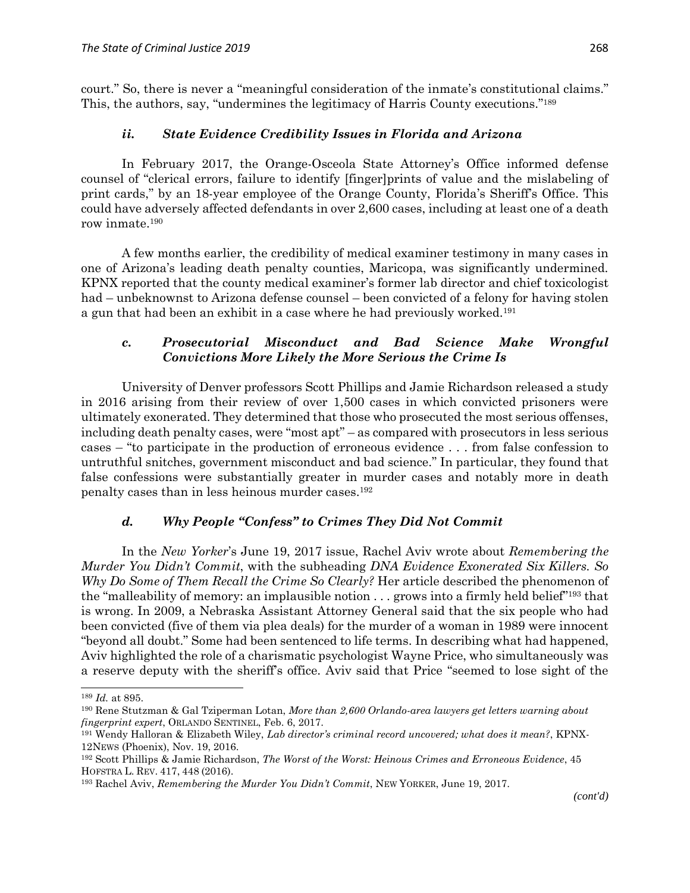court." So, there is never a "meaningful consideration of the inmate's constitutional claims." This, the authors, say, "undermines the legitimacy of Harris County executions." 189

### *ii. State Evidence Credibility Issues in Florida and Arizona*

In February 2017, the Orange-Osceola State Attorney's Office informed defense counsel of "clerical errors, failure to identify [finger]prints of value and the mislabeling of print cards," by an 18-year employee of the Orange County, Florida's Sheriff's Office. This could have adversely affected defendants in over 2,600 cases, including at least one of a death row inmate.<sup>190</sup>

A few months earlier, the credibility of medical examiner testimony in many cases in one of Arizona's leading death penalty counties, Maricopa, was significantly undermined. KPNX reported that the county medical examiner's former lab director and chief toxicologist had – unbeknownst to Arizona defense counsel – been convicted of a felony for having stolen a gun that had been an exhibit in a case where he had previously worked.<sup>191</sup>

## *c. Prosecutorial Misconduct and Bad Science Make Wrongful Convictions More Likely the More Serious the Crime Is*

University of Denver professors Scott Phillips and Jamie Richardson released a study in 2016 arising from their review of over 1,500 cases in which convicted prisoners were ultimately exonerated. They determined that those who prosecuted the most serious offenses, including death penalty cases, were "most apt" – as compared with prosecutors in less serious cases – "to participate in the production of erroneous evidence . . . from false confession to untruthful snitches, government misconduct and bad science." In particular, they found that false confessions were substantially greater in murder cases and notably more in death penalty cases than in less heinous murder cases.<sup>192</sup>

## *d. Why People "Confess" to Crimes They Did Not Commit*

In the *New Yorker*'s June 19, 2017 issue, Rachel Aviv wrote about *Remembering the Murder You Didn't Commit*, with the subheading *DNA Evidence Exonerated Six Killers. So Why Do Some of Them Recall the Crime So Clearly?* Her article described the phenomenon of the "malleability of memory: an implausible notion . . . grows into a firmly held belief"<sup>193</sup> that is wrong. In 2009, a Nebraska Assistant Attorney General said that the six people who had been convicted (five of them via plea deals) for the murder of a woman in 1989 were innocent "beyond all doubt." Some had been sentenced to life terms. In describing what had happened, Aviv highlighted the role of a charismatic psychologist Wayne Price, who simultaneously was a reserve deputy with the sheriff's office. Aviv said that Price "seemed to lose sight of the

 $\overline{\phantom{a}}$ 

<sup>189</sup> *Id.* at 895.

<sup>190</sup> Rene Stutzman & Gal Tziperman Lotan, *More than 2,600 Orlando-area lawyers get letters warning about fingerprint expert*, ORLANDO SENTINEL, Feb. 6, 2017.

<sup>191</sup> Wendy Halloran & Elizabeth Wiley, *Lab director's criminal record uncovered; what does it mean?*, KPNX-12NEWS (Phoenix), Nov. 19, 2016.

<sup>192</sup> Scott Phillips & Jamie Richardson, *[The Worst of the Worst: Heinous Crimes and Erroneous Evidence](https://deathpenaltyinfo.org/images/PhillipsRichardsonArticle.pdf)*, 45 HOFSTRA L. REV. 417, 448 (2016).

<sup>193</sup> Rachel Aviv, *Remembering the Murder You Didn't Commit*, NEW YORKER, June 19, 2017.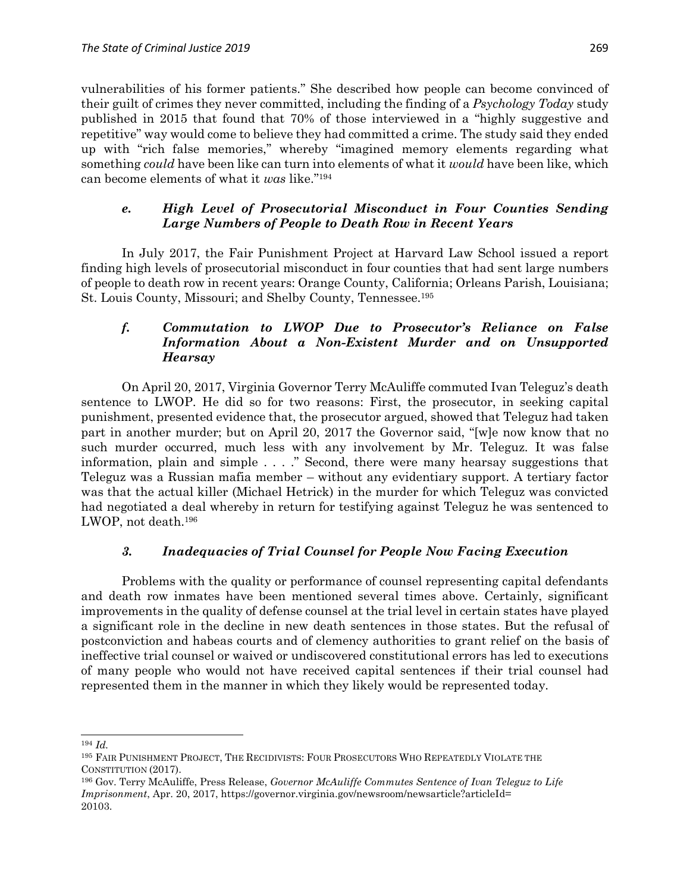vulnerabilities of his former patients." She described how people can become convinced of their guilt of crimes they never committed, including the finding of a *Psychology Today* study published in 2015 that found that 70% of those interviewed in a "highly suggestive and repetitive" way would come to believe they had committed a crime. The study said they ended up with "rich false memories," whereby "imagined memory elements regarding what something *could* have been like can turn into elements of what it *would* have been like, which can become elements of what it *was* like." 194

# *e. High Level of Prosecutorial Misconduct in Four Counties Sending Large Numbers of People to Death Row in Recent Years*

In July 2017, the Fair Punishment Project at Harvard Law School issued a report finding high levels of prosecutorial misconduct in four counties that had sent large numbers of people to death row in recent years: Orange County, California; Orleans Parish, Louisiana; St. Louis County, Missouri; and Shelby County, Tennessee. 195

# *f. Commutation to LWOP Due to Prosecutor's Reliance on False Information About a Non-Existent Murder and on Unsupported Hearsay*

On April 20, 2017, Virginia Governor Terry McAuliffe commuted Ivan Teleguz's death sentence to LWOP. He did so for two reasons: First, the prosecutor, in seeking capital punishment, presented evidence that, the prosecutor argued, showed that Teleguz had taken part in another murder; but on April 20, 2017 the Governor said, "[w]e now know that no such murder occurred, much less with any involvement by Mr. Teleguz. It was false information, plain and simple . . . ." Second, there were many hearsay suggestions that Teleguz was a Russian mafia member – without any evidentiary support. A tertiary factor was that the actual killer (Michael Hetrick) in the murder for which Teleguz was convicted had negotiated a deal whereby in return for testifying against Teleguz he was sentenced to LWOP, not death.<sup>196</sup>

# *3. Inadequacies of Trial Counsel for People Now Facing Execution*

Problems with the quality or performance of counsel representing capital defendants and death row inmates have been mentioned several times above. Certainly, significant improvements in the quality of defense counsel at the trial level in certain states have played a significant role in the decline in new death sentences in those states. But the refusal of postconviction and habeas courts and of clemency authorities to grant relief on the basis of ineffective trial counsel or waived or undiscovered constitutional errors has led to executions of many people who would not have received capital sentences if their trial counsel had represented them in the manner in which they likely would be represented today.

 $\overline{a}$ <sup>194</sup> *Id.*

<sup>195</sup> FAIR PUNISHMENT PROJECT, THE RECIDIVISTS: FOUR PROSECUTORS WHO REPEATEDLY VIOLATE THE CONSTITUTION (2017).

<sup>196</sup> Gov. Terry McAuliffe, Press Release, *Governor McAuliffe Commutes Sentence of Ivan Teleguz to Life Imprisonment*, Apr. 20, 2017, https://governor.virginia.gov/newsroom/newsarticle?articleId= 20103.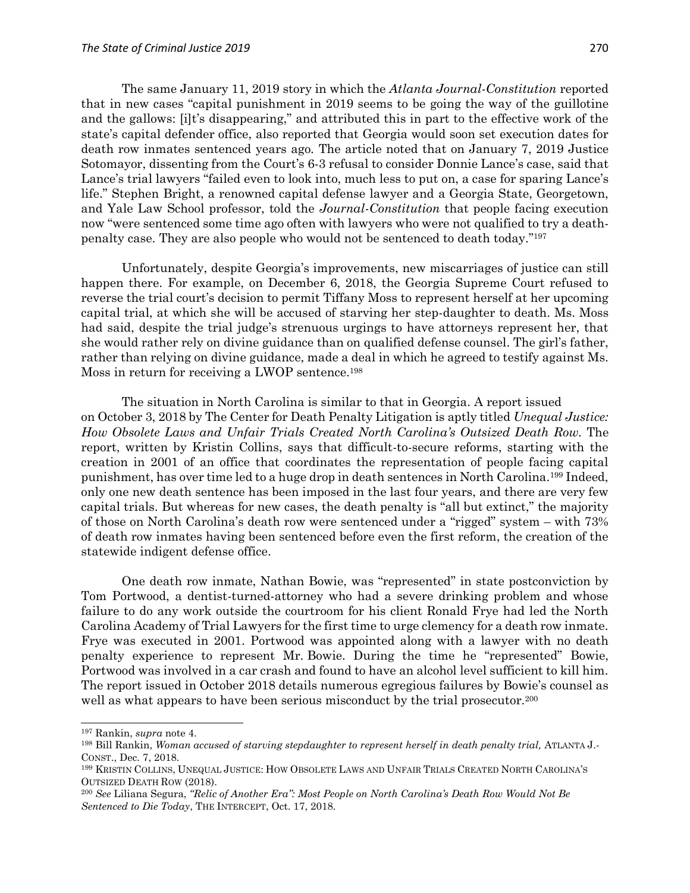The same January 11, 2019 story in which the *Atlanta Journal-Constitution* reported that in new cases "capital punishment in 2019 seems to be going the way of the guillotine and the gallows: [i]t's disappearing," and attributed this in part to the effective work of the state's capital defender office, also reported that Georgia would soon set execution dates for death row inmates sentenced years ago. The article noted that on January 7, 2019 Justice Sotomayor, dissenting from the Court's 6-3 refusal to consider Donnie Lance's case, said that Lance's trial lawyers "failed even to look into, much less to put on, a case for sparing Lance's life." Stephen Bright, a renowned capital defense lawyer and a Georgia State, Georgetown, and Yale Law School professor, told the *Journal-Constitution* that people facing execution now "were sentenced some time ago often with lawyers who were not qualified to try a deathpenalty case. They are also people who would not be sentenced to death today." 197

Unfortunately, despite Georgia's improvements, new miscarriages of justice can still happen there. For example, on December 6, 2018, the Georgia Supreme Court refused to reverse the trial court's decision to permit Tiffany Moss to represent herself at her upcoming capital trial, at which she will be accused of starving her step-daughter to death. Ms. Moss had said, despite the trial judge's strenuous urgings to have attorneys represent her, that she would rather rely on divine guidance than on qualified defense counsel. The girl's father, rather than relying on divine guidance, made a deal in which he agreed to testify against Ms. Moss in return for receiving a LWOP sentence.<sup>198</sup>

The situation in North Carolina is similar to that in Georgia. A report issued on October 3, 2018 by The Center for Death Penalty Litigation is aptly titled *Unequal Justice: How Obsolete Laws and Unfair Trials Created North Carolina's Outsized Death Row.* The report, written by Kristin Collins, says that difficult-to-secure reforms, starting with the creation in 2001 of an office that coordinates the representation of people facing capital punishment, has over time led to a huge drop in death sentences in North Carolina.<sup>199</sup> Indeed, only one new death sentence has been imposed in the last four years, and there are very few capital trials. But whereas for new cases, the death penalty is "all but extinct," the majority of those on North Carolina's death row were sentenced under a "rigged" system – with 73% of death row inmates having been sentenced before even the first reform, the creation of the statewide indigent defense office.

One death row inmate, Nathan Bowie, was "represented" in state postconviction by Tom Portwood, a dentist-turned-attorney who had a severe drinking problem and whose failure to do any work outside the courtroom for his client Ronald Frye had led the North Carolina Academy of Trial Lawyers for the first time to urge clemency for a death row inmate. Frye was executed in 2001. Portwood was appointed along with a lawyer with no death penalty experience to represent Mr. Bowie. During the time he "represented" Bowie, Portwood was involved in a car crash and found to have an alcohol level sufficient to kill him. The report issued in October 2018 details numerous egregious failures by Bowie's counsel as well as what appears to have been serious misconduct by the trial prosecutor.<sup>200</sup>

<sup>197</sup> Rankin, *supra* note 4.

<sup>&</sup>lt;sup>198</sup> Bill Rankin, *Woman accused of starving stepdaughter to represent herself in death penalty trial, ATLANTA J.-*CONST., Dec. 7, 2018.

<sup>199</sup> KRISTIN COLLINS, UNEQUAL JUSTICE: HOW OBSOLETE LAWS AND UNFAIR TRIALS CREATED NORTH CAROLINA'S OUTSIZED DEATH ROW (2018).

<sup>200</sup> *See* Liliana Segura, *"Relic of Another Era": Most People on North Carolina's Death Row Would Not Be Sentenced to Die Today*, THE INTERCEPT, Oct. 17, 2018.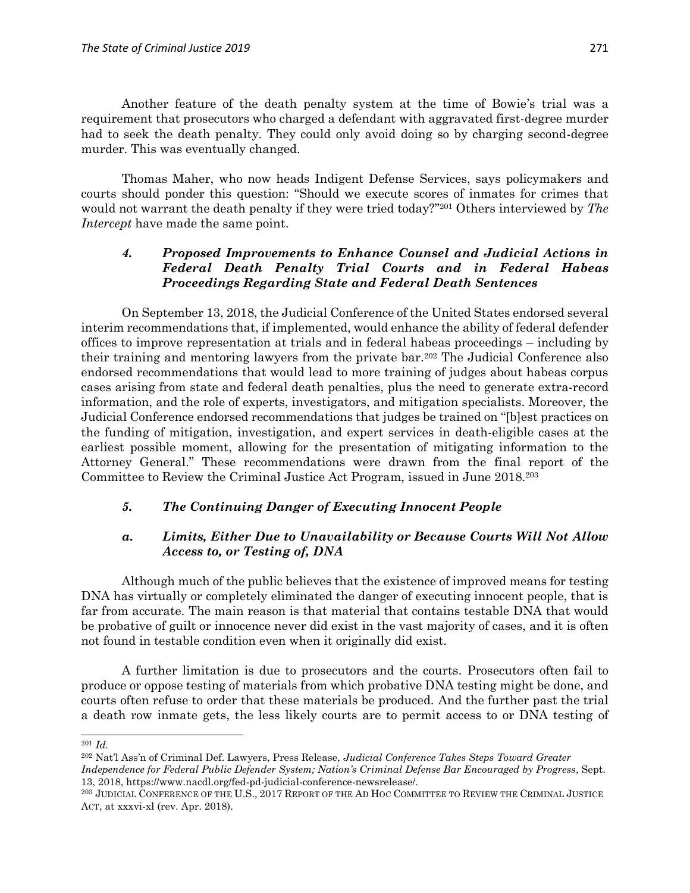Another feature of the death penalty system at the time of Bowie's trial was a requirement that prosecutors who charged a defendant with aggravated first-degree murder had to seek the death penalty. They could only avoid doing so by charging second-degree murder. This was eventually changed.

Thomas Maher, who now heads Indigent Defense Services, says policymakers and courts should ponder this question: "Should we execute scores of inmates for crimes that would not warrant the death penalty if they were tried today?" <sup>201</sup> Others interviewed by *The Intercept* have made the same point.

# *4. Proposed Improvements to Enhance Counsel and Judicial Actions in Federal Death Penalty Trial Courts and in Federal Habeas Proceedings Regarding State and Federal Death Sentences*

On September 13, 2018, the Judicial Conference of the United States endorsed several interim recommendations that, if implemented, would enhance the ability of federal defender offices to improve representation at trials and in federal habeas proceedings – including by their training and mentoring lawyers from the private bar.<sup>202</sup> The Judicial Conference also endorsed recommendations that would lead to more training of judges about habeas corpus cases arising from state and federal death penalties, plus the need to generate extra-record information, and the role of experts, investigators, and mitigation specialists. Moreover, the Judicial Conference endorsed recommendations that judges be trained on "[b]est practices on the funding of mitigation, investigation, and expert services in death-eligible cases at the earliest possible moment, allowing for the presentation of mitigating information to the Attorney General." These recommendations were drawn from the final report of the Committee to Review the Criminal Justice Act Program, issued in June 2018.<sup>203</sup>

# *5. The Continuing Danger of Executing Innocent People*

# *a. Limits, Either Due to Unavailability or Because Courts Will Not Allow Access to, or Testing of, DNA*

Although much of the public believes that the existence of improved means for testing DNA has virtually or completely eliminated the danger of executing innocent people, that is far from accurate. The main reason is that material that contains testable DNA that would be probative of guilt or innocence never did exist in the vast majority of cases, and it is often not found in testable condition even when it originally did exist.

A further limitation is due to prosecutors and the courts. Prosecutors often fail to produce or oppose testing of materials from which probative DNA testing might be done, and courts often refuse to order that these materials be produced. And the further past the trial a death row inmate gets, the less likely courts are to permit access to or DNA testing of

 $\overline{a}$ <sup>201</sup> *Id.*

<sup>202</sup> Nat'l Ass'n of Criminal Def. Lawyers, Press Release, *Judicial Conference Takes Steps Toward Greater* 

*Independence for Federal Public Defender System; Nation's Criminal Defense Bar Encouraged by Progress*, Sept. 13, 2018, https://www.nacdl.org/fed-pd-judicial-conference-newsrelease/.

<sup>203</sup> JUDICIAL CONFERENCE OF THE U.S., 2017 REPORT OF THE AD HOC COMMITTEE TO REVIEW THE CRIMINAL JUSTICE ACT, at xxxvi-xl (rev. Apr. 2018).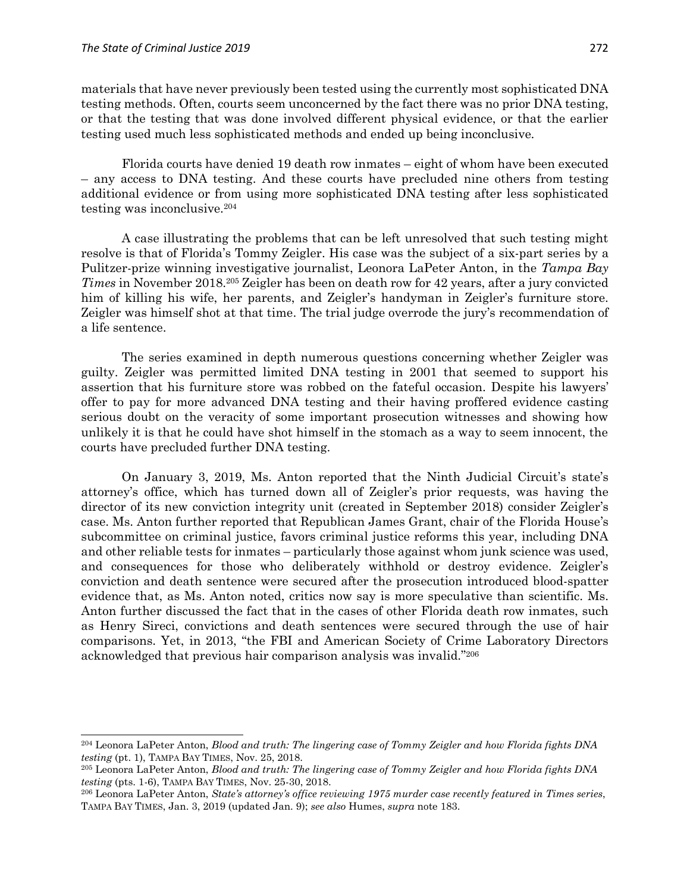$\overline{a}$ 

materials that have never previously been tested using the currently most sophisticated DNA testing methods. Often, courts seem unconcerned by the fact there was no prior DNA testing, or that the testing that was done involved different physical evidence, or that the earlier testing used much less sophisticated methods and ended up being inconclusive.

Florida courts have denied 19 death row inmates – eight of whom have been executed – any access to DNA testing. And these courts have precluded nine others from testing additional evidence or from using more sophisticated DNA testing after less sophisticated testing was inconclusive.<sup>204</sup>

A case illustrating the problems that can be left unresolved that such testing might resolve is that of Florida's Tommy Zeigler. His case was the subject of a six-part series by a Pulitzer-prize winning investigative journalist, Leonora LaPeter Anton, in the *Tampa Bay Times* in November 2018.<sup>205</sup> Zeigler has been on death row for 42 years, after a jury convicted him of killing his wife, her parents, and Zeigler's handyman in Zeigler's furniture store. Zeigler was himself shot at that time. The trial judge overrode the jury's recommendation of a life sentence.

The series examined in depth numerous questions concerning whether Zeigler was guilty. Zeigler was permitted limited DNA testing in 2001 that seemed to support his assertion that his furniture store was robbed on the fateful occasion. Despite his lawyers' offer to pay for more advanced DNA testing and their having proffered evidence casting serious doubt on the veracity of some important prosecution witnesses and showing how unlikely it is that he could have shot himself in the stomach as a way to seem innocent, the courts have precluded further DNA testing.

On January 3, 2019, Ms. Anton reported that the Ninth Judicial Circuit's state's attorney's office, which has turned down all of Zeigler's prior requests, was having the director of its new conviction integrity unit (created in September 2018) consider Zeigler's case. Ms. Anton further reported that Republican James Grant, chair of the Florida House's subcommittee on criminal justice, favors criminal justice reforms this year, including DNA and other reliable tests for inmates – particularly those against whom junk science was used, and consequences for those who deliberately withhold or destroy evidence. Zeigler's conviction and death sentence were secured after the prosecution introduced blood-spatter evidence that, as Ms. Anton noted, critics now say is more speculative than scientific. Ms. Anton further discussed the fact that in the cases of other Florida death row inmates, such as Henry Sireci, convictions and death sentences were secured through the use of hair comparisons. Yet, in 2013, "the FBI and American Society of Crime Laboratory Directors acknowledged that previous hair comparison analysis was invalid." 206

<sup>204</sup> Leonora LaPeter Anton, *Blood and truth: The lingering case of Tommy Zeigler and how Florida fights DNA testing* (pt. 1), TAMPA BAY TIMES, Nov. 25, 2018.

<sup>205</sup> Leonora LaPeter Anton, *Blood and truth: The lingering case of Tommy Zeigler and how Florida fights DNA testing* (pts. 1-6), TAMPA BAY TIMES, Nov. 25-30, 2018.

<sup>206</sup> Leonora LaPeter Anton, *State's attorney's office reviewing 1975 murder case recently featured in Times series*, TAMPA BAY TIMES, Jan. 3, 2019 (updated Jan. 9); *see also* Humes, *supra* note 183.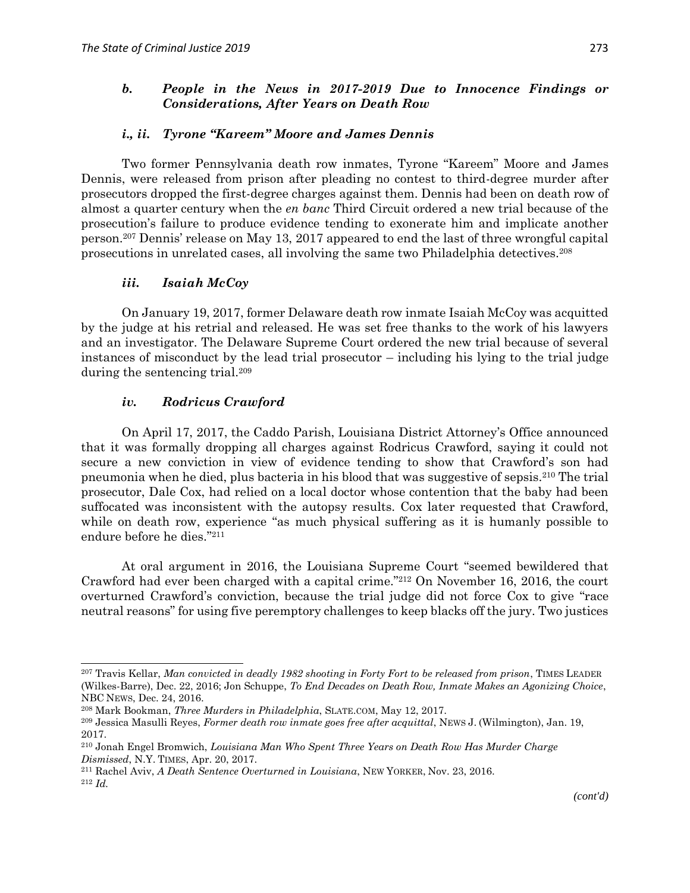### *b. People in the News in 2017-2019 Due to Innocence Findings or Considerations, After Years on Death Row*

#### *i., ii. Tyrone "Kareem" Moore and James Dennis*

Two former Pennsylvania death row inmates, Tyrone "Kareem" Moore and James Dennis, were released from prison after pleading no contest to third-degree murder after prosecutors dropped the first-degree charges against them. Dennis had been on death row of almost a quarter century when the *en banc* Third Circuit ordered a new trial because of the prosecution's failure to produce evidence tending to exonerate him and implicate another person.<sup>207</sup> Dennis' release on May 13, 2017 appeared to end the last of three wrongful capital prosecutions in unrelated cases, all involving the same two Philadelphia detectives.<sup>208</sup>

#### *iii. Isaiah McCoy*

On January 19, 2017, former Delaware death row inmate Isaiah McCoy was acquitted by the judge at his retrial and released. He was set free thanks to the work of his lawyers and an investigator. The Delaware Supreme Court ordered the new trial because of several instances of misconduct by the lead trial prosecutor – including his lying to the trial judge during the sentencing trial.<sup>209</sup>

### *iv. Rodricus Crawford*

 $\overline{a}$ 

On April 17, 2017, the Caddo Parish, Louisiana District Attorney's Office announced that it was formally dropping all charges against Rodricus Crawford, saying it could not secure a new conviction in view of evidence tending to show that Crawford's son had pneumonia when he died, plus bacteria in his blood that was suggestive of sepsis.<sup>210</sup> The trial prosecutor, Dale Cox, had relied on a local doctor whose contention that the baby had been suffocated was inconsistent with the autopsy results. Cox later requested that Crawford, while on death row, experience "as much physical suffering as it is humanly possible to endure before he dies." 211

At oral argument in 2016, the Louisiana Supreme Court "seemed bewildered that Crawford had ever been charged with a capital crime."<sup>212</sup> On November 16, 2016, the court overturned Crawford's conviction, because the trial judge did not force Cox to give "race neutral reasons" for using five peremptory challenges to keep blacks off the jury. Two justices

<sup>207</sup> Travis Kellar, *Man convicted in deadly 1982 shooting in Forty Fort to be released from prison*, TIMES LEADER (Wilkes-Barre), Dec. 22, 2016; Jon Schuppe, *To End Decades on Death Row, Inmate Makes an Agonizing Choice*, NBC NEWS, Dec. 24, 2016.

<sup>208</sup> Mark Bookman, *Three Murders in Philadelphia*, SLATE.COM, May 12, 2017.

<sup>209</sup> Jessica Masulli Reyes, *Former death row inmate goes free after acquittal*, NEWS J. (Wilmington), Jan. 19, 2017.

<sup>210</sup> Jonah Engel Bromwich, *Louisiana Man Who Spent Three Years on Death Row Has Murder Charge Dismissed*, N.Y. TIMES, Apr. 20, 2017.

<sup>211</sup> Rachel Aviv, *A Death Sentence Overturned in Louisiana*, NEW YORKER, Nov. 23, 2016. <sup>212</sup> *Id.*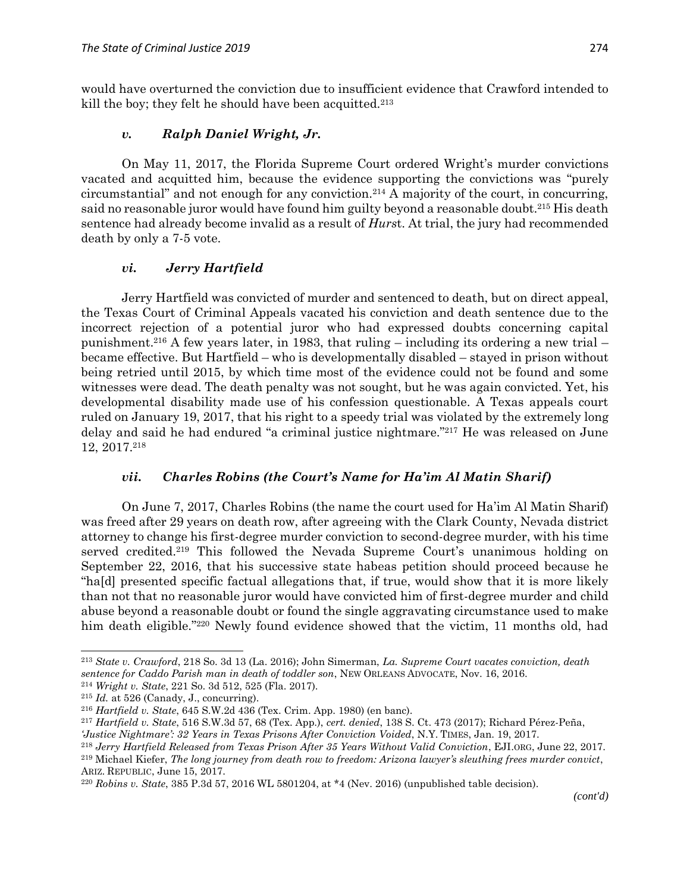would have overturned the conviction due to insufficient evidence that Crawford intended to kill the boy; they felt he should have been acquitted.<sup>213</sup>

#### *v. Ralph Daniel Wright, Jr.*

On May 11, 2017, the Florida Supreme Court ordered Wright's murder convictions vacated and acquitted him, because the evidence supporting the convictions was "purely circumstantial" and not enough for any conviction.<sup>214</sup> A majority of the court, in concurring, said no reasonable juror would have found him guilty beyond a reasonable doubt.<sup>215</sup> His death sentence had already become invalid as a result of *Hurs*t. At trial, the jury had recommended death by only a 7-5 vote.

#### *vi. Jerry Hartfield*

Jerry Hartfield was convicted of murder and sentenced to death, but on direct appeal, the Texas Court of Criminal Appeals vacated his conviction and death sentence due to the incorrect rejection of a potential juror who had expressed doubts concerning capital punishment.<sup>216</sup> A few years later, in 1983, that ruling – including its ordering a new trial – became effective. But Hartfield – who is developmentally disabled – stayed in prison without being retried until 2015, by which time most of the evidence could not be found and some witnesses were dead. The death penalty was not sought, but he was again convicted. Yet, his developmental disability made use of his confession questionable. A Texas appeals court ruled on January 19, 2017, that his right to a speedy trial was violated by the extremely long delay and said he had endured "a criminal justice nightmare." <sup>217</sup> He was released on June 12, 2017.<sup>218</sup>

#### *vii. Charles Robins (the Court's Name for Ha'im Al Matin Sharif)*

On June 7, 2017, Charles Robins (the name the court used for Ha'im Al Matin Sharif) was freed after 29 years on death row, after agreeing with the Clark County, Nevada district attorney to change his first-degree murder conviction to second-degree murder, with his time served credited.<sup>219</sup> This followed the Nevada Supreme Court's unanimous holding on September 22, 2016, that his successive state habeas petition should proceed because he "ha[d] presented specific factual allegations that, if true, would show that it is more likely than not that no reasonable juror would have convicted him of first-degree murder and child abuse beyond a reasonable doubt or found the single aggravating circumstance used to make him death eligible."<sup>220</sup> Newly found evidence showed that the victim, 11 months old, had

 $\overline{\phantom{a}}$ 

<sup>213</sup> *State v. Crawford*, 218 So. 3d 13 (La. 2016); John Simerman, *La. Supreme Court vacates conviction, death sentence for Caddo Parish man in death of toddler son*, NEW ORLEANS ADVOCATE, Nov. 16, 2016.

<sup>214</sup> *Wright v. State*, 221 So. 3d 512, 525 (Fla. 2017).

<sup>215</sup> *Id.* at 526 (Canady, J., concurring).

<sup>216</sup> *Hartfield v. State*, 645 S.W.2d 436 (Tex. Crim. App. 1980) (en banc).

<sup>217</sup> *Hartfield v. State*, 516 S.W.3d 57, 68 (Tex. App.), *cert. denied*, 138 S. Ct. 473 (2017); Richard Pérez-Peña, *'Justice Nightmare': 32 Years in Texas Prisons After Conviction Voided*, N.Y. TIMES, Jan. 19, 2017.

<sup>218</sup> *Jerry Hartfield Released from Texas Prison After 35 Years Without Valid Conviction*, EJI.ORG, June 22, 2017.

<sup>219</sup> Michael Kiefer, *The long journey from death row to freedom: Arizona lawyer's sleuthing frees murder convict*, ARIZ. REPUBLIC, June 15, 2017.

<sup>220</sup> *Robins v. State*, 385 P.3d 57, 2016 WL 5801204, at \*4 (Nev. 2016) (unpublished table decision).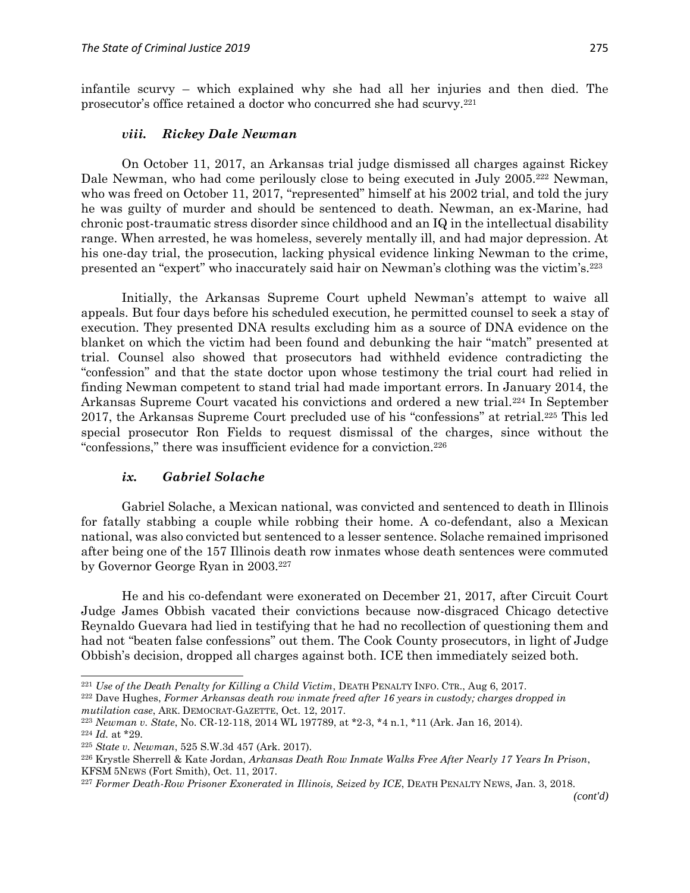infantile scurvy – which explained why she had all her injuries and then died. The prosecutor's office retained a doctor who concurred she had scurvy.<sup>221</sup>

#### *viii. Rickey Dale Newman*

On October 11, 2017, an Arkansas trial judge dismissed all charges against Rickey Dale Newman, who had come perilously close to being executed in July 2005.<sup>222</sup> Newman, who was freed on October 11, 2017, "represented" himself at his 2002 trial, and told the jury he was guilty of murder and should be sentenced to death. Newman, an ex-Marine, had chronic post-traumatic stress disorder since childhood and an IQ in the intellectual disability range. When arrested, he was homeless, severely mentally ill, and had major depression. At his one-day trial, the prosecution, lacking physical evidence linking Newman to the crime, presented an "expert" who inaccurately said hair on Newman's clothing was the victim's.<sup>223</sup>

Initially, the Arkansas Supreme Court upheld Newman's attempt to waive all appeals. But four days before his scheduled execution, he permitted counsel to seek a stay of execution. They presented DNA results excluding him as a source of DNA evidence on the blanket on which the victim had been found and debunking the hair "match" presented at trial. Counsel also showed that prosecutors had withheld evidence contradicting the "confession" and that the state doctor upon whose testimony the trial court had relied in finding Newman competent to stand trial had made important errors. In January 2014, the Arkansas Supreme Court vacated his convictions and ordered a new trial.<sup>224</sup> In September 2017, the Arkansas Supreme Court precluded use of his "confessions" at retrial.<sup>225</sup> This led special prosecutor Ron Fields to request dismissal of the charges, since without the "confessions," there was insufficient evidence for a conviction.<sup>226</sup>

#### *ix. Gabriel Solache*

Gabriel Solache, a Mexican national, was convicted and sentenced to death in Illinois for fatally stabbing a couple while robbing their home. A co-defendant, also a Mexican national, was also convicted but sentenced to a lesser sentence. Solache remained imprisoned after being one of the 157 Illinois death row inmates whose death sentences were commuted by Governor George Ryan in 2003.<sup>227</sup>

He and his co-defendant were exonerated on December 21, 2017, after Circuit Court Judge James Obbish vacated their convictions because now-disgraced Chicago detective Reynaldo Guevara had lied in testifying that he had no recollection of questioning them and had not "beaten false confessions" out them. The Cook County prosecutors, in light of Judge Obbish's decision, dropped all charges against both. ICE then immediately seized both.

 $\overline{\phantom{a}}$ 

<sup>221</sup> *Use of the Death Penalty for Killing a Child Victim*, DEATH PENALTY INFO. CTR., Aug 6, 2017.

<sup>222</sup> Dave Hughes, *Former Arkansas death row inmate freed after 16 years in custody; charges dropped in mutilation case*, ARK. DEMOCRAT-GAZETTE, Oct. 12, 2017.

<sup>223</sup> *Newman v. State*, No. CR-12-118, 2014 WL 197789, at \*2-3, \*4 n.1, \*11 (Ark. Jan 16, 2014).

 $224$  *Id.* at \*29.

<sup>225</sup> *State v. Newman*, 525 S.W.3d 457 (Ark. 2017).

<sup>226</sup> Krystle Sherrell & Kate Jordan, *Arkansas Death Row Inmate Walks Free After Nearly 17 Years In Prison*, KFSM 5NEWS (Fort Smith), Oct. 11, 2017.

<sup>227</sup> *Former Death-Row Prisoner Exonerated in Illinois, Seized by ICE*, DEATH PENALTY NEWS, Jan. 3, 2018.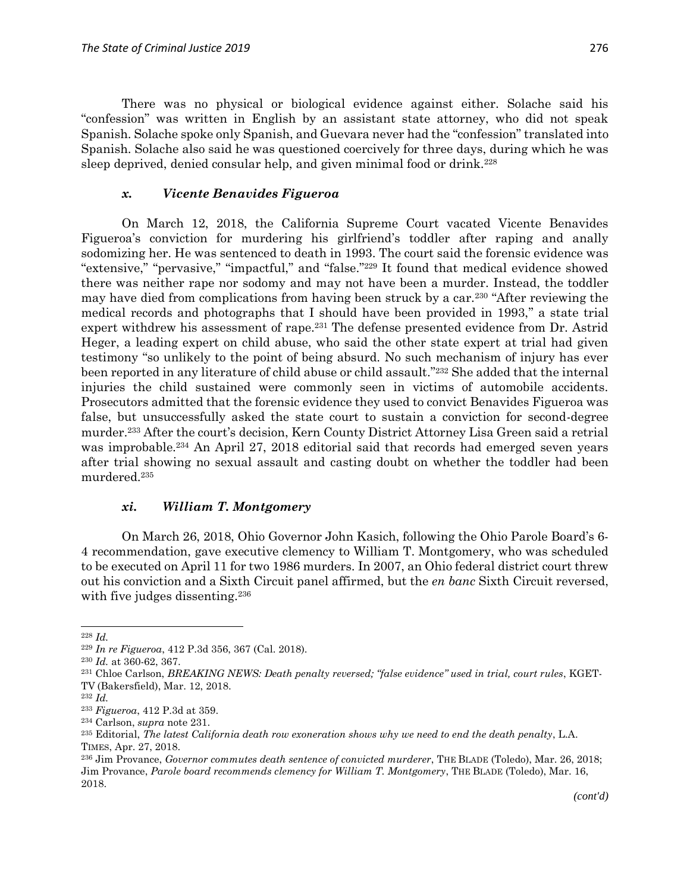There was no physical or biological evidence against either. Solache said his "confession" was written in English by an assistant state attorney, who did not speak Spanish. Solache spoke only Spanish, and Guevara never had the "confession" translated into Spanish. Solache also said he was questioned coercively for three days, during which he was sleep deprived, denied consular help, and given minimal food or drink.<sup>228</sup>

#### *x. Vicente Benavides Figueroa*

On March 12, 2018, the California Supreme Court vacated Vicente Benavides Figueroa's conviction for murdering his girlfriend's toddler after raping and anally sodomizing her. He was sentenced to death in 1993. The court said the forensic evidence was "extensive," "pervasive," "impactful," and "false." <sup>229</sup> It found that medical evidence showed there was neither rape nor sodomy and may not have been a murder. Instead, the toddler may have died from complications from having been struck by a car.<sup>230</sup> "After reviewing the medical records and photographs that I should have been provided in 1993," a state trial expert withdrew his assessment of rape.<sup>231</sup> The defense presented evidence from Dr. Astrid Heger, a leading expert on child abuse, who said the other state expert at trial had given testimony "so unlikely to the point of being absurd. No such mechanism of injury has ever been reported in any literature of child abuse or child assault." <sup>232</sup> She added that the internal injuries the child sustained were commonly seen in victims of automobile accidents. Prosecutors admitted that the forensic evidence they used to convict Benavides Figueroa was false, but unsuccessfully asked the state court to sustain a conviction for second-degree murder.<sup>233</sup> After the court's decision, Kern County District Attorney Lisa Green said a retrial was improbable.<sup>234</sup> An April 27, 2018 editorial said that records had emerged seven years after trial showing no sexual assault and casting doubt on whether the toddler had been murdered. 235

#### *xi. William T. Montgomery*

On March 26, 2018, Ohio Governor John Kasich, following the Ohio Parole Board's 6- 4 recommendation, gave executive clemency to William T. Montgomery, who was scheduled to be executed on April 11 for two 1986 murders. In 2007, an Ohio federal district court threw out his conviction and a Sixth Circuit panel affirmed, but the *en banc* Sixth Circuit reversed, with five judges dissenting.<sup>236</sup>

<sup>228</sup> *Id.*

<sup>229</sup> *In re Figueroa*, 412 P.3d 356, 367 (Cal. 2018).

<sup>230</sup> *Id.* at 360-62, 367.

<sup>231</sup> Chloe Carlson, *BREAKING NEWS: Death penalty reversed; "false evidence" used in trial, court rules*, KGET-TV (Bakersfield), Mar. 12, 2018.

<sup>232</sup> *Id.*

<sup>233</sup> *Figueroa*, 412 P.3d at 359.

<sup>234</sup> Carlson, *supra* note 231.

<sup>235</sup> Editorial, *The latest California death row exoneration shows why we need to end the death penalty*, L.A. TIMES, Apr. 27, 2018.

<sup>236</sup> Jim Provance, *Governor commutes death sentence of convicted murderer*, THE BLADE (Toledo), Mar. 26, 2018; Jim Provance, *Parole board recommends clemency for William T. Montgomery*, THE BLADE (Toledo), Mar. 16, 2018.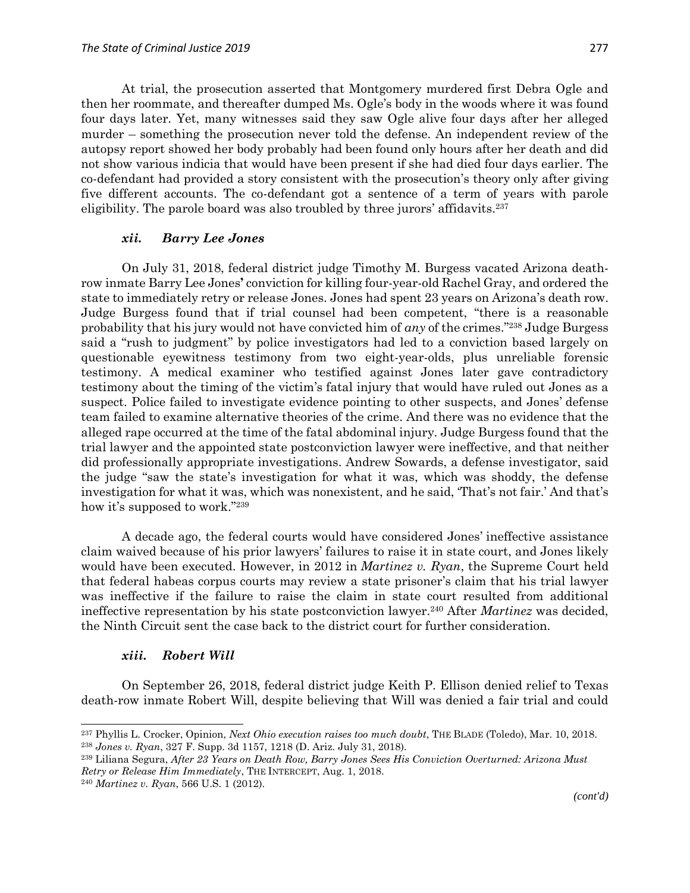At trial, the prosecution asserted that Montgomery murdered first Debra Ogle and then her roommate, and thereafter dumped Ms. Ogle's body in the woods where it was found four days later. Yet, many witnesses said they saw Ogle alive four days after her alleged murder – something the prosecution never told the defense. An independent review of the autopsy report showed her body probably had been found only hours after her death and did not show various indicia that would have been present if she had died four days earlier. The co-defendant had provided a story consistent with the prosecution's theory only after giving five different accounts. The co-defendant got a sentence of a term of years with parole eligibility. The parole board was also troubled by three jurors' affidavits.<sup>237</sup>

#### *xii. Barry Lee Jones*

On July 31, 2018, federal district judge Timothy M. Burgess vacated Arizona deathrow inmate Barry Lee Jones**'** conviction for killing four-year-old Rachel Gray, and ordered the state to immediately retry or release Jones. Jones had spent 23 years on Arizona's death row. Judge Burgess found that if trial counsel had been competent, "there is a reasonable probability that his jury would not have convicted him of *any* of the crimes." <sup>238</sup> Judge Burgess said a "rush to judgment" by police investigators had led to a conviction based largely on questionable eyewitness testimony from two eight-year-olds, plus unreliable forensic testimony. A medical examiner who testified against Jones later gave contradictory testimony about the timing of the victim's fatal injury that would have ruled out Jones as a suspect. Police failed to investigate evidence pointing to other suspects, and Jones' defense team failed to examine alternative theories of the crime. And there was no evidence that the alleged rape occurred at the time of the fatal abdominal injury. Judge Burgess found that the trial lawyer and the appointed state postconviction lawyer were ineffective, and that neither did professionally appropriate investigations. Andrew Sowards, a defense investigator, said the judge "saw the state's investigation for what it was, which was shoddy, the defense investigation for what it was, which was nonexistent, and he said, 'That's not fair.' And that's how it's supposed to work."<sup>239</sup>

A decade ago, the federal courts would have considered Jones' ineffective assistance claim waived because of his prior lawyers' failures to raise it in state court, and Jones likely would have been executed. However, in 2012 in *Martinez v. Ryan*, the Supreme Court held that federal habeas corpus courts may review a state prisoner's claim that his trial lawyer was ineffective if the failure to raise the claim in state court resulted from additional ineffective representation by his state postconviction lawyer.<sup>240</sup> After *Martinez* was decided, the Ninth Circuit sent the case back to the district court for further consideration.

#### *xiii. Robert Will*

On September 26, 2018, federal district judge Keith P. Ellison denied relief to Texas death-row inmate Robert Will, despite believing that Will was denied a fair trial and could

<sup>237</sup> Phyllis L. Crocker, Opinion, *Next Ohio execution raises too much doubt*, THE BLADE (Toledo), Mar. 10, 2018. <sup>238</sup> *Jones v. Ryan*, 327 F. Supp. 3d 1157, 1218 (D. Ariz. July 31, 2018).

<sup>239</sup> Liliana Segura, *After 23 Years on Death Row, Barry Jones Sees His Conviction Overturned: Arizona Must Retry or Release Him Immediately*, THE INTERCEPT, Aug. 1, 2018.

<sup>240</sup> *Martinez v. Ryan*, 566 U.S. 1 (2012).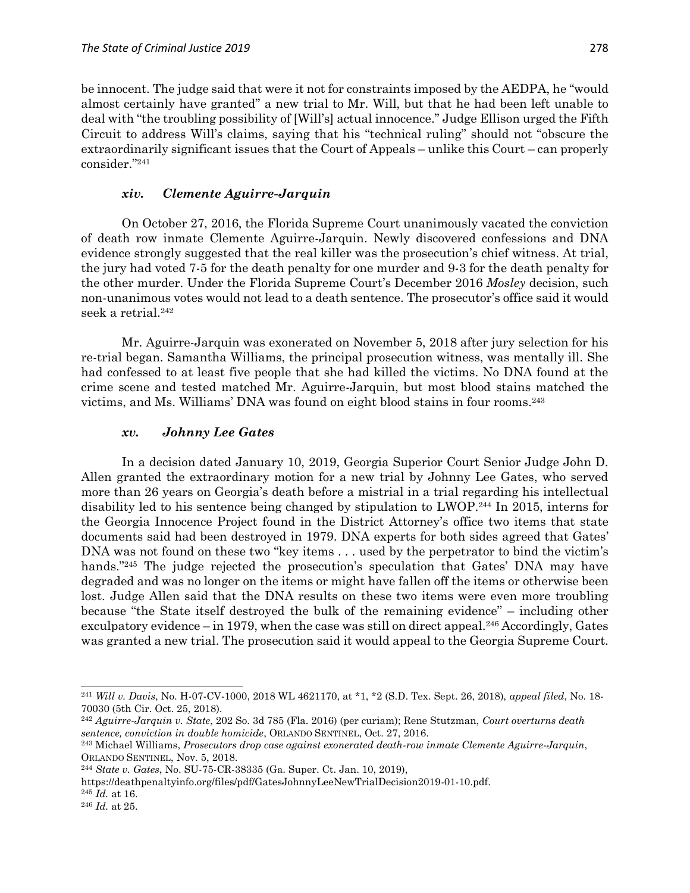be innocent. The judge said that were it not for constraints imposed by the AEDPA, he "would almost certainly have granted" a new trial to Mr. Will, but that he had been left unable to deal with "the troubling possibility of [Will's] actual innocence." Judge Ellison urged the Fifth Circuit to address Will's claims, saying that his "technical ruling" should not "obscure the extraordinarily significant issues that the Court of Appeals – unlike this Court – can properly consider." 241

### *xiv. Clemente Aguirre-Jarquin*

On October 27, 2016, the Florida Supreme Court unanimously vacated the conviction of death row inmate Clemente Aguirre-Jarquin. Newly discovered confessions and DNA evidence strongly suggested that the real killer was the prosecution's chief witness. At trial, the jury had voted 7-5 for the death penalty for one murder and 9-3 for the death penalty for the other murder. Under the Florida Supreme Court's December 2016 *Mosley* decision, such non-unanimous votes would not lead to a death sentence. The prosecutor's office said it would seek a retrial.<sup>242</sup>

Mr. Aguirre-Jarquin was exonerated on November 5, 2018 after jury selection for his re-trial began. Samantha Williams, the principal prosecution witness, was mentally ill. She had confessed to at least five people that she had killed the victims. No DNA found at the crime scene and tested matched Mr. Aguirre-Jarquin, but most blood stains matched the victims, and Ms. Williams' DNA was found on eight blood stains in four rooms.<sup>243</sup>

### *xv. Johnny Lee Gates*

In a decision dated January 10, 2019, Georgia Superior Court Senior Judge John D. Allen granted the extraordinary motion for a new trial by Johnny Lee Gates, who served more than 26 years on Georgia's death before a mistrial in a trial regarding his intellectual disability led to his sentence being changed by stipulation to LWOP.<sup>244</sup> In 2015, interns for the Georgia Innocence Project found in the District Attorney's office two items that state documents said had been destroyed in 1979. DNA experts for both sides agreed that Gates' DNA was not found on these two "key items . . . used by the perpetrator to bind the victim's hands."<sup>245</sup> The judge rejected the prosecution's speculation that Gates' DNA may have degraded and was no longer on the items or might have fallen off the items or otherwise been lost. Judge Allen said that the DNA results on these two items were even more troubling because "the State itself destroyed the bulk of the remaining evidence" – including other exculpatory evidence – in 1979, when the case was still on direct appeal.<sup>246</sup> Accordingly, Gates was granted a new trial. The prosecution said it would appeal to the Georgia Supreme Court.

<sup>242</sup> *Aguirre-Jarquin v. State*, 202 So. 3d 785 (Fla. 2016) (per curiam); Rene Stutzman, *Court overturns death sentence, conviction in double homicide*, ORLANDO SENTINEL, Oct. 27, 2016.

https://deathpenaltyinfo.org/files/pdf/GatesJohnnyLeeNewTrialDecision2019-01-10.pdf.

<sup>245</sup> *Id.* at 16. <sup>246</sup> *Id.* at 25.

<sup>241</sup> *Will v. Davis*, No. H-07-CV-1000, 2018 WL 4621170, at \*1, \*2 (S.D. Tex. Sept. 26, 2018), *appeal filed*, No. 18- 70030 (5th Cir. Oct. 25, 2018).

<sup>243</sup> Michael Williams, *Prosecutors drop case against exonerated death-row inmate Clemente Aguirre-Jarquin*, ORLANDO SENTINEL, Nov. 5, 2018.

<sup>244</sup> *State v. Gates*, No. SU-75-CR-38335 (Ga. Super. Ct. Jan. 10, 2019),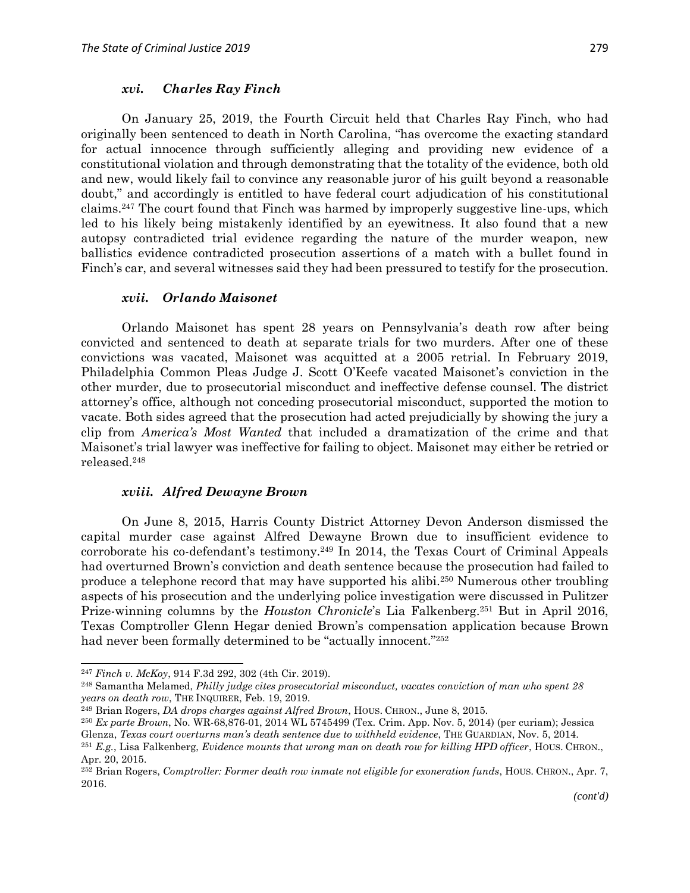#### *xvi. Charles Ray Finch*

On January 25, 2019, the Fourth Circuit held that Charles Ray Finch, who had originally been sentenced to death in North Carolina, "has overcome the exacting standard for actual innocence through sufficiently alleging and providing new evidence of a constitutional violation and through demonstrating that the totality of the evidence, both old and new, would likely fail to convince any reasonable juror of his guilt beyond a reasonable doubt," and accordingly is entitled to have federal court adjudication of his constitutional claims.<sup>247</sup> The court found that Finch was harmed by improperly suggestive line-ups, which led to his likely being mistakenly identified by an eyewitness. It also found that a new autopsy contradicted trial evidence regarding the nature of the murder weapon, new ballistics evidence contradicted prosecution assertions of a match with a bullet found in Finch's car, and several witnesses said they had been pressured to testify for the prosecution.

#### *xvii. Orlando Maisonet*

Orlando Maisonet has spent 28 years on Pennsylvania's death row after being convicted and sentenced to death at separate trials for two murders. After one of these convictions was vacated, Maisonet was acquitted at a 2005 retrial. In February 2019, Philadelphia Common Pleas Judge J. Scott O'Keefe vacated Maisonet's conviction in the other murder, due to prosecutorial misconduct and ineffective defense counsel. The district attorney's office, although not conceding prosecutorial misconduct, supported the motion to vacate. Both sides agreed that the prosecution had acted prejudicially by showing the jury a clip from *America's Most Wanted* that included a dramatization of the crime and that Maisonet's trial lawyer was ineffective for failing to object. Maisonet may either be retried or released.<sup>248</sup>

#### *xviii. Alfred Dewayne Brown*

On June 8, 2015, Harris County District Attorney Devon Anderson dismissed the capital murder case against Alfred Dewayne Brown due to insufficient evidence to corroborate his co-defendant's testimony.<sup>249</sup> In 2014, the Texas Court of Criminal Appeals had overturned Brown's conviction and death sentence because the prosecution had failed to produce a telephone record that may have supported his alibi.<sup>250</sup> Numerous other troubling aspects of his prosecution and the underlying police investigation were discussed in Pulitzer Prize-winning columns by the *Houston Chronicle*'s Lia Falkenberg.<sup>251</sup> But in April 2016, Texas Comptroller Glenn Hegar denied Brown's compensation application because Brown had never been formally determined to be "actually innocent."<sup>252</sup>

1

<sup>247</sup> *Finch v. McKoy*, 914 F.3d 292, 302 (4th Cir. 2019).

<sup>248</sup> Samantha Melamed, *Philly judge cites prosecutorial misconduct, vacates conviction of man who spent 28 years on death row*, THE INQUIRER, Feb. 19, 2019.

<sup>249</sup> Brian Rogers, *DA drops charges against Alfred Brown*, HOUS. CHRON., June 8, 2015.

<sup>250</sup> *Ex parte Brown*, No. WR-68,876-01, 2014 WL 5745499 (Tex. Crim. App. Nov. 5, 2014) (per curiam); Jessica Glenza, *Texas court overturns man's death sentence due to withheld evidence*, THE GUARDIAN, Nov. 5, 2014.

<sup>251</sup> *E.g.*, Lisa Falkenberg, *Evidence mounts that wrong man on death row for killing HPD officer*, HOUS. CHRON., Apr. 20, 2015.

<sup>252</sup> Brian Rogers, *Comptroller: Former death row inmate not eligible for exoneration funds*, HOUS. CHRON., Apr. 7, 2016.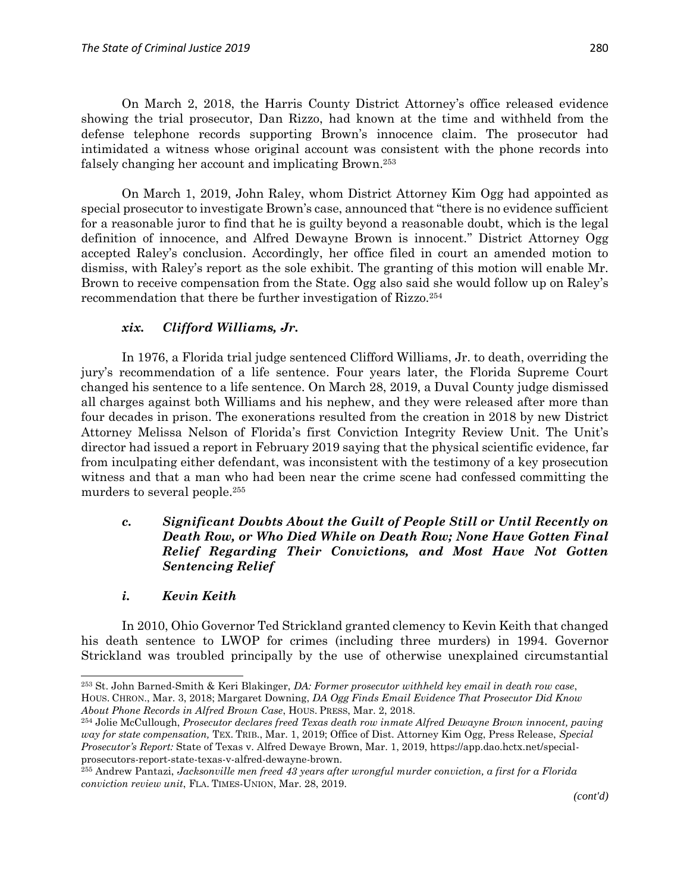On March 2, 2018, the Harris County District Attorney's office released evidence showing the trial prosecutor, Dan Rizzo, had known at the time and withheld from the defense telephone records supporting Brown's innocence claim. The prosecutor had intimidated a witness whose original account was consistent with the phone records into falsely changing her account and implicating Brown.<sup>253</sup>

On March 1, 2019, John Raley, whom District Attorney Kim Ogg had appointed as special prosecutor to investigate Brown's case, announced that "there is no evidence sufficient for a reasonable juror to find that he is guilty beyond a reasonable doubt, which is the legal definition of innocence, and Alfred Dewayne Brown is innocent." District Attorney Ogg accepted Raley's conclusion. Accordingly, her office filed in court an amended motion to dismiss, with Raley's report as the sole exhibit. The granting of this motion will enable Mr. Brown to receive compensation from the State. Ogg also said she would follow up on Raley's recommendation that there be further investigation of Rizzo.<sup>254</sup>

## *xix. Clifford Williams, Jr.*

In 1976, a Florida trial judge sentenced Clifford Williams, Jr. to death, overriding the jury's recommendation of a life sentence. Four years later, the Florida Supreme Court changed his sentence to a life sentence. On March 28, 2019, a Duval County judge dismissed all charges against both Williams and his nephew, and they were released after more than four decades in prison. The exonerations resulted from the creation in 2018 by new District Attorney Melissa Nelson of Florida's first Conviction Integrity Review Unit. The Unit's director had issued a report in February 2019 saying that the physical scientific evidence, far from inculpating either defendant, was inconsistent with the testimony of a key prosecution witness and that a man who had been near the crime scene had confessed committing the murders to several people.<sup>255</sup>

### *c. Significant Doubts About the Guilt of People Still or Until Recently on Death Row, or Who Died While on Death Row; None Have Gotten Final Relief Regarding Their Convictions, and Most Have Not Gotten Sentencing Relief*

### *i. Kevin Keith*

 $\overline{\phantom{a}}$ 

In 2010, Ohio Governor Ted Strickland granted clemency to Kevin Keith that changed his death sentence to LWOP for crimes (including three murders) in 1994. Governor Strickland was troubled principally by the use of otherwise unexplained circumstantial

<sup>253</sup> St. John Barned-Smith & Keri Blakinger, *DA: Former prosecutor withheld key email in death row case*, HOUS. CHRON., Mar. 3, 2018; Margaret Downing, *DA Ogg Finds Email Evidence That Prosecutor Did Know About Phone Records in Alfred Brown Case*, HOUS. PRESS, Mar. 2, 2018.

<sup>254</sup> Jolie McCullough, *Prosecutor declares freed Texas death row inmate Alfred Dewayne Brown innocent, paving way for state compensation,* TEX. TRIB., Mar. 1, 2019; Office of Dist. Attorney Kim Ogg, Press Release, *Special Prosecutor's Report:* State of Texas v. Alfred Dewaye Brown, Mar. 1, 2019, https://app.dao.hctx.net/specialprosecutors-report-state-texas-v-alfred-dewayne-brown.

<sup>255</sup> Andrew Pantazi, *Jacksonville men freed 43 years after wrongful murder conviction, a first for a Florida conviction review unit*, FLA. TIMES-UNION, Mar. 28, 2019.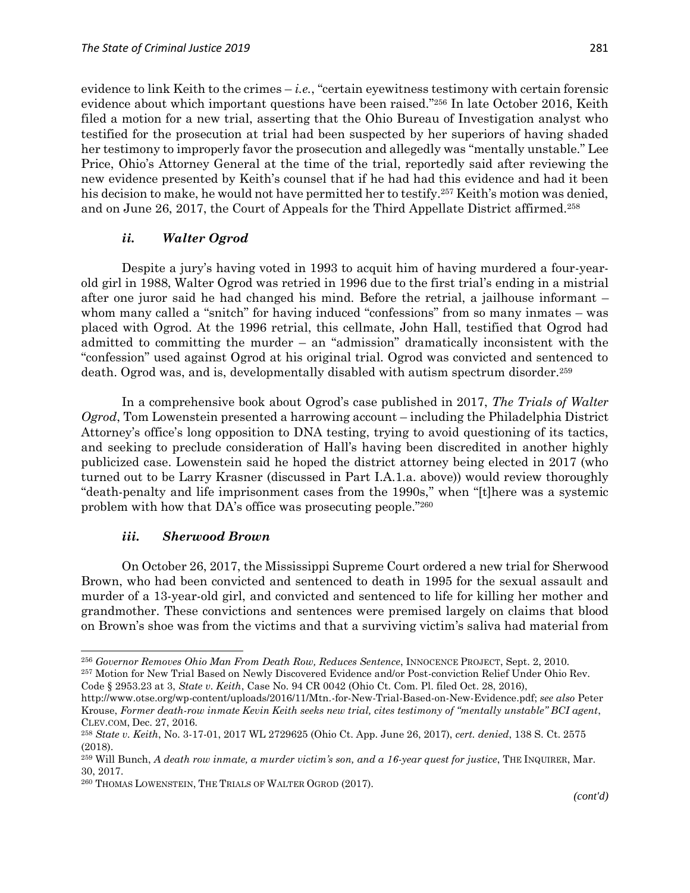evidence to link Keith to the crimes  $-i.e.,$  "certain eyewitness testimony with certain forensic evidence about which important questions have been raised." <sup>256</sup> In late October 2016, Keith filed a motion for a new trial, asserting that the Ohio Bureau of Investigation analyst who testified for the prosecution at trial had been suspected by her superiors of having shaded her testimony to improperly favor the prosecution and allegedly was "mentally unstable." Lee Price, Ohio's Attorney General at the time of the trial, reportedly said after reviewing the new evidence presented by Keith's counsel that if he had had this evidence and had it been his decision to make, he would not have permitted her to testify.<sup>257</sup> Keith's motion was denied, and on June 26, 2017, the Court of Appeals for the Third Appellate District affirmed.<sup>258</sup>

### *ii. Walter Ogrod*

Despite a jury's having voted in 1993 to acquit him of having murdered a four-yearold girl in 1988, Walter Ogrod was retried in 1996 due to the first trial's ending in a mistrial after one juror said he had changed his mind. Before the retrial, a jailhouse informant – whom many called a "snitch" for having induced "confessions" from so many inmates – was placed with Ogrod. At the 1996 retrial, this cellmate, John Hall, testified that Ogrod had admitted to committing the murder – an "admission" dramatically inconsistent with the "confession" used against Ogrod at his original trial. Ogrod was convicted and sentenced to death. Ogrod was, and is, developmentally disabled with autism spectrum disorder.<sup>259</sup>

In a comprehensive book about Ogrod's case published in 2017, *The Trials of Walter Ogrod*, Tom Lowenstein presented a harrowing account – including the Philadelphia District Attorney's office's long opposition to DNA testing, trying to avoid questioning of its tactics, and seeking to preclude consideration of Hall's having been discredited in another highly publicized case. Lowenstein said he hoped the district attorney being elected in 2017 (who turned out to be Larry Krasner (discussed in Part I.A.1.a. above)) would review thoroughly "death-penalty and life imprisonment cases from the 1990s," when "[t]here was a systemic problem with how that DA's office was prosecuting people."260

#### *iii. Sherwood Brown*

 $\overline{\phantom{a}}$ 

On October 26, 2017, the Mississippi Supreme Court ordered a new trial for Sherwood Brown, who had been convicted and sentenced to death in 1995 for the sexual assault and murder of a 13-year-old girl, and convicted and sentenced to life for killing her mother and grandmother. These convictions and sentences were premised largely on claims that blood on Brown's shoe was from the victims and that a surviving victim's saliva had material from

Code § 2953.23 at 3, *State v. Keith*, Case No. 94 CR 0042 (Ohio Ct. Com. Pl. filed Oct. 28, 2016),

<sup>256</sup> *Governor Removes Ohio Man From Death Row, Reduces Sentence*, INNOCENCE PROJECT, Sept. 2, 2010.

<sup>257</sup> Motion for New Trial Based on Newly Discovered Evidence and/or Post-conviction Relief Under Ohio Rev.

http://www.otse.org/wp-content/uploads/2016/11/Mtn.-for-New-Trial-Based-on-New-Evidence.pdf; *see also* Peter Krouse, *Former death-row inmate Kevin Keith seeks new trial, cites testimony of "mentally unstable" BCI agent*, CLEV.COM, Dec. 27, 2016.

<sup>258</sup> *State v. Keith*, No. 3-17-01, 2017 WL 2729625 (Ohio Ct. App. June 26, 2017), *cert. denied*, 138 S. Ct. 2575 (2018).

<sup>259</sup> Will Bunch, *A death row inmate, a murder victim's son, and a 16-year quest for justice*, THE INQUIRER, Mar. 30, 2017.

<sup>260</sup> THOMAS LOWENSTEIN, THE TRIALS OF WALTER OGROD (2017).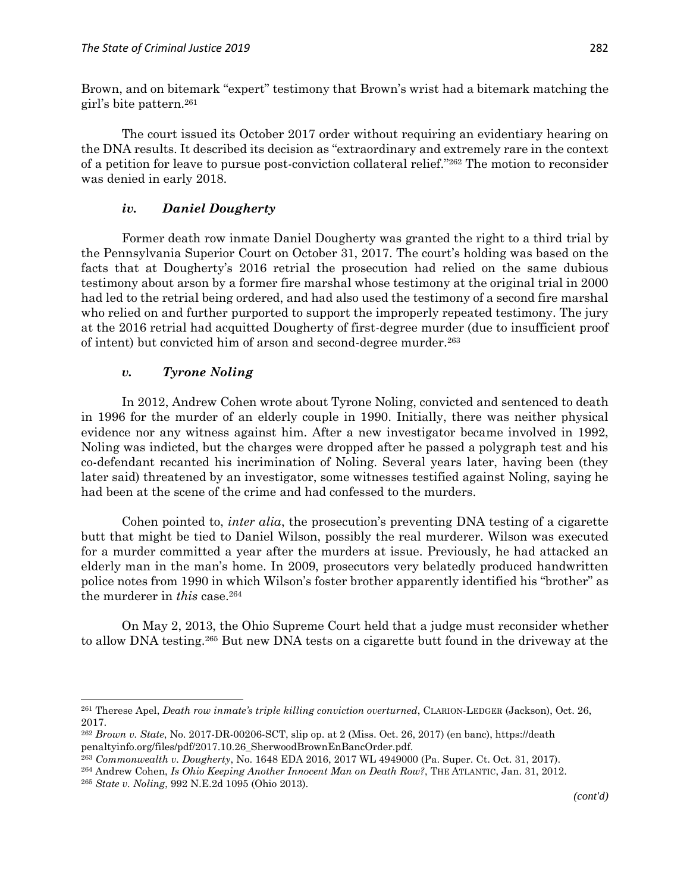Brown, and on bitemark "expert" testimony that Brown's wrist had a bitemark matching the girl's bite pattern.<sup>261</sup>

The court issued its October 2017 order without requiring an evidentiary hearing on the DNA results. It described its decision as "extraordinary and extremely rare in the context of a petition for leave to pursue post-conviction collateral relief." <sup>262</sup> The motion to reconsider was denied in early 2018.

### *iv. Daniel Dougherty*

Former death row inmate Daniel Dougherty was granted the right to a third trial by the Pennsylvania Superior Court on October 31, 2017. The court's holding was based on the facts that at Dougherty's 2016 retrial the prosecution had relied on the same dubious testimony about arson by a former fire marshal whose testimony at the original trial in 2000 had led to the retrial being ordered, and had also used the testimony of a second fire marshal who relied on and further purported to support the improperly repeated testimony. The jury at the 2016 retrial had acquitted Dougherty of first-degree murder (due to insufficient proof of intent) but convicted him of arson and second-degree murder.<sup>263</sup>

### *v. Tyrone Noling*

In 2012, Andrew Cohen wrote about Tyrone Noling, convicted and sentenced to death in 1996 for the murder of an elderly couple in 1990. Initially, there was neither physical evidence nor any witness against him. After a new investigator became involved in 1992, Noling was indicted, but the charges were dropped after he passed a polygraph test and his co-defendant recanted his incrimination of Noling. Several years later, having been (they later said) threatened by an investigator, some witnesses testified against Noling, saying he had been at the scene of the crime and had confessed to the murders.

Cohen pointed to, *inter alia*, the prosecution's preventing DNA testing of a cigarette butt that might be tied to Daniel Wilson, possibly the real murderer. Wilson was executed for a murder committed a year after the murders at issue. Previously, he had attacked an elderly man in the man's home. In 2009, prosecutors very belatedly produced handwritten police notes from 1990 in which Wilson's foster brother apparently identified his "brother" as the murderer in *this* case.<sup>264</sup>

On May 2, 2013, the Ohio Supreme Court held that a judge must reconsider whether to allow DNA testing.<sup>265</sup> But new DNA tests on a cigarette butt found in the driveway at the

<sup>261</sup> Therese Apel, *Death row inmate's triple killing conviction overturned*, CLARION-LEDGER (Jackson), Oct. 26, 2017.

<sup>262</sup> *Brown v. State*, No. 2017-DR-00206-SCT, slip op. at 2 (Miss. Oct. 26, 2017) (en banc), https://death penaltyinfo.org/files/pdf/2017.10.26\_SherwoodBrownEnBancOrder.pdf.

<sup>263</sup> *Commonwealth v. Dougherty*, No. 1648 EDA 2016, 2017 WL 4949000 (Pa. Super. Ct. Oct. 31, 2017).

<sup>264</sup> Andrew Cohen, *Is Ohio Keeping Another Innocent Man on Death Row?*, THE ATLANTIC, Jan. 31, 2012.

<sup>265</sup> *State v. Noling*, 992 N.E.2d 1095 (Ohio 2013).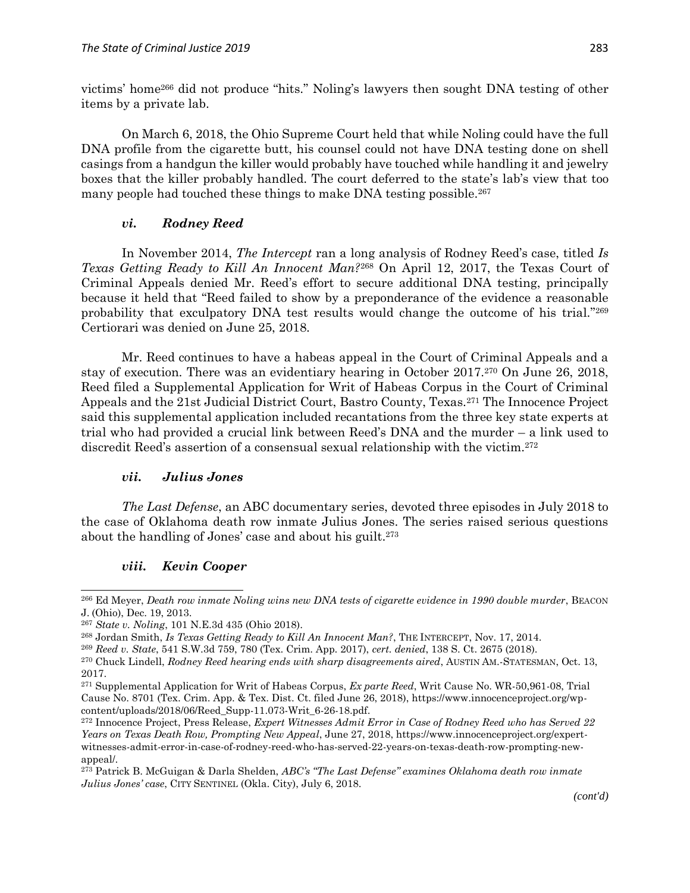victims' home<sup>266</sup> did not produce "hits." Noling's lawyers then sought DNA testing of other items by a private lab.

On March 6, 2018, the Ohio Supreme Court held that while Noling could have the full DNA profile from the cigarette butt, his counsel could not have DNA testing done on shell casings from a handgun the killer would probably have touched while handling it and jewelry boxes that the killer probably handled. The court deferred to the state's lab's view that too many people had touched these things to make DNA testing possible.<sup>267</sup>

### *vi. Rodney Reed*

In November 2014, *The Intercept* ran a long analysis of Rodney Reed's case, titled *Is Texas Getting Ready to Kill An Innocent Man?*<sup>268</sup> On April 12, 2017, the Texas Court of Criminal Appeals denied Mr. Reed's effort to secure additional DNA testing, principally because it held that "Reed failed to show by a preponderance of the evidence a reasonable probability that exculpatory DNA test results would change the outcome of his trial." 269 Certiorari was denied on June 25, 2018.

Mr. Reed continues to have a habeas appeal in the Court of Criminal Appeals and a stay of execution. There was an evidentiary hearing in October 2017.<sup>270</sup> On June 26, 2018, Reed filed a Supplemental Application for Writ of Habeas Corpus in the Court of Criminal Appeals and the 21st Judicial District Court, Bastro County, Texas.<sup>271</sup> The Innocence Project said this supplemental application included recantations from the three key state experts at trial who had provided a crucial link between Reed's DNA and the murder – a link used to discredit Reed's assertion of a consensual sexual relationship with the victim.<sup>272</sup>

### *vii. Julius Jones*

*The Last Defense*, an ABC documentary series, devoted three episodes in July 2018 to the case of Oklahoma death row inmate Julius Jones. The series raised serious questions about the handling of Jones' case and about his guilt.<sup>273</sup>

## *viii. Kevin Cooper*

<sup>266</sup> Ed Meyer, *Death row inmate Noling wins new DNA tests of cigarette evidence in 1990 double murder*, BEACON J. (Ohio), Dec. 19, 2013.

<sup>267</sup> *State v. Noling*, 101 N.E.3d 435 (Ohio 2018).

<sup>268</sup> Jordan Smith, *Is Texas Getting Ready to Kill An Innocent Man?*, THE INTERCEPT, Nov. 17, 2014.

<sup>269</sup> *Reed v. State*, 541 S.W.3d 759, 780 (Tex. Crim. App. 2017), *cert. denied*, 138 S. Ct. 2675 (2018).

<sup>270</sup> Chuck Lindell, *Rodney Reed hearing ends with sharp disagreements aired*, AUSTIN AM.-STATESMAN, Oct. 13, 2017.

<sup>271</sup> Supplemental Application for Writ of Habeas Corpus, *Ex parte Reed*, Writ Cause No. WR-50,961-08, Trial Cause No. 8701 (Tex. Crim. App. & Tex. Dist. Ct. filed June 26, 2018), https://www.innocenceproject.org/wpcontent/uploads/2018/06/Reed\_Supp-11.073-Writ\_6-26-18.pdf.

<sup>272</sup> Innocence Project, Press Release, *Expert Witnesses Admit Error in Case of Rodney Reed who has Served 22 Years on Texas Death Row, Prompting New Appeal*, June 27, 2018, https://www.innocenceproject.org/expertwitnesses-admit-error-in-case-of-rodney-reed-who-has-served-22-years-on-texas-death-row-prompting-newappeal/.

<sup>273</sup> Patrick B. McGuigan & Darla Shelden, *ABC's "The Last Defense" examines Oklahoma death row inmate Julius Jones' case*, CITY SENTINEL (Okla. City), July 6, 2018.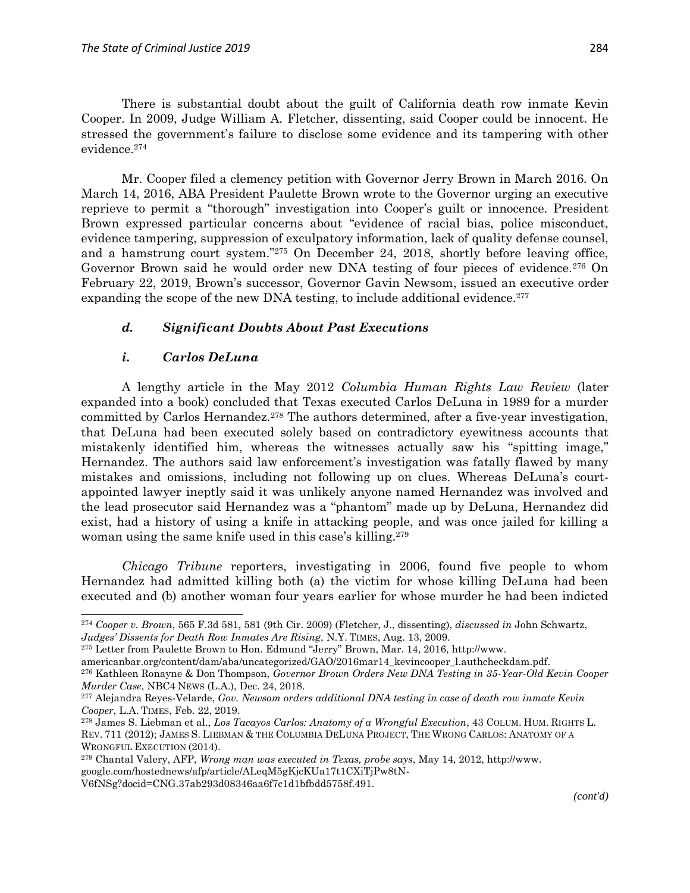There is substantial doubt about the guilt of California death row inmate Kevin Cooper. In 2009, Judge William A. Fletcher, dissenting, said Cooper could be innocent. He stressed the government's failure to disclose some evidence and its tampering with other evidence.<sup>274</sup>

Mr. Cooper filed a clemency petition with Governor Jerry Brown in March 2016. On March 14, 2016, ABA President Paulette Brown wrote to the Governor urging an executive reprieve to permit a "thorough" investigation into Cooper's guilt or innocence. President Brown expressed particular concerns about "evidence of racial bias, police misconduct, evidence tampering, suppression of exculpatory information, lack of quality defense counsel, and a hamstrung court system." <sup>275</sup> On December 24, 2018, shortly before leaving office, Governor Brown said he would order new DNA testing of four pieces of evidence.<sup>276</sup> On February 22, 2019, Brown's successor, Governor Gavin Newsom, issued an executive order expanding the scope of the new DNA testing, to include additional evidence.<sup>277</sup>

### *d. Significant Doubts About Past Executions*

### *i. Carlos DeLuna*

 $\overline{a}$ 

A lengthy article in the May 2012 *Columbia Human Rights Law Review* (later expanded into a book) concluded that Texas executed Carlos DeLuna in 1989 for a murder committed by Carlos Hernandez.<sup>278</sup> The authors determined, after a five-year investigation, that DeLuna had been executed solely based on contradictory eyewitness accounts that mistakenly identified him, whereas the witnesses actually saw his "spitting image," Hernandez. The authors said law enforcement's investigation was fatally flawed by many mistakes and omissions, including not following up on clues. Whereas DeLuna's courtappointed lawyer ineptly said it was unlikely anyone named Hernandez was involved and the lead prosecutor said Hernandez was a "phantom" made up by DeLuna, Hernandez did exist, had a history of using a knife in attacking people, and was once jailed for killing a woman using the same knife used in this case's killing.<sup>279</sup>

*Chicago Tribune* reporters, investigating in 2006, found five people to whom Hernandez had admitted killing both (a) the victim for whose killing DeLuna had been executed and (b) another woman four years earlier for whose murder he had been indicted

<sup>274</sup> *Cooper v. Brown*, 565 F.3d 581, 581 (9th Cir. 2009) (Fletcher, J., dissenting), *discussed in* John Schwartz, *Judges' Dissents for Death Row Inmates Are Rising*, N.Y. TIMES, Aug. 13, 2009.

<sup>275</sup> Letter from Paulette Brown to Hon. Edmund "Jerry" Brown, Mar. 14, 2016, http://www.

americanbar.org/content/dam/aba/uncategorized/GAO/2016mar14\_kevincooper\_l.authcheckdam.pdf.

<sup>276</sup> Kathleen Ronayne & Don Thompson, *Governor Brown Orders New DNA Testing in 35-Year-Old Kevin Cooper Murder Case*, NBC4 NEWS (L.A.), Dec. 24, 2018.

<sup>277</sup> Alejandra Reyes-Velarde, *Gov. Newsom orders additional DNA testing in case of death row inmate Kevin Cooper*, L.A. TIMES, Feb. 22, 2019.

<sup>278</sup> James S. Liebman et al., *Los Tacayos Carlos: Anatomy of a Wrongful Execution*, 43 COLUM. HUM. RIGHTS L. REV. 711 (2012); JAMES S. LIEBMAN & THE COLUMBIA DELUNA PROJECT, THE WRONG CARLOS: ANATOMY OF A WRONGFUL EXECUTION (2014).

<sup>279</sup> Chantal Valery, AFP, *Wrong man was executed in Texas, probe says*, May 14, 2012, http://www. google.com/hostednews/afp/article/ALeqM5gKjcKUa17t1CXiTjPw8tN-

V6fNSg?docid=CNG.37ab293d08346aa6f7c1d1bfbdd5758f.491.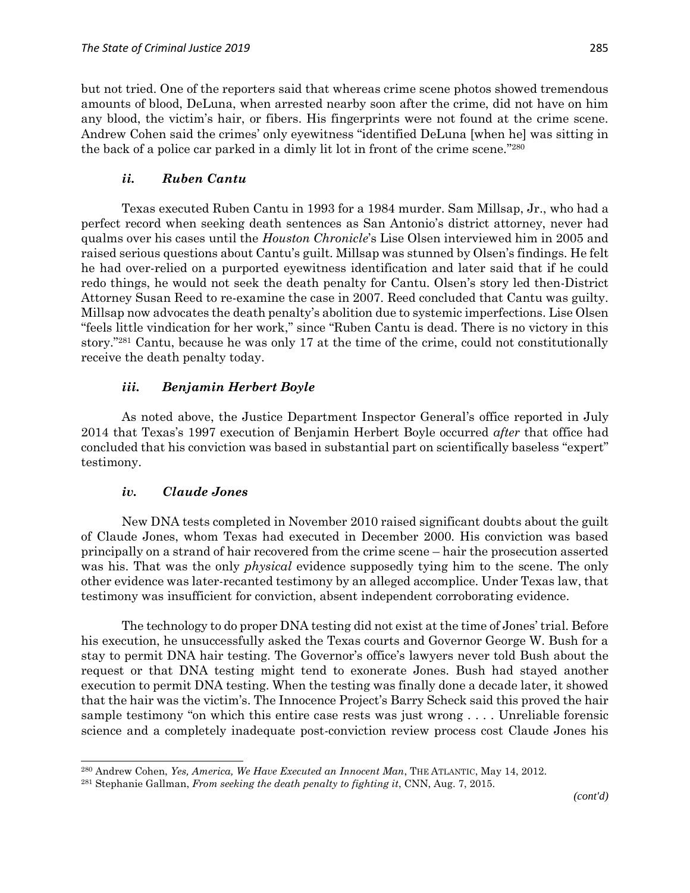but not tried. One of the reporters said that whereas crime scene photos showed tremendous amounts of blood, DeLuna, when arrested nearby soon after the crime, did not have on him any blood, the victim's hair, or fibers. His fingerprints were not found at the crime scene. Andrew Cohen said the crimes' only eyewitness "identified DeLuna [when he] was sitting in the back of a police car parked in a dimly lit lot in front of the crime scene." 280

### *ii. Ruben Cantu*

Texas executed Ruben Cantu in 1993 for a 1984 murder. Sam Millsap, Jr., who had a perfect record when seeking death sentences as San Antonio's district attorney, never had qualms over his cases until the *Houston Chronicle*'s Lise Olsen interviewed him in 2005 and raised serious questions about Cantu's guilt. Millsap was stunned by Olsen's findings. He felt he had over-relied on a purported eyewitness identification and later said that if he could redo things, he would not seek the death penalty for Cantu. Olsen's story led then-District Attorney Susan Reed to re-examine the case in 2007. Reed concluded that Cantu was guilty. Millsap now advocates the death penalty's abolition due to systemic imperfections. Lise Olsen "feels little vindication for her work," since "Ruben Cantu is dead. There is no victory in this story." <sup>281</sup> Cantu, because he was only 17 at the time of the crime, could not constitutionally receive the death penalty today.

## *iii. Benjamin Herbert Boyle*

As noted above, the Justice Department Inspector General's office reported in July 2014 that Texas's 1997 execution of Benjamin Herbert Boyle occurred *after* that office had concluded that his conviction was based in substantial part on scientifically baseless "expert" testimony.

### *iv. Claude Jones*

 $\overline{\phantom{a}}$ 

New DNA tests completed in November 2010 raised significant doubts about the guilt of Claude Jones, whom Texas had executed in December 2000. His conviction was based principally on a strand of hair recovered from the crime scene – hair the prosecution asserted was his. That was the only *physical* evidence supposedly tying him to the scene. The only other evidence was later-recanted testimony by an alleged accomplice. Under Texas law, that testimony was insufficient for conviction, absent independent corroborating evidence.

The technology to do proper DNA testing did not exist at the time of Jones' trial. Before his execution, he unsuccessfully asked the Texas courts and Governor George W. Bush for a stay to permit DNA hair testing. The Governor's office's lawyers never told Bush about the request or that DNA testing might tend to exonerate Jones. Bush had stayed another execution to permit DNA testing. When the testing was finally done a decade later, it showed that the hair was the victim's. The Innocence Project's Barry Scheck said this proved the hair sample testimony "on which this entire case rests was just wrong . . . . Unreliable forensic science and a completely inadequate post-conviction review process cost Claude Jones his

<sup>280</sup> Andrew Cohen, *Yes, America, We Have Executed an Innocent Man*, THE ATLANTIC, May 14, 2012.

<sup>281</sup> Stephanie Gallman, *From seeking the death penalty to fighting it*, CNN, Aug. 7, 2015.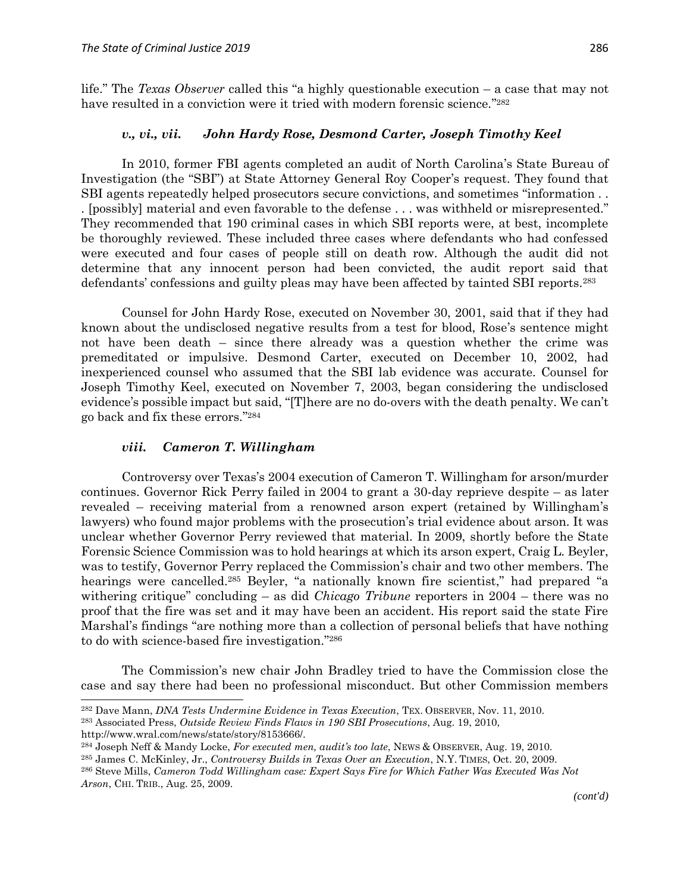life." The *Texas Observer* called this "a highly questionable execution – a case that may not have resulted in a conviction were it tried with modern forensic science."<sup>282</sup>

#### *v., vi., vii. John Hardy Rose, Desmond Carter, Joseph Timothy Keel*

In 2010, former FBI agents completed an audit of North Carolina's State Bureau of Investigation (the "SBI") at State Attorney General Roy Cooper's request. They found that SBI agents repeatedly helped prosecutors secure convictions, and sometimes "information . . . [possibly] material and even favorable to the defense . . . was withheld or misrepresented." They recommended that 190 criminal cases in which SBI reports were, at best, incomplete be thoroughly reviewed. These included three cases where defendants who had confessed were executed and four cases of people still on death row. Although the audit did not determine that any innocent person had been convicted, the audit report said that defendants' confessions and guilty pleas may have been affected by tainted SBI reports.<sup>283</sup>

Counsel for John Hardy Rose, executed on November 30, 2001, said that if they had known about the undisclosed negative results from a test for blood, Rose's sentence might not have been death – since there already was a question whether the crime was premeditated or impulsive. Desmond Carter, executed on December 10, 2002, had inexperienced counsel who assumed that the SBI lab evidence was accurate. Counsel for Joseph Timothy Keel, executed on November 7, 2003, began considering the undisclosed evidence's possible impact but said, "[T]here are no do-overs with the death penalty. We can't go back and fix these errors." 284

#### *viii. Cameron T. Willingham*

 $\overline{a}$ 

Controversy over Texas's 2004 execution of Cameron T. Willingham for arson/murder continues. Governor Rick Perry failed in 2004 to grant a 30-day reprieve despite – as later revealed – receiving material from a renowned arson expert (retained by Willingham's lawyers) who found major problems with the prosecution's trial evidence about arson. It was unclear whether Governor Perry reviewed that material. In 2009, shortly before the State Forensic Science Commission was to hold hearings at which its arson expert, Craig L. Beyler, was to testify, Governor Perry replaced the Commission's chair and two other members. The hearings were cancelled.<sup>285</sup> Beyler, "a nationally known fire scientist," had prepared "a withering critique" concluding – as did *Chicago Tribune* reporters in 2004 – there was no proof that the fire was set and it may have been an accident. His report said the state Fire Marshal's findings "are nothing more than a collection of personal beliefs that have nothing to do with science-based fire investigation." 286

The Commission's new chair John Bradley tried to have the Commission close the case and say there had been no professional misconduct. But other Commission members

<sup>283</sup> Associated Press, *Outside Review Finds Flaws in 190 SBI Prosecutions*, Aug. 19, 2010, http://www.wral.com/news/state/story/8153666/.

<sup>282</sup> Dave Mann, *DNA Tests Undermine Evidence in Texas Execution*, TEX. OBSERVER, Nov. 11, 2010.

<sup>284</sup> Joseph Neff & Mandy Locke, *For executed men, audit's too late*, NEWS & OBSERVER, Aug. 19, 2010.

<sup>285</sup> James C. McKinley, Jr., *Controversy Builds in Texas Over an Execution*, N.Y. TIMES, Oct. 20, 2009.

<sup>286</sup> Steve Mills, *Cameron Todd Willingham case: Expert Says Fire for Which Father Was Executed Was Not Arson*, CHI. TRIB., Aug. 25, 2009.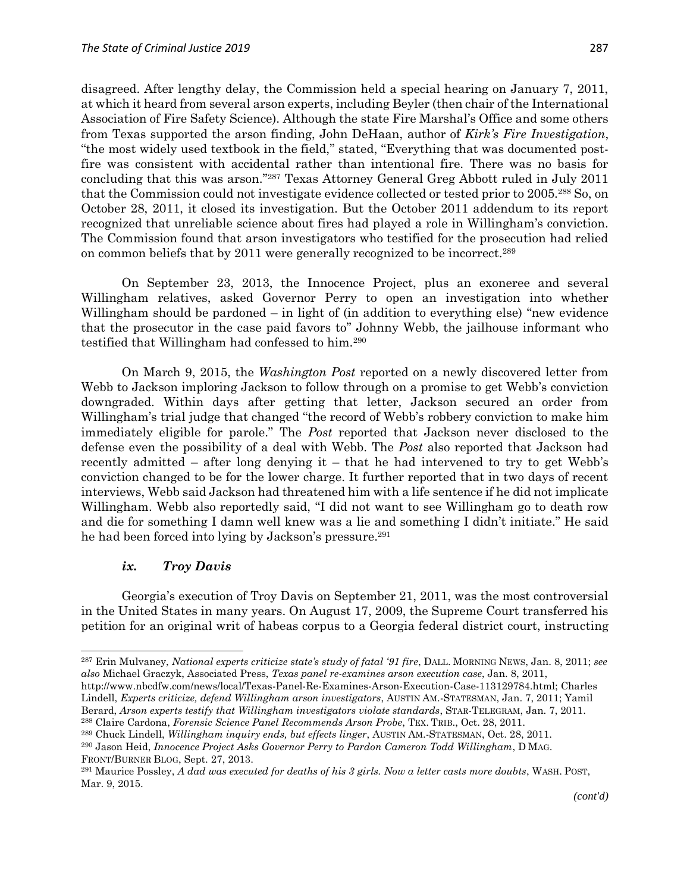disagreed. After lengthy delay, the Commission held a special hearing on January 7, 2011, at which it heard from several arson experts, including Beyler (then chair of the International Association of Fire Safety Science). Although the state Fire Marshal's Office and some others from Texas supported the arson finding, John DeHaan, author of *Kirk's Fire Investigation*, "the most widely used textbook in the field," stated, "Everything that was documented postfire was consistent with accidental rather than intentional fire. There was no basis for concluding that this was arson." <sup>287</sup> Texas Attorney General Greg Abbott ruled in July 2011 that the Commission could not investigate evidence collected or tested prior to 2005.<sup>288</sup> So, on October 28, 2011, it closed its investigation. But the October 2011 addendum to its report recognized that unreliable science about fires had played a role in Willingham's conviction. The Commission found that arson investigators who testified for the prosecution had relied on common beliefs that by 2011 were generally recognized to be incorrect.<sup>289</sup>

On September 23, 2013, the Innocence Project, plus an exoneree and several Willingham relatives, asked Governor Perry to open an investigation into whether Willingham should be pardoned – in light of (in addition to everything else) "new evidence" that the prosecutor in the case paid favors to" Johnny Webb, the jailhouse informant who testified that Willingham had confessed to him.<sup>290</sup>

On March 9, 2015, the *Washington Post* reported on a newly discovered letter from Webb to Jackson imploring Jackson to follow through on a promise to get Webb's conviction downgraded. Within days after getting that letter, Jackson secured an order from Willingham's trial judge that changed "the record of Webb's robbery conviction to make him immediately eligible for parole." The *Post* reported that Jackson never disclosed to the defense even the possibility of a deal with Webb. The *Post* also reported that Jackson had recently admitted – after long denying it – that he had intervened to try to get Webb's conviction changed to be for the lower charge. It further reported that in two days of recent interviews, Webb said Jackson had threatened him with a life sentence if he did not implicate Willingham. Webb also reportedly said, "I did not want to see Willingham go to death row and die for something I damn well knew was a lie and something I didn't initiate." He said he had been forced into lying by Jackson's pressure.<sup>291</sup>

#### *ix. Troy Davis*

 $\overline{\phantom{a}}$ 

Georgia's execution of Troy Davis on September 21, 2011, was the most controversial in the United States in many years. On August 17, 2009, the Supreme Court transferred his petition for an original writ of habeas corpus to a Georgia federal district court, instructing

<sup>287</sup> Erin Mulvaney, *National experts criticize state's study of fatal '91 fire*, DALL. MORNING NEWS, Jan. 8, 2011; *see also* Michael Graczyk, Associated Press, *Texas panel re-examines arson execution case*, Jan. 8, 2011,

http://www.nbcdfw.com/news/local/Texas-Panel-Re-Examines-Arson-Execution-Case-113129784.html; Charles Lindell, *Experts criticize, defend Willingham arson investigators*, AUSTIN AM.-STATESMAN, Jan. 7, 2011; Yamil Berard, *Arson experts testify that Willingham investigators violate standards*, STAR-TELEGRAM, Jan. 7, 2011. <sup>288</sup> Claire Cardona, *Forensic Science Panel Recommends Arson Probe*, TEX. TRIB., Oct. 28, 2011.

<sup>289</sup> Chuck Lindell, *Willingham inquiry ends, but effects linger*, AUSTIN AM.-STATESMAN, Oct. 28, 2011.

<sup>290</sup> Jason Heid, *Innocence Project Asks Governor Perry to Pardon Cameron Todd Willingham*, D MAG. FRONT/BURNER BLOG, Sept. 27, 2013.

<sup>291</sup> Maurice Possley, *A dad was executed for deaths of his 3 girls. Now a letter casts more doubts*, WASH. POST, Mar. 9, 2015.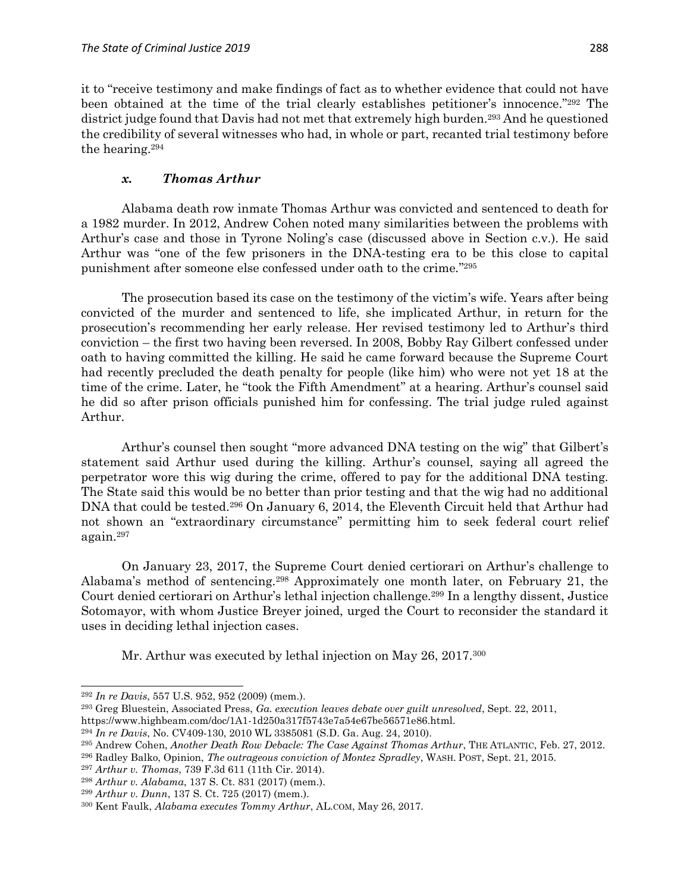it to "receive testimony and make findings of fact as to whether evidence that could not have been obtained at the time of the trial clearly establishes petitioner's innocence." <sup>292</sup> The district judge found that Davis had not met that extremely high burden.<sup>293</sup> And he questioned the credibility of several witnesses who had, in whole or part, recanted trial testimony before the hearing.<sup>294</sup>

### *x. Thomas Arthur*

Alabama death row inmate Thomas Arthur was convicted and sentenced to death for a 1982 murder. In 2012, Andrew Cohen noted many similarities between the problems with Arthur's case and those in Tyrone Noling's case (discussed above in Section c.v.). He said Arthur was "one of the few prisoners in the DNA-testing era to be this close to capital punishment after someone else confessed under oath to the crime." 295

The prosecution based its case on the testimony of the victim's wife. Years after being convicted of the murder and sentenced to life, she implicated Arthur, in return for the prosecution's recommending her early release. Her revised testimony led to Arthur's third conviction – the first two having been reversed. In 2008, Bobby Ray Gilbert confessed under oath to having committed the killing. He said he came forward because the Supreme Court had recently precluded the death penalty for people (like him) who were not yet 18 at the time of the crime. Later, he "took the Fifth Amendment" at a hearing. Arthur's counsel said he did so after prison officials punished him for confessing. The trial judge ruled against Arthur.

Arthur's counsel then sought "more advanced DNA testing on the wig" that Gilbert's statement said Arthur used during the killing. Arthur's counsel, saying all agreed the perpetrator wore this wig during the crime, offered to pay for the additional DNA testing. The State said this would be no better than prior testing and that the wig had no additional DNA that could be tested.<sup>296</sup> On January 6, 2014, the Eleventh Circuit held that Arthur had not shown an "extraordinary circumstance" permitting him to seek federal court relief again.<sup>297</sup>

On January 23, 2017, the Supreme Court denied certiorari on Arthur's challenge to Alabama's method of sentencing.<sup>298</sup> Approximately one month later, on February 21, the Court denied certiorari on Arthur's lethal injection challenge.<sup>299</sup> In a lengthy dissent, Justice Sotomayor, with whom Justice Breyer joined, urged the Court to reconsider the standard it uses in deciding lethal injection cases.

Mr. Arthur was executed by lethal injection on May 26, 2017.<sup>300</sup>

 $\overline{a}$ 

<sup>293</sup> Greg Bluestein, Associated Press, *Ga. execution leaves debate over guilt unresolved*, Sept. 22, 2011, https://www.highbeam.com/doc/1A1-1d250a317f5743e7a54e67be56571e86.html.

<sup>292</sup> *In re Davis*, 557 U.S. 952, 952 (2009) (mem.).

<sup>294</sup> *In re Davis*, No. CV409-130, 2010 WL 3385081 (S.D. Ga. Aug. 24, 2010).

<sup>295</sup> Andrew Cohen, *Another Death Row Debacle: The Case Against Thomas Arthur*, THE ATLANTIC, Feb. 27, 2012.

<sup>296</sup> Radley Balko, Opinion, *The outrageous conviction of Montez Spradley*, WASH. POST, Sept. 21, 2015.

<sup>297</sup> *Arthur v. Thomas*, 739 F.3d 611 (11th Cir. 2014).

<sup>298</sup> *Arthur v. Alabama*, 137 S. Ct. 831 (2017) (mem.).

<sup>299</sup> *Arthur v. Dunn*, 137 S. Ct. 725 (2017) (mem.).

<sup>300</sup> Kent Faulk, *Alabama executes Tommy Arthur*, AL.COM, May 26, 2017.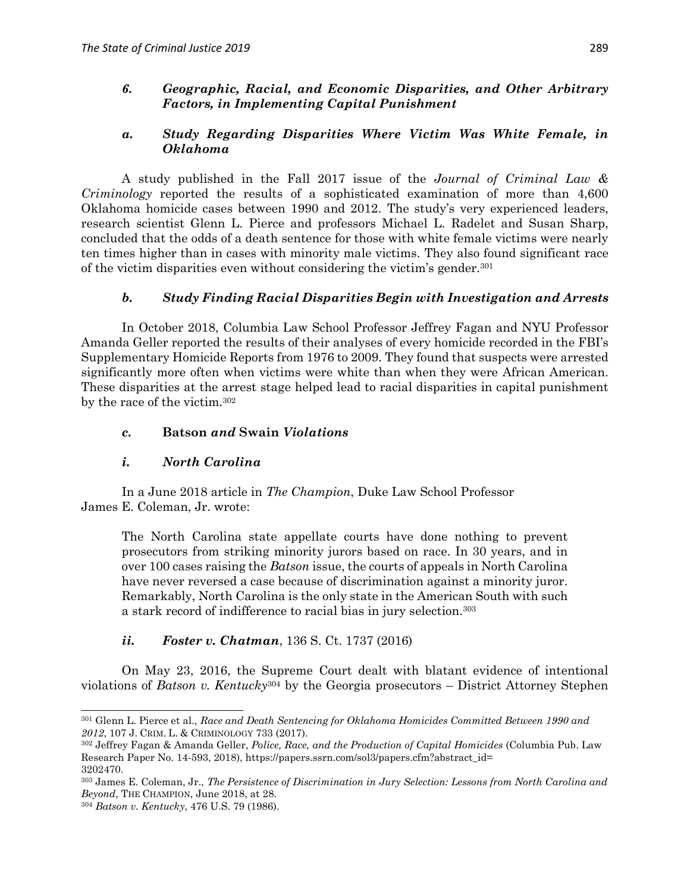### *6. Geographic, Racial, and Economic Disparities, and Other Arbitrary Factors, in Implementing Capital Punishment*

## *a. Study Regarding Disparities Where Victim Was White Female, in Oklahoma*

A study published in the Fall 2017 issue of the *Journal of Criminal Law & Criminology* reported the results of a sophisticated examination of more than 4,600 Oklahoma homicide cases between 1990 and 2012. The study's very experienced leaders, research scientist Glenn L. Pierce and professors Michael L. Radelet and Susan Sharp, concluded that the odds of a death sentence for those with white female victims were nearly ten times higher than in cases with minority male victims. They also found significant race of the victim disparities even without considering the victim's gender.<sup>301</sup>

## *b. Study Finding Racial Disparities Begin with Investigation and Arrests*

In October 2018, Columbia Law School Professor Jeffrey Fagan and NYU Professor Amanda Geller reported the results of their analyses of every homicide recorded in the FBI's Supplementary Homicide Reports from 1976 to 2009. They found that suspects were arrested significantly more often when victims were white than when they were African American. These disparities at the arrest stage helped lead to racial disparities in capital punishment by the race of the victim.<sup>302</sup>

### *c.* **Batson** *and* **Swain** *Violations*

### *i. North Carolina*

In a June 2018 article in *The Champion*, Duke Law School Professor James E. Coleman, Jr. wrote:

The North Carolina state appellate courts have done nothing to prevent prosecutors from striking minority jurors based on race. In 30 years, and in over 100 cases raising the *Batson* issue, the courts of appeals in North Carolina have never reversed a case because of discrimination against a minority juror. Remarkably, North Carolina is the only state in the American South with such a stark record of indifference to racial bias in jury selection.<sup>303</sup>

## *ii. Foster v. Chatman*, 136 S. Ct. 1737 (2016)

On May 23, 2016, the Supreme Court dealt with blatant evidence of intentional violations of *Batson v. Kentucky*<sup>304</sup> by the Georgia prosecutors – District Attorney Stephen

 $\overline{a}$ <sup>301</sup> Glenn L. Pierce et al., *Race and Death Sentencing for Oklahoma Homicides Committed Between 1990 and 2012*, 107 J. CRIM. L. & CRIMINOLOGY 733 (2017).

<sup>302</sup> Jeffrey Fagan & Amanda Geller, *Police, Race, and the Production of Capital Homicides* (Columbia Pub. Law Research Paper No. 14-593, 2018), https://papers.ssrn.com/sol3/papers.cfm?abstract\_id= 3202470.

<sup>303</sup> James E. Coleman, Jr., *The Persistence of Discrimination in Jury Selection: Lessons from North Carolina and Beyond*, THE CHAMPION, June 2018, at 28.

<sup>304</sup> *Batson v. Kentucky*, 476 U.S. 79 (1986).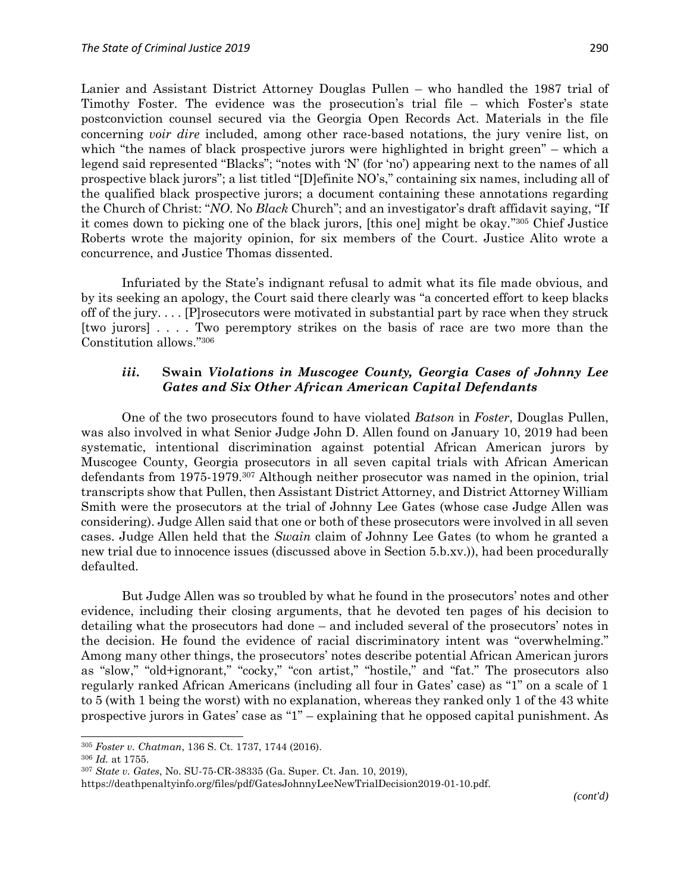Lanier and Assistant District Attorney Douglas Pullen – who handled the 1987 trial of Timothy Foster. The evidence was the prosecution's trial file – which Foster's state postconviction counsel secured via the Georgia Open Records Act. Materials in the file concerning *voir dire* included, among other race-based notations, the jury venire list, on which "the names of black prospective jurors were highlighted in bright green" – which a legend said represented "Blacks"; "notes with 'N' (for 'no') appearing next to the names of all prospective black jurors"; a list titled "[D]efinite NO's," containing six names, including all of the qualified black prospective jurors; a document containing these annotations regarding the Church of Christ: "*NO*. No *Black* Church"; and an investigator's draft affidavit saying, "If it comes down to picking one of the black jurors, [this one] might be okay." <sup>305</sup> Chief Justice Roberts wrote the majority opinion, for six members of the Court. Justice Alito wrote a concurrence, and Justice Thomas dissented.

Infuriated by the State's indignant refusal to admit what its file made obvious, and by its seeking an apology, the Court said there clearly was "a concerted effort to keep blacks off of the jury. . . . [P]rosecutors were motivated in substantial part by race when they struck [two jurors] . . . . Two peremptory strikes on the basis of race are two more than the Constitution allows." 306

### *iii***. Swain** *Violations in Muscogee County, Georgia Cases of Johnny Lee Gates and Six Other African American Capital Defendants*

One of the two prosecutors found to have violated *Batson* in *Foster*, Douglas Pullen, was also involved in what Senior Judge John D. Allen found on January 10, 2019 had been systematic, intentional discrimination against potential African American jurors by Muscogee County, Georgia prosecutors in all seven capital trials with African American defendants from 1975-1979. <sup>307</sup> Although neither prosecutor was named in the opinion, trial transcripts show that Pullen, then Assistant District Attorney, and District Attorney William Smith were the prosecutors at the trial of Johnny Lee Gates (whose case Judge Allen was considering). Judge Allen said that one or both of these prosecutors were involved in all seven cases. Judge Allen held that the *Swain* claim of Johnny Lee Gates (to whom he granted a new trial due to innocence issues (discussed above in Section 5.b.xv.)), had been procedurally defaulted.

But Judge Allen was so troubled by what he found in the prosecutors' notes and other evidence, including their closing arguments, that he devoted ten pages of his decision to detailing what the prosecutors had done – and included several of the prosecutors' notes in the decision. He found the evidence of racial discriminatory intent was "overwhelming." Among many other things, the prosecutors' notes describe potential African American jurors as "slow," "old+ignorant," "cocky," "con artist," "hostile," and "fat." The prosecutors also regularly ranked African Americans (including all four in Gates' case) as "1" on a scale of 1 to 5 (with 1 being the worst) with no explanation, whereas they ranked only 1 of the 43 white prospective jurors in Gates' case as "1" – explaining that he opposed capital punishment. As

<sup>305</sup> *Foster v. Chatman*, 136 S. Ct. 1737, 1744 (2016).

<sup>306</sup> *Id.* at 1755.

<sup>307</sup> *State v. Gates*, No. SU-75-CR-38335 (Ga. Super. Ct. Jan. 10, 2019),

https://deathpenaltyinfo.org/files/pdf/GatesJohnnyLeeNewTrialDecision2019-01-10.pdf.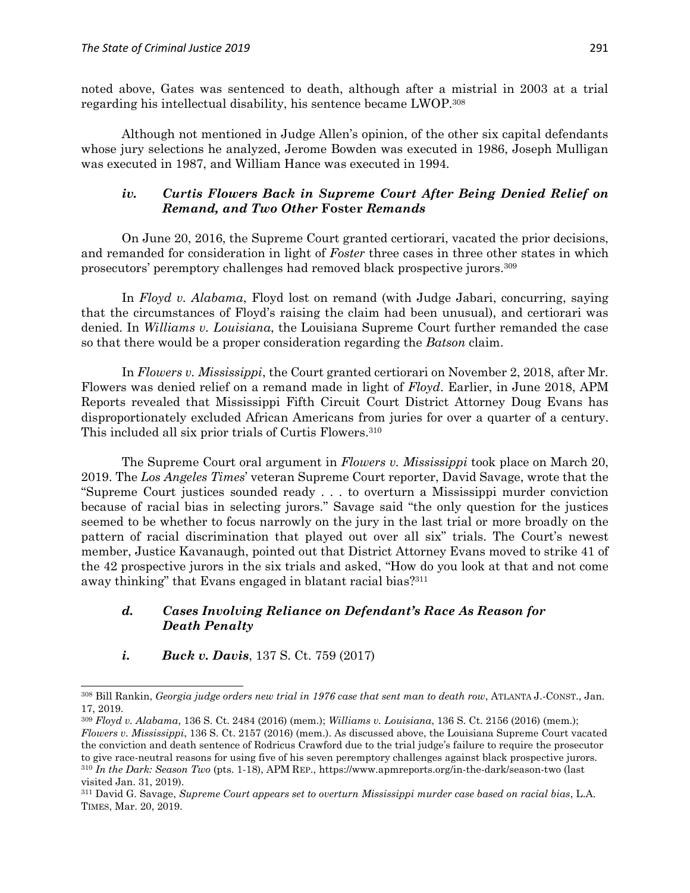noted above, Gates was sentenced to death, although after a mistrial in 2003 at a trial regarding his intellectual disability, his sentence became LWOP. 308

Although not mentioned in Judge Allen's opinion, of the other six capital defendants whose jury selections he analyzed, Jerome Bowden was executed in 1986, Joseph Mulligan was executed in 1987, and William Hance was executed in 1994.

### *iv. Curtis Flowers Back in Supreme Court After Being Denied Relief on Remand, and Two Other* **Foster** *Remands*

On June 20, 2016, the Supreme Court granted certiorari, vacated the prior decisions, and remanded for consideration in light of *Foster* three cases in three other states in which prosecutors' peremptory challenges had removed black prospective jurors.<sup>309</sup>

In *Floyd v. Alabama*, Floyd lost on remand (with Judge Jabari, concurring, saying that the circumstances of Floyd's raising the claim had been unusual), and certiorari was denied. In *Williams v. Louisiana*, the Louisiana Supreme Court further remanded the case so that there would be a proper consideration regarding the *Batson* claim.

In *Flowers v. Mississippi*, the Court granted certiorari on November 2, 2018, after Mr. Flowers was denied relief on a remand made in light of *Floyd*. Earlier, in June 2018, APM Reports revealed that Mississippi Fifth Circuit Court District Attorney Doug Evans has disproportionately excluded African Americans from juries for over a quarter of a century. This included all six prior trials of Curtis Flowers.<sup>310</sup>

The Supreme Court oral argument in *Flowers v. Mississippi* took place on March 20, 2019. The *Los Angeles Times*' veteran Supreme Court reporter, David Savage, wrote that the "Supreme Court justices sounded ready . . . to overturn a Mississippi murder conviction because of racial bias in selecting jurors." Savage said "the only question for the justices seemed to be whether to focus narrowly on the jury in the last trial or more broadly on the pattern of racial discrimination that played out over all six" trials. The Court's newest member, Justice Kavanaugh, pointed out that District Attorney Evans moved to strike 41 of the 42 prospective jurors in the six trials and asked, "How do you look at that and not come away thinking" that Evans engaged in blatant racial bias?<sup>311</sup>

### *d. Cases Involving Reliance on Defendant's Race As Reason for Death Penalty*

*i. Buck v. Davis*, 137 S. Ct. 759 (2017)

<sup>308</sup> Bill Rankin, *Georgia judge orders new trial in 1976 case that sent man to death row*, ATLANTA J.-CONST., Jan. 17, 2019.

<sup>309</sup> *Floyd v. Alabama*, 136 S. Ct. 2484 (2016) (mem.); *Williams v. Louisiana*, 136 S. Ct. 2156 (2016) (mem.); *Flowers v. Mississippi*, 136 S. Ct. 2157 (2016) (mem.). As discussed above, the Louisiana Supreme Court vacated the conviction and death sentence of Rodricus Crawford due to the trial judge's failure to require the prosecutor to give race-neutral reasons for using five of his seven peremptory challenges against black prospective jurors. <sup>310</sup> *In the Dark: Season Two* (pts. 1-18), APM REP., https://www.apmreports.org/in-the-dark/season-two (last visited Jan. 31, 2019).

<sup>311</sup> David G. Savage, *Supreme Court appears set to overturn Mississippi murder case based on racial bias*, L.A. TIMES, Mar. 20, 2019.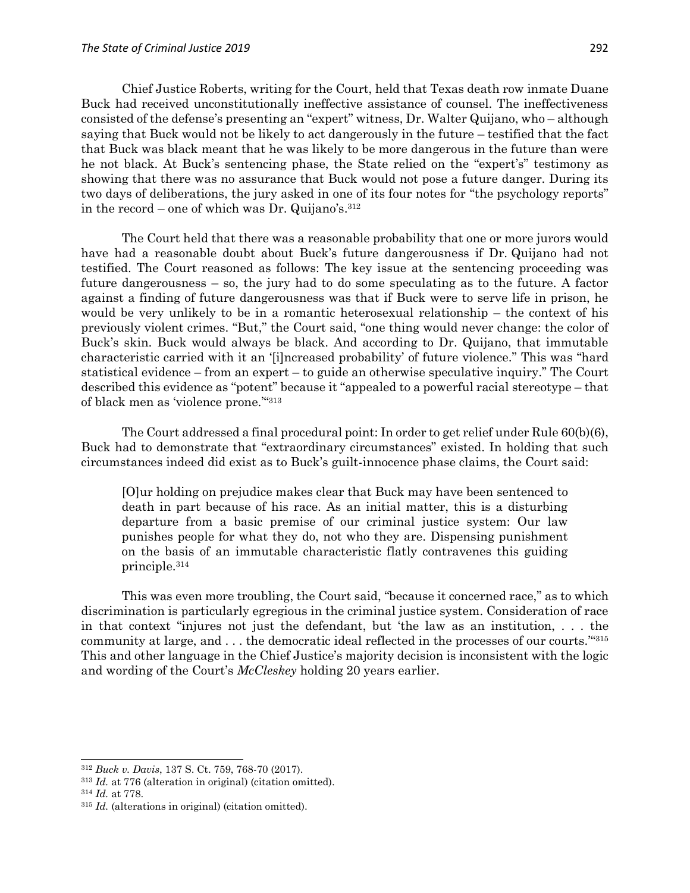Chief Justice Roberts, writing for the Court, held that Texas death row inmate Duane Buck had received unconstitutionally ineffective assistance of counsel. The ineffectiveness consisted of the defense's presenting an "expert" witness, Dr. Walter Quijano, who – although saying that Buck would not be likely to act dangerously in the future – testified that the fact that Buck was black meant that he was likely to be more dangerous in the future than were he not black. At Buck's sentencing phase, the State relied on the "expert's" testimony as showing that there was no assurance that Buck would not pose a future danger. During its two days of deliberations, the jury asked in one of its four notes for "the psychology reports" in the record – one of which was Dr. Quijano's.  $312$ 

The Court held that there was a reasonable probability that one or more jurors would have had a reasonable doubt about Buck's future dangerousness if Dr. Quijano had not testified. The Court reasoned as follows: The key issue at the sentencing proceeding was future dangerousness – so, the jury had to do some speculating as to the future. A factor against a finding of future dangerousness was that if Buck were to serve life in prison, he would be very unlikely to be in a romantic heterosexual relationship – the context of his previously violent crimes. "But," the Court said, "one thing would never change: the color of Buck's skin. Buck would always be black. And according to Dr. Quijano, that immutable characteristic carried with it an '[i]ncreased probability' of future violence." This was "hard statistical evidence – from an expert – to guide an otherwise speculative inquiry." The Court described this evidence as "potent" because it "appealed to a powerful racial stereotype – that of black men as 'violence prone.'" 313

The Court addressed a final procedural point: In order to get relief under Rule 60(b)(6), Buck had to demonstrate that "extraordinary circumstances" existed. In holding that such circumstances indeed did exist as to Buck's guilt-innocence phase claims, the Court said:

[O]ur holding on prejudice makes clear that Buck may have been sentenced to death in part because of his race. As an initial matter, this is a disturbing departure from a basic premise of our criminal justice system: Our law punishes people for what they do, not who they are. Dispensing punishment on the basis of an immutable characteristic flatly contravenes this guiding principle.<sup>314</sup>

This was even more troubling, the Court said, "because it concerned race," as to which discrimination is particularly egregious in the criminal justice system. Consideration of race in that context "injures not just the defendant, but 'the law as an institution, . . . the community at large, and . . . the democratic ideal reflected in the processes of our courts.'" 315 This and other language in the Chief Justice's majority decision is inconsistent with the logic and wording of the Court's *McCleskey* holding 20 years earlier.

 $\overline{\phantom{a}}$ 

<sup>312</sup> *Buck v. Davis*, 137 S. Ct. 759, 768-70 (2017).

<sup>313</sup> *Id.* at 776 (alteration in original) (citation omitted).

<sup>314</sup> *Id.* at 778.

<sup>315</sup> *Id.* (alterations in original) (citation omitted).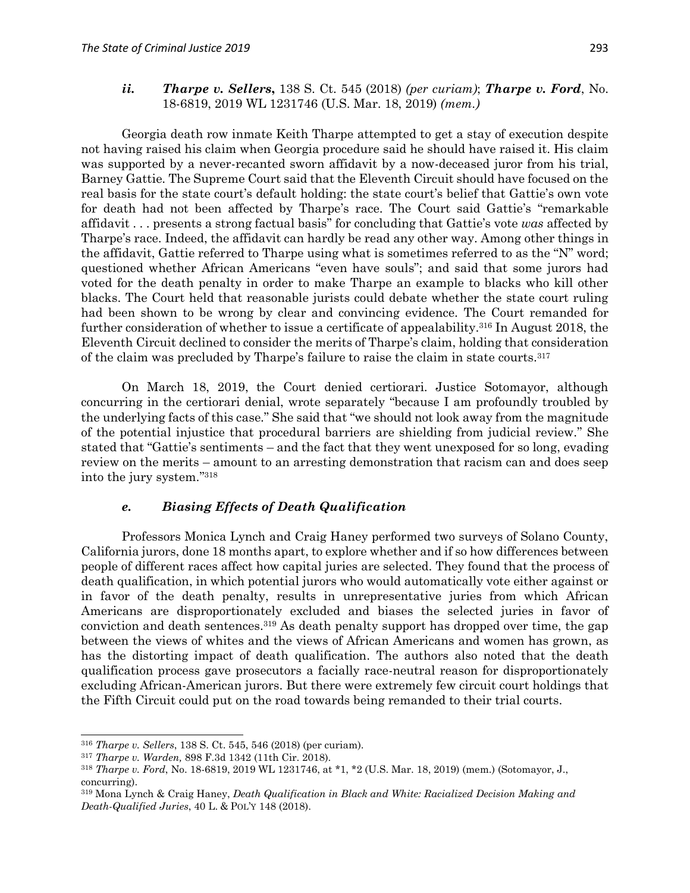### *ii. Tharpe v. Sellers***,** 138 S. Ct. 545 (2018) *(per curiam)*; *Tharpe v. Ford*, No. 18-6819, 2019 WL 1231746 (U.S. Mar. 18, 2019) *(mem.)*

Georgia death row inmate Keith Tharpe attempted to get a stay of execution despite not having raised his claim when Georgia procedure said he should have raised it. His claim was supported by a never-recanted sworn affidavit by a now-deceased juror from his trial, Barney Gattie. The Supreme Court said that the Eleventh Circuit should have focused on the real basis for the state court's default holding: the state court's belief that Gattie's own vote for death had not been affected by Tharpe's race. The Court said Gattie's "remarkable affidavit . . . presents a strong factual basis" for concluding that Gattie's vote *was* affected by Tharpe's race. Indeed, the affidavit can hardly be read any other way. Among other things in the affidavit, Gattie referred to Tharpe using what is sometimes referred to as the "N" word; questioned whether African Americans "even have souls"; and said that some jurors had voted for the death penalty in order to make Tharpe an example to blacks who kill other blacks. The Court held that reasonable jurists could debate whether the state court ruling had been shown to be wrong by clear and convincing evidence. The Court remanded for further consideration of whether to issue a certificate of appealability.<sup>316</sup> In August 2018, the Eleventh Circuit declined to consider the merits of Tharpe's claim, holding that consideration of the claim was precluded by Tharpe's failure to raise the claim in state courts.<sup>317</sup>

On March 18, 2019, the Court denied certiorari. Justice Sotomayor, although concurring in the certiorari denial, wrote separately "because I am profoundly troubled by the underlying facts of this case." She said that "we should not look away from the magnitude of the potential injustice that procedural barriers are shielding from judicial review." She stated that "Gattie's sentiments – and the fact that they went unexposed for so long, evading review on the merits – amount to an arresting demonstration that racism can and does seep into the jury system." 318

### *e. Biasing Effects of Death Qualification*

Professors Monica Lynch and Craig Haney performed two surveys of Solano County, California jurors, done 18 months apart, to explore whether and if so how differences between people of different races affect how capital juries are selected. They found that the process of death qualification, in which potential jurors who would automatically vote either against or in favor of the death penalty, results in unrepresentative juries from which African Americans are disproportionately excluded and biases the selected juries in favor of conviction and death sentences.<sup>319</sup> As death penalty support has dropped over time, the gap between the views of whites and the views of African Americans and women has grown, as has the distorting impact of death qualification. The authors also noted that the death qualification process gave prosecutors a facially race-neutral reason for disproportionately excluding African-American jurors. But there were extremely few circuit court holdings that the Fifth Circuit could put on the road towards being remanded to their trial courts.

 $\overline{a}$ <sup>316</sup> *Tharpe v. Sellers*, 138 S. Ct. 545, 546 (2018) (per curiam).

<sup>317</sup> *Tharpe v. Warden,* 898 F.3d 1342 (11th Cir. 2018).

<sup>318</sup> *Tharpe v. Ford*, No. 18-6819, 2019 WL 1231746, at \*1, \*2 (U.S. Mar. 18, 2019) (mem.) (Sotomayor, J., concurring).

<sup>319</sup> Mona Lynch & Craig Haney, *Death Qualification in Black and White: Racialized Decision Making and Death-Qualified Juries*, 40 L. & POL'Y 148 (2018).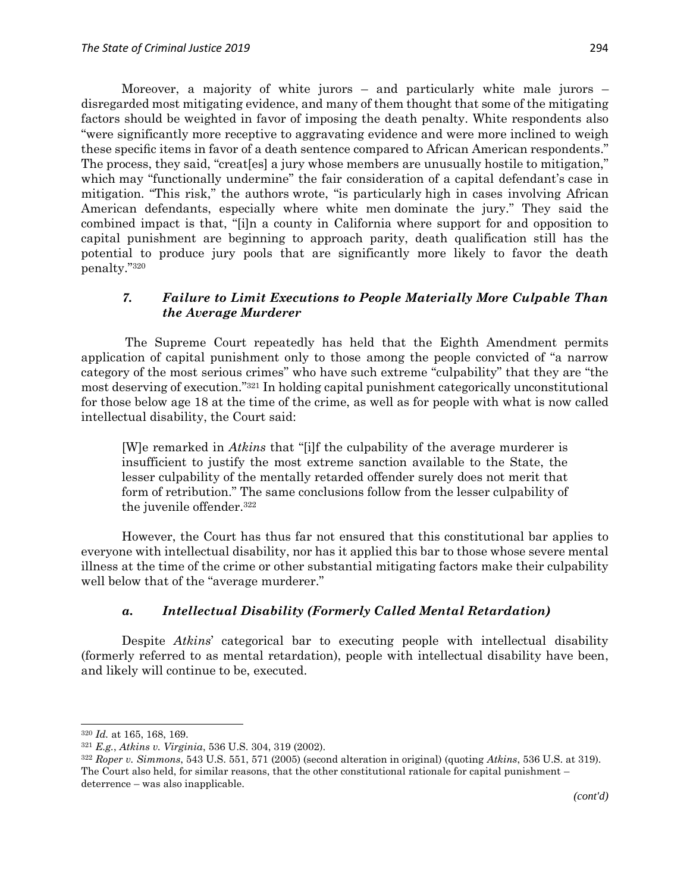Moreover, a majority of white jurors – and particularly white male jurors – disregarded most mitigating evidence, and many of them thought that some of the mitigating factors should be weighted in favor of imposing the death penalty. White respondents also "were significantly more receptive to aggravating evidence and were more inclined to weigh these specific items in favor of a death sentence compared to African American respondents." The process, they said, "creat[es] a jury whose members are unusually hostile to mitigation," which may "functionally undermine" the fair consideration of a capital defendant's case in mitigation. "This risk," the authors wrote, "is particularly high in cases involving African American defendants, especially where white men dominate the jury." They said the combined impact is that, "[i]n a county in California where support for and opposition to capital punishment are beginning to approach parity, death qualification still has the potential to produce jury pools that are significantly more likely to favor the death penalty." 320

### *7. Failure to Limit Executions to People Materially More Culpable Than the Average Murderer*

The Supreme Court repeatedly has held that the Eighth Amendment permits application of capital punishment only to those among the people convicted of "a narrow category of the most serious crimes" who have such extreme "culpability" that they are "the most deserving of execution." <sup>321</sup> In holding capital punishment categorically unconstitutional for those below age 18 at the time of the crime, as well as for people with what is now called intellectual disability, the Court said:

[W]e remarked in *Atkins* that "[i]f the culpability of the average murderer is insufficient to justify the most extreme sanction available to the State, the lesser culpability of the mentally retarded offender surely does not merit that form of retribution." The same conclusions follow from the lesser culpability of the juvenile offender.<sup>322</sup>

However, the Court has thus far not ensured that this constitutional bar applies to everyone with intellectual disability, nor has it applied this bar to those whose severe mental illness at the time of the crime or other substantial mitigating factors make their culpability well below that of the "average murderer."

## *a. Intellectual Disability (Formerly Called Mental Retardation)*

Despite *Atkins*' categorical bar to executing people with intellectual disability (formerly referred to as mental retardation), people with intellectual disability have been, and likely will continue to be, executed.

<sup>320</sup> *Id.* at 165, 168, 169.

<sup>321</sup> *E.g.*, *Atkins v. Virginia*, 536 U.S. 304, 319 (2002).

<sup>322</sup> *Roper v. Simmons*, 543 U.S. 551, 571 (2005) (second alteration in original) (quoting *Atkins*, 536 U.S. at 319). The Court also held, for similar reasons, that the other constitutional rationale for capital punishment – deterrence – was also inapplicable.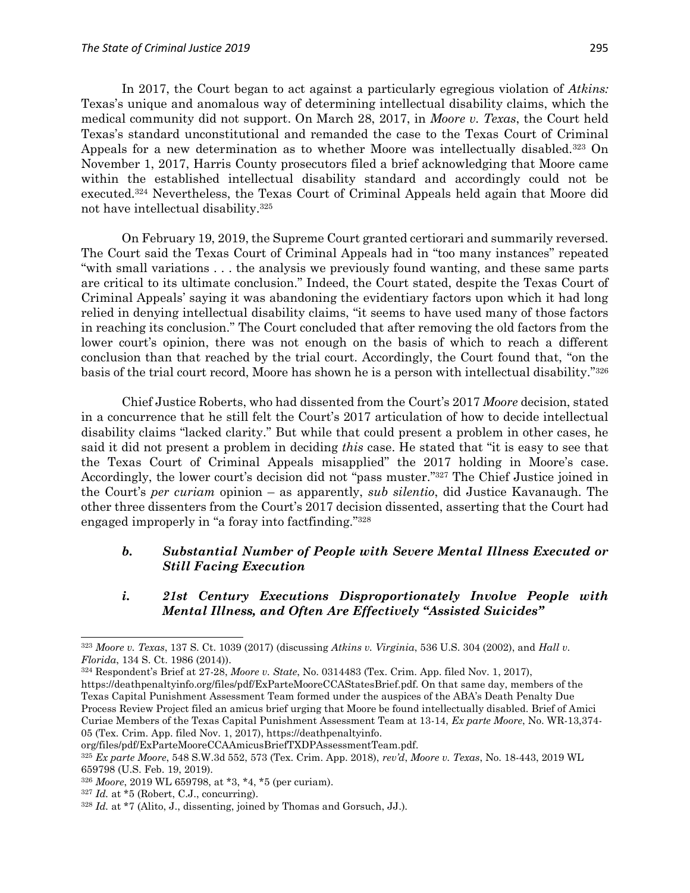In 2017, the Court began to act against a particularly egregious violation of *Atkins:*  Texas's unique and anomalous way of determining intellectual disability claims, which the medical community did not support. On March 28, 2017, in *Moore v. Texas*, the Court held Texas's standard unconstitutional and remanded the case to the Texas Court of Criminal Appeals for a new determination as to whether Moore was intellectually disabled.<sup>323</sup> On November 1, 2017, Harris County prosecutors filed a brief acknowledging that Moore came within the established intellectual disability standard and accordingly could not be executed.<sup>324</sup> Nevertheless, the Texas Court of Criminal Appeals held again that Moore did not have intellectual disability.<sup>325</sup>

On February 19, 2019, the Supreme Court granted certiorari and summarily reversed. The Court said the Texas Court of Criminal Appeals had in "too many instances" repeated "with small variations . . . the analysis we previously found wanting, and these same parts are critical to its ultimate conclusion." Indeed, the Court stated, despite the Texas Court of Criminal Appeals' saying it was abandoning the evidentiary factors upon which it had long relied in denying intellectual disability claims, "it seems to have used many of those factors in reaching its conclusion." The Court concluded that after removing the old factors from the lower court's opinion, there was not enough on the basis of which to reach a different conclusion than that reached by the trial court. Accordingly, the Court found that, "on the basis of the trial court record, Moore has shown he is a person with intellectual disability." 326

Chief Justice Roberts, who had dissented from the Court's 2017 *Moore* decision, stated in a concurrence that he still felt the Court's 2017 articulation of how to decide intellectual disability claims "lacked clarity." But while that could present a problem in other cases, he said it did not present a problem in deciding *this* case. He stated that "it is easy to see that the Texas Court of Criminal Appeals misapplied" the 2017 holding in Moore's case. Accordingly, the lower court's decision did not "pass muster."<sup>327</sup> The Chief Justice joined in the Court's *per curiam* opinion – as apparently, *sub silentio*, did Justice Kavanaugh. The other three dissenters from the Court's 2017 decision dissented, asserting that the Court had engaged improperly in "a foray into factfinding." 328

## *b. Substantial Number of People with Severe Mental Illness Executed or Still Facing Execution*

*i. 21st Century Executions Disproportionately Involve People with Mental Illness, and Often Are Effectively "Assisted Suicides"*

 $\overline{\phantom{a}}$ 

<sup>323</sup> *Moore v. Texas*, 137 S. Ct. 1039 (2017) (discussing *Atkins v. Virginia*, 536 U.S. 304 (2002), and *Hall v. Florida*, 134 S. Ct. 1986 (2014)).

<sup>324</sup> Respondent's Brief at 27-28, *Moore v. State*, No. 0314483 (Tex. Crim. App. filed Nov. 1, 2017),

https://deathpenaltyinfo.org/files/pdf/ExParteMooreCCAStatesBrief.pdf. On that same day, members of the Texas Capital Punishment Assessment Team formed under the auspices of the ABA's Death Penalty Due Process Review Project filed an amicus brief urging that Moore be found intellectually disabled. Brief of Amici Curiae Members of the Texas Capital Punishment Assessment Team at 13-14, *Ex parte Moore*, No. WR-13,374- 05 (Tex. Crim. App. filed Nov. 1, 2017), https://deathpenaltyinfo.

org/files/pdf/ExParteMooreCCAAmicusBriefTXDPAssessmentTeam.pdf.

<sup>325</sup> *Ex parte Moore*, 548 S.W.3d 552, 573 (Tex. Crim. App. 2018), *rev'd*, *Moore v. Texas*, No. 18-443, 2019 WL 659798 (U.S. Feb. 19, 2019).

<sup>326</sup> *Moore*, 2019 WL 659798, at \*3, \*4, \*5 (per curiam).

<sup>327</sup> *Id.* at \*5 (Robert, C.J., concurring).

<sup>328</sup> *Id.* at \*7 (Alito, J., dissenting, joined by Thomas and Gorsuch, JJ.).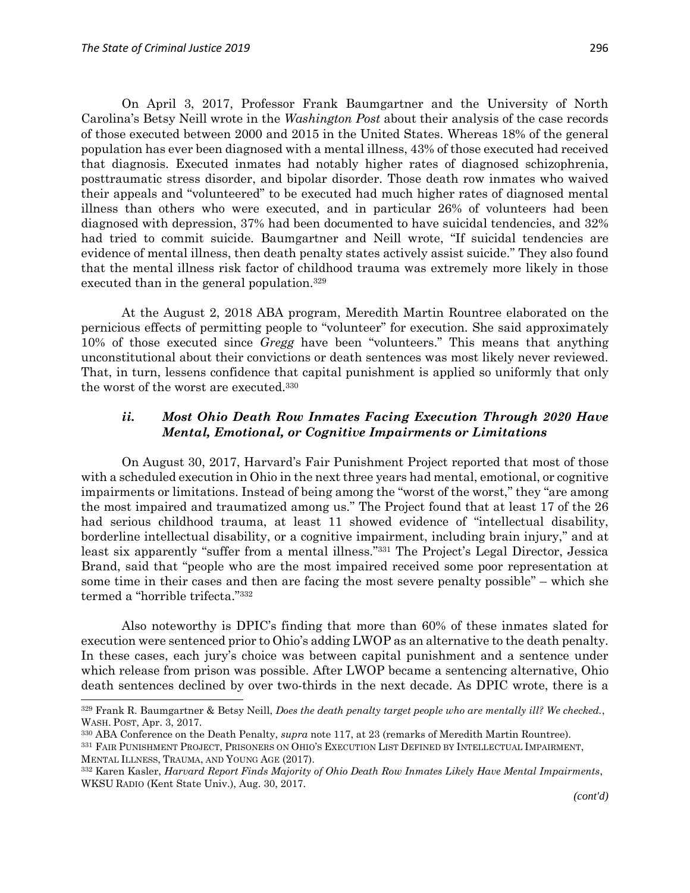$\overline{a}$ 

On April 3, 2017, Professor Frank Baumgartner and the University of North Carolina's Betsy Neill wrote in the *Washington Post* about their analysis of the case records of those executed between 2000 and 2015 in the United States. Whereas 18% of the general population has ever been diagnosed with a mental illness, 43% of those executed had received that diagnosis. Executed inmates had notably higher rates of diagnosed schizophrenia, posttraumatic stress disorder, and bipolar disorder. Those death row inmates who waived their appeals and "volunteered" to be executed had much higher rates of diagnosed mental illness than others who were executed, and in particular 26% of volunteers had been diagnosed with depression, 37% had been documented to have suicidal tendencies, and 32% had tried to commit suicide. Baumgartner and Neill wrote, "If suicidal tendencies are evidence of mental illness, then death penalty states actively assist suicide." They also found that the mental illness risk factor of childhood trauma was extremely more likely in those executed than in the general population.<sup>329</sup>

At the August 2, 2018 ABA program, Meredith Martin Rountree elaborated on the pernicious effects of permitting people to "volunteer" for execution. She said approximately 10% of those executed since *Gregg* have been "volunteers." This means that anything unconstitutional about their convictions or death sentences was most likely never reviewed. That, in turn, lessens confidence that capital punishment is applied so uniformly that only the worst of the worst are executed.<sup>330</sup>

### *ii. Most Ohio Death Row Inmates Facing Execution Through 2020 Have Mental, Emotional, or Cognitive Impairments or Limitations*

On August 30, 2017, Harvard's Fair Punishment Project reported that most of those with a scheduled execution in Ohio in the next three years had mental, emotional, or cognitive impairments or limitations. Instead of being among the "worst of the worst," they "are among the most impaired and traumatized among us." The Project found that at least 17 of the 26 had serious childhood trauma, at least 11 showed evidence of "intellectual disability, borderline intellectual disability, or a cognitive impairment, including brain injury," and at least six apparently "suffer from a mental illness."<sup>331</sup> The Project's Legal Director, Jessica Brand, said that "people who are the most impaired received some poor representation at some time in their cases and then are facing the most severe penalty possible" – which she termed a "horrible trifecta." 332

Also noteworthy is DPIC's finding that more than 60% of these inmates slated for execution were sentenced prior to Ohio's adding LWOP as an alternative to the death penalty. In these cases, each jury's choice was between capital punishment and a sentence under which release from prison was possible. After LWOP became a sentencing alternative, Ohio death sentences declined by over two-thirds in the next decade. As DPIC wrote, there is a

<sup>329</sup> Frank R. Baumgartner & Betsy Neill, *Does the death penalty target people who are mentally ill? We checked.*, WASH. POST, Apr. 3, 2017.

<sup>330</sup> ABA Conference on the Death Penalty, *supra* note 117, at 23 (remarks of Meredith Martin Rountree).

<sup>331</sup> FAIR PUNISHMENT PROJECT, PRISONERS ON OHIO'S EXECUTION LIST DEFINED BY INTELLECTUAL IMPAIRMENT, MENTAL ILLNESS, TRAUMA, AND YOUNG AGE (2017).

<sup>332</sup> Karen Kasler, *Harvard Report Finds Majority of Ohio Death Row Inmates Likely Have Mental Impairments*, WKSU RADIO (Kent State Univ.), Aug. 30, 2017.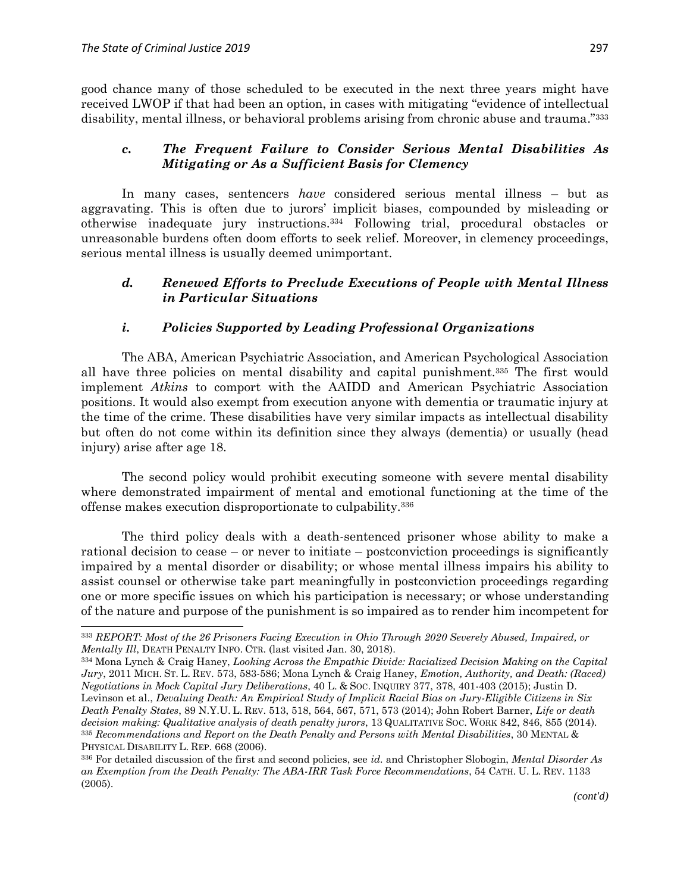$\overline{a}$ 

good chance many of those scheduled to be executed in the next three years might have received LWOP if that had been an option, in cases with mitigating "evidence of intellectual disability, mental illness, or behavioral problems arising from chronic abuse and trauma."<sup>333</sup>

### *c. The Frequent Failure to Consider Serious Mental Disabilities As Mitigating or As a Sufficient Basis for Clemency*

In many cases, sentencers *have* considered serious mental illness – but as aggravating. This is often due to jurors' implicit biases, compounded by misleading or otherwise inadequate jury instructions. <sup>334</sup> Following trial, procedural obstacles or unreasonable burdens often doom efforts to seek relief. Moreover, in clemency proceedings, serious mental illness is usually deemed unimportant.

### *d. Renewed Efforts to Preclude Executions of People with Mental Illness in Particular Situations*

### *i. Policies Supported by Leading Professional Organizations*

The ABA, American Psychiatric Association, and American Psychological Association all have three policies on mental disability and capital punishment.<sup>335</sup> The first would implement *Atkins* to comport with the AAIDD and American Psychiatric Association positions. It would also exempt from execution anyone with dementia or traumatic injury at the time of the crime. These disabilities have very similar impacts as intellectual disability but often do not come within its definition since they always (dementia) or usually (head injury) arise after age 18.

The second policy would prohibit executing someone with severe mental disability where demonstrated impairment of mental and emotional functioning at the time of the offense makes execution disproportionate to culpability.<sup>336</sup>

The third policy deals with a death-sentenced prisoner whose ability to make a rational decision to cease – or never to initiate – postconviction proceedings is significantly impaired by a mental disorder or disability; or whose mental illness impairs his ability to assist counsel or otherwise take part meaningfully in postconviction proceedings regarding one or more specific issues on which his participation is necessary; or whose understanding of the nature and purpose of the punishment is so impaired as to render him incompetent for

<sup>333</sup> *REPORT: Most of the 26 Prisoners Facing Execution in Ohio Through 2020 Severely Abused, Impaired, or Mentally Ill*, DEATH PENALTY INFO. CTR. (last visited Jan. 30, 2018).

<sup>334</sup> Mona Lynch & Craig Haney, *Looking Across the Empathic Divide: Racialized Decision Making on the Capital Jury*, 2011 MICH. ST. L. REV. 573, 583-586; Mona Lynch & Craig Haney, *Emotion, Authority, and Death: (Raced) Negotiations in Mock Capital Jury Deliberations*, 40 L. & SOC. INQUIRY 377, 378, 401-403 (2015); Justin D. Levinson et al., *Devaluing Death: An Empirical Study of Implicit Racial Bias on Jury-Eligible Citizens in Six Death Penalty States*, 89 N.Y.U. L. REV. 513, 518, 564, 567, 571, 573 (2014); John Robert Barner, *Life or death decision making: Qualitative analysis of death penalty jurors*, 13 QUALITATIVE SOC. WORK 842, 846, 855 (2014). <sup>335</sup> *Recommendations and Report on the Death Penalty and Persons with Mental Disabilities*, 30 MENTAL & PHYSICAL DISABILITY L. REP. 668 (2006).

<sup>336</sup> For detailed discussion of the first and second policies, see *id.* and Christopher Slobogin, *Mental Disorder As an Exemption from the Death Penalty: The ABA-IRR Task Force Recommendations*, 54 CATH. U. L. REV. 1133 (2005).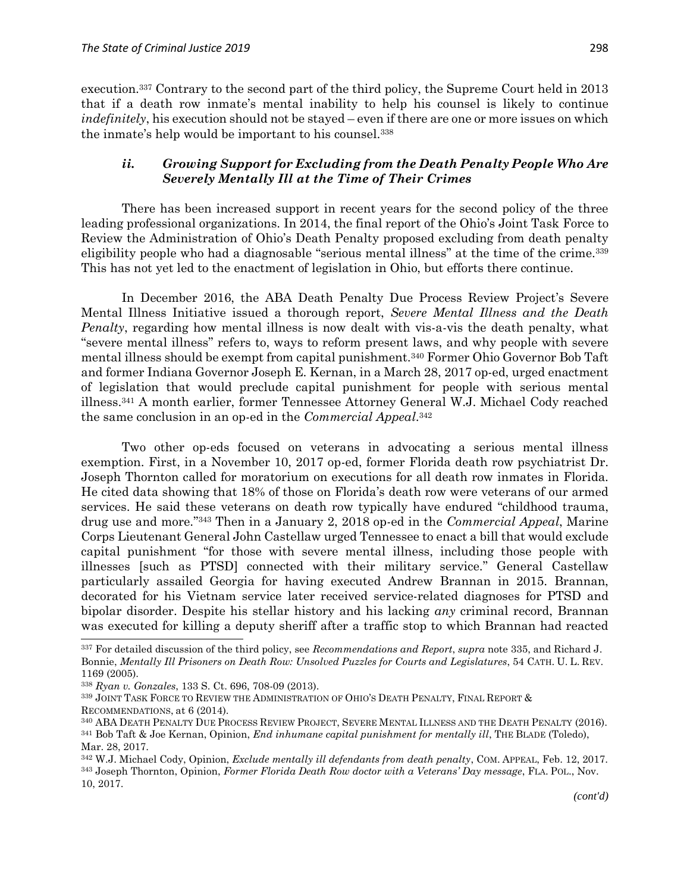execution.<sup>337</sup> Contrary to the second part of the third policy, the Supreme Court held in 2013 that if a death row inmate's mental inability to help his counsel is likely to continue *indefinitely*, his execution should not be stayed – even if there are one or more issues on which the inmate's help would be important to his counsel.<sup>338</sup>

### *ii. Growing Support for Excluding from the Death Penalty People Who Are Severely Mentally Ill at the Time of Their Crimes*

There has been increased support in recent years for the second policy of the three leading professional organizations. In 2014, the final report of the Ohio's Joint Task Force to Review the Administration of Ohio's Death Penalty proposed excluding from death penalty eligibility people who had a diagnosable "serious mental illness" at the time of the crime.<sup>339</sup> This has not yet led to the enactment of legislation in Ohio, but efforts there continue.

In December 2016, the ABA Death Penalty Due Process Review Project's Severe Mental Illness Initiative issued a thorough report, *Severe Mental Illness and the Death Penalty*, regarding how mental illness is now dealt with vis-a-vis the death penalty, what "severe mental illness" refers to, ways to reform present laws, and why people with severe mental illness should be exempt from capital punishment.<sup>340</sup> Former Ohio Governor Bob Taft and former Indiana Governor Joseph E. Kernan, in a March 28, 2017 op-ed, urged enactment of legislation that would preclude capital punishment for people with serious mental illness.<sup>341</sup> A month earlier, former Tennessee Attorney General W.J. Michael Cody reached the same conclusion in an op-ed in the *Commercial Appeal*. 342

Two other op-eds focused on veterans in advocating a serious mental illness exemption. First, in a November 10, 2017 op-ed, former Florida death row psychiatrist Dr. Joseph Thornton called for moratorium on executions for all death row inmates in Florida. He cited data showing that 18% of those on Florida's death row were veterans of our armed services. He said these veterans on death row typically have endured "childhood trauma, drug use and more." <sup>343</sup> Then in a January 2, 2018 op-ed in the *Commercial Appeal*, Marine Corps Lieutenant General John Castellaw urged Tennessee to enact a bill that would exclude capital punishment "for those with severe mental illness, including those people with illnesses [such as PTSD] connected with their military service." General Castellaw particularly assailed Georgia for having executed Andrew Brannan in 2015. Brannan, decorated for his Vietnam service later received service-related diagnoses for PTSD and bipolar disorder. Despite his stellar history and his lacking *any* criminal record, Brannan was executed for killing a deputy sheriff after a traffic stop to which Brannan had reacted

<sup>337</sup> For detailed discussion of the third policy, see *Recommendations and Report*, *supra* note 335, and Richard J. Bonnie, *Mentally Ill Prisoners on Death Row: Unsolved Puzzles for Courts and Legislatures*, 54 CATH. U. L. REV. 1169 (2005).

<sup>338</sup> *Ryan v. Gonzales*, 133 S. Ct. 696, 708-09 (2013).

<sup>339</sup> JOINT TASK FORCE TO REVIEW THE ADMINISTRATION OF OHIO'S DEATH PENALTY, FINAL REPORT & RECOMMENDATIONS, at 6 (2014).

<sup>340</sup> ABA DEATH PENALTY DUE PROCESS REVIEW PROJECT, SEVERE MENTAL ILLNESS AND THE DEATH PENALTY (2016). <sup>341</sup> Bob Taft & Joe Kernan, Opinion, *End inhumane capital punishment for mentally ill*, THE BLADE (Toledo), Mar. 28, 2017.

<sup>342</sup> W.J. Michael Cody, Opinion, *Exclude mentally ill defendants from death penalty*, COM. APPEAL, Feb. 12, 2017. <sup>343</sup> Joseph Thornton, Opinion, *Former Florida Death Row doctor with a Veterans' Day message*, FLA. POL., Nov. 10, 2017.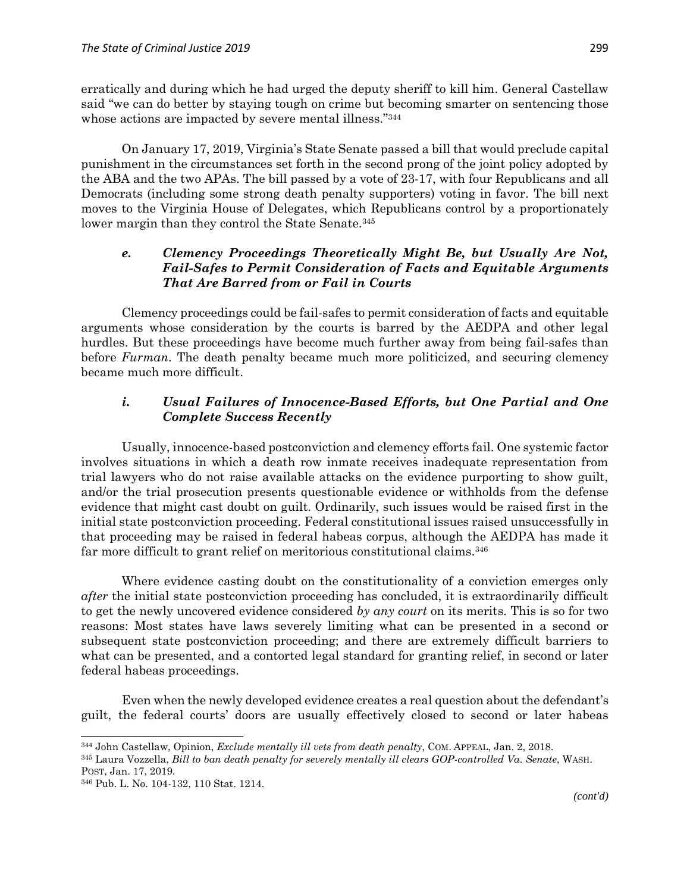erratically and during which he had urged the deputy sheriff to kill him. General Castellaw said "we can do better by staying tough on crime but becoming smarter on sentencing those whose actions are impacted by severe mental illness."344

On January 17, 2019, Virginia's State Senate passed a bill that would preclude capital punishment in the circumstances set forth in the second prong of the joint policy adopted by the ABA and the two APAs. The bill passed by a vote of 23-17, with four Republicans and all Democrats (including some strong death penalty supporters) voting in favor. The bill next moves to the Virginia House of Delegates, which Republicans control by a proportionately lower margin than they control the State Senate.<sup>345</sup>

## *e. Clemency Proceedings Theoretically Might Be, but Usually Are Not, Fail-Safes to Permit Consideration of Facts and Equitable Arguments That Are Barred from or Fail in Courts*

Clemency proceedings could be fail-safes to permit consideration of facts and equitable arguments whose consideration by the courts is barred by the AEDPA and other legal hurdles. But these proceedings have become much further away from being fail-safes than before *Furman*. The death penalty became much more politicized, and securing clemency became much more difficult.

## *i. Usual Failures of Innocence-Based Efforts, but One Partial and One Complete Success Recently*

Usually, innocence-based postconviction and clemency efforts fail. One systemic factor involves situations in which a death row inmate receives inadequate representation from trial lawyers who do not raise available attacks on the evidence purporting to show guilt, and/or the trial prosecution presents questionable evidence or withholds from the defense evidence that might cast doubt on guilt. Ordinarily, such issues would be raised first in the initial state postconviction proceeding. Federal constitutional issues raised unsuccessfully in that proceeding may be raised in federal habeas corpus, although the AEDPA has made it far more difficult to grant relief on meritorious constitutional claims.<sup>346</sup>

Where evidence casting doubt on the constitutionality of a conviction emerges only *after* the initial state postconviction proceeding has concluded, it is extraordinarily difficult to get the newly uncovered evidence considered *by any court* on its merits. This is so for two reasons: Most states have laws severely limiting what can be presented in a second or subsequent state postconviction proceeding; and there are extremely difficult barriers to what can be presented, and a contorted legal standard for granting relief, in second or later federal habeas proceedings.

Even when the newly developed evidence creates a real question about the defendant's guilt, the federal courts' doors are usually effectively closed to second or later habeas

 $\overline{a}$ <sup>344</sup> John Castellaw, Opinion, *Exclude mentally ill vets from death penalty*, COM. APPEAL, Jan. 2, 2018.

<sup>345</sup> Laura Vozzella, *Bill to ban death penalty for severely mentally ill clears GOP-controlled Va. Senate*, WASH. POST, Jan. 17, 2019.

<sup>346</sup> Pub. L. No. 104-132, 110 Stat. 1214.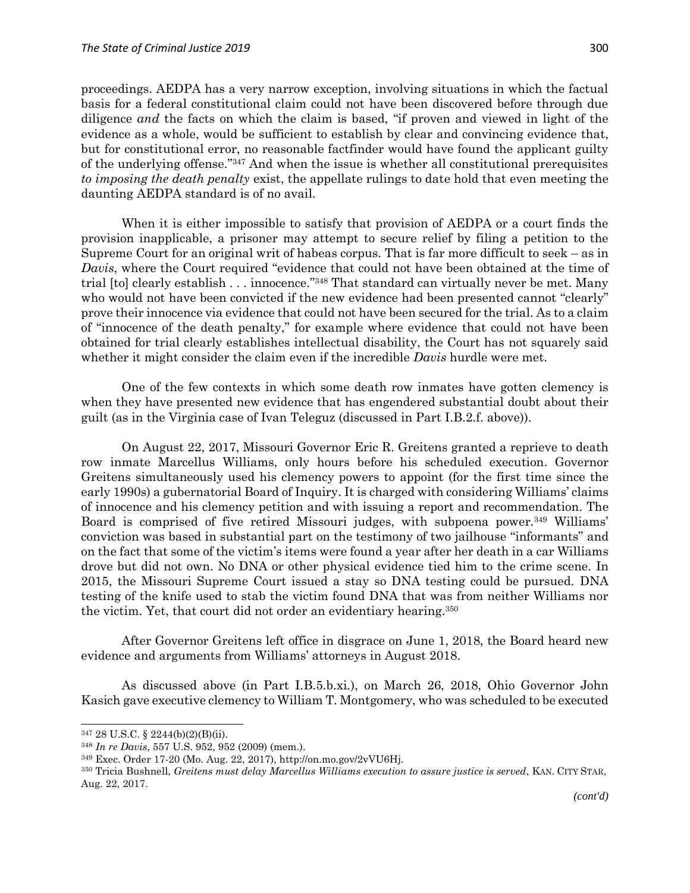proceedings. AEDPA has a very narrow exception, involving situations in which the factual basis for a federal constitutional claim could not have been discovered before through due diligence *and* the facts on which the claim is based, "if proven and viewed in light of the evidence as a whole, would be sufficient to establish by clear and convincing evidence that, but for constitutional error, no reasonable factfinder would have found the applicant guilty of the underlying offense." <sup>347</sup> And when the issue is whether all constitutional prerequisites *to imposing the death penalty* exist, the appellate rulings to date hold that even meeting the daunting AEDPA standard is of no avail.

When it is either impossible to satisfy that provision of AEDPA or a court finds the provision inapplicable, a prisoner may attempt to secure relief by filing a petition to the Supreme Court for an original writ of habeas corpus. That is far more difficult to seek  $-$  as in *Davis*, where the Court required "evidence that could not have been obtained at the time of trial [to] clearly establish . . . innocence." <sup>348</sup> That standard can virtually never be met. Many who would not have been convicted if the new evidence had been presented cannot "clearly" prove their innocence via evidence that could not have been secured for the trial. As to a claim of "innocence of the death penalty," for example where evidence that could not have been obtained for trial clearly establishes intellectual disability, the Court has not squarely said whether it might consider the claim even if the incredible *Davis* hurdle were met.

One of the few contexts in which some death row inmates have gotten clemency is when they have presented new evidence that has engendered substantial doubt about their guilt (as in the Virginia case of Ivan Teleguz (discussed in Part I.B.2.f. above)).

On August 22, 2017, Missouri Governor Eric R. Greitens granted a reprieve to death row inmate Marcellus Williams, only hours before his scheduled execution. Governor Greitens simultaneously used his clemency powers to appoint (for the first time since the early 1990s) a gubernatorial Board of Inquiry. It is charged with considering Williams' claims of innocence and his clemency petition and with issuing a report and recommendation. The Board is comprised of five retired Missouri judges, with subpoena power.<sup>349</sup> Williams' conviction was based in substantial part on the testimony of two jailhouse "informants" and on the fact that some of the victim's items were found a year after her death in a car Williams drove but did not own. No DNA or other physical evidence tied him to the crime scene. In 2015, the Missouri Supreme Court issued a stay so DNA testing could be pursued. DNA testing of the knife used to stab the victim found DNA that was from neither Williams nor the victim. Yet, that court did not order an evidentiary hearing.<sup>350</sup>

After Governor Greitens left office in disgrace on June 1, 2018, the Board heard new evidence and arguments from Williams' attorneys in August 2018.

As discussed above (in Part I.B.5.b.xi*.*), on March 26, 2018, Ohio Governor John Kasich gave executive clemency to William T. Montgomery, who was scheduled to be executed

<sup>347</sup> 28 U.S.C. § 2244(b)(2)(B)(ii).

<sup>348</sup> *In re Davis*, 557 U.S. 952, 952 (2009) (mem.).

<sup>349</sup> Exec. Order 17-20 (Mo. Aug. 22, 2017), http://on.mo.gov/2vVU6Hj.

<sup>350</sup> Tricia Bushnell, *Greitens must delay Marcellus Williams execution to assure justice is served*, KAN. CITY STAR, Aug. 22, 2017.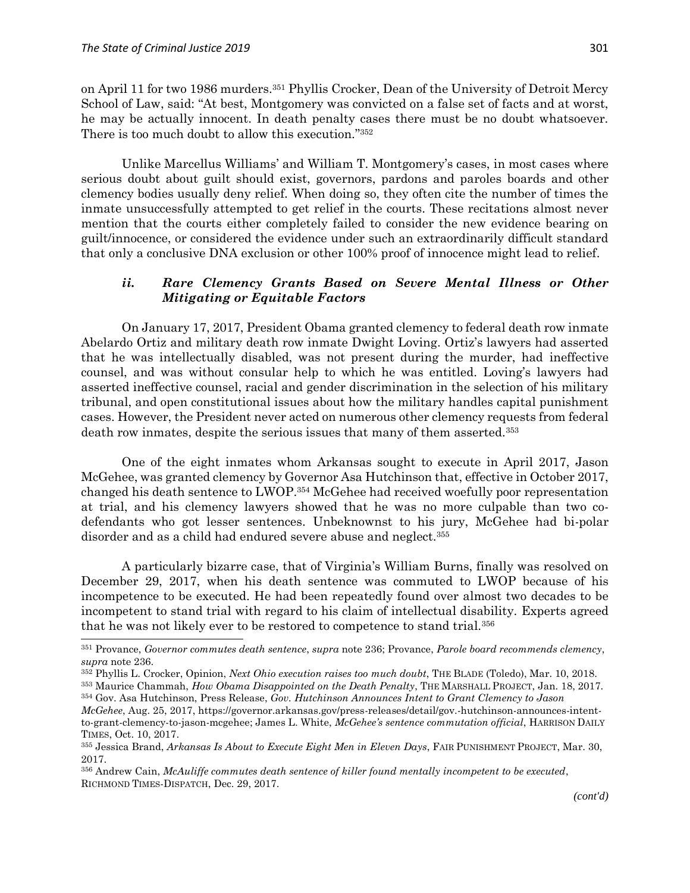$\overline{a}$ 

on April 11 for two 1986 murders.<sup>351</sup> Phyllis Crocker, Dean of the University of Detroit Mercy School of Law, said: "At best, Montgomery was convicted on a false set of facts and at worst, he may be actually innocent. In death penalty cases there must be no doubt whatsoever. There is too much doubt to allow this execution."352

Unlike Marcellus Williams' and William T. Montgomery's cases, in most cases where serious doubt about guilt should exist, governors, pardons and paroles boards and other clemency bodies usually deny relief. When doing so, they often cite the number of times the inmate unsuccessfully attempted to get relief in the courts. These recitations almost never mention that the courts either completely failed to consider the new evidence bearing on guilt/innocence, or considered the evidence under such an extraordinarily difficult standard that only a conclusive DNA exclusion or other 100% proof of innocence might lead to relief.

### *ii. Rare Clemency Grants Based on Severe Mental Illness or Other Mitigating or Equitable Factors*

On January 17, 2017, President Obama granted clemency to federal death row inmate Abelardo Ortiz and military death row inmate Dwight Loving. Ortiz's lawyers had asserted that he was intellectually disabled, was not present during the murder, had ineffective counsel, and was without consular help to which he was entitled. Loving's lawyers had asserted ineffective counsel, racial and gender discrimination in the selection of his military tribunal, and open constitutional issues about how the military handles capital punishment cases. However, the President never acted on numerous other clemency requests from federal death row inmates, despite the serious issues that many of them asserted.<sup>353</sup>

One of the eight inmates whom Arkansas sought to execute in April 2017, Jason McGehee, was granted clemency by Governor Asa Hutchinson that, effective in October 2017, changed his death sentence to LWOP. <sup>354</sup> McGehee had received woefully poor representation at trial, and his clemency lawyers showed that he was no more culpable than two codefendants who got lesser sentences. Unbeknownst to his jury, McGehee had bi-polar disorder and as a child had endured severe abuse and neglect.<sup>355</sup>

A particularly bizarre case, that of Virginia's William Burns, finally was resolved on December 29, 2017, when his death sentence was commuted to LWOP because of his incompetence to be executed. He had been repeatedly found over almost two decades to be incompetent to stand trial with regard to his claim of intellectual disability. Experts agreed that he was not likely ever to be restored to competence to stand trial.<sup>356</sup>

<sup>351</sup> Provance, *Governor commutes death sentence*, *supra* note 236; Provance, *Parole board recommends clemency*, *supra* note 236.

<sup>352</sup> Phyllis L. Crocker, Opinion, *Next Ohio execution raises too much doubt*, THE BLADE (Toledo), Mar. 10, 2018.

<sup>353</sup> Maurice Chammah, *How Obama Disappointed on the Death Penalty*, THE MARSHALL PROJECT, Jan. 18, 2017. <sup>354</sup> Gov. Asa Hutchinson, Press Release, *Gov. Hutchinson Announces Intent to Grant Clemency to Jason* 

*McGehee*, Aug. 25, 2017, https://governor.arkansas.gov/press-releases/detail/gov.-hutchinson-announces-intentto-grant-clemency-to-jason-mcgehee; James L. White, *McGehee's sentence commutation official*, HARRISON DAILY TIMES, Oct. 10, 2017.

<sup>355</sup> Jessica Brand, *Arkansas Is About to Execute Eight Men in Eleven Days*, FAIR PUNISHMENT PROJECT, Mar. 30, 2017.

<sup>356</sup> Andrew Cain, *McAuliffe commutes death sentence of killer found mentally incompetent to be executed*, RICHMOND TIMES-DISPATCH, Dec. 29, 2017.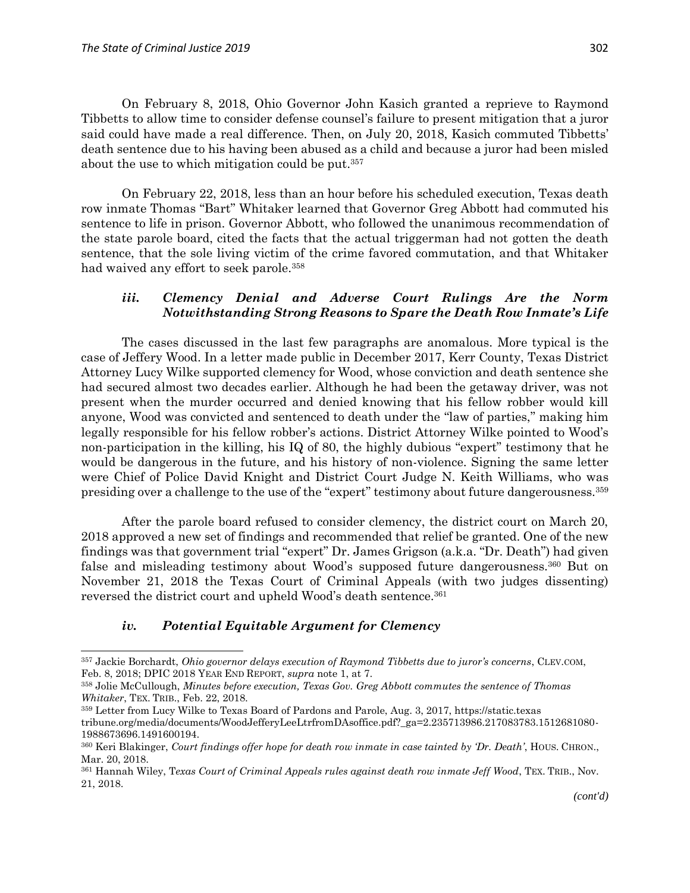On February 8, 2018, Ohio Governor John Kasich granted a reprieve to Raymond Tibbetts to allow time to consider defense counsel's failure to present mitigation that a juror said could have made a real difference. Then, on July 20, 2018, Kasich commuted Tibbetts' death sentence due to his having been abused as a child and because a juror had been misled about the use to which mitigation could be put.<sup>357</sup>

On February 22, 2018, less than an hour before his scheduled execution, Texas death row inmate Thomas "Bart" Whitaker learned that Governor Greg Abbott had commuted his sentence to life in prison. Governor Abbott, who followed the unanimous recommendation of the state parole board, cited the facts that the actual triggerman had not gotten the death sentence, that the sole living victim of the crime favored commutation, and that Whitaker had waived any effort to seek parole.<sup>358</sup>

### *iii. Clemency Denial and Adverse Court Rulings Are the Norm Notwithstanding Strong Reasons to Spare the Death Row Inmate's Life*

The cases discussed in the last few paragraphs are anomalous. More typical is the case of Jeffery Wood. In a letter made public in December 2017, Kerr County, Texas District Attorney Lucy Wilke supported clemency for Wood, whose conviction and death sentence she had secured almost two decades earlier. Although he had been the getaway driver, was not present when the murder occurred and denied knowing that his fellow robber would kill anyone, Wood was convicted and sentenced to death under the "law of parties," making him legally responsible for his fellow robber's actions. District Attorney Wilke pointed to Wood's non-participation in the killing, his IQ of 80, the highly dubious "expert" testimony that he would be dangerous in the future, and his history of non-violence. Signing the same letter were Chief of Police David Knight and District Court Judge N. Keith Williams, who was presiding over a challenge to the use of the "expert" testimony about future dangerousness.<sup>359</sup>

After the parole board refused to consider clemency, the district court on March 20, 2018 approved a new set of findings and recommended that relief be granted. One of the new findings was that government trial "expert" Dr. James Grigson (a.k.a. "Dr. Death") had given false and misleading testimony about Wood's supposed future dangerousness.<sup>360</sup> But on November 21, 2018 the Texas Court of Criminal Appeals (with two judges dissenting) reversed the district court and upheld Wood's death sentence. 361

### *iv. Potential Equitable Argument for Clemency*

 $\overline{\phantom{a}}$ 

<sup>357</sup> Jackie Borchardt, *Ohio governor delays execution of Raymond Tibbetts due to juror's concerns*, CLEV.COM, Feb. 8, 2018; DPIC 2018 YEAR END REPORT, *supra* note 1, at 7.

<sup>358</sup> Jolie McCullough, *Minutes before execution, Texas Gov. Greg Abbott commutes the sentence of Thomas Whitaker*, TEX. TRIB., Feb. 22, 2018.

<sup>359</sup> Letter from Lucy Wilke to Texas Board of Pardons and Parole, Aug. 3, 2017, https://static.texas

tribune.org/media/documents/WoodJefferyLeeLtrfromDAsoffice.pdf?\_ga=2.235713986.217083783.1512681080- 1988673696.1491600194.

<sup>360</sup> Keri Blakinger, *Court findings offer hope for death row inmate in case tainted by 'Dr. Death'*, HOUS. CHRON., Mar. 20, 2018.

<sup>&</sup>lt;sup>361</sup> Hannah Wiley, Texas Court of Criminal Appeals rules against death row inmate Jeff Wood, TEX. TRIB., Nov. 21, 2018.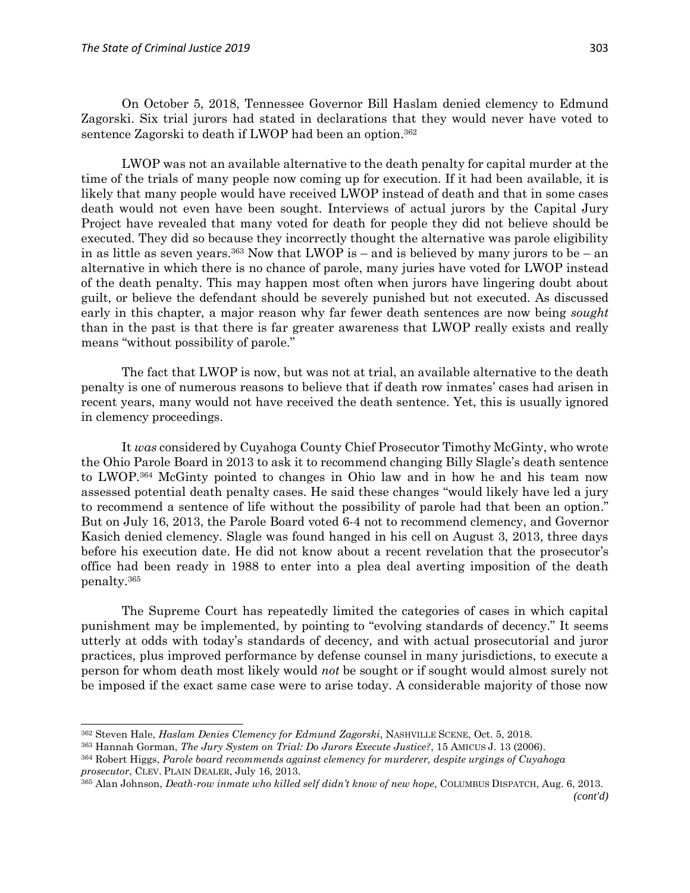$\overline{a}$ 

On October 5, 2018, Tennessee Governor Bill Haslam denied clemency to Edmund Zagorski. Six trial jurors had stated in declarations that they would never have voted to sentence Zagorski to death if LWOP had been an option.<sup>362</sup>

LWOP was not an available alternative to the death penalty for capital murder at the time of the trials of many people now coming up for execution. If it had been available, it is likely that many people would have received LWOP instead of death and that in some cases death would not even have been sought. Interviews of actual jurors by the Capital Jury Project have revealed that many voted for death for people they did not believe should be executed. They did so because they incorrectly thought the alternative was parole eligibility in as little as seven years.<sup>363</sup> Now that LWOP is – and is believed by many jurors to be – an alternative in which there is no chance of parole, many juries have voted for LWOP instead of the death penalty. This may happen most often when jurors have lingering doubt about guilt, or believe the defendant should be severely punished but not executed. As discussed early in this chapter, a major reason why far fewer death sentences are now being *sought* than in the past is that there is far greater awareness that LWOP really exists and really means "without possibility of parole."

The fact that LWOP is now, but was not at trial, an available alternative to the death penalty is one of numerous reasons to believe that if death row inmates' cases had arisen in recent years, many would not have received the death sentence. Yet, this is usually ignored in clemency proceedings.

It *was* considered by Cuyahoga County Chief Prosecutor Timothy McGinty, who wrote the Ohio Parole Board in 2013 to ask it to recommend changing Billy Slagle's death sentence to LWOP. <sup>364</sup> McGinty pointed to changes in Ohio law and in how he and his team now assessed potential death penalty cases. He said these changes "would likely have led a jury to recommend a sentence of life without the possibility of parole had that been an option." But on July 16, 2013, the Parole Board voted 6-4 not to recommend clemency, and Governor Kasich denied clemency. Slagle was found hanged in his cell on August 3, 2013, three days before his execution date. He did not know about a recent revelation that the prosecutor's office had been ready in 1988 to enter into a plea deal averting imposition of the death penalty.<sup>365</sup>

The Supreme Court has repeatedly limited the categories of cases in which capital punishment may be implemented, by pointing to "evolving standards of decency." It seems utterly at odds with today's standards of decency, and with actual prosecutorial and juror practices, plus improved performance by defense counsel in many jurisdictions, to execute a person for whom death most likely would *not* be sought or if sought would almost surely not be imposed if the exact same case were to arise today. A considerable majority of those now

<sup>362</sup> Steven Hale, *Haslam Denies Clemency for Edmund Zagorski*, NASHVILLE SCENE, Oct. 5, 2018.

<sup>363</sup> Hannah Gorman, *The Jury System on Trial: Do Jurors Execute Justice?*, 15 AMICUS J. 13 (2006).

<sup>364</sup> Robert Higgs, *Parole board recommends against clemency for murderer, despite urgings of Cuyahoga prosecutor*, CLEV. PLAIN DEALER, July 16, 2013.

<sup>365</sup> Alan Johnson, *Death-row inmate who killed self didn't know of new hope*, COLUMBUS DISPATCH, Aug. 6, 2013. *(cont'd)*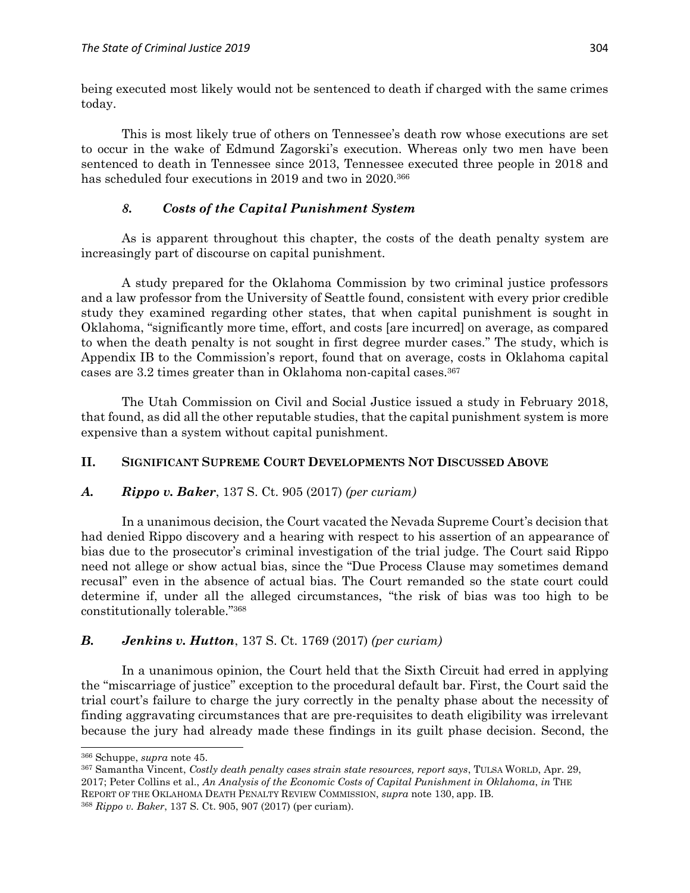being executed most likely would not be sentenced to death if charged with the same crimes today.

This is most likely true of others on Tennessee's death row whose executions are set to occur in the wake of Edmund Zagorski's execution. Whereas only two men have been sentenced to death in Tennessee since 2013, Tennessee executed three people in 2018 and has scheduled four executions in 2019 and two in 2020.<sup>366</sup>

# *8. Costs of the Capital Punishment System*

As is apparent throughout this chapter, the costs of the death penalty system are increasingly part of discourse on capital punishment.

A study prepared for the Oklahoma Commission by two criminal justice professors and a law professor from the University of Seattle found, consistent with every prior credible study they examined regarding other states, that when capital punishment is sought in Oklahoma, "significantly more time, effort, and costs [are incurred] on average, as compared to when the death penalty is not sought in first degree murder cases." The study, which is Appendix IB to the Commission's report, found that on average, costs in Oklahoma capital cases are 3.2 times greater than in Oklahoma non-capital cases.<sup>367</sup>

The Utah Commission on Civil and Social Justice issued a study in February 2018, that found, as did all the other reputable studies, that the capital punishment system is more expensive than a system without capital punishment.

# **II. SIGNIFICANT SUPREME COURT DEVELOPMENTS NOT DISCUSSED ABOVE**

### *A. Rippo v. Baker*, 137 S. Ct. 905 (2017) *(per curiam)*

In a unanimous decision, the Court vacated the Nevada Supreme Court's decision that had denied Rippo discovery and a hearing with respect to his assertion of an appearance of bias due to the prosecutor's criminal investigation of the trial judge. The Court said Rippo need not allege or show actual bias, since the "Due Process Clause may sometimes demand recusal" even in the absence of actual bias. The Court remanded so the state court could determine if, under all the alleged circumstances, "the risk of bias was too high to be constitutionally tolerable." 368

### *B. Jenkins v. Hutton*, 137 S. Ct. 1769 (2017) *(per curiam)*

In a unanimous opinion, the Court held that the Sixth Circuit had erred in applying the "miscarriage of justice" exception to the procedural default bar. First, the Court said the trial court's failure to charge the jury correctly in the penalty phase about the necessity of finding aggravating circumstances that are pre-requisites to death eligibility was irrelevant because the jury had already made these findings in its guilt phase decision. Second, the

<sup>366</sup> Schuppe, *supra* note 45.

<sup>367</sup> Samantha Vincent, *[Costly death penalty cases strain state resources, report says](http://www.tulsaworld.com/homepagelatest/costly-death-penalty-cases-strain-state-resources-report-says/article_22ef00c3-e9c5-51f5-9166-e0aa79f8230d.html)*, TULSA WORLD, Apr. 29, 2017; Peter Collins et al., *[An Analysis of the Economic Costs of Capital Punishment in Oklahoma](https://deathpenaltyinfo.org/files/pdf/Report-of-the-OK-Death-Penalty-Review-April-2017-a1b.pdf)*, *in* T[HE](https://drive.google.com/file/d/0B-Vtm7xVJVWONmdNMmM5bzk3Qnc/view)  R[EPORT OF THE](https://drive.google.com/file/d/0B-Vtm7xVJVWONmdNMmM5bzk3Qnc/view) OKLAHOMA DEATH PENALTY REVIEW COMMISSION, *supra* note 130, app. IB.

<sup>368</sup> *Rippo v. Baker*, 137 S. Ct. 905, 907 (2017) (per curiam).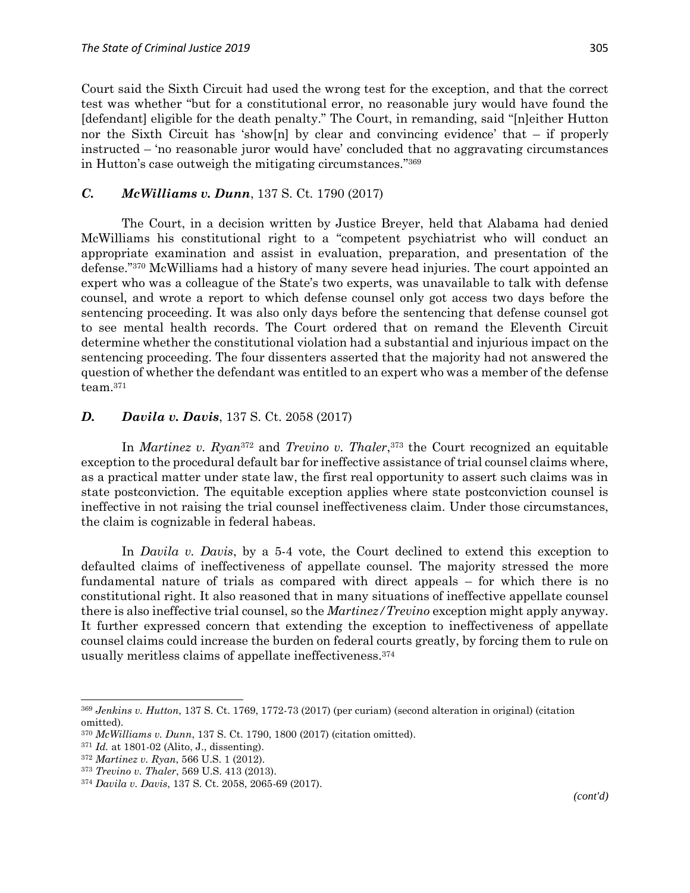Court said the Sixth Circuit had used the wrong test for the exception, and that the correct test was whether "but for a constitutional error, no reasonable jury would have found the [defendant] eligible for the death penalty." The Court, in remanding, said "[n]either Hutton nor the Sixth Circuit has 'show[n] by clear and convincing evidence' that  $-$  if properly instructed – 'no reasonable juror would have' concluded that no aggravating circumstances in Hutton's case outweigh the mitigating circumstances." 369

### *C. McWilliams v. Dunn*, 137 S. Ct. 1790 (2017)

The Court, in a decision written by Justice Breyer, held that Alabama had denied McWilliams his constitutional right to a "competent psychiatrist who will conduct an appropriate examination and assist in evaluation, preparation, and presentation of the defense." <sup>370</sup> McWilliams had a history of many severe head injuries. The court appointed an expert who was a colleague of the State's two experts, was unavailable to talk with defense counsel, and wrote a report to which defense counsel only got access two days before the sentencing proceeding. It was also only days before the sentencing that defense counsel got to see mental health records. The Court ordered that on remand the Eleventh Circuit determine whether the constitutional violation had a substantial and injurious impact on the sentencing proceeding. The four dissenters asserted that the majority had not answered the question of whether the defendant was entitled to an expert who was a member of the defense team.<sup>371</sup>

### *D. Davila v. Davis*, 137 S. Ct. 2058 (2017)

In *Martinez v. Ryan*<sup>372</sup> and *Trevino v. Thaler*, <sup>373</sup> the Court recognized an equitable exception to the procedural default bar for ineffective assistance of trial counsel claims where, as a practical matter under state law, the first real opportunity to assert such claims was in state postconviction. The equitable exception applies where state postconviction counsel is ineffective in not raising the trial counsel ineffectiveness claim. Under those circumstances, the claim is cognizable in federal habeas.

In *Davila v. Davis*, by a 5-4 vote, the Court declined to extend this exception to defaulted claims of ineffectiveness of appellate counsel. The majority stressed the more fundamental nature of trials as compared with direct appeals – for which there is no constitutional right. It also reasoned that in many situations of ineffective appellate counsel there is also ineffective trial counsel, so the *Martinez/Trevino* exception might apply anyway. It further expressed concern that extending the exception to ineffectiveness of appellate counsel claims could increase the burden on federal courts greatly, by forcing them to rule on usually meritless claims of appellate ineffectiveness.<sup>374</sup>

 $\overline{a}$ 

<sup>369</sup> *Jenkins v. Hutton*, 137 S. Ct. 1769, 1772-73 (2017) (per curiam) (second alteration in original) (citation omitted).

<sup>370</sup> *McWilliams v. Dunn*, 137 S. Ct. 1790, 1800 (2017) (citation omitted).

<sup>371</sup> *Id.* at 1801-02 (Alito, J., dissenting).

<sup>372</sup> *Martinez v. Ryan*, 566 U.S. 1 (2012).

<sup>373</sup> *Trevino v. Thaler*, 569 U.S. 413 (2013).

<sup>374</sup> *Davila v. Davis*, 137 S. Ct. 2058, 2065-69 (2017).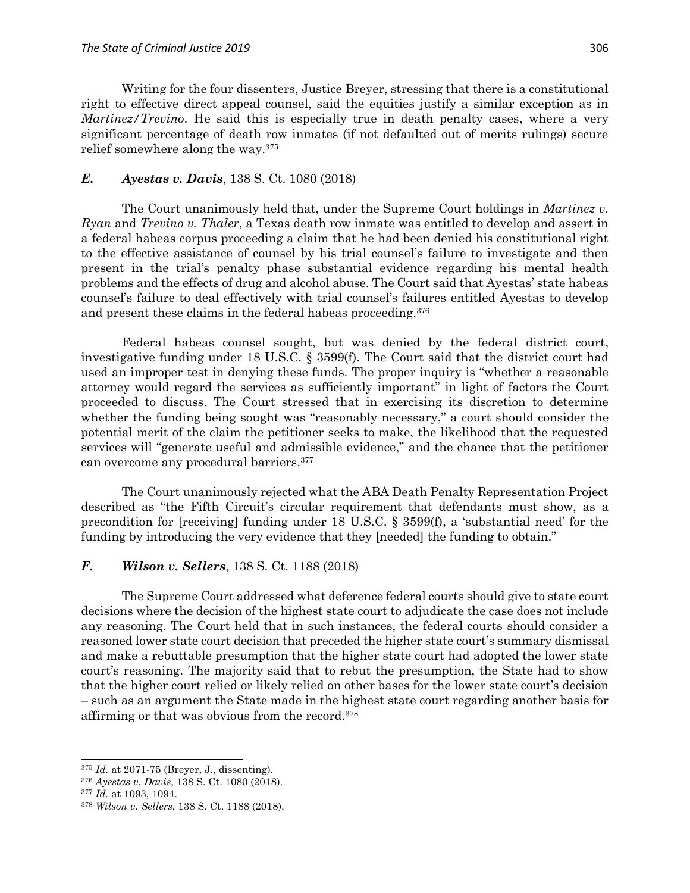Writing for the four dissenters, Justice Breyer, stressing that there is a constitutional right to effective direct appeal counsel, said the equities justify a similar exception as in *Martinez/Trevino*. He said this is especially true in death penalty cases, where a very significant percentage of death row inmates (if not defaulted out of merits rulings) secure relief somewhere along the way.<sup>375</sup>

# *E. Ayestas v. Davis*, 138 S. Ct. 1080 (2018)

The Court unanimously held that, under the Supreme Court holdings in *Martinez v. Ryan* and *Trevino v. Thaler*, a Texas death row inmate was entitled to develop and assert in a federal habeas corpus proceeding a claim that he had been denied his constitutional right to the effective assistance of counsel by his trial counsel's failure to investigate and then present in the trial's penalty phase substantial evidence regarding his mental health problems and the effects of drug and alcohol abuse. The Court said that Ayestas' state habeas counsel's failure to deal effectively with trial counsel's failures entitled Ayestas to develop and present these claims in the federal habeas proceeding.<sup>376</sup>

Federal habeas counsel sought, but was denied by the federal district court, investigative funding under 18 U.S.C. § 3599(f). The Court said that the district court had used an improper test in denying these funds. The proper inquiry is "whether a reasonable attorney would regard the services as sufficiently important" in light of factors the Court proceeded to discuss. The Court stressed that in exercising its discretion to determine whether the funding being sought was "reasonably necessary," a court should consider the potential merit of the claim the petitioner seeks to make, the likelihood that the requested services will "generate useful and admissible evidence," and the chance that the petitioner can overcome any procedural barriers.<sup>377</sup>

The Court unanimously rejected what the ABA Death Penalty Representation Project described as "the Fifth Circuit's circular requirement that defendants must show, as a precondition for [receiving] funding under 18 U.S.C.  $\S$  3599(f), a 'substantial need' for the funding by introducing the very evidence that they [needed] the funding to obtain."

# *F. Wilson v. Sellers*, 138 S. Ct. 1188 (2018)

The Supreme Court addressed what deference federal courts should give to state court decisions where the decision of the highest state court to adjudicate the case does not include any reasoning. The Court held that in such instances, the federal courts should consider a reasoned lower state court decision that preceded the higher state court's summary dismissal and make a rebuttable presumption that the higher state court had adopted the lower state court's reasoning. The majority said that to rebut the presumption, the State had to show that the higher court relied or likely relied on other bases for the lower state court's decision – such as an argument the State made in the highest state court regarding another basis for affirming or that was obvious from the record.<sup>378</sup>

<sup>375</sup> *Id.* at 2071-75 (Breyer, J., dissenting).

<sup>376</sup> *Ayestas v. Davis*, 138 S. Ct. 1080 (2018).

<sup>377</sup> *Id.* at 1093, 1094.

<sup>378</sup> *Wilson v. Sellers*, 138 S. Ct. 1188 (2018).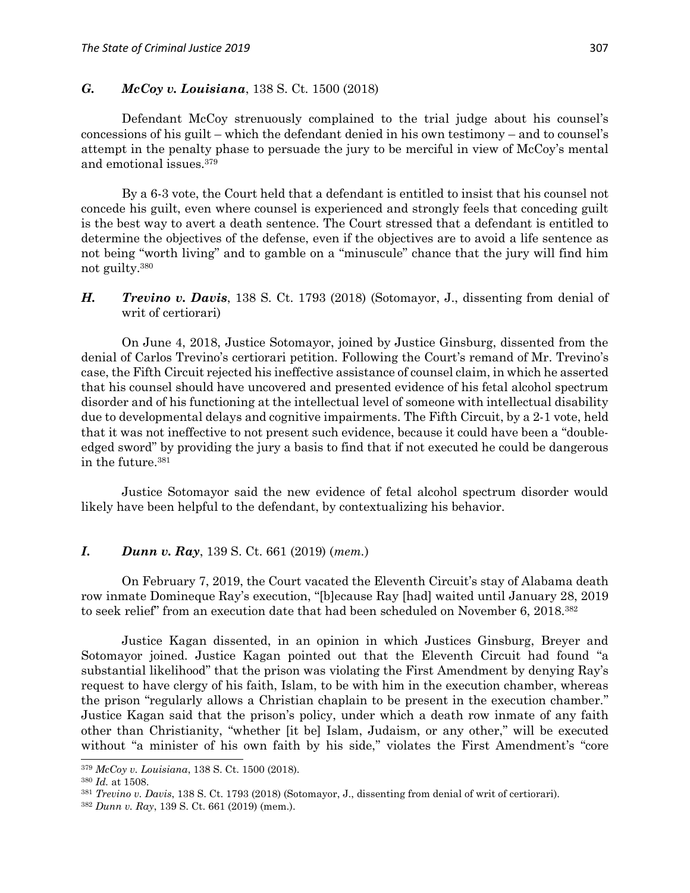## *G. McCoy v. Louisiana*, 138 S. Ct. 1500 (2018)

Defendant McCoy strenuously complained to the trial judge about his counsel's concessions of his guilt – which the defendant denied in his own testimony – and to counsel's attempt in the penalty phase to persuade the jury to be merciful in view of McCoy's mental and emotional issues.<sup>379</sup>

By a 6-3 vote, the Court held that a defendant is entitled to insist that his counsel not concede his guilt, even where counsel is experienced and strongly feels that conceding guilt is the best way to avert a death sentence. The Court stressed that a defendant is entitled to determine the objectives of the defense, even if the objectives are to avoid a life sentence as not being "worth living" and to gamble on a "minuscule" chance that the jury will find him not guilty.<sup>380</sup>

# *H. Trevino v. Davis*, 138 S. Ct. 1793 (2018) (Sotomayor, J., dissenting from denial of writ of certiorari)

On June 4, 2018, Justice Sotomayor, joined by Justice Ginsburg, dissented from the denial of Carlos Trevino's certiorari petition. Following the Court's remand of Mr. Trevino's case, the Fifth Circuit rejected his ineffective assistance of counsel claim, in which he asserted that his counsel should have uncovered and presented evidence of his fetal alcohol spectrum disorder and of his functioning at the intellectual level of someone with intellectual disability due to developmental delays and cognitive impairments. The Fifth Circuit, by a 2-1 vote, held that it was not ineffective to not present such evidence, because it could have been a "doubleedged sword" by providing the jury a basis to find that if not executed he could be dangerous in the future.<sup>381</sup>

Justice Sotomayor said the new evidence of fetal alcohol spectrum disorder would likely have been helpful to the defendant, by contextualizing his behavior.

#### *I***.** *Dunn v. Ray*, 139 S. Ct. 661 (2019) (*mem.*)

On February 7, 2019, the Court vacated the Eleventh Circuit's stay of Alabama death row inmate Domineque Ray's execution, "[b]ecause Ray [had] waited until January 28, 2019 to seek relief" from an execution date that had been scheduled on November 6, 2018.<sup>382</sup>

Justice Kagan dissented, in an opinion in which Justices Ginsburg, Breyer and Sotomayor joined. Justice Kagan pointed out that the Eleventh Circuit had found "a substantial likelihood" that the prison was violating the First Amendment by denying Ray's request to have clergy of his faith, Islam, to be with him in the execution chamber, whereas the prison "regularly allows a Christian chaplain to be present in the execution chamber." Justice Kagan said that the prison's policy, under which a death row inmate of any faith other than Christianity, "whether [it be] Islam, Judaism, or any other," will be executed without "a minister of his own faith by his side," violates the First Amendment's "core

<sup>379</sup> *McCoy v. Louisiana*, 138 S. Ct. 1500 (2018).

<sup>380</sup> *Id.* at 1508.

<sup>381</sup> *Trevino v. Davis*, 138 S. Ct. 1793 (2018) (Sotomayor, J., dissenting from denial of writ of certiorari).

<sup>382</sup> *Dunn v. Ray*, 139 S. Ct. 661 (2019) (mem.).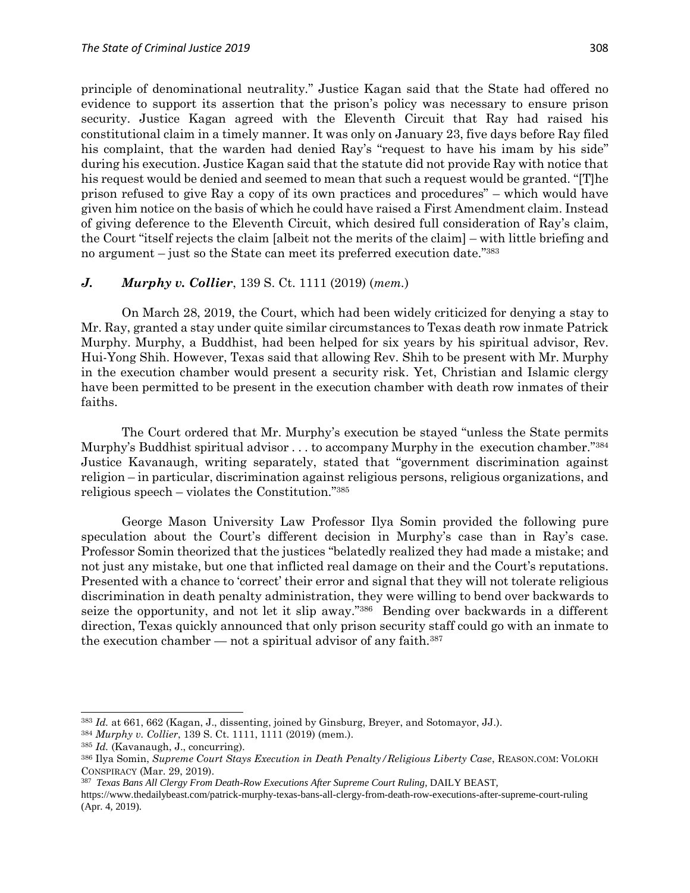principle of denominational neutrality." Justice Kagan said that the State had offered no evidence to support its assertion that the prison's policy was necessary to ensure prison security. Justice Kagan agreed with the Eleventh Circuit that Ray had raised his constitutional claim in a timely manner. It was only on January 23, five days before Ray filed his complaint, that the warden had denied Ray's "request to have his imam by his side" during his execution. Justice Kagan said that the statute did not provide Ray with notice that his request would be denied and seemed to mean that such a request would be granted. "[T]he prison refused to give Ray a copy of its own practices and procedures" – which would have given him notice on the basis of which he could have raised a First Amendment claim. Instead of giving deference to the Eleventh Circuit, which desired full consideration of Ray's claim, the Court "itself rejects the claim [albeit not the merits of the claim] – with little briefing and no argument – just so the State can meet its preferred execution date." 383

#### *J. Murphy v. Collier*, 139 S. Ct. 1111 (2019) (*mem.*)

On March 28, 2019, the Court, which had been widely criticized for denying a stay to Mr. Ray, granted a stay under quite similar circumstances to Texas death row inmate Patrick Murphy. Murphy, a Buddhist, had been helped for six years by his spiritual advisor, Rev. Hui-Yong Shih. However, Texas said that allowing Rev. Shih to be present with Mr. Murphy in the execution chamber would present a security risk. Yet, Christian and Islamic clergy have been permitted to be present in the execution chamber with death row inmates of their faiths.

The Court ordered that Mr. Murphy's execution be stayed "unless the State permits Murphy's Buddhist spiritual advisor . . . to accompany Murphy in the execution chamber." 384 Justice Kavanaugh, writing separately, stated that "government discrimination against religion – in particular, discrimination against religious persons, religious organizations, and religious speech – violates the Constitution." 385

George Mason University Law Professor Ilya Somin provided the following pure speculation about the Court's different decision in Murphy's case than in Ray's case. Professor Somin theorized that the justices "belatedly realized they had made a mistake; and not just any mistake, but one that inflicted real damage on their and the Court's reputations. Presented with a chance to 'correct' their error and signal that they will not tolerate religious discrimination in death penalty administration, they were willing to bend over backwards to seize the opportunity, and not let it slip away."<sup>386</sup> Bending over backwards in a different direction, Texas quickly announced that only prison security staff could go with an inmate to the execution chamber — not a spiritual advisor of any faith.<sup>387</sup>

<sup>383</sup> *Id.* at 661, 662 (Kagan, J., dissenting, joined by Ginsburg, Breyer, and Sotomayor, JJ.).

<sup>384</sup> *Murphy v. Collier*, 139 S. Ct. 1111, 1111 (2019) (mem.).

<sup>385</sup> *Id.* (Kavanaugh, J., concurring).

<sup>386</sup> Ilya Somin, *Supreme Court Stays Execution in Death Penalty/Religious Liberty Case*, REASON.COM: VOLOKH CONSPIRACY (Mar. 29, 2019).

<sup>387</sup> *Texas Bans All Clergy From Death-Row Executions After Supreme Court Ruling*, DAILY BEAST,

https://www.thedailybeast.com/patrick-murphy-texas-bans-all-clergy-from-death-row-executions-after-supreme-court-ruling (Apr. 4, 2019).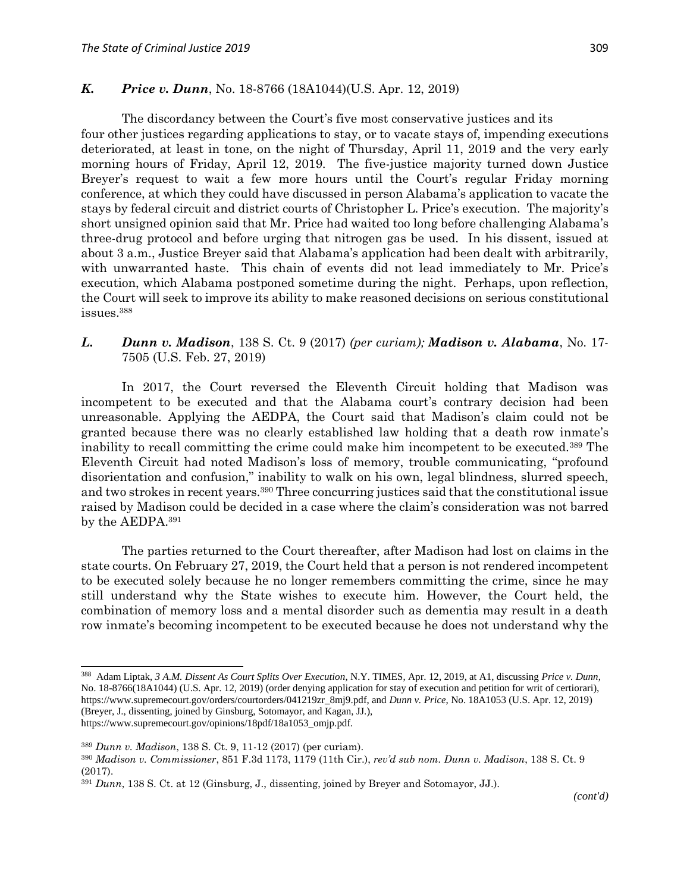# *K. Price v. Dunn*, No. 18-8766 (18A1044)(U.S. Apr. 12, 2019)

The discordancy between the Court's five most conservative justices and its four other justices regarding applications to stay, or to vacate stays of, impending executions deteriorated, at least in tone, on the night of Thursday, April 11, 2019 and the very early morning hours of Friday, April 12, 2019. The five-justice majority turned down Justice Breyer's request to wait a few more hours until the Court's regular Friday morning conference, at which they could have discussed in person Alabama's application to vacate the stays by federal circuit and district courts of Christopher L. Price's execution. The majority's short unsigned opinion said that Mr. Price had waited too long before challenging Alabama's three-drug protocol and before urging that nitrogen gas be used. In his dissent, issued at about 3 a.m., Justice Breyer said that Alabama's application had been dealt with arbitrarily, with unwarranted haste. This chain of events did not lead immediately to Mr. Price's execution, which Alabama postponed sometime during the night. Perhaps, upon reflection, the Court will seek to improve its ability to make reasoned decisions on serious constitutional issues.<sup>388</sup>

### *L. Dunn v. Madison*, 138 S. Ct. 9 (2017) *(per curiam); Madison v. Alabama*, No. 17- 7505 (U.S. Feb. 27, 2019)

In 2017, the Court reversed the Eleventh Circuit holding that Madison was incompetent to be executed and that the Alabama court's contrary decision had been unreasonable. Applying the AEDPA, the Court said that Madison's claim could not be granted because there was no clearly established law holding that a death row inmate's inability to recall committing the crime could make him incompetent to be executed.<sup>389</sup> The Eleventh Circuit had noted Madison's loss of memory, trouble communicating, "profound disorientation and confusion," inability to walk on his own, legal blindness, slurred speech, and two strokes in recent years.<sup>390</sup> Three concurring justices said that the constitutional issue raised by Madison could be decided in a case where the claim's consideration was not barred by the AEDPA.<sup>391</sup>

The parties returned to the Court thereafter, after Madison had lost on claims in the state courts. On February 27, 2019, the Court held that a person is not rendered incompetent to be executed solely because he no longer remembers committing the crime, since he may still understand why the State wishes to execute him. However, the Court held, the combination of memory loss and a mental disorder such as dementia may result in a death row inmate's becoming incompetent to be executed because he does not understand why the

 $\overline{a}$ 

<sup>388</sup> Adam Liptak, *3 A.M. Dissent As Court Splits Over Execution*, N.Y. TIMES, Apr. 12, 2019, at A1, discussing *Price v. Dunn*, No. 18-8766(18A1044) (U.S. Apr. 12, 2019) (order denying application for stay of execution and petition for writ of certiorari), https://www.supremecourt.gov/orders/courtorders/041219zr\_8mj9.pdf, and *Dunn v. Price*, No. 18A1053 (U.S. Apr. 12, 2019) (Breyer, J., dissenting, joined by Ginsburg, Sotomayor, and Kagan, JJ.), https://www.supremecourt.gov/opinions/18pdf/18a1053\_omjp.pdf.

<sup>389</sup> *Dunn v. Madison*, 138 S. Ct. 9, 11-12 (2017) (per curiam).

<sup>390</sup> *Madison v. Commissioner*, 851 F.3d 1173, 1179 (11th Cir.), *rev'd sub nom. Dunn v. Madison*, 138 S. Ct. 9 (2017).

<sup>391</sup> *Dunn*, 138 S. Ct. at 12 (Ginsburg, J., dissenting, joined by Breyer and Sotomayor, JJ.).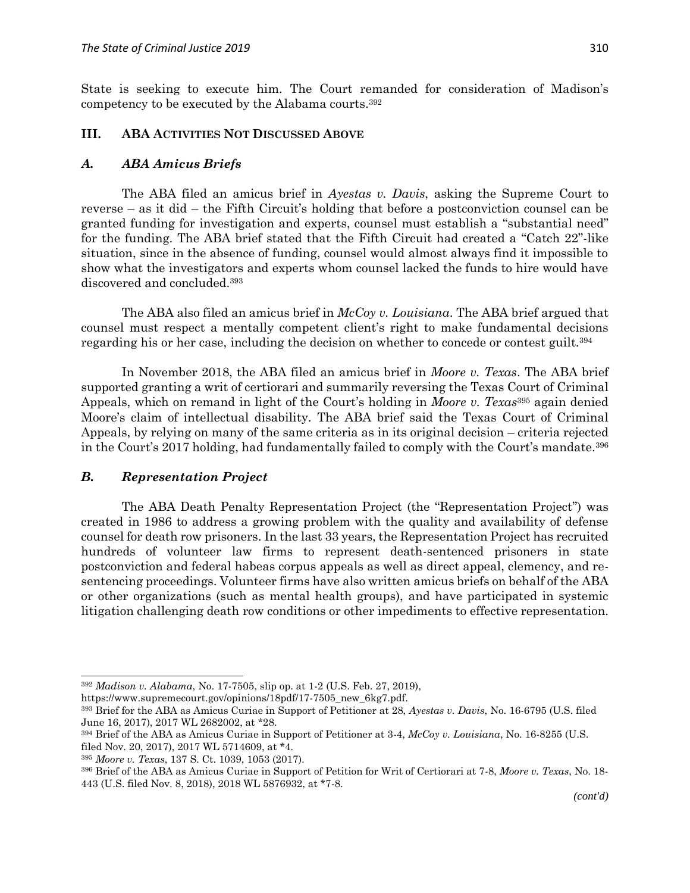State is seeking to execute him. The Court remanded for consideration of Madison's competency to be executed by the Alabama courts.<sup>392</sup>

### **III. ABA ACTIVITIES NOT DISCUSSED ABOVE**

#### *A. ABA Amicus Briefs*

The ABA filed an amicus brief in *Ayestas v. Davis*, asking the Supreme Court to reverse – as it did – the Fifth Circuit's holding that before a postconviction counsel can be granted funding for investigation and experts, counsel must establish a "substantial need" for the funding. The ABA brief stated that the Fifth Circuit had created a "Catch 22"-like situation, since in the absence of funding, counsel would almost always find it impossible to show what the investigators and experts whom counsel lacked the funds to hire would have discovered and concluded.<sup>393</sup>

The ABA also filed an amicus brief in *McCoy v. Louisiana*. The ABA brief argued that counsel must respect a mentally competent client's right to make fundamental decisions regarding his or her case, including the decision on whether to concede or contest guilt.<sup>394</sup>

In November 2018, the ABA filed an amicus brief in *Moore v. Texas*. The ABA brief supported granting a writ of certiorari and summarily reversing the Texas Court of Criminal Appeals, which on remand in light of the Court's holding in *Moore v. Texas*<sup>395</sup> again denied Moore's claim of intellectual disability. The ABA brief said the Texas Court of Criminal Appeals, by relying on many of the same criteria as in its original decision – criteria rejected in the Court's 2017 holding, had fundamentally failed to comply with the Court's mandate.<sup>396</sup>

#### *B. Representation Project*

The ABA Death Penalty Representation Project (the "Representation Project") was created in 1986 to address a growing problem with the quality and availability of defense counsel for death row prisoners. In the last 33 years, the Representation Project has recruited hundreds of volunteer law firms to represent death-sentenced prisoners in state postconviction and federal habeas corpus appeals as well as direct appeal, clemency, and resentencing proceedings. Volunteer firms have also written amicus briefs on behalf of the ABA or other organizations (such as mental health groups), and have participated in systemic litigation challenging death row conditions or other impediments to effective representation.

<sup>392</sup> *Madison v. Alabama*, No. 17-7505, slip op. at 1-2 (U.S. Feb. 27, 2019),

https://www.supremecourt.gov/opinions/18pdf/17-7505\_new\_6kg7.pdf.

<sup>393</sup> Brief for the ABA as Amicus Curiae in Support of Petitioner at 28, *Ayestas v. Davis*, No. 16-6795 (U.S. filed June 16, 2017), 2017 WL 2682002, at \*28.

<sup>394</sup> Brief of the ABA as Amicus Curiae in Support of Petitioner at 3-4, *McCoy v. Louisiana*, No. 16-8255 (U.S. filed Nov. 20, 2017), 2017 WL 5714609, at \*4.

<sup>395</sup> *Moore v. Texas*, 137 S. Ct. 1039, 1053 (2017).

<sup>396</sup> Brief of the ABA as Amicus Curiae in Support of Petition for Writ of Certiorari at 7-8, *Moore v. Texas*, No. 18- 443 (U.S. filed Nov. 8, 2018), 2018 WL 5876932, at \*7-8.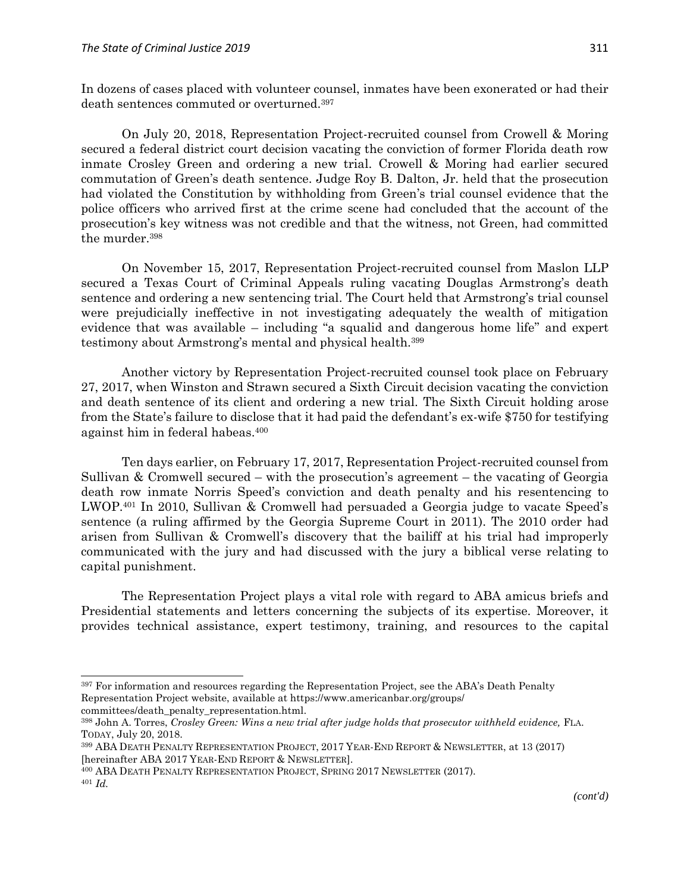In dozens of cases placed with volunteer counsel, inmates have been exonerated or had their death sentences commuted or overturned.<sup>397</sup>

On July 20, 2018, Representation Project-recruited counsel from Crowell & Moring secured a federal district court decision vacating the conviction of former Florida death row inmate Crosley Green and ordering a new trial. Crowell & Moring had earlier secured commutation of Green's death sentence. Judge Roy B. Dalton, Jr. held that the prosecution had violated the Constitution by withholding from Green's trial counsel evidence that the police officers who arrived first at the crime scene had concluded that the account of the prosecution's key witness was not credible and that the witness, not Green, had committed the murder.<sup>398</sup>

On November 15, 2017, Representation Project-recruited counsel from Maslon LLP secured a Texas Court of Criminal Appeals ruling vacating Douglas Armstrong's death sentence and ordering a new sentencing trial. The Court held that Armstrong's trial counsel were prejudicially ineffective in not investigating adequately the wealth of mitigation evidence that was available – including "a squalid and dangerous home life" and expert testimony about Armstrong's mental and physical health.<sup>399</sup>

Another victory by Representation Project-recruited counsel took place on February 27, 2017, when Winston and Strawn secured a Sixth Circuit decision vacating the conviction and death sentence of its client and ordering a new trial. The Sixth Circuit holding arose from the State's failure to disclose that it had paid the defendant's ex-wife \$750 for testifying against him in federal habeas.<sup>400</sup>

Ten days earlier, on February 17, 2017, Representation Project-recruited counsel from Sullivan & Cromwell secured – with the prosecution's agreement – the vacating of Georgia death row inmate Norris Speed's conviction and death penalty and his resentencing to LWOP.<sup>401</sup> In 2010, Sullivan & Cromwell had persuaded a Georgia judge to vacate Speed's sentence (a ruling affirmed by the Georgia Supreme Court in 2011). The 2010 order had arisen from Sullivan & Cromwell's discovery that the bailiff at his trial had improperly communicated with the jury and had discussed with the jury a biblical verse relating to capital punishment.

The Representation Project plays a vital role with regard to ABA amicus briefs and Presidential statements and letters concerning the subjects of its expertise. Moreover, it provides technical assistance, expert testimony, training, and resources to the capital

<sup>&</sup>lt;sup>397</sup> For information and resources regarding the Representation Project, see the ABA's Death Penalty Representation Project website, available at https://www.americanbar.org/groups/ committees/death\_penalty\_representation.html.

<sup>398</sup> John A. Torres, *Crosley Green: Wins a new trial after judge holds that prosecutor withheld evidence,* FLA. TODAY, July 20, 2018.

<sup>399</sup> ABA DEATH PENALTY REPRESENTATION PROJECT, 2017 YEAR-END REPORT & NEWSLETTER, at 13 (2017) [hereinafter ABA 2017 YEAR-END REPORT & NEWSLETTER].

<sup>400</sup> ABA DEATH PENALTY REPRESENTATION PROJECT, SPRING 2017 NEWSLETTER (2017).

<sup>401</sup> *Id.*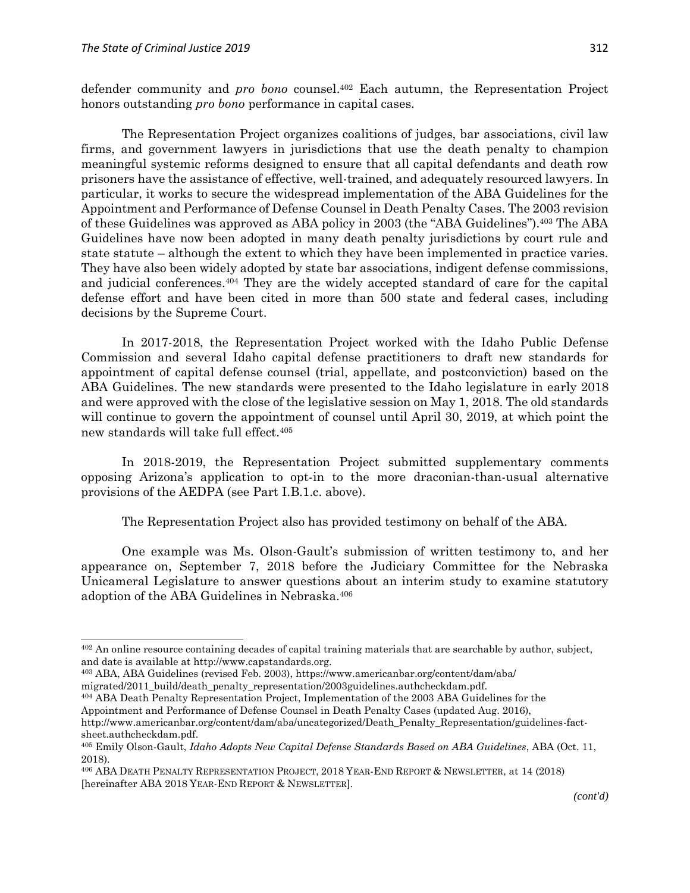$\overline{a}$ 

defender community and *pro bono* counsel.<sup>402</sup> Each autumn, the Representation Project honors outstanding *pro bono* performance in capital cases.

The Representation Project organizes coalitions of judges, bar associations, civil law firms, and government lawyers in jurisdictions that use the death penalty to champion meaningful systemic reforms designed to ensure that all capital defendants and death row prisoners have the assistance of effective, well-trained, and adequately resourced lawyers. In particular, it works to secure the widespread implementation of the ABA Guidelines for the Appointment and Performance of Defense Counsel in Death Penalty Cases. The 2003 revision of these Guidelines was approved as ABA policy in 2003 (the "ABA Guidelines").<sup>403</sup> The ABA Guidelines have now been adopted in many death penalty jurisdictions by court rule and state statute – although the extent to which they have been implemented in practice varies. They have also been widely adopted by state bar associations, indigent defense commissions, and judicial conferences.<sup>404</sup> They are the widely accepted standard of care for the capital defense effort and have been cited in more than 500 state and federal cases, including decisions by the Supreme Court.

In 2017-2018, the Representation Project worked with the Idaho Public Defense Commission and several Idaho capital defense practitioners to draft new standards for appointment of capital defense counsel (trial, appellate, and postconviction) based on the ABA Guidelines. The new standards were presented to the Idaho legislature in early 2018 and were approved with the close of the legislative session on May 1, 2018. The old standards will continue to govern the appointment of counsel until April 30, 2019, at which point the new standards will take full effect.<sup>405</sup>

In 2018-2019, the Representation Project submitted supplementary comments opposing Arizona's application to opt-in to the more draconian-than-usual alternative provisions of the AEDPA (see Part I.B.1.c. above).

The Representation Project also has provided testimony on behalf of the ABA.

One example was Ms. Olson-Gault's submission of written testimony to, and her appearance on, September 7, 2018 before the Judiciary Committee for the Nebraska Unicameral Legislature to answer questions about an interim study to examine statutory adoption of the ABA Guidelines in Nebraska.<sup>406</sup>

<sup>404</sup> ABA Death Penalty Representation Project, Implementation of the 2003 ABA Guidelines for the

Appointment and Performance of Defense Counsel in Death Penalty Cases (updated Aug. 2016),

<sup>&</sup>lt;sup>402</sup> An online resource containing decades of capital training materials that are searchable by author, subject, and date is available at http://www.capstandards.org.

<sup>403</sup> ABA, ABA Guidelines (revised Feb. 2003), https://www.americanbar.org/content/dam/aba/ migrated/2011\_build/death\_penalty\_representation/2003guidelines.authcheckdam.pdf.

http://www.americanbar.org/content/dam/aba/uncategorized/Death\_Penalty\_Representation/guidelines-factsheet.authcheckdam.pdf.

<sup>405</sup> Emily Olson-Gault, *Idaho Adopts New Capital Defense Standards Based on ABA Guidelines*, ABA (Oct. 11, 2018).

<sup>406</sup> ABA DEATH PENALTY REPRESENTATION PROJECT, 2018 YEAR-END REPORT & NEWSLETTER, at 14 (2018) [hereinafter ABA 2018 YEAR-END REPORT & NEWSLETTER].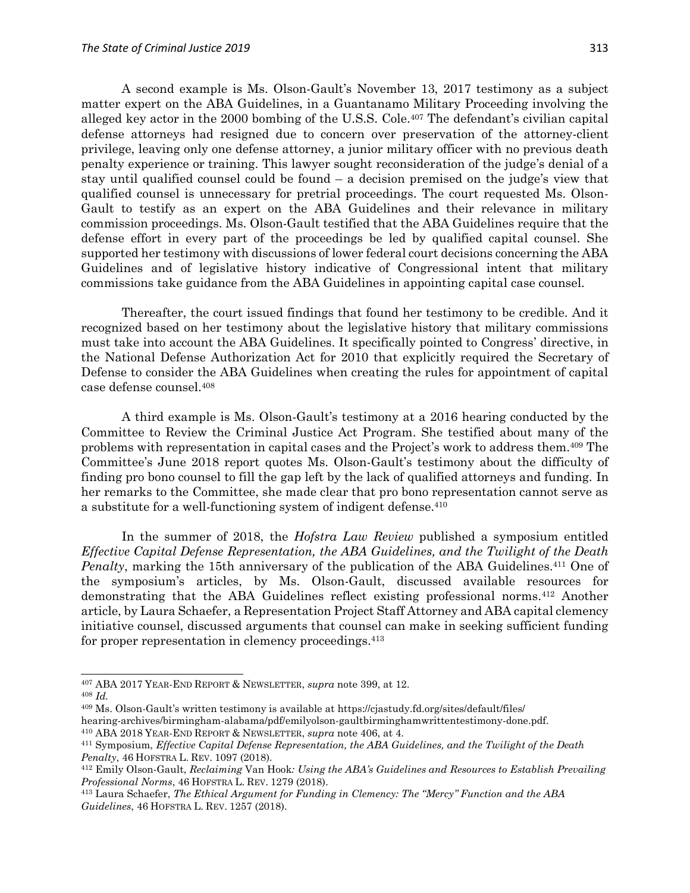A second example is Ms. Olson-Gault's November 13, 2017 testimony as a subject matter expert on the ABA Guidelines, in a Guantanamo Military Proceeding involving the alleged key actor in the 2000 bombing of the U.S.S. Cole.<sup>407</sup> The defendant's civilian capital defense attorneys had resigned due to concern over preservation of the attorney-client privilege, leaving only one defense attorney, a junior military officer with no previous death penalty experience or training. This lawyer sought reconsideration of the judge's denial of a stay until qualified counsel could be found – a decision premised on the judge's view that qualified counsel is unnecessary for pretrial proceedings. The court requested Ms. Olson-Gault to testify as an expert on the ABA Guidelines and their relevance in military commission proceedings. Ms. Olson-Gault testified that the ABA Guidelines require that the defense effort in every part of the proceedings be led by qualified capital counsel. She supported her testimony with discussions of lower federal court decisions concerning the ABA Guidelines and of legislative history indicative of Congressional intent that military commissions take guidance from the ABA Guidelines in appointing capital case counsel.

Thereafter, the court issued findings that found her testimony to be credible. And it recognized based on her testimony about the legislative history that military commissions must take into account the ABA Guidelines. It specifically pointed to Congress' directive, in the National Defense Authorization Act for 2010 that explicitly required the Secretary of Defense to consider the ABA Guidelines when creating the rules for appointment of capital case defense counsel.<sup>408</sup>

A third example is Ms. Olson-Gault's testimony at a 2016 hearing conducted by the Committee to Review the Criminal Justice Act Program. She testified about many of the problems with representation in capital cases and the Project's work to address them.<sup>409</sup> The Committee's June 2018 report quotes Ms. Olson-Gault's testimony about the difficulty of finding pro bono counsel to fill the gap left by the lack of qualified attorneys and funding. In her remarks to the Committee, she made clear that pro bono representation cannot serve as a substitute for a well-functioning system of indigent defense. 410

In the summer of 2018, the *Hofstra Law Review* published a symposium entitled *Effective Capital Defense Representation, the ABA Guidelines, and the Twilight of the Death*  Penalty, marking the 15th anniversary of the publication of the ABA Guidelines.<sup>411</sup> One of the symposium's articles, by Ms. Olson-Gault, discussed available resources for demonstrating that the ABA Guidelines reflect existing professional norms.<sup>412</sup> Another article, by Laura Schaefer, a Representation Project Staff Attorney and ABA capital clemency initiative counsel, discussed arguments that counsel can make in seeking sufficient funding for proper representation in clemency proceedings.<sup>413</sup>

 $\overline{\phantom{a}}$ 

<sup>410</sup> ABA 2018 YEAR-END REPORT & NEWSLETTER, *supra* note 406, at 4.

<sup>407</sup> ABA 2017 YEAR-END REPORT & NEWSLETTER, *supra* note 399, at 12. <sup>408</sup> *Id.*

<sup>409</sup> Ms. Olson-Gault's written testimony is available at https://cjastudy.fd.org/sites/default/files/ hearing-archives/birmingham-alabama/pdf/emilyolson-gaultbirminghamwrittentestimony-done.pdf.

<sup>411</sup> Symposium, *Effective Capital Defense Representation, the ABA Guidelines, and the Twilight of the Death Penalty*, 46 HOFSTRA L. REV. 1097 (2018).

<sup>412</sup> Emily Olson-Gault, *Reclaiming* Van Hook*: Using the ABA's Guidelines and Resources to Establish Prevailing Professional Norms*, 46 HOFSTRA L. REV. 1279 (2018).

<sup>413</sup> Laura Schaefer, *The Ethical Argument for Funding in Clemency: The "Mercy" Function and the ABA Guidelines*, 46 HOFSTRA L. REV. 1257 (2018).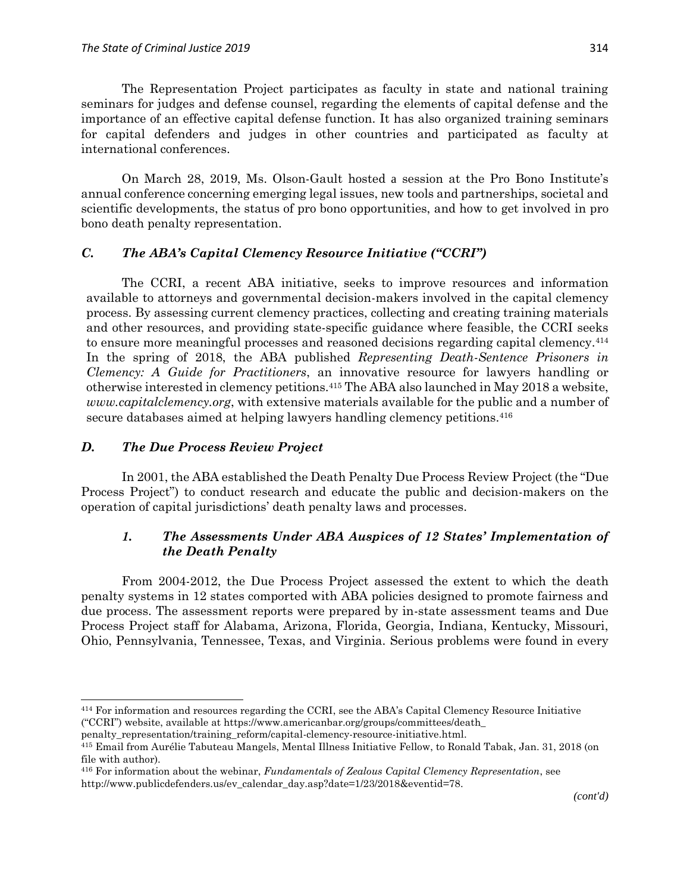The Representation Project participates as faculty in state and national training seminars for judges and defense counsel, regarding the elements of capital defense and the importance of an effective capital defense function. It has also organized training seminars for capital defenders and judges in other countries and participated as faculty at international conferences.

On March 28, 2019, Ms. Olson-Gault hosted a session at the Pro Bono Institute's annual conference concerning emerging legal issues, new tools and partnerships, societal and scientific developments, the status of pro bono opportunities, and how to get involved in pro bono death penalty representation.

### *C. The ABA's Capital Clemency Resource Initiative ("CCRI")*

The CCRI, a recent ABA initiative, seeks to improve resources and information available to attorneys and governmental decision-makers involved in the capital clemency process. By assessing current clemency practices, collecting and creating training materials and other resources, and providing state-specific guidance where feasible, the CCRI seeks to ensure more meaningful processes and reasoned decisions regarding capital clemency.<sup>414</sup> In the spring of 2018, the ABA published *Representing Death-Sentence Prisoners in Clemency: A Guide for Practitioners*, an innovative resource for lawyers handling or otherwise interested in clemency petitions.<sup>415</sup> The ABA also launched in May 2018 a website, *www.capitalclemency.org*, with extensive materials available for the public and a number of secure databases aimed at helping lawyers handling clemency petitions.<sup>416</sup>

### *D. The Due Process Review Project*

 $\overline{a}$ 

In 2001, the ABA established the Death Penalty Due Process Review Project (the "Due Process Project") to conduct research and educate the public and decision-makers on the operation of capital jurisdictions' death penalty laws and processes.

# *1. The Assessments Under ABA Auspices of 12 States' Implementation of the Death Penalty*

From 2004-2012, the Due Process Project assessed the extent to which the death penalty systems in 12 states comported with ABA policies designed to promote fairness and due process. The assessment reports were prepared by in-state assessment teams and Due Process Project staff for Alabama, Arizona, Florida, Georgia, Indiana, Kentucky, Missouri, Ohio, Pennsylvania, Tennessee, Texas, and Virginia. Serious problems were found in every

<sup>414</sup> For information and resources regarding the CCRI, see the ABA's Capital Clemency Resource Initiative ("CCRI") website, available at https://www.americanbar.org/groups/committees/death\_

penalty\_representation/training\_reform/capital-clemency-resource-initiative.html.

<sup>415</sup> Email from Aurélie Tabuteau Mangels, Mental Illness Initiative Fellow, to Ronald Tabak, Jan. 31, 2018 (on file with author).

<sup>416</sup> For information about the webinar, *Fundamentals of Zealous Capital Clemency Representation*, see http://www.publicdefenders.us/ev\_calendar\_day.asp?date=1/23/2018&eventid=78.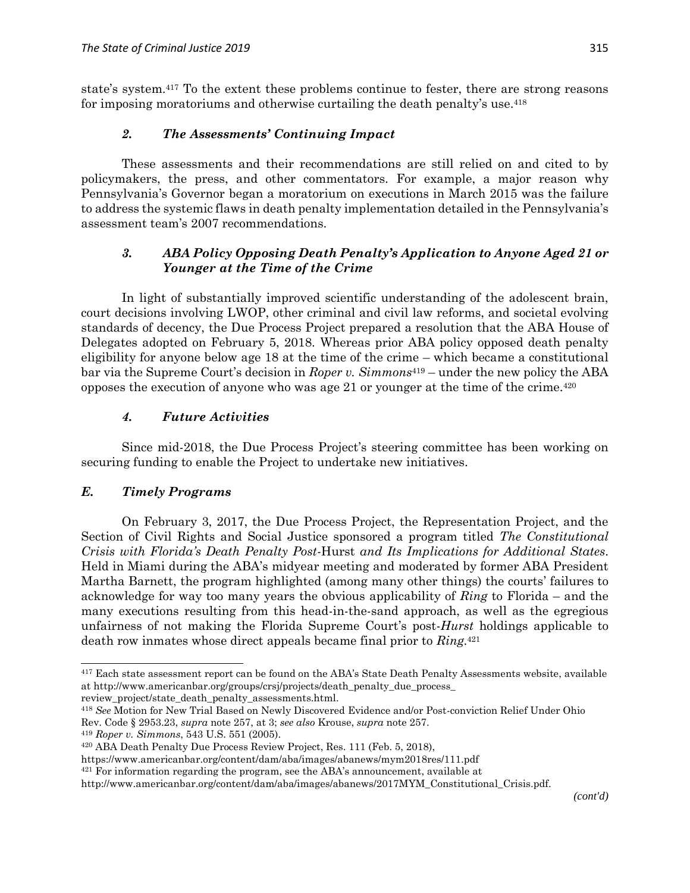state's system.<sup>417</sup> To the extent these problems continue to fester, there are strong reasons for imposing moratoriums and otherwise curtailing the death penalty's use.<sup>418</sup>

# *2. The Assessments' Continuing Impact*

These assessments and their recommendations are still relied on and cited to by policymakers, the press, and other commentators. For example, a major reason why Pennsylvania's Governor began a moratorium on executions in March 2015 was the failure to address the systemic flaws in death penalty implementation detailed in the Pennsylvania's assessment team's 2007 recommendations.

# *3. ABA Policy Opposing Death Penalty's Application to Anyone Aged 21 or Younger at the Time of the Crime*

In light of substantially improved scientific understanding of the adolescent brain, court decisions involving LWOP, other criminal and civil law reforms, and societal evolving standards of decency, the Due Process Project prepared a resolution that the ABA House of Delegates adopted on February 5, 2018. Whereas prior ABA policy opposed death penalty eligibility for anyone below age 18 at the time of the crime – which became a constitutional bar via the Supreme Court's decision in *Roper v. Simmons*<sup>419</sup> – under the new policy the ABA opposes the execution of anyone who was age 21 or younger at the time of the crime.<sup>420</sup>

## *4. Future Activities*

Since mid-2018, the Due Process Project's steering committee has been working on securing funding to enable the Project to undertake new initiatives.

### *E. Timely Programs*

 $\overline{a}$ 

On February 3, 2017, the Due Process Project, the Representation Project, and the Section of Civil Rights and Social Justice sponsored a program titled *The Constitutional Crisis with Florida's Death Penalty Post-*Hurst *and Its Implications for Additional States*. Held in Miami during the ABA's midyear meeting and moderated by former ABA President Martha Barnett, the program highlighted (among many other things) the courts' failures to acknowledge for way too many years the obvious applicability of *Ring* to Florida – and the many executions resulting from this head-in-the-sand approach, as well as the egregious unfairness of not making the Florida Supreme Court's post-*Hurst* holdings applicable to death row inmates whose direct appeals became final prior to *Ring*. 421

<sup>417</sup> Each state assessment report can be found on the ABA's State Death Penalty Assessments website, available at http://www.americanbar.org/groups/crsj/projects/death\_penalty\_due\_process\_ review\_project/state\_death\_penalty\_assessments.html.

<sup>418</sup> *See* Motion for New Trial Based on Newly Discovered Evidence and/or Post-conviction Relief Under Ohio Rev. Code § 2953.23, *supra* note 257, at 3; *see also* Krouse, *supra* note 257.

<sup>419</sup> *Roper v. Simmons*, 543 U.S. 551 (2005).

<sup>420</sup> ABA Death Penalty Due Process Review Project, Res. 111 (Feb. 5, 2018),

https://www.americanbar.org/content/dam/aba/images/abanews/mym2018res/111.pdf

 $421$  For information regarding the program, see the ABA's announcement, available at

http://www.americanbar.org/content/dam/aba/images/abanews/2017MYM\_Constitutional\_Crisis.pdf.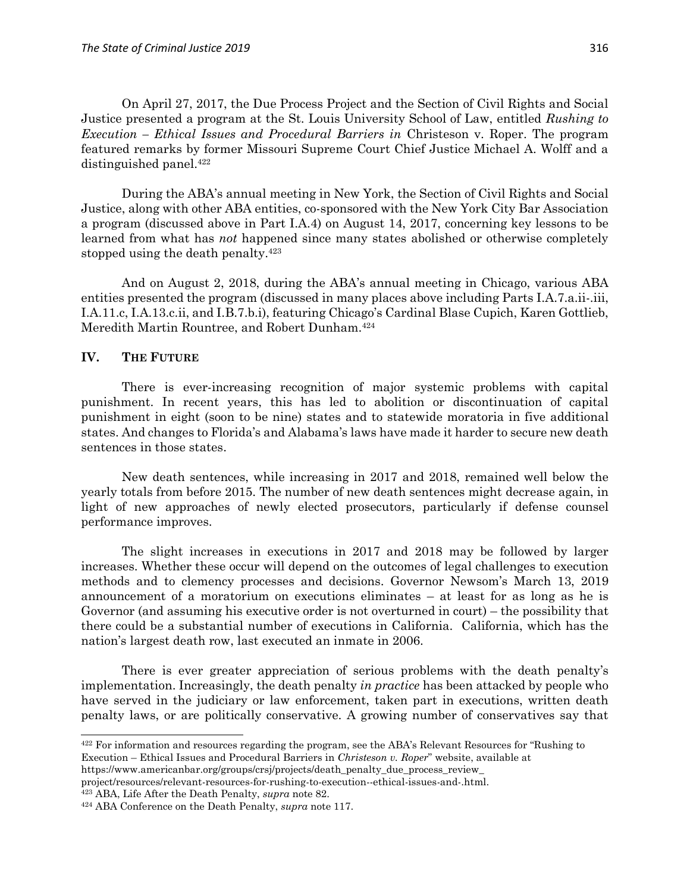On April 27, 2017, the Due Process Project and the Section of Civil Rights and Social Justice presented a program at the St. Louis University School of Law, entitled *Rushing to Execution – Ethical Issues and Procedural Barriers in* Christeson v. Roper. The program featured remarks by former Missouri Supreme Court Chief Justice Michael A. Wolff and a distinguished panel.<sup>422</sup>

During the ABA's annual meeting in New York, the Section of Civil Rights and Social Justice, along with other ABA entities, co-sponsored with the New York City Bar Association a program (discussed above in Part I.A.4) on August 14, 2017, concerning key lessons to be learned from what has *not* happened since many states abolished or otherwise completely stopped using the death penalty.<sup>423</sup>

And on August 2, 2018, during the ABA's annual meeting in Chicago, various ABA entities presented the program (discussed in many places above including Parts I.A.7.a.ii-.iii, I.A.11.c, I.A.13.c.ii, and I.B.7.b.i), featuring Chicago's Cardinal Blase Cupich, Karen Gottlieb, Meredith Martin Rountree, and Robert Dunham.<sup>424</sup>

#### **IV. THE FUTURE**

 $\overline{a}$ 

There is ever-increasing recognition of major systemic problems with capital punishment. In recent years, this has led to abolition or discontinuation of capital punishment in eight (soon to be nine) states and to statewide moratoria in five additional states. And changes to Florida's and Alabama's laws have made it harder to secure new death sentences in those states.

New death sentences, while increasing in 2017 and 2018, remained well below the yearly totals from before 2015. The number of new death sentences might decrease again, in light of new approaches of newly elected prosecutors, particularly if defense counsel performance improves.

The slight increases in executions in 2017 and 2018 may be followed by larger increases. Whether these occur will depend on the outcomes of legal challenges to execution methods and to clemency processes and decisions. Governor Newsom's March 13, 2019 announcement of a moratorium on executions eliminates – at least for as long as he is Governor (and assuming his executive order is not overturned in court) – the possibility that there could be a substantial number of executions in California. California, which has the nation's largest death row, last executed an inmate in 2006.

There is ever greater appreciation of serious problems with the death penalty's implementation. Increasingly, the death penalty *in practice* has been attacked by people who have served in the judiciary or law enforcement, taken part in executions, written death penalty laws, or are politically conservative. A growing number of conservatives say that

https://www.americanbar.org/groups/crsj/projects/death\_penalty\_due\_process\_review\_

<sup>423</sup> ABA, Life After the Death Penalty, *supra* note 82.

 $422$  For information and resources regarding the program, see the ABA's Relevant Resources for "Rushing to Execution – Ethical Issues and Procedural Barriers in *Christeson v. Roper*" website, available at

project/resources/relevant-resources-for-rushing-to-execution--ethical-issues-and-.html.

<sup>424</sup> ABA Conference on the Death Penalty, *supra* note 117.